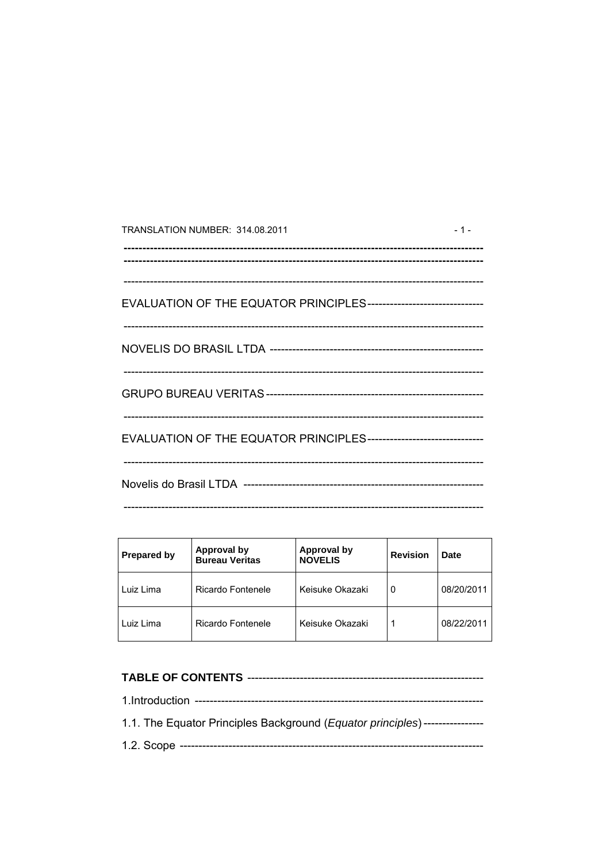| TRANSLATION NUMBER: 314.08.2011                                      | $-1-$ |
|----------------------------------------------------------------------|-------|
|                                                                      |       |
| EVALUATION OF THE EQUATOR PRINCIPLES-------------------------------- |       |
|                                                                      |       |
|                                                                      |       |
| EVALUATION OF THE EQUATOR PRINCIPLES-------------------------------  |       |
|                                                                      |       |

| <b>Prepared by</b> | Approval by<br><b>Bureau Veritas</b> | <b>Approval by</b><br><b>NOVELIS</b> | <b>Revision</b> | Date       |
|--------------------|--------------------------------------|--------------------------------------|-----------------|------------|
| Luiz Lima          | Ricardo Fontenele                    | Keisuke Okazaki                      | 0               | 08/20/2011 |
| Luiz Lima          | Ricardo Fontenele                    | Keisuke Okazaki                      |                 | 08/22/2011 |

| 1.1. The Equator Principles Background ( <i>Equator principles</i> )----------------- |
|---------------------------------------------------------------------------------------|
|                                                                                       |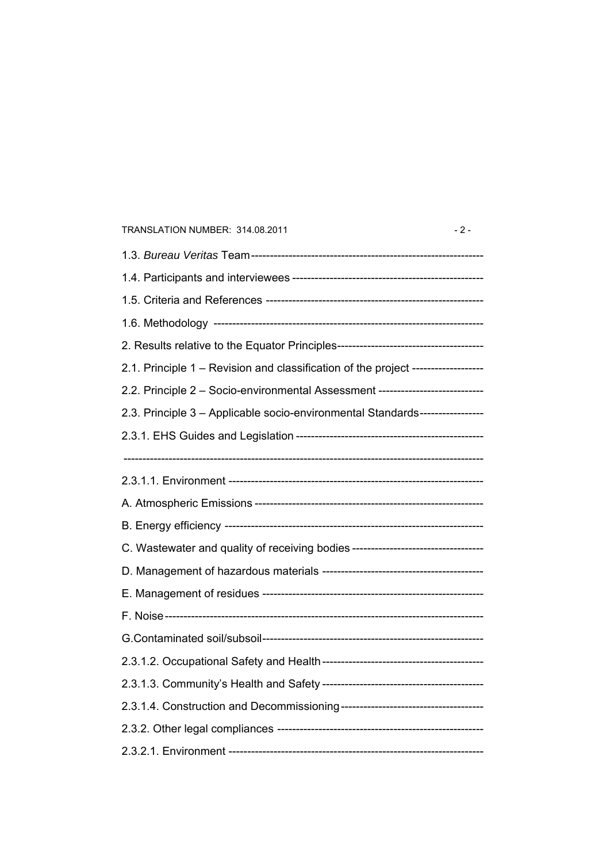# 1.3. *Bureau Veritas* Team-------------------------------------------------------------- 1.4. Participants and interviewees --------------------------------------------------- 1.5. Criteria and References ---------------------------------------------------------- 1.6. Methodology ------------------------------------------------------------------------ 2. Results relative to the Equator Principles--------------------------------------- 2.1. Principle 1 – Revision and classification of the project ------------------- 2.2. Principle 2 – Socio-environmental Assessment ---------------------------- 2.3. Principle 3 – Applicable socio-environmental Standards----------------- 2.3.1. EHS Guides and Legislation --------------------------------------------------  $-$ 2.3.1.1. Environment -------------------------------------------------------------------- A. Atmospheric Emissions ------------------------------------------------------------- B. Energy efficiency --------------------------------------------------------------------- C. Wastewater and quality of receiving bodies ----------------------------------- D. Management of hazardous materials ------------------------------------------- E. Management of residues ----------------------------------------------------------- F. Noise------------------------------------------------------------------------------------- G.Contaminated soil/subsoil----------------------------------------------------------- 2.3.1.2. Occupational Safety and Health------------------------------------------- 2.3.1.3. Community's Health and Safety ------------------------------------------- 2.3.1.4. Construction and Decommissioning-------------------------------------- 2.3.2. Other legal compliances ------------------------------------------------------- 2.3.2.1. Environment --------------------------------------------------------------------

TRANSLATION NUMBER: 314.08.2011 - 2 -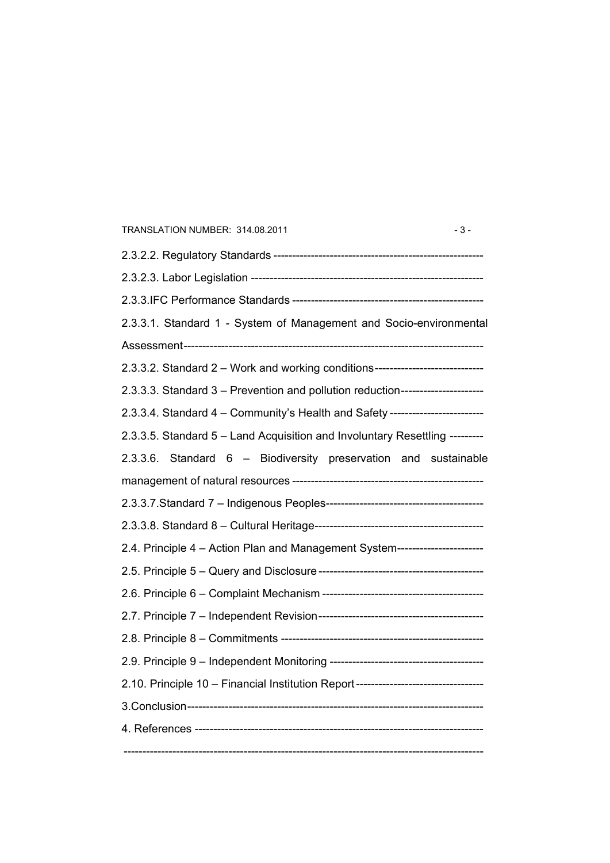| TRANSLATION NUMBER: 314.08.2011<br>$-3-$                                         |
|----------------------------------------------------------------------------------|
|                                                                                  |
|                                                                                  |
|                                                                                  |
| 2.3.3.1. Standard 1 - System of Management and Socio-environmental               |
|                                                                                  |
| 2.3.3.2. Standard 2 - Work and working conditions------------------------------  |
| 2.3.3.3. Standard 3 - Prevention and pollution reduction---------------------    |
| 2.3.3.4. Standard 4 - Community's Health and Safety ------------------------     |
| 2.3.3.5. Standard 5 - Land Acquisition and Involuntary Resettling --------       |
| 2.3.3.6. Standard 6 - Biodiversity preservation and sustainable                  |
|                                                                                  |
|                                                                                  |
|                                                                                  |
| 2.4. Principle 4 - Action Plan and Management System----------------------       |
|                                                                                  |
|                                                                                  |
|                                                                                  |
|                                                                                  |
|                                                                                  |
| 2.10. Principle 10 - Financial Institution Report------------------------------- |
|                                                                                  |
|                                                                                  |
|                                                                                  |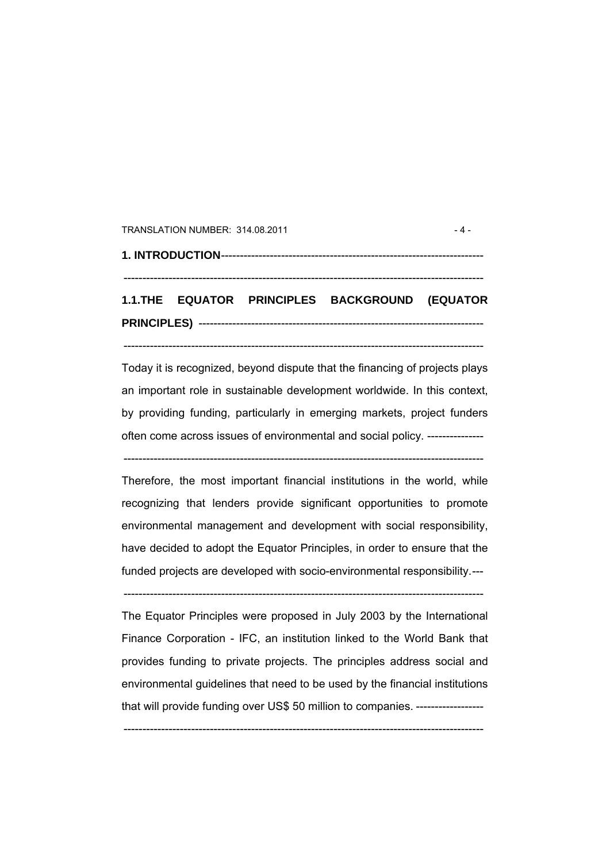#### TRANSLATION NUMBER: 314.08.2011 - 4 -

# **1. INTRODUCTION**---------------------------------------------------------------------- ------------------------------------------------------------------------------------------------

# **1.1.THE EQUATOR PRINCIPLES BACKGROUND (EQUATOR PRINCIPLES)** ----------------------------------------------------------------------------

------------------------------------------------------------------------------------------------

Today it is recognized, beyond dispute that the financing of projects plays an important role in sustainable development worldwide. In this context, by providing funding, particularly in emerging markets, project funders often come across issues of environmental and social policy. ---------------

------------------------------------------------------------------------------------------------

Therefore, the most important financial institutions in the world, while recognizing that lenders provide significant opportunities to promote environmental management and development with social responsibility, have decided to adopt the Equator Principles, in order to ensure that the funded projects are developed with socio-environmental responsibility.---

------------------------------------------------------------------------------------------------

The Equator Principles were proposed in July 2003 by the International Finance Corporation - IFC, an institution linked to the World Bank that provides funding to private projects. The principles address social and environmental guidelines that need to be used by the financial institutions that will provide funding over US\$ 50 million to companies. ------------------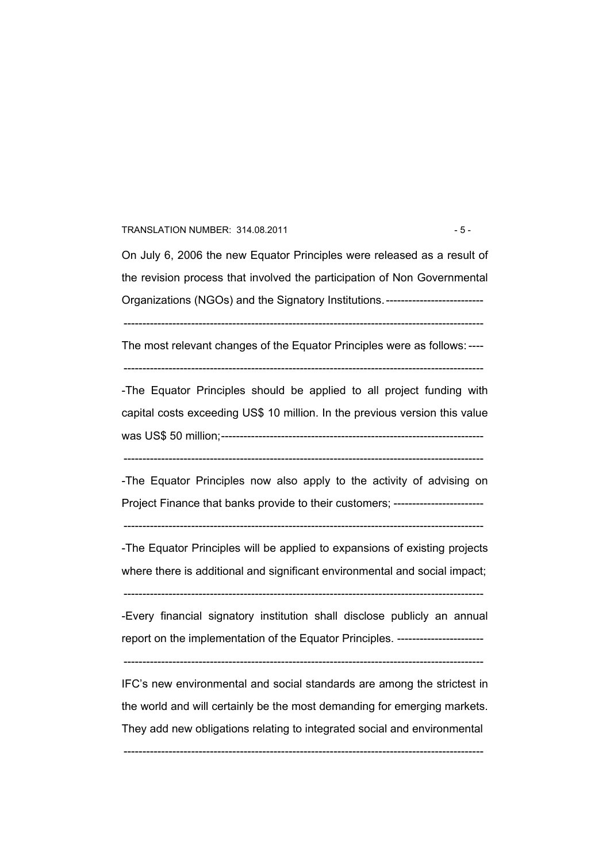#### TRANSLATION NUMBER: 314.08.2011 - 5 -

On July 6, 2006 the new Equator Principles were released as a result of the revision process that involved the participation of Non Governmental Organizations (NGOs) and the Signatory Institutions. ---------------------------

------------------------------------------------------------------------------------------------

The most relevant changes of the Equator Principles were as follows: ----

------------------------------------------------------------------------------------------------

-The Equator Principles should be applied to all project funding with capital costs exceeding US\$ 10 million. In the previous version this value was US\$ 50 million;----------------------------------------------------------------------

------------------------------------------------------------------------------------------------

-The Equator Principles now also apply to the activity of advising on Project Finance that banks provide to their customers; -------------------------

 $-$ 

-The Equator Principles will be applied to expansions of existing projects where there is additional and significant environmental and social impact;

------------------------------------------------------------------------------------------------

-Every financial signatory institution shall disclose publicly an annual report on the implementation of the Equator Principles. ------------------------

------------------------------------------------------------------------------------------------

IFC's new environmental and social standards are among the strictest in the world and will certainly be the most demanding for emerging markets. They add new obligations relating to integrated social and environmental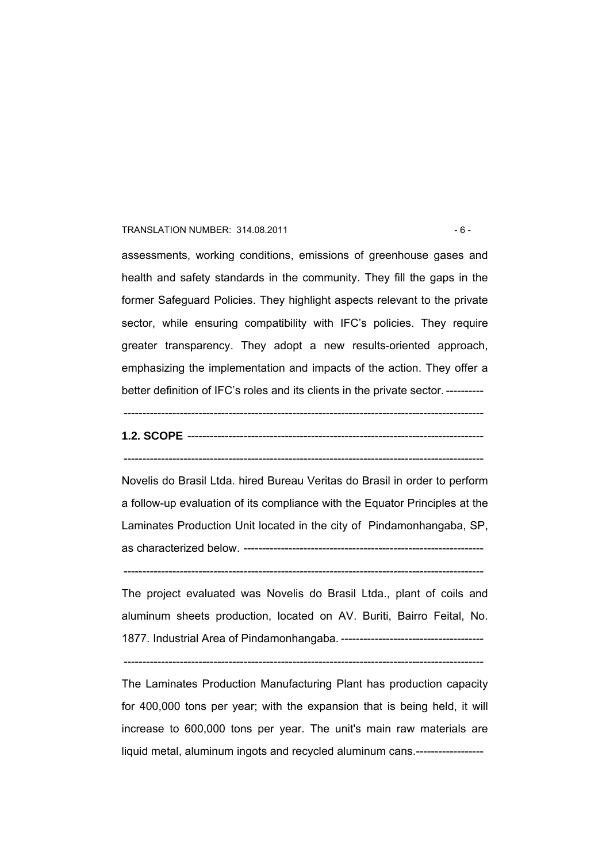#### TRANSLATION NUMBER: 314.08.2011 - 6 -

assessments, working conditions, emissions of greenhouse gases and health and safety standards in the community. They fill the gaps in the former Safeguard Policies. They highlight aspects relevant to the private sector, while ensuring compatibility with IFC's policies. They require greater transparency. They adopt a new results-oriented approach, emphasizing the implementation and impacts of the action. They offer a better definition of IFC's roles and its clients in the private sector. ----------

### ------------------------------------------------------------------------------------------------

# **1.2. SCOPE** ------------------------------------------------------------------------------- ------------------------------------------------------------------------------------------------

Novelis do Brasil Ltda. hired Bureau Veritas do Brasil in order to perform a follow-up evaluation of its compliance with the Equator Principles at the Laminates Production Unit located in the city of Pindamonhangaba, SP, as characterized below. ----------------------------------------------------------------

 $-$ 

The project evaluated was Novelis do Brasil Ltda., plant of coils and aluminum sheets production, located on AV. Buriti, Bairro Feital, No. 1877. Industrial Area of Pindamonhangaba. --------------------------------------

------------------------------------------------------------------------------------------------

The Laminates Production Manufacturing Plant has production capacity for 400,000 tons per year; with the expansion that is being held, it will increase to 600,000 tons per year. The unit's main raw materials are liquid metal, aluminum ingots and recycled aluminum cans.------------------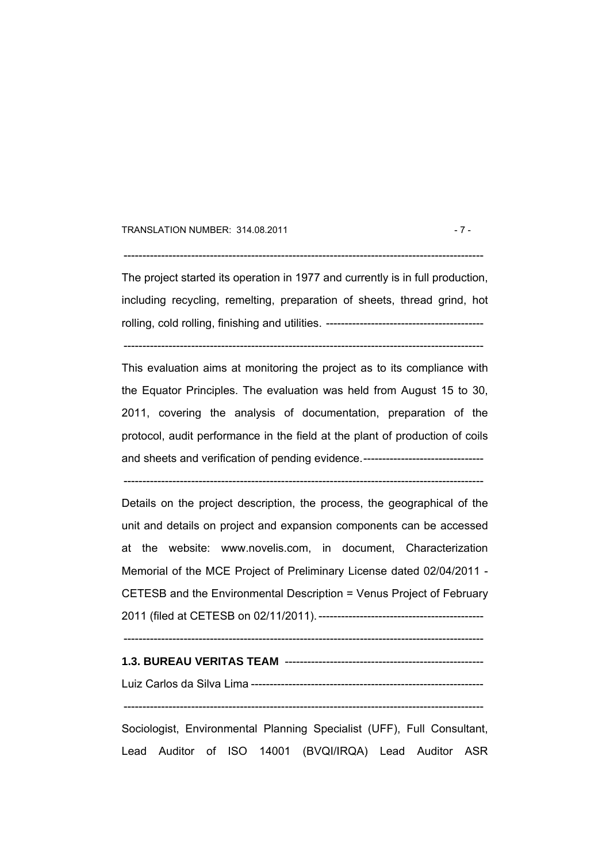#### TRANSLATION NUMBER: 314.08.2011 - 7 -

 $-$ 

The project started its operation in 1977 and currently is in full production, including recycling, remelting, preparation of sheets, thread grind, hot rolling, cold rolling, finishing and utilities. ------------------------------------------

------------------------------------------------------------------------------------------------

This evaluation aims at monitoring the project as to its compliance with the Equator Principles. The evaluation was held from August 15 to 30, 2011, covering the analysis of documentation, preparation of the protocol, audit performance in the field at the plant of production of coils and sheets and verification of pending evidence.-------------------------------

------------------------------------------------------------------------------------------------

Details on the project description, the process, the geographical of the unit and details on project and expansion components can be accessed at the website: www.novelis.com, in document, Characterization Memorial of the MCE Project of Preliminary License dated 02/04/2011 - CETESB and the Environmental Description = Venus Project of February 2011 (filed at CETESB on 02/11/2011). --------------------------------------------

------------------------------------------------------------------------------------------------

#### **1.3. BUREAU VERITAS TEAM** -----------------------------------------------------

Luiz Carlos da Silva Lima --------------------------------------------------------------

------------------------------------------------------------------------------------------------

Sociologist, Environmental Planning Specialist (UFF), Full Consultant, Lead Auditor of ISO 14001 (BVQI/IRQA) Lead Auditor ASR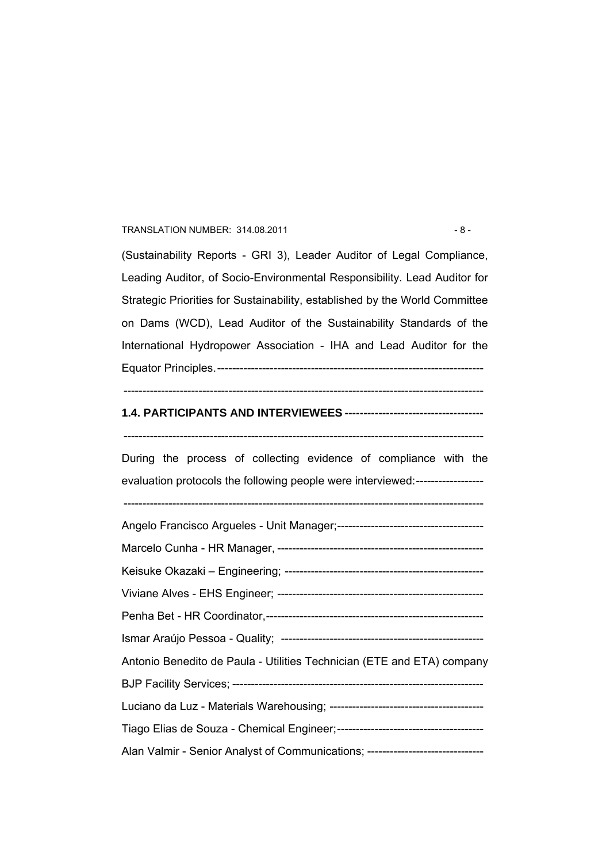#### TRANSLATION NUMBER: 314.08.2011 - 8 -

(Sustainability Reports - GRI 3), Leader Auditor of Legal Compliance, Leading Auditor, of Socio-Environmental Responsibility. Lead Auditor for Strategic Priorities for Sustainability, established by the World Committee on Dams (WCD), Lead Auditor of the Sustainability Standards of the International Hydropower Association - IHA and Lead Auditor for the Equator Principles.-----------------------------------------------------------------------

#### ------------------------------------------------------------------------------------------------

### **1.4. PARTICIPANTS AND INTERVIEWEES -------------------------------------**

During the process of collecting evidence of compliance with the evaluation protocols the following people were interviewed:------------------

------------------------------------------------------------------------------------------------

------------------------------------------------------------------------------------------------

Angelo Francisco Argueles - Unit Manager;--------------------------------------- Marcelo Cunha - HR Manager, ------------------------------------------------------- Keisuke Okazaki – Engineering; ----------------------------------------------------- Viviane Alves - EHS Engineer; ------------------------------------------------------- Penha Bet - HR Coordinator,---------------------------------------------------------- Ismar Araújo Pessoa - Quality; ------------------------------------------------------ Antonio Benedito de Paula - Utilities Technician (ETE and ETA) company BJP Facility Services; ------------------------------------------------------------------- Luciano da Luz - Materials Warehousing; ----------------------------------------- Tiago Elias de Souza - Chemical Engineer;--------------------------------------- Alan Valmir - Senior Analyst of Communications; --------------------------------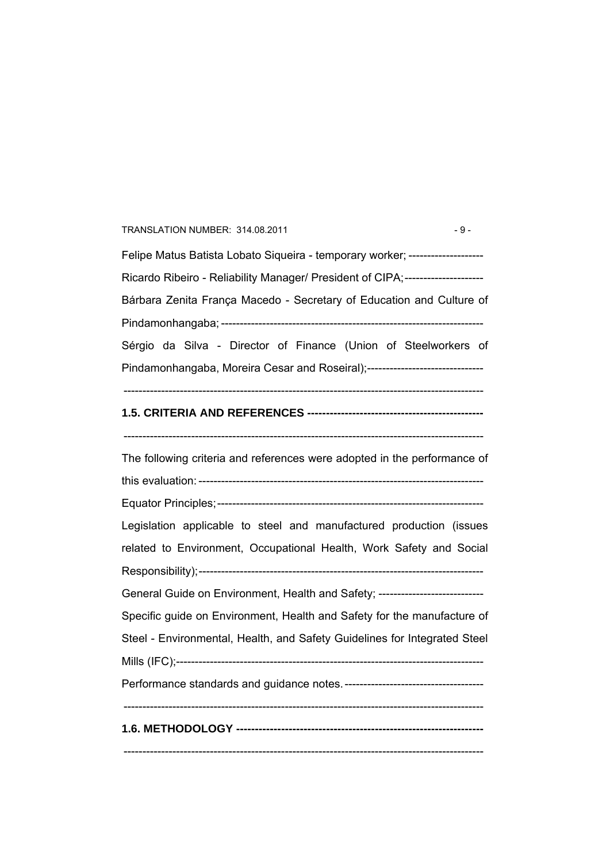# TRANSLATION NUMBER: 314.08.2011 - 9 -Felipe Matus Batista Lobato Siqueira - temporary worker; ---------------------Ricardo Ribeiro - Reliability Manager/ President of CIPA;---------------------Bárbara Zenita França Macedo - Secretary of Education and Culture of Pindamonhangaba; ---------------------------------------------------------------------- Sérgio da Silva - Director of Finance (Union of Steelworkers of Pindamonhangaba, Moreira Cesar and Roseiral);----------------------------------------------------------------------------------------------------------------------------------- **1.5. CRITERIA AND REFERENCES -----------------------------------------------**  ------------------------------------------------------------------------------------------------ The following criteria and references were adopted in the performance of this evaluation: ---------------------------------------------------------------------------- Equator Principles;----------------------------------------------------------------------- Legislation applicable to steel and manufactured production (issues related to Environment, Occupational Health, Work Safety and Social Responsibility);---------------------------------------------------------------------------- General Guide on Environment, Health and Safety; ------------------------------Specific guide on Environment, Health and Safety for the manufacture of Steel - Environmental, Health, and Safety Guidelines for Integrated Steel Mills (IFC);---------------------------------------------------------------------------------- Performance standards and guidance notes.-------------------------------------  $-$ **1.6. METHODOLOGY ------------------------------------------------------------------**  ------------------------------------------------------------------------------------------------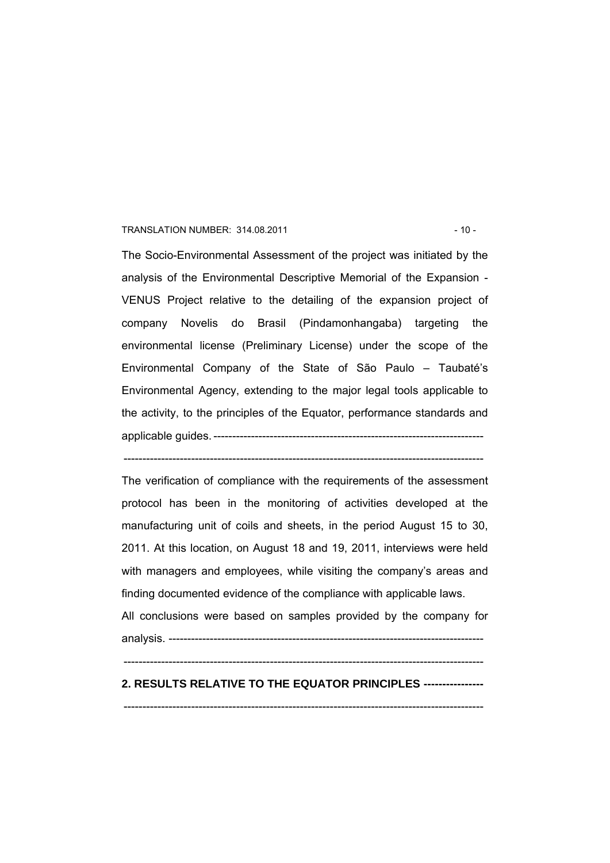#### TRANSLATION NUMBER: 314.08.2011 - 10 -

The Socio-Environmental Assessment of the project was initiated by the analysis of the Environmental Descriptive Memorial of the Expansion - VENUS Project relative to the detailing of the expansion project of company Novelis do Brasil (Pindamonhangaba) targeting the environmental license (Preliminary License) under the scope of the Environmental Company of the State of São Paulo – Taubaté's Environmental Agency, extending to the major legal tools applicable to the activity, to the principles of the Equator, performance standards and applicable guides. ------------------------------------------------------------------------

The verification of compliance with the requirements of the assessment protocol has been in the monitoring of activities developed at the manufacturing unit of coils and sheets, in the period August 15 to 30, 2011. At this location, on August 18 and 19, 2011, interviews were held with managers and employees, while visiting the company's areas and finding documented evidence of the compliance with applicable laws.

------------------------------------------------------------------------------------------------

All conclusions were based on samples provided by the company for analysis. ------------------------------------------------------------------------------------

#### $-$

### **2. RESULTS RELATIVE TO THE EQUATOR PRINCIPLES ----------------**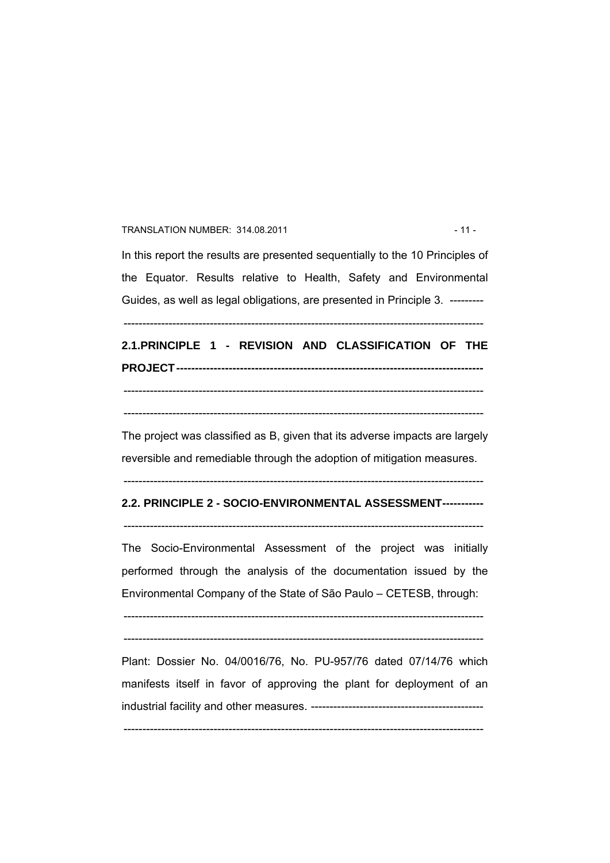### TRANSLATION NUMBER: 314.08.2011 - 11 -

In this report the results are presented sequentially to the 10 Principles of the Equator. Results relative to Health, Safety and Environmental Guides, as well as legal obligations, are presented in Principle 3. ---------

------------------------------------------------------------------------------------------------

**2.1.PRINCIPLE 1 - REVISION AND CLASSIFICATION OF THE PROJECT----------------------------------------------------------------------------------**  ------------------------------------------------------------------------------------------------

------------------------------------------------------------------------------------------------

The project was classified as B, given that its adverse impacts are largely reversible and remediable through the adoption of mitigation measures.

------------------------------------------------------------------------------------------------

# **2.2. PRINCIPLE 2 - SOCIO-ENVIRONMENTAL ASSESSMENT-----------**   $-$

The Socio-Environmental Assessment of the project was initially performed through the analysis of the documentation issued by the Environmental Company of the State of São Paulo – CETESB, through:

------------------------------------------------------------------------------------------------

------------------------------------------------------------------------------------------------

Plant: Dossier No. 04/0016/76, No. PU-957/76 dated 07/14/76 which manifests itself in favor of approving the plant for deployment of an industrial facility and other measures. ----------------------------------------------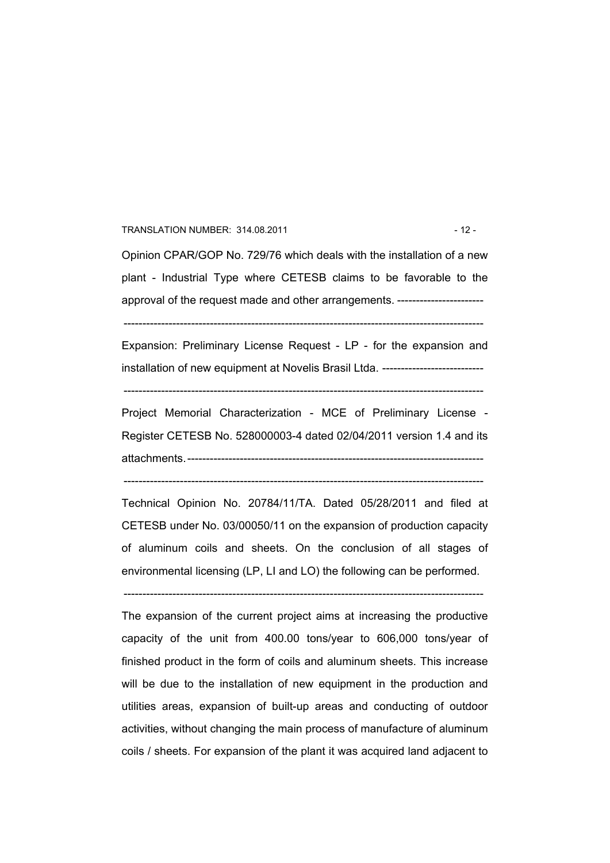#### TRANSLATION NUMBER: 314.08.2011 - 12 -

Opinion CPAR/GOP No. 729/76 which deals with the installation of a new plant - Industrial Type where CETESB claims to be favorable to the approval of the request made and other arrangements. --------------------------

------------------------------------------------------------------------------------------------

Expansion: Preliminary License Request - LP - for the expansion and installation of new equipment at Novelis Brasil Ltda. ---------------------------

------------------------------------------------------------------------------------------------

Project Memorial Characterization - MCE of Preliminary License - Register CETESB No. 528000003-4 dated 02/04/2011 version 1.4 and its attachments.-------------------------------------------------------------------------------

------------------------------------------------------------------------------------------------

Technical Opinion No. 20784/11/TA. Dated 05/28/2011 and filed at CETESB under No. 03/00050/11 on the expansion of production capacity of aluminum coils and sheets. On the conclusion of all stages of environmental licensing (LP, LI and LO) the following can be performed.

------------------------------------------------------------------------------------------------

The expansion of the current project aims at increasing the productive capacity of the unit from 400.00 tons/year to 606,000 tons/year of finished product in the form of coils and aluminum sheets. This increase will be due to the installation of new equipment in the production and utilities areas, expansion of built-up areas and conducting of outdoor activities, without changing the main process of manufacture of aluminum coils / sheets. For expansion of the plant it was acquired land adjacent to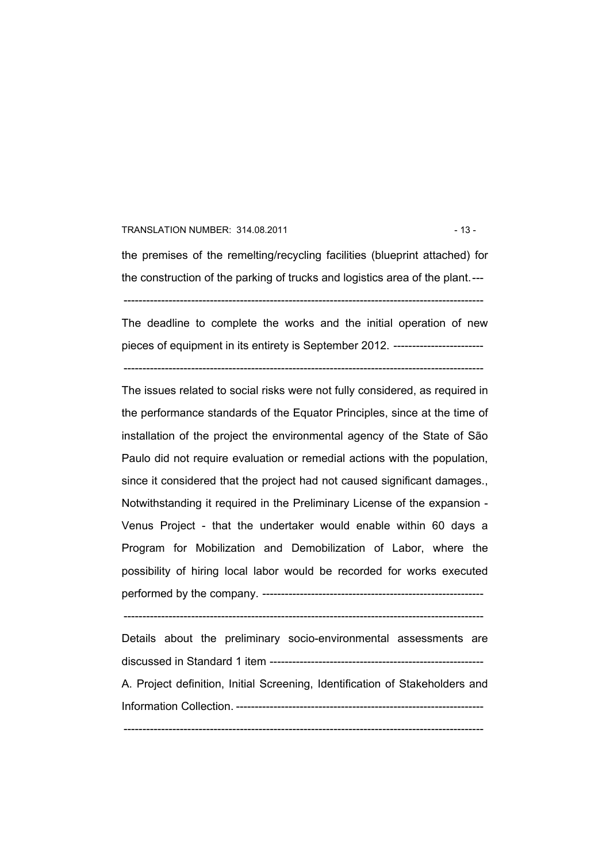#### TRANSLATION NUMBER: 314.08.2011 - 13 -

the premises of the remelting/recycling facilities (blueprint attached) for the construction of the parking of trucks and logistics area of the plant.--- ------------------------------------------------------------------------------------------------

The deadline to complete the works and the initial operation of new pieces of equipment in its entirety is September 2012. ------------------------

------------------------------------------------------------------------------------------------ The issues related to social risks were not fully considered, as required in

the performance standards of the Equator Principles, since at the time of installation of the project the environmental agency of the State of São Paulo did not require evaluation or remedial actions with the population, since it considered that the project had not caused significant damages., Notwithstanding it required in the Preliminary License of the expansion - Venus Project - that the undertaker would enable within 60 days a Program for Mobilization and Demobilization of Labor, where the possibility of hiring local labor would be recorded for works executed performed by the company. -----------------------------------------------------------

------------------------------------------------------------------------------------------------

Details about the preliminary socio-environmental assessments are discussed in Standard 1 item --------------------------------------------------------- A. Project definition, Initial Screening, Identification of Stakeholders and Information Collection. ------------------------------------------------------------------ ------------------------------------------------------------------------------------------------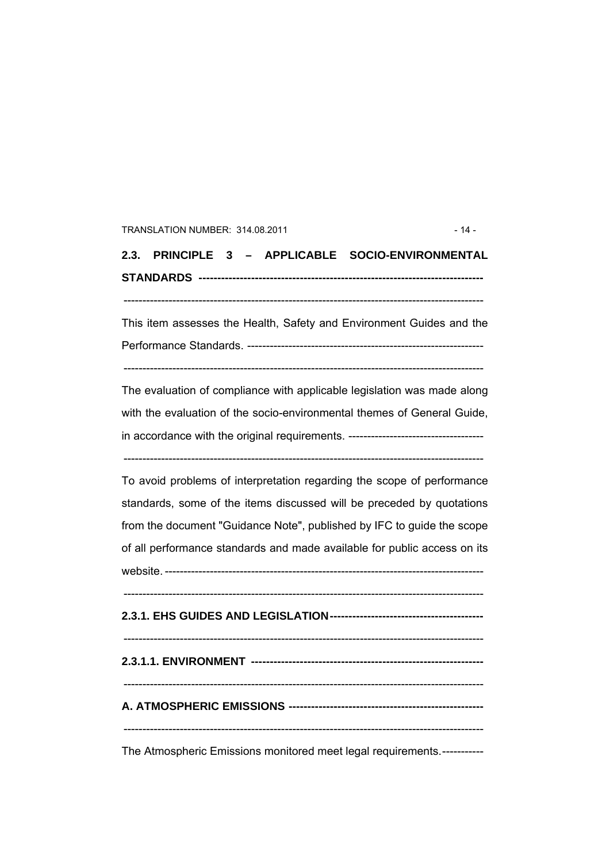#### TRANSLATION NUMBER: 314.08.2011 - 14 -

**2.3. PRINCIPLE 3 – APPLICABLE SOCIO-ENVIRONMENTAL STANDARDS ----------------------------------------------------------------------------** 

------------------------------------------------------------------------------------------------

This item assesses the Health, Safety and Environment Guides and the Performance Standards. ---------------------------------------------------------------

------------------------------------------------------------------------------------------------

The evaluation of compliance with applicable legislation was made along with the evaluation of the socio-environmental themes of General Guide, in accordance with the original requirements. ------------------------------------

------------------------------------------------------------------------------------------------

To avoid problems of interpretation regarding the scope of performance standards, some of the items discussed will be preceded by quotations from the document "Guidance Note", published by IFC to guide the scope of all performance standards and made available for public access on its website. -------------------------------------------------------------------------------------

------------------------------------------------------------------------------------------------

**2.3.1. EHS GUIDES AND LEGISLATION-----------------------------------------** 

**2.3.1.1. ENVIRONMENT --------------------------------------------------------------** 

------------------------------------------------------------------------------------------------

------------------------------------------------------------------------------------------------

**A. ATMOSPHERIC EMISSIONS ----------------------------------------------------** 

------------------------------------------------------------------------------------------------

The Atmospheric Emissions monitored meet legal requirements.-----------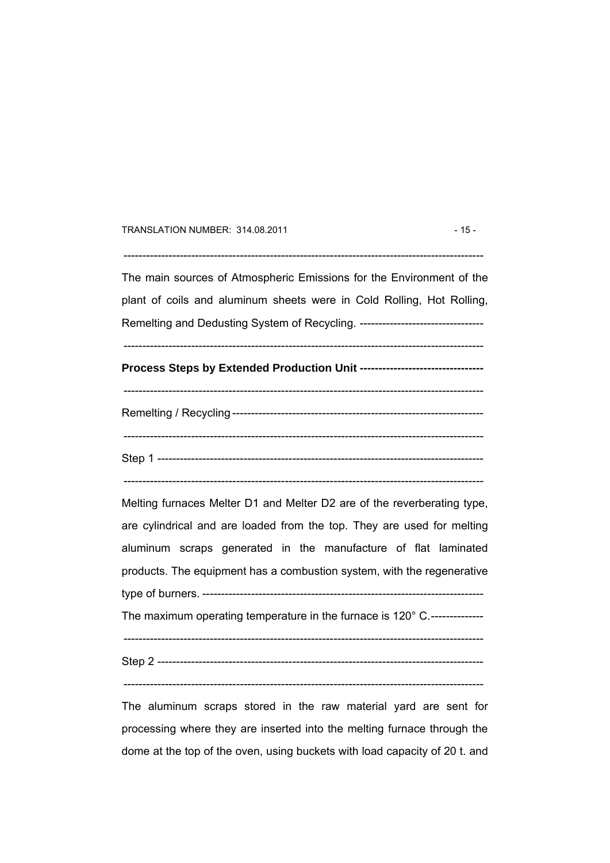#### TRANSLATION NUMBER: 314.08.2011 - 15 -

The main sources of Atmospheric Emissions for the Environment of the plant of coils and aluminum sheets were in Cold Rolling, Hot Rolling,

 $-$ 

Remelting and Dedusting System of Recycling. ---------------------------------

------------------------------------------------------------------------------------------------ **Process Steps by Extended Production Unit ---------------------------------** 

------------------------------------------------------------------------------------------------ Remelting / Recycling ------------------------------------------------------------------- ------------------------------------------------------------------------------------------------ Step 1 ---------------------------------------------------------------------------------------

------------------------------------------------------------------------------------------------

Melting furnaces Melter D1 and Melter D2 are of the reverberating type, are cylindrical and are loaded from the top. They are used for melting aluminum scraps generated in the manufacture of flat laminated products. The equipment has a combustion system, with the regenerative type of burners. ---------------------------------------------------------------------------

The maximum operating temperature in the furnace is 120° C.--------------

------------------------------------------------------------------------------------------------ Step 2 ---------------------------------------------------------------------------------------

 $-$ 

The aluminum scraps stored in the raw material yard are sent for processing where they are inserted into the melting furnace through the dome at the top of the oven, using buckets with load capacity of 20 t. and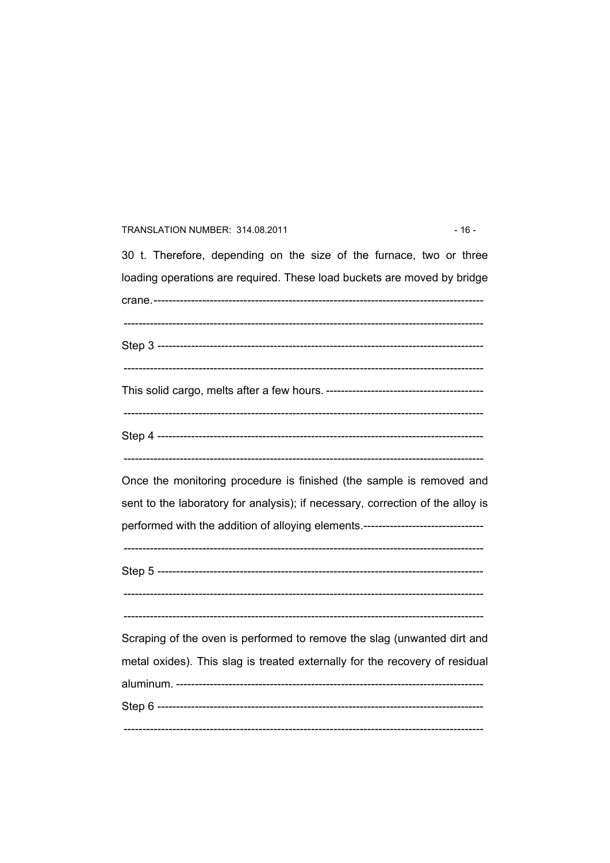#### TRANSLATION NUMBER: 314.08.2011

30 t. Therefore, depending on the size of the furnace, two or three loading operations are required. These load buckets are moved by bridge Once the monitoring procedure is finished (the sample is removed and sent to the laboratory for analysis); if necessary, correction of the alloy is performed with the addition of alloying elements.-------------------------------Scraping of the oven is performed to remove the slag (unwanted dirt and metal oxides). This slag is treated externally for the recovery of residual 

 $-16-$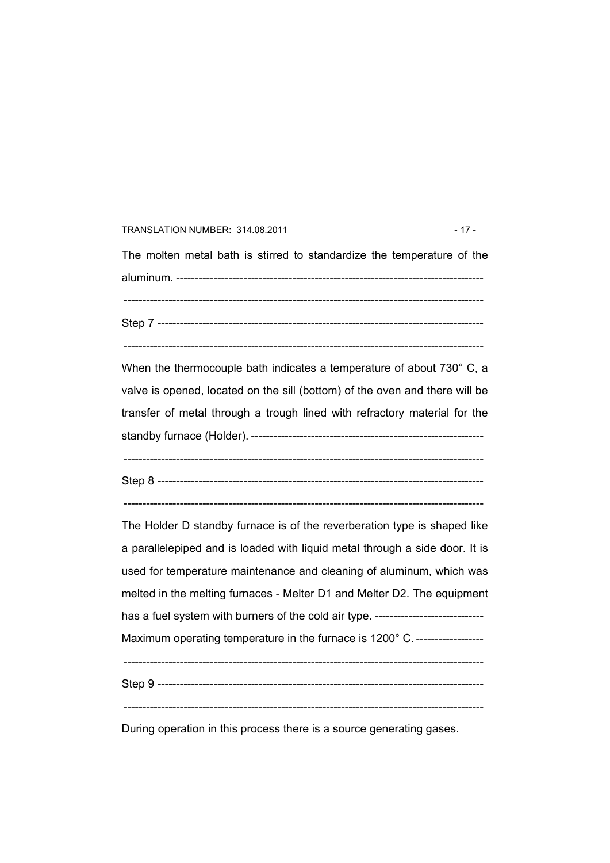#### TRANSLATION NUMBER: 314.08.2011 - 17 -

The molten metal bath is stirred to standardize the temperature of the aluminum. ---------------------------------------------------------------------------------- ------------------------------------------------------------------------------------------------ Step 7 ---------------------------------------------------------------------------------------

------------------------------------------------------------------------------------------------

When the thermocouple bath indicates a temperature of about 730° C, a valve is opened, located on the sill (bottom) of the oven and there will be transfer of metal through a trough lined with refractory material for the standby furnace (Holder). -------------------------------------------------------------- ------------------------------------------------------------------------------------------------ Step 8 ---------------------------------------------------------------------------------------

------------------------------------------------------------------------------------------------

The Holder D standby furnace is of the reverberation type is shaped like a parallelepiped and is loaded with liquid metal through a side door. It is used for temperature maintenance and cleaning of aluminum, which was melted in the melting furnaces - Melter D1 and Melter D2. The equipment has a fuel system with burners of the cold air type. ----------------------------Maximum operating temperature in the furnace is 1200° C. ------------------- $-$ Step 9 --------------------------------------------------------------------------------------- ------------------------------------------------------------------------------------------------

During operation in this process there is a source generating gases.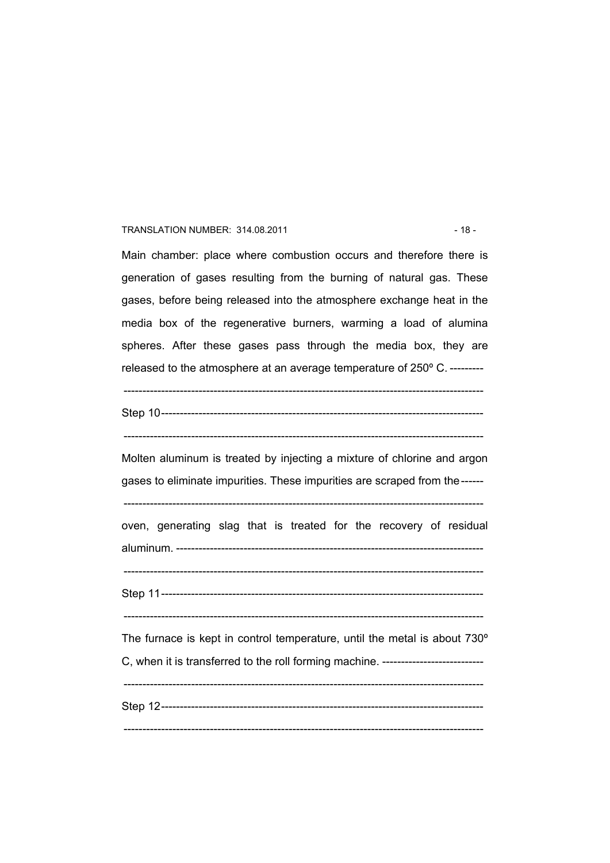### TRANSLATION NUMBER: 314.08.2011 - 18 -

Main chamber: place where combustion occurs and therefore there is generation of gases resulting from the burning of natural gas. These gases, before being released into the atmosphere exchange heat in the media box of the regenerative burners, warming a load of alumina spheres. After these gases pass through the media box, they are released to the atmosphere at an average temperature of 250° C. ---------

Step 10--------------------------------------------------------------------------------------

 $-$ 

------------------------------------------------------------------------------------------------

Molten aluminum is treated by injecting a mixture of chlorine and argon gases to eliminate impurities. These impurities are scraped from the------

------------------------------------------------------------------------------------------------

oven, generating slag that is treated for the recovery of residual aluminum. ----------------------------------------------------------------------------------

------------------------------------------------------------------------------------------------

Step 11--------------------------------------------------------------------------------------

------------------------------------------------------------------------------------------------

The furnace is kept in control temperature, until the metal is about 730º C, when it is transferred to the roll forming machine. ---------------------------

------------------------------------------------------------------------------------------------ Step 12--------------------------------------------------------------------------------------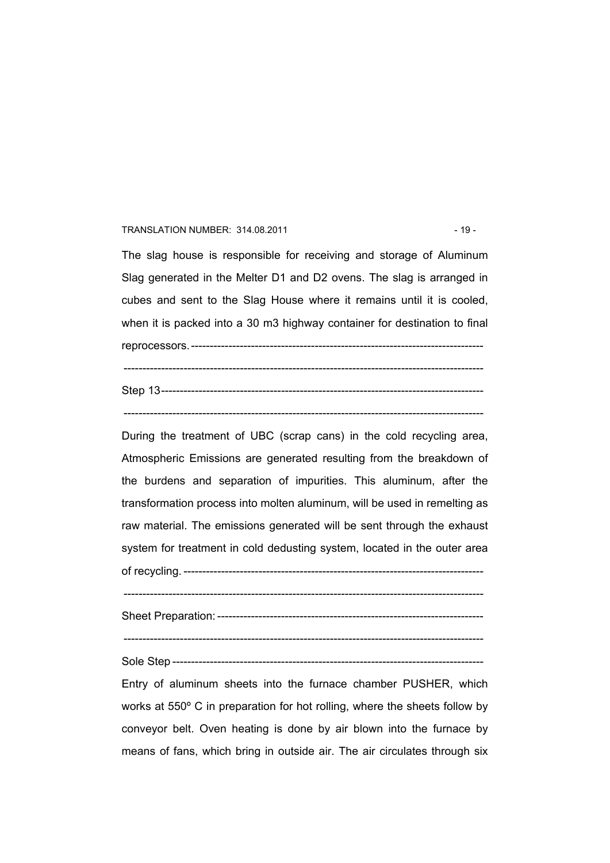#### TRANSLATION NUMBER: 314.08.2011 - 19 -

The slag house is responsible for receiving and storage of Aluminum Slag generated in the Melter D1 and D2 ovens. The slag is arranged in cubes and sent to the Slag House where it remains until it is cooled, when it is packed into a 30 m3 highway container for destination to final reprocessors.------------------------------------------------------------------------------

Step 13--------------------------------------------------------------------------------------

------------------------------------------------------------------------------------------------

------------------------------------------------------------------------------------------------

During the treatment of UBC (scrap cans) in the cold recycling area, Atmospheric Emissions are generated resulting from the breakdown of the burdens and separation of impurities. This aluminum, after the transformation process into molten aluminum, will be used in remelting as raw material. The emissions generated will be sent through the exhaust system for treatment in cold dedusting system, located in the outer area

of recycling. --------------------------------------------------------------------------------

------------------------------------------------------------------------------------------------

Sheet Preparation: -----------------------------------------------------------------------

------------------------------------------------------------------------------------------------

Sole Step -----------------------------------------------------------------------------------

Entry of aluminum sheets into the furnace chamber PUSHER, which works at 550º C in preparation for hot rolling, where the sheets follow by conveyor belt. Oven heating is done by air blown into the furnace by means of fans, which bring in outside air. The air circulates through six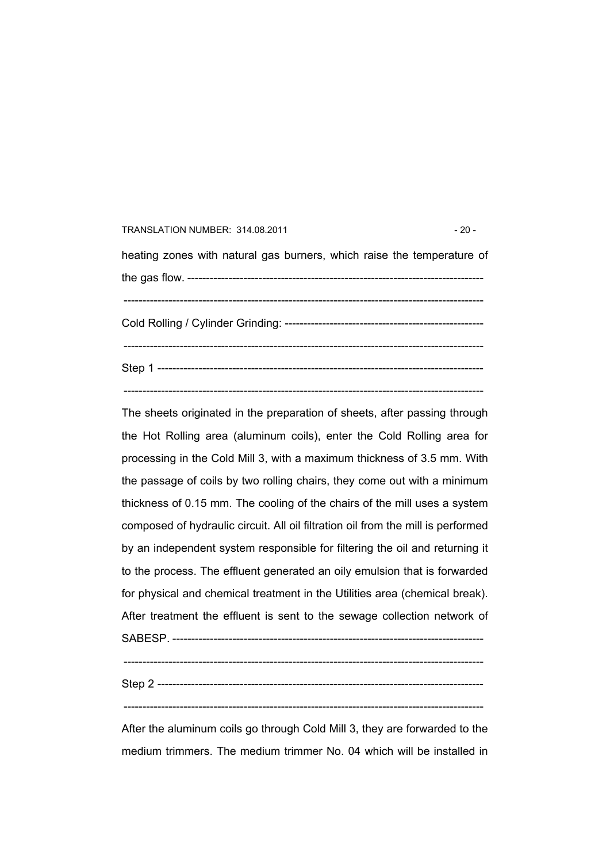# TRANSLATION NUMBER: 314.08.2011 - 20 heating zones with natural gas burners, which raise the temperature of the gas flow. ------------------------------------------------------------------------------- ------------------------------------------------------------------------------------------------ Cold Rolling / Cylinder Grinding: ----------------------------------------------------- ------------------------------------------------------------------------------------------------ Step 1 --------------------------------------------------------------------------------------- ------------------------------------------------------------------------------------------------

The sheets originated in the preparation of sheets, after passing through the Hot Rolling area (aluminum coils), enter the Cold Rolling area for processing in the Cold Mill 3, with a maximum thickness of 3.5 mm. With the passage of coils by two rolling chairs, they come out with a minimum thickness of 0.15 mm. The cooling of the chairs of the mill uses a system composed of hydraulic circuit. All oil filtration oil from the mill is performed by an independent system responsible for filtering the oil and returning it to the process. The effluent generated an oily emulsion that is forwarded for physical and chemical treatment in the Utilities area (chemical break). After treatment the effluent is sent to the sewage collection network of SABESP. -----------------------------------------------------------------------------------

 $-$ 

Step 2 ---------------------------------------------------------------------------------------

 $-$ 

After the aluminum coils go through Cold Mill 3, they are forwarded to the medium trimmers. The medium trimmer No. 04 which will be installed in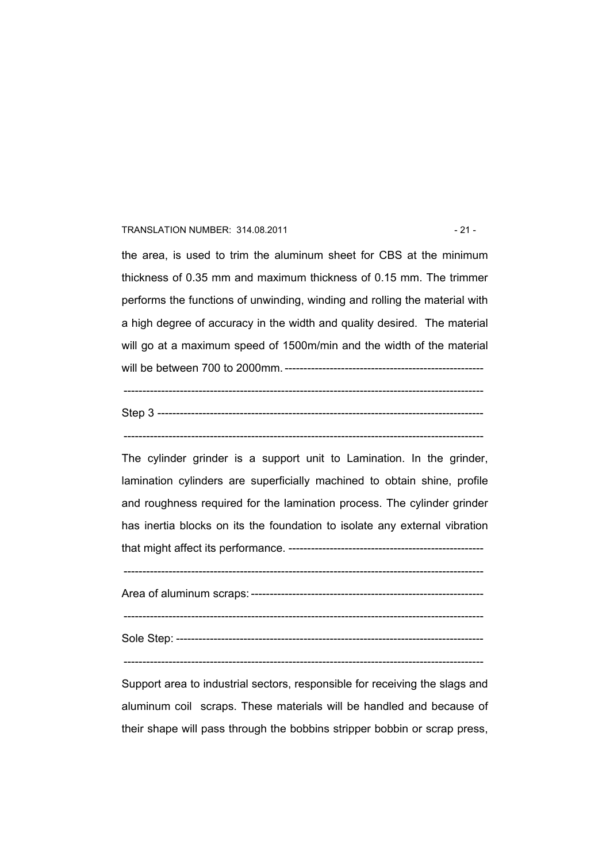#### TRANSLATION NUMBER: 314.08.2011 - 21 -

the area, is used to trim the aluminum sheet for CBS at the minimum thickness of 0.35 mm and maximum thickness of 0.15 mm. The trimmer performs the functions of unwinding, winding and rolling the material with a high degree of accuracy in the width and quality desired. The material will go at a maximum speed of 1500m/min and the width of the material will be between 700 to 2000mm. ----------------------------------------------------- ------------------------------------------------------------------------------------------------

The cylinder grinder is a support unit to Lamination. In the grinder, lamination cylinders are superficially machined to obtain shine, profile and roughness required for the lamination process. The cylinder grinder has inertia blocks on its the foundation to isolate any external vibration that might affect its performance. ----------------------------------------------------

------------------------------------------------------------------------------------------------

Area of aluminum scraps: --------------------------------------------------------------

------------------------------------------------------------------------------------------------

Sole Step: ----------------------------------------------------------------------------------

 $-$ 

Support area to industrial sectors, responsible for receiving the slags and aluminum coil scraps. These materials will be handled and because of their shape will pass through the bobbins stripper bobbin or scrap press,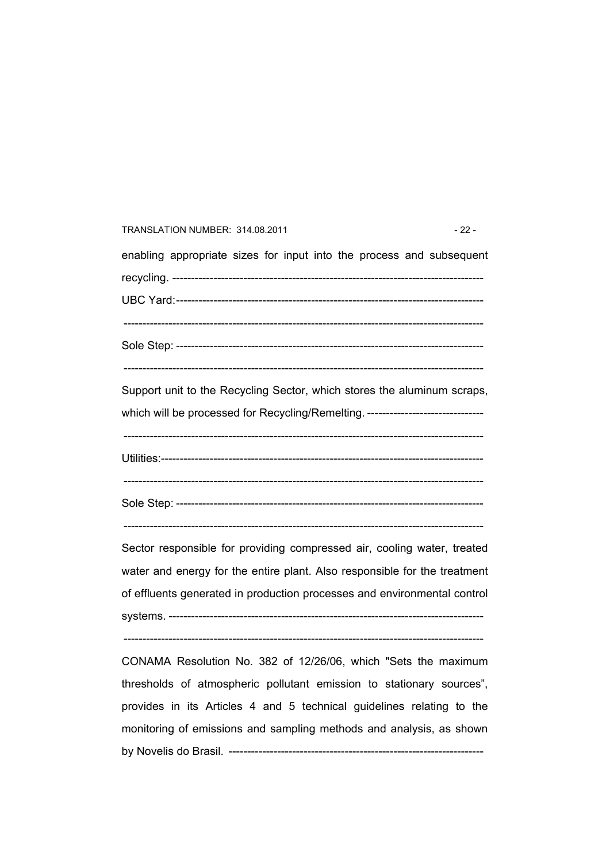# TRANSLATION NUMBER: 314.08.2011 - 22 enabling appropriate sizes for input into the process and subsequent recycling. ----------------------------------------------------------------------------------- UBC Yard:---------------------------------------------------------------------------------- ------------------------------------------------------------------------------------------------ Sole Step: ---------------------------------------------------------------------------------- ------------------------------------------------------------------------------------------------ Support unit to the Recycling Sector, which stores the aluminum scraps, which will be processed for Recycling/Remelting. ------------------------------------------------------------------------------------------------------------------------------- Utilities:-------------------------------------------------------------------------------------- ------------------------------------------------------------------------------------------------ Sole Step: ----------------------------------------------------------------------------------  $-$ Sector responsible for providing compressed air, cooling water, treated water and energy for the entire plant. Also responsible for the treatment of effluents generated in production processes and environmental control systems. ------------------------------------------------------------------------------------ ------------------------------------------------------------------------------------------------ CONAMA Resolution No. 382 of 12/26/06, which "Sets the maximum

thresholds of atmospheric pollutant emission to stationary sources", provides in its Articles 4 and 5 technical guidelines relating to the monitoring of emissions and sampling methods and analysis, as shown by Novelis do Brasil. --------------------------------------------------------------------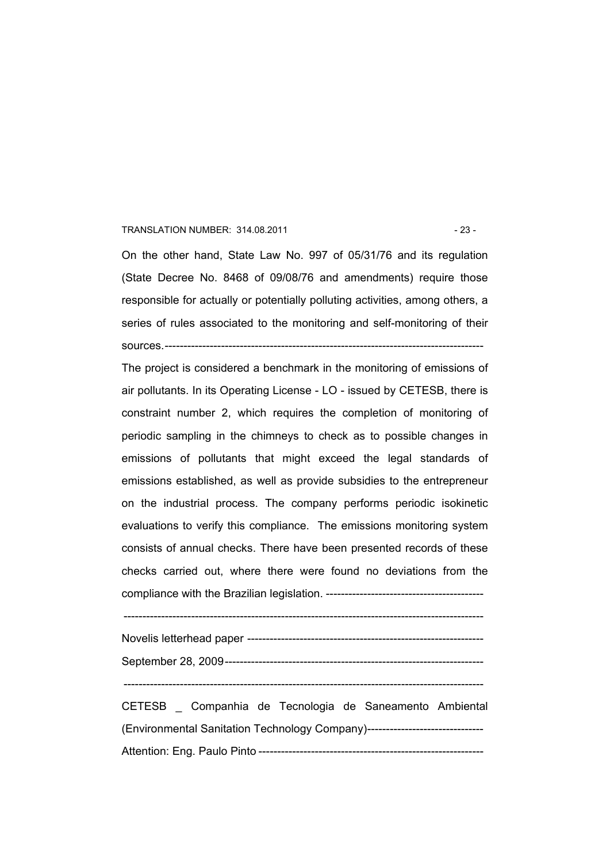#### TRANSLATION NUMBER: 314.08.2011 - 23 -

On the other hand, State Law No. 997 of 05/31/76 and its regulation (State Decree No. 8468 of 09/08/76 and amendments) require those responsible for actually or potentially polluting activities, among others, a series of rules associated to the monitoring and self-monitoring of their sources.-------------------------------------------------------------------------------------

The project is considered a benchmark in the monitoring of emissions of air pollutants. In its Operating License - LO - issued by CETESB, there is constraint number 2, which requires the completion of monitoring of periodic sampling in the chimneys to check as to possible changes in emissions of pollutants that might exceed the legal standards of emissions established, as well as provide subsidies to the entrepreneur on the industrial process. The company performs periodic isokinetic evaluations to verify this compliance. The emissions monitoring system consists of annual checks. There have been presented records of these checks carried out, where there were found no deviations from the compliance with the Brazilian legislation. ------------------------------------------

------------------------------------------------------------------------------------------------

------------------------------------------------------------------------------------------------

CETESB \_ Companhia de Tecnologia de Saneamento Ambiental (Environmental Sanitation Technology Company)------------------------------- Attention: Eng. Paulo Pinto ------------------------------------------------------------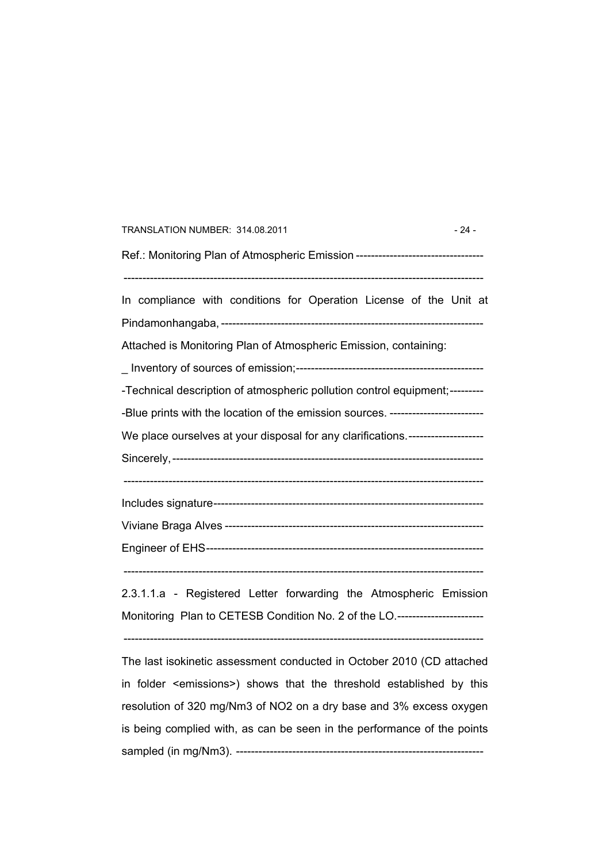| TRANSLATION NUMBER: 314.08.2011                                                  | $-24-$ |
|----------------------------------------------------------------------------------|--------|
| Ref.: Monitoring Plan of Atmospheric Emission ---------------------------------- |        |
| In compliance with conditions for Operation License of the Unit at               |        |
|                                                                                  |        |
| Attached is Monitoring Plan of Atmospheric Emission, containing:                 |        |
|                                                                                  |        |
| -Technical description of atmospheric pollution control equipment;---------      |        |
| -Blue prints with the location of the emission sources. ------------------------ |        |
| We place ourselves at your disposal for any clarifications.--------------------- |        |
|                                                                                  |        |
|                                                                                  |        |
|                                                                                  |        |
|                                                                                  |        |
| 2.3.1.1.a - Registered Letter forwarding the Atmospheric Emission                |        |
| Monitoring Plan to CETESB Condition No. 2 of the LO.----------------------       |        |
|                                                                                  |        |

The last isokinetic assessment conducted in October 2010 (CD attached in folder <emissions>) shows that the threshold established by this resolution of 320 mg/Nm3 of NO2 on a dry base and 3% excess oxygen is being complied with, as can be seen in the performance of the points sampled (in mg/Nm3). ------------------------------------------------------------------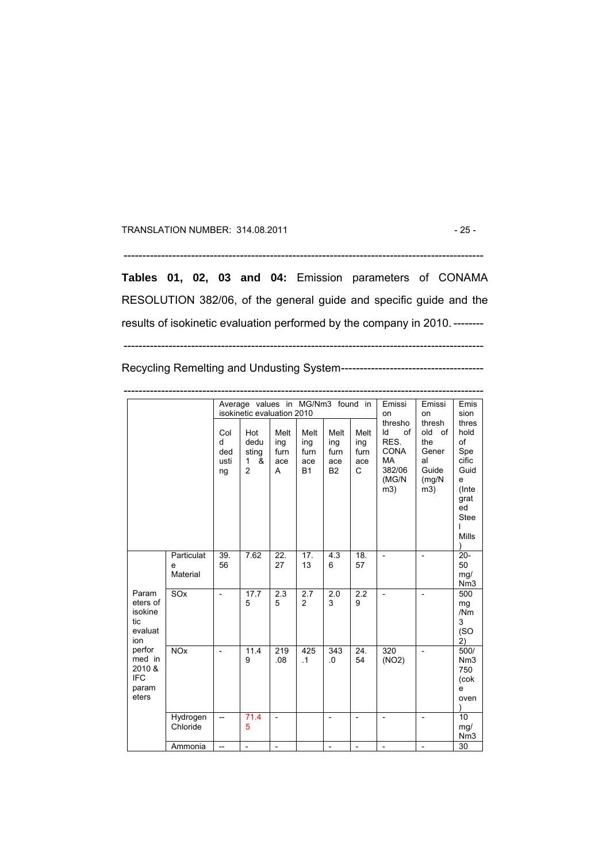TRANSLATION NUMBER: 314.08.2011 - 25 -

------------------------------------------------------------------------------------------------

**Tables 01, 02, 03 and 04:** Emission parameters of CONAMA RESOLUTION 382/06, of the general guide and specific guide and the results of isokinetic evaluation performed by the company in 2010. --------

Recycling Remelting and Undusting System--------------------------------------

|                                                                                                                     |                             |                               | Average values in MG/Nm3 found in<br>isokinetic evaluation 2010 |                                 | Emissi<br>on                            | Emissi<br>on                            | Emis<br>sion                    |                                                                                   |                                                                     |                                                                                                 |
|---------------------------------------------------------------------------------------------------------------------|-----------------------------|-------------------------------|-----------------------------------------------------------------|---------------------------------|-----------------------------------------|-----------------------------------------|---------------------------------|-----------------------------------------------------------------------------------|---------------------------------------------------------------------|-------------------------------------------------------------------------------------------------|
|                                                                                                                     |                             | Col<br>d<br>ded<br>usti<br>ng | Hot<br>dedu<br>sting<br>&<br>1<br>$\overline{2}$                | Melt<br>ing<br>furn<br>ace<br>A | Melt<br>ing<br>furn<br>ace<br><b>B1</b> | Melt<br>ing<br>furn<br>ace<br><b>B2</b> | Melt<br>ing<br>furn<br>ace<br>C | thresho<br>of<br>ld<br>RES.<br><b>CONA</b><br><b>MA</b><br>382/06<br>(MG/N<br>m3) | thresh<br>old<br>of<br>the<br>Gener<br>al<br>Guide<br>(mg/N)<br>m3) | thres<br>hold<br>of<br>Spe<br>cific<br>Guid<br>e<br>(Inte<br>grat<br>ed<br><b>Stee</b><br>Mills |
|                                                                                                                     | Particulat<br>e<br>Material | $\overline{39}$ .<br>56       | 7.62                                                            | $\overline{22}$<br>27           | $\overline{17}$ .<br>13                 | $\overline{4.3}$<br>6                   | $\overline{18}$ .<br>57         | $\overline{a}$                                                                    | $\overline{a}$                                                      | $\overline{20}$<br>50<br>mg/<br>Nm <sub>3</sub>                                                 |
| Param<br>eters of<br>isokine<br>tic<br>evaluat<br>ion<br>perfor<br>med in<br>2010 &<br><b>IFC</b><br>param<br>eters | SOx                         | $\overline{a}$                | 17.7<br>5                                                       | 2.3<br>5                        | 2.7<br>$\overline{2}$                   | 2.0<br>3                                | 2.2<br>9                        | $\overline{a}$                                                                    | $\overline{a}$                                                      | 500<br>mg<br>/Nm<br>3<br>(SO)<br>2)                                                             |
|                                                                                                                     | NOX                         | $\overline{\phantom{a}}$      | 11.4<br>9                                                       | $\overline{219}$<br>.08         | 425<br>$\cdot$ 1                        | 343<br>0.                               | $\overline{24}$ .<br>54         | $\overline{320}$<br>(NO2)                                                         | $\overline{\phantom{a}}$                                            | 500/<br>Nm <sub>3</sub><br>750<br>(cok<br>e<br>oven                                             |
|                                                                                                                     | Hydrogen<br>Chloride        | --                            | 71.4<br>5                                                       | $\overline{a}$                  |                                         | $\overline{a}$                          | $\overline{a}$                  | $\overline{a}$                                                                    |                                                                     | $\overline{10}$<br>mg/<br>Nm <sub>3</sub>                                                       |
|                                                                                                                     | Ammonia                     |                               | $\overline{a}$                                                  |                                 |                                         |                                         |                                 | $\overline{a}$                                                                    |                                                                     | 30                                                                                              |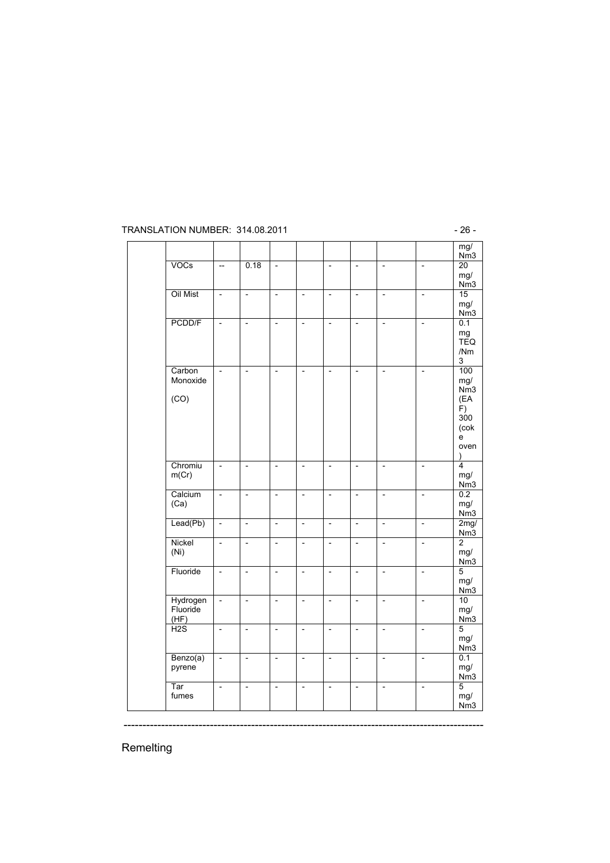#### TRANSLATION NUMBER: 314.08.2011 - 26 -

|                              |                          |                          |                          |                          |                          |                          |                          |                          | mg/<br>Nm3                                                             |
|------------------------------|--------------------------|--------------------------|--------------------------|--------------------------|--------------------------|--------------------------|--------------------------|--------------------------|------------------------------------------------------------------------|
| VOCs                         | $\overline{\phantom{a}}$ | 0.18                     | $\overline{\phantom{a}}$ |                          | $\overline{\phantom{a}}$ | $\blacksquare$           | $\overline{\phantom{a}}$ | $\overline{\phantom{a}}$ | $\overline{20}$<br>mg/<br>Nm3                                          |
| Oil Mist                     | $\overline{\phantom{a}}$ | $\overline{\phantom{m}}$ | $\overline{\phantom{m}}$ | $\overline{\phantom{0}}$ | $\overline{\phantom{a}}$ | $\overline{\phantom{a}}$ | $\overline{\phantom{a}}$ | $\overline{\phantom{a}}$ | 15<br>mg/<br>Nm3                                                       |
| PCDD/F                       | $\overline{\phantom{a}}$ | $\overline{\phantom{a}}$ | $\overline{\phantom{0}}$ | $\overline{\phantom{a}}$ | $\overline{\phantom{0}}$ | $\overline{\phantom{a}}$ | $\overline{\phantom{a}}$ | $\overline{\phantom{0}}$ | 0.1<br>mg<br><b>TEQ</b><br>/Nm<br>3                                    |
| Carbon<br>Monoxide<br>(CO)   | $\overline{\phantom{0}}$ | $\overline{\phantom{0}}$ | $\overline{\phantom{0}}$ | $\overline{\phantom{a}}$ | $\overline{\phantom{a}}$ | $\overline{\phantom{a}}$ | $\overline{\phantom{a}}$ | $\overline{\phantom{0}}$ | 100<br>mg/<br>Nm <sub>3</sub><br>(EA<br>F)<br>300<br>(cok<br>e<br>oven |
| Chromiu<br>m(Cr)             | $\overline{\phantom{a}}$ | $\overline{\phantom{a}}$ | $\overline{\phantom{m}}$ | $\overline{\phantom{a}}$ | $\overline{\phantom{a}}$ | $\overline{\phantom{a}}$ | $\blacksquare$           | $\overline{\phantom{a}}$ | $\overline{4}$<br>mg/<br>Nm3                                           |
| Calcium<br>(Ca)              | $\overline{\phantom{a}}$ | $\overline{\phantom{a}}$ | $\overline{\phantom{0}}$ | $\overline{\phantom{a}}$ | $\overline{\phantom{m}}$ | $\overline{\phantom{a}}$ | $\overline{\phantom{a}}$ | $\overline{\phantom{0}}$ | 0.2<br>mg/<br>Nm3                                                      |
| Lead(Pb)                     | $\overline{\phantom{a}}$ | $\overline{a}$           | $\overline{a}$           | $\overline{\phantom{0}}$ | $\overline{a}$           | $\overline{\phantom{0}}$ | $\overline{\phantom{0}}$ | $\overline{\phantom{0}}$ | 2mg/<br>Nm3                                                            |
| Nickel<br>(Ni)               | $\overline{\phantom{0}}$ | $\overline{a}$           | $\overline{\phantom{0}}$ | $\overline{\phantom{a}}$ | $\overline{\phantom{0}}$ | $\overline{\phantom{0}}$ | $\overline{\phantom{a}}$ | $\overline{\phantom{0}}$ | $\overline{2}$<br>mg/<br>Nm3                                           |
| Fluoride                     | $\overline{\phantom{a}}$ | $\overline{\phantom{0}}$ | $\overline{\phantom{0}}$ | $\overline{\phantom{a}}$ | $\overline{\phantom{a}}$ | $\overline{\phantom{0}}$ | $\overline{\phantom{0}}$ | $\overline{\phantom{a}}$ | $\overline{5}$<br>mg/<br>Nm <sub>3</sub>                               |
| Hydrogen<br>Fluoride<br>(HF) | $\overline{\phantom{0}}$ | $\overline{a}$           | $\frac{1}{2}$            | $\overline{a}$           | $\overline{\phantom{m}}$ | $\overline{\phantom{m}}$ | $\overline{a}$           | $\overline{\phantom{0}}$ | 10<br>mg/<br>Nm3                                                       |
| H2S                          | $\overline{\phantom{m}}$ | $\overline{\phantom{a}}$ | $\overline{\phantom{0}}$ | $\blacksquare$           | $\overline{\phantom{a}}$ | $\blacksquare$           | $\overline{\phantom{a}}$ | $\Box$                   | $\overline{5}$<br>mg/<br>Nm3                                           |
| Benzo(a)<br>pyrene           | $\overline{\phantom{a}}$ | $\overline{\phantom{0}}$ | $\overline{\phantom{0}}$ | $\overline{\phantom{0}}$ | $\overline{\phantom{0}}$ | $\overline{\phantom{0}}$ | $\overline{\phantom{0}}$ | $\overline{\phantom{0}}$ | 0.1<br>mg/<br>Nm3                                                      |
| Tar<br>fumes                 | $\overline{a}$           | $\overline{a}$           | $\overline{\phantom{0}}$ | $\overline{a}$           | $\overline{\phantom{0}}$ | $\overline{a}$           | $\overline{\phantom{0}}$ | $\overline{a}$           | $\overline{5}$<br>mg/<br>Nm3                                           |

------------------------------------------------------------------------------------------------

Remelting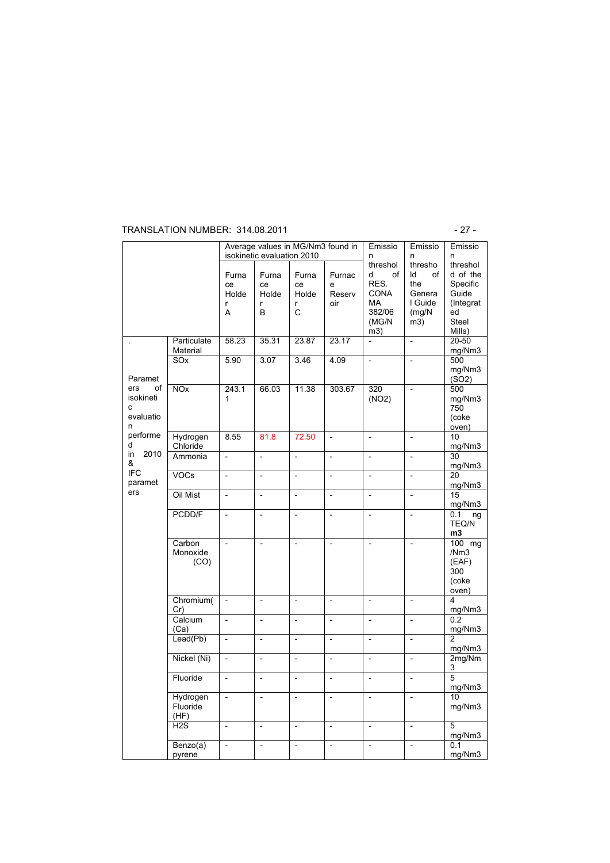#### TRANSLATION NUMBER: 314.08.2011 - 27 -

|                                               |                              |                                | Average values in MG/Nm3 found in<br>isokinetic evaluation 2010 |                                | Emissio<br>n                 | Emissio<br>n                                                                      | Emissio<br>n                                                     |                                                                                         |
|-----------------------------------------------|------------------------------|--------------------------------|-----------------------------------------------------------------|--------------------------------|------------------------------|-----------------------------------------------------------------------------------|------------------------------------------------------------------|-----------------------------------------------------------------------------------------|
|                                               |                              | Furna<br>ce<br>Holde<br>r<br>A | Furna<br>ce<br>Holde<br>r<br>B                                  | Furna<br>ce<br>Holde<br>r<br>C | Furnac<br>e<br>Reserv<br>oir | threshol<br>d<br>of<br>RES.<br><b>CONA</b><br><b>MA</b><br>382/06<br>(MG/N<br>m3) | thresho<br>Id<br>of<br>the<br>Genera<br>I Guide<br>(mg/N)<br>m3) | threshol<br>d of the<br>Specific<br>Guide<br>(Integrat)<br>ed<br><b>Steel</b><br>Mills) |
|                                               | Particulate<br>Material      | 58.23                          | 35.31                                                           | 23.87                          | 23.17                        | $\overline{\phantom{0}}$                                                          | $\overline{\phantom{0}}$                                         | 20-50<br>mg/Nm3                                                                         |
| Paramet                                       | SO <sub>x</sub>              | 5.90                           | 3.07                                                            | 3.46                           | 4.09                         | $\overline{\phantom{0}}$                                                          | $\overline{\phantom{0}}$                                         | 500<br>mg/Nm3<br>(SO2)                                                                  |
| ers<br>of<br>isokineti<br>c<br>evaluatio<br>n | <b>NOx</b>                   | 243.1<br>1                     | 66.03                                                           | 11.38                          | 303.67                       | 320<br>(NO2)                                                                      | $\overline{\phantom{0}}$                                         | 500<br>mg/Nm3<br>750<br>(coke<br>oven)                                                  |
| performe<br>d                                 | Hydrogen<br>Chloride         | 8.55                           | 81.8                                                            | 72.50                          | $\overline{\phantom{m}}$     | $\overline{a}$                                                                    | $\overline{\phantom{0}}$                                         | 10<br>mg/Nm3                                                                            |
| in<br>2010<br>&                               | Ammonia                      | $\overline{a}$                 | $\overline{a}$                                                  | $\overline{a}$                 | $\overline{\phantom{0}}$     | $\overline{a}$                                                                    | $\overline{a}$                                                   | 30<br>mg/Nm3                                                                            |
| <b>IFC</b><br>paramet                         | <b>VOCs</b>                  | $\overline{a}$                 | $\overline{\phantom{0}}$                                        | $\overline{a}$                 | $\overline{\phantom{0}}$     | $\overline{a}$                                                                    | $\overline{a}$                                                   | 20<br>mg/Nm3                                                                            |
| ers                                           | Oil Mist                     | $\overline{\phantom{a}}$       | $\qquad \qquad \blacksquare$                                    | $\frac{1}{2}$                  | $\overline{\phantom{m}}$     | $\overline{\phantom{m}}$                                                          | $\overline{\phantom{0}}$                                         | 15<br>mg/Nm3                                                                            |
|                                               | PCDD/F                       | $\frac{1}{2}$                  | $\frac{1}{2}$                                                   | $\overline{\phantom{0}}$       | $\frac{1}{2}$                | $\overline{a}$                                                                    | $\overline{\phantom{0}}$                                         | 0.1<br>ng<br>TEQ/N<br>m3                                                                |
|                                               | Carbon<br>Monoxide<br>(CO)   | $\overline{\phantom{0}}$       | $\overline{\phantom{0}}$                                        | $\overline{a}$                 | $\overline{\phantom{0}}$     | $\overline{\phantom{a}}$                                                          | $\overline{\phantom{0}}$                                         | 100 mg<br>/Nm3<br>(EAF)<br>300<br>(coke<br>oven)                                        |
|                                               | Chromium(<br>Cr)             | $\overline{a}$                 | $\overline{a}$                                                  | $\overline{\phantom{0}}$       | $\overline{a}$               |                                                                                   | $\overline{a}$                                                   | 4<br>mg/Nm3                                                                             |
|                                               | Calcium<br>(Ca)              | $\overline{\phantom{0}}$       | $\overline{\phantom{0}}$                                        | $\frac{1}{2}$                  | $\overline{\phantom{0}}$     | $\overline{\phantom{a}}$                                                          | $\overline{\phantom{0}}$                                         | 0.2<br>mg/Nm3                                                                           |
|                                               | Leaf(Pb)                     | $\overline{\phantom{0}}$       | $\overline{\phantom{m}}$                                        | $\frac{1}{2}$                  | $\frac{1}{2}$                | $\overline{a}$                                                                    | $\overline{\phantom{0}}$                                         | $\overline{2}$<br>mg/Nm3                                                                |
|                                               | Nickel (Ni)                  | $\overline{\phantom{a}}$       | $\overline{\phantom{0}}$                                        | $\overline{\phantom{0}}$       | $\overline{\phantom{a}}$     | $\overline{\phantom{0}}$                                                          | $\overline{\phantom{0}}$                                         | 2mg/Nm<br>3                                                                             |
|                                               | Fluoride                     | $\overline{a}$                 | $\overline{a}$                                                  | $\overline{a}$                 | $\overline{\phantom{0}}$     | $\overline{\phantom{0}}$                                                          | $\overline{a}$                                                   | 5<br>mg/Nm3                                                                             |
|                                               | Hydrogen<br>Fluoride<br>(HF) | $\overline{\phantom{0}}$       | $\overline{a}$                                                  | $\frac{1}{2}$                  | $\overline{a}$               | $\overline{a}$                                                                    | $\overline{a}$                                                   | 10<br>mg/Nm3                                                                            |
|                                               | H <sub>2</sub> S             | $\overline{\phantom{0}}$       | $\overline{\phantom{0}}$                                        | $\overline{a}$                 | $\overline{\phantom{0}}$     | $\overline{a}$                                                                    | $\overline{\phantom{0}}$                                         | 5<br>mg/Nm3                                                                             |
|                                               | Benzo(a)<br>pyrene           | $\overline{\phantom{0}}$       | $\overline{\phantom{0}}$                                        | $\frac{1}{2}$                  | $\overline{\phantom{0}}$     | $\frac{1}{2}$                                                                     | $\overline{a}$                                                   | 0.1<br>mg/Nm3                                                                           |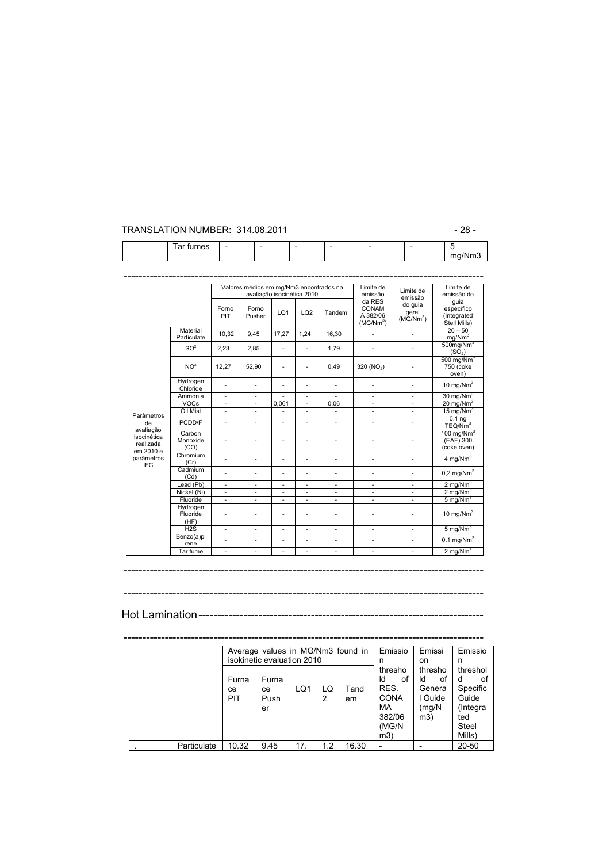#### TRANSLATION NUMBER: 314.08.2011 - 28 -

mg/Nm3

|                                                    |                              |              | Valores médios em mg/Nm3 encontrados na<br>avaliação isocinética 2010 |                          |      |                          | Limite de<br>emissão                                 | Limite de<br>emissão                  | Limite de<br>emissão do                            |
|----------------------------------------------------|------------------------------|--------------|-----------------------------------------------------------------------|--------------------------|------|--------------------------|------------------------------------------------------|---------------------------------------|----------------------------------------------------|
|                                                    |                              | Forno<br>PIT | Forno<br>Pusher                                                       | LQ1                      | LQ2  | Tandem                   | da RES<br>CONAM<br>A 382/06<br>(MG/Nm <sup>3</sup> ) | do quia<br>geral<br>$(M\bar{G}/Nm^3)$ | quia<br>específico<br>(Integrated<br>Stell Mills)  |
|                                                    | Material<br>Particulate      | 10,32        | 9,45                                                                  | 17,27                    | 1.24 | 16,30                    |                                                      |                                       | $20 - 50$<br>mg/Nm <sup>3</sup>                    |
|                                                    | SO <sup>x</sup>              | 2,23         | 2,85                                                                  | ÷,                       | ÷,   | 1,79                     | ä,                                                   |                                       | $500$ mg/Nm <sup>3</sup><br>(SO <sub>2</sub> )     |
|                                                    | NO <sup>x</sup>              | 12,27        | 52,90                                                                 | ÷,                       | ÷,   | 0,49                     | 320 (NO <sub>2</sub> )                               |                                       | $500 \text{ mg}/\text{Nm}^3$<br>750 (coke<br>oven) |
|                                                    | Hydrogen<br>Chloride         | ä,           | ä,                                                                    | ٠                        | ٠    |                          | ä,                                                   | ä,                                    | 10 mg/ $Nm^3$                                      |
|                                                    | Ammonia                      | ÷,           | $\overline{\phantom{a}}$                                              |                          | ٠    |                          | ٠                                                    | ٠                                     | $30 \text{ mg}/\text{Nm}^3$                        |
|                                                    | <b>VOCs</b>                  | ٠            | $\overline{\phantom{a}}$                                              | 0,061                    | ٠    | 0.06                     | ٠                                                    |                                       | $20 \text{ mg/Nm}^3$                               |
|                                                    | Oil Mist                     | ÷,           | $\overline{\phantom{a}}$                                              |                          | ٠    |                          | ٠                                                    | ٠                                     | $15 \text{ mg}/\text{Nm}^3$                        |
| Parâmetros<br>de                                   | PCDD/F                       | ÷.           | ÷.                                                                    | ä,                       | ä,   | ٠                        | ä,                                                   |                                       | 0.1 <sub>ng</sub><br>TEQ/Nm <sup>3</sup>           |
| avaliação<br>isocinética<br>realizada<br>em 2010 e | Carbon<br>Monoxide<br>(CO)   | ٠            |                                                                       | ٠                        | ٠    |                          | -                                                    |                                       | 100 mg/ $Nm3$<br>(EAF) 300<br>(coke oven)          |
| parâmetros<br><b>IFC</b>                           | Chromium<br>(Cr)             |              |                                                                       | ÷,                       | ä,   |                          | ä,                                                   |                                       | 4 mg/ $Nm3$                                        |
|                                                    | Cadmium<br>(Cd)              |              |                                                                       | ٠<br>٠<br>L,             |      |                          |                                                      | $0,2$ mg/Nm <sup>3</sup>              |                                                    |
|                                                    | Lead (Pb)                    | ٠            |                                                                       | ٠                        |      |                          | $\bar{ }$                                            |                                       | 2 mg/Nm <sup>3</sup>                               |
|                                                    | Nickel (Ni)                  | ä,           | $\overline{\phantom{a}}$                                              | ÷,                       |      |                          |                                                      |                                       | 2 mg/ $Nm3$                                        |
|                                                    | Fluoride                     | ä,           | ä,                                                                    | ä,                       | ä,   | ×.                       | ÷,                                                   | ×.                                    | $5 \text{ mg}/\text{Nm}^3$                         |
|                                                    | Hydrogen<br>Fluoride<br>(HF) | ٠            | ä,                                                                    | ٠                        | ٠    |                          | ä,                                                   |                                       | 10 mg/ $Nm3$                                       |
|                                                    | H2S                          | ÷,           | $\overline{\phantom{a}}$                                              | $\overline{\phantom{a}}$ | ÷,   | $\overline{\phantom{a}}$ | $\overline{\phantom{m}}$                             | $\overline{\phantom{a}}$              | 5 mg/Nm $^3$                                       |
|                                                    | Benzo(a)pi<br>rene           |              | ÷.                                                                    | ÷,                       | ٠    | ٠                        | $\bar{ }$                                            |                                       | $0.1 \text{ mg/Nm}^3$                              |
|                                                    | Tar fume                     | ٠            | $\overline{\phantom{a}}$                                              | $\overline{\phantom{a}}$ | ٠    | ٠                        | ٠                                                    | ٠                                     | $2 \overline{\text{mg/Nm}^3}$                      |

Tar fumes | - | - | - | - | - | - | 5

------------------------------------------------------------------------------------------------

------------------------------------------------------------------------------------------------

Hot Lamination----------------------------------------------------------------------------

|             |            | Average values in MG/Nm3 found in |     |     |       | Emissio     | Emissi   | Emissio  |
|-------------|------------|-----------------------------------|-----|-----|-------|-------------|----------|----------|
|             |            | isokinetic evaluation 2010        |     |     |       | n           | on       | n        |
|             |            |                                   |     |     |       | thresho     | thresho  | threshol |
|             | Furna      | Furna                             |     |     |       | ld<br>οf    | ld<br>οt | οt<br>d  |
|             | ce         | ce                                | LQ1 | LQ  | Tand  | RES.        | Genera   | Specific |
|             | <b>PIT</b> | Push                              |     | 2   | em    | <b>CONA</b> | Guide    | Guide    |
|             |            | er                                |     |     |       | MA          | (mg/N)   | (Integra |
|             |            |                                   |     |     |       | 382/06      | m3)      | ted      |
|             |            |                                   |     |     |       | (MG/N       |          | Steel    |
|             |            |                                   |     |     |       | m3)         |          | Mills)   |
| Particulate | 10.32      | 9.45                              | 17. | 1.2 | 16.30 |             |          | 20-50    |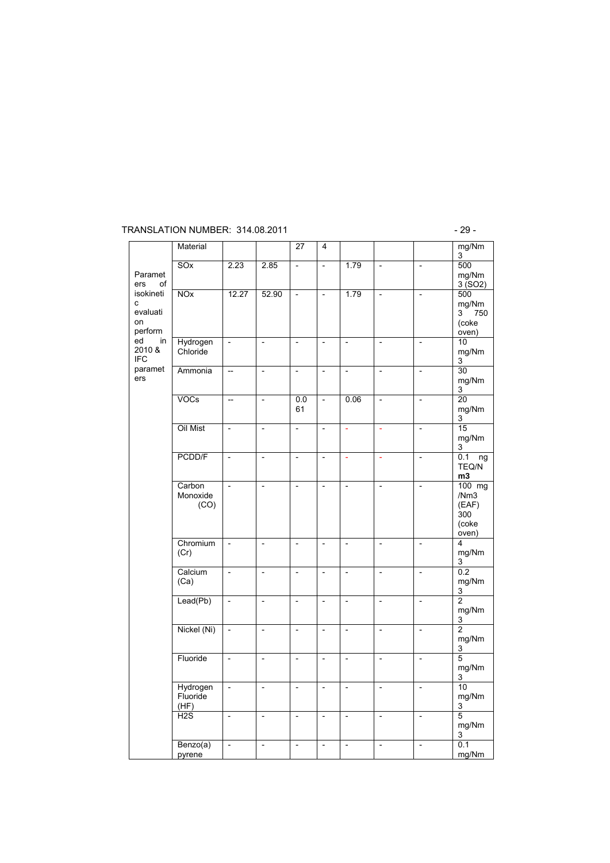#### TRANSLATION NUMBER: 314.08.2011 - 29 -

|                                                                                                         | Material                     |                          |                          | 27                       | 4                        |                          |                          |                          | mg/Nm<br>3                                                    |
|---------------------------------------------------------------------------------------------------------|------------------------------|--------------------------|--------------------------|--------------------------|--------------------------|--------------------------|--------------------------|--------------------------|---------------------------------------------------------------|
| Paramet<br>ers<br>οf<br>isokineti<br>c<br>evaluati<br>on<br>perform<br>ed<br>in<br>2010 &<br><b>IFC</b> | SOx                          | 2.23                     | 2.85                     | $\overline{\phantom{m}}$ | $\overline{\phantom{a}}$ | 1.79                     | $\overline{\phantom{a}}$ | $\overline{\phantom{0}}$ | 500<br>mg/Nm<br>3(SO2)                                        |
|                                                                                                         | <b>NOx</b>                   | 12.27                    | 52.90                    | $\frac{1}{2}$            | $\overline{\phantom{0}}$ | 1.79                     | $\overline{\phantom{a}}$ | $\overline{\phantom{a}}$ | 500<br>mg/Nm<br>3<br>750<br>(coke<br>$\overline{\text{oven}}$ |
|                                                                                                         | Hydrogen<br>Chloride         | $\overline{a}$           | $\overline{a}$           | $\overline{\phantom{0}}$ | $\overline{\phantom{0}}$ | $\overline{\phantom{a}}$ | $\overline{\phantom{0}}$ | $\overline{\phantom{0}}$ | 10<br>mg/Nm<br>3                                              |
| paramet<br>ers                                                                                          | Ammonia                      | $\overline{\phantom{a}}$ | $\overline{\phantom{0}}$ | $\overline{\phantom{a}}$ | $\overline{\phantom{0}}$ | $\overline{\phantom{a}}$ | $\overline{a}$           | $\overline{a}$           | 30<br>mg/Nm<br>3                                              |
|                                                                                                         | VOCs                         | $\overline{a}$           | $\frac{1}{2}$            | 0.0<br>61                | $\overline{\phantom{0}}$ | 0.06                     | $\overline{a}$           | $\frac{1}{2}$            | $\overline{20}$<br>mg/Nm<br>3                                 |
|                                                                                                         | Oil Mist                     | $\overline{a}$           | $\overline{a}$           | $\overline{\phantom{m}}$ | $\qquad \qquad -$        | ÷,                       | ä,                       | $\overline{\phantom{a}}$ | $\overline{15}$<br>mg/Nm<br>3                                 |
|                                                                                                         | PCDD/F                       | $\overline{\phantom{a}}$ | $\overline{\phantom{m}}$ | $\overline{\phantom{0}}$ | $\overline{\phantom{0}}$ | ä,                       | ä,                       | $\overline{\phantom{a}}$ | 0.1<br>ng<br>TEQ/N<br>m3                                      |
|                                                                                                         | Carbon<br>Monoxide<br>(CO)   | $\overline{a}$           | $\overline{\phantom{0}}$ | $\overline{\phantom{0}}$ | $\overline{\phantom{0}}$ | $\overline{\phantom{0}}$ | $\overline{\phantom{0}}$ | $\overline{\phantom{a}}$ | 100 mg<br>/Nm3<br>(EAF)<br>300<br>(coke<br>oven)              |
|                                                                                                         | Chromium<br>(Cr)             | $\overline{\phantom{a}}$ | $\overline{\phantom{m}}$ | $\overline{\phantom{a}}$ | $\overline{\phantom{a}}$ | $\overline{\phantom{a}}$ | $\overline{\phantom{a}}$ | $\overline{\phantom{a}}$ | 4<br>mg/Nm<br>3                                               |
|                                                                                                         | Calcium<br>(Ca)              | $\overline{\phantom{a}}$ | $\overline{a}$           | $\overline{a}$           | $\overline{\phantom{m}}$ | $\overline{a}$           | $\overline{\phantom{m}}$ | $\overline{a}$           | 0.2<br>mg/Nm<br>3                                             |
|                                                                                                         | Lead(Pb)                     | $\overline{\phantom{0}}$ | $\overline{a}$           | $\overline{\phantom{0}}$ | $\overline{\phantom{0}}$ | $\overline{\phantom{0}}$ | $\overline{\phantom{0}}$ | $\overline{\phantom{a}}$ | $\overline{2}$<br>mg/Nm<br>3                                  |
|                                                                                                         | Nickel (Ni)                  | $\overline{\phantom{a}}$ | $\overline{\phantom{0}}$ | $\overline{\phantom{a}}$ | $\overline{\phantom{a}}$ | $\overline{\phantom{a}}$ | $\overline{\phantom{a}}$ | $\frac{1}{2}$            | $\overline{2}$<br>mg/Nm<br>3                                  |
|                                                                                                         | Fluoride                     | $\overline{\phantom{a}}$ | $\overline{\phantom{m}}$ | $\overline{\phantom{a}}$ | $\overline{\phantom{0}}$ | $\overline{\phantom{m}}$ | $\frac{1}{2}$            | $\overline{\phantom{a}}$ | $\overline{5}$<br>mg/Nm<br>3                                  |
|                                                                                                         | Hydrogen<br>Fluoride<br>(HF) | $\frac{1}{2}$            | $\overline{\phantom{0}}$ | $\overline{\phantom{0}}$ | $\overline{\phantom{0}}$ | $\frac{1}{2}$            | $\overline{\phantom{0}}$ | $\overline{\phantom{a}}$ | 10<br>mg/Nm<br>3                                              |
|                                                                                                         | H2S                          | $\overline{\phantom{0}}$ | $\overline{\phantom{0}}$ | $\frac{1}{2}$            | $\overline{\phantom{0}}$ | $\overline{\phantom{a}}$ | $\frac{1}{2}$            | $\frac{1}{2}$            | $\overline{5}$<br>mg/Nm<br>3                                  |
|                                                                                                         | Benzo(a)<br>pyrene           | $\overline{\phantom{m}}$ | $\overline{a}$           | $\overline{a}$           | $\overline{\phantom{m}}$ | $\overline{a}$           | $\overline{\phantom{m}}$ | $\overline{\phantom{a}}$ | 0.1<br>mg/Nm                                                  |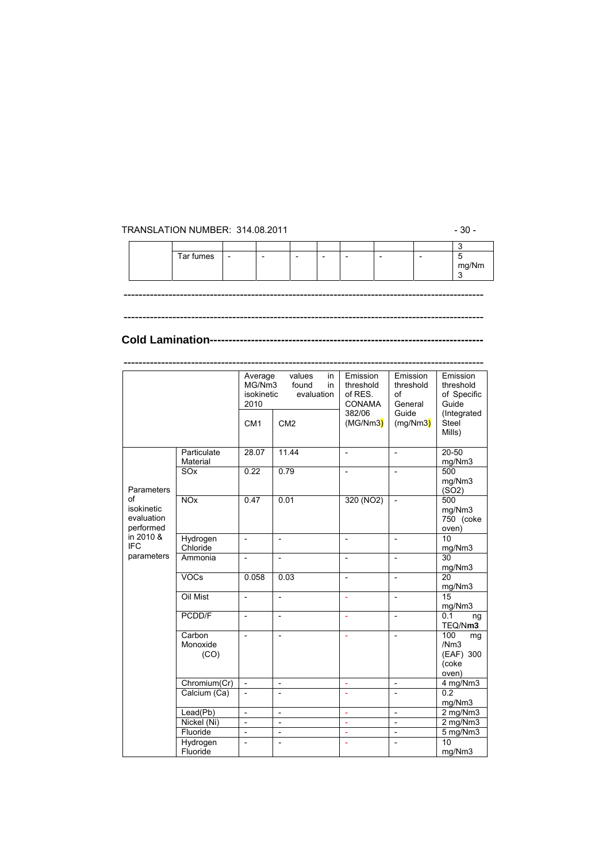#### TRANSLATION NUMBER: 314.08.2011 - 30 -

| Tar fumes | $\cdot$ $ \cdot$ | $\overline{\phantom{0}}$ | $\overline{\phantom{0}}$ | - | - |  |                               |
|-----------|------------------|--------------------------|--------------------------|---|---|--|-------------------------------|
|           |                  |                          |                          |   |   |  | $m e^{i \cdot \tau}$<br>mg/Nm |
|           |                  |                          |                          |   |   |  |                               |
|           |                  |                          |                          |   |   |  |                               |

------------------------------------------------------------------------------------------------

------------------------------------------------------------------------------------------------

------------------------------------------------------------------------------------------------

#### **Cold Lamination-------------------------------------------------------------------------**

|                                                           |                            | Average<br>MG/Nm3<br>isokinetic<br>2010<br>CM <sub>1</sub> | values<br>in<br>found<br>in<br>evaluation<br>CM <sub>2</sub> | Emission<br>threshold<br>of RES.<br><b>CONAMA</b><br>382/06<br>(MG/Nm3) | Emission<br>threshold<br>of<br>General<br>Guide<br>(mg/Nm3) | Emission<br>threshold<br>of Specific<br>Guide<br>(Integrated<br>Steel |
|-----------------------------------------------------------|----------------------------|------------------------------------------------------------|--------------------------------------------------------------|-------------------------------------------------------------------------|-------------------------------------------------------------|-----------------------------------------------------------------------|
|                                                           |                            |                                                            |                                                              |                                                                         |                                                             | Mills)                                                                |
|                                                           | Particulate<br>Material    | 28.07                                                      | 11.44                                                        | $\frac{1}{2}$                                                           | $\overline{a}$                                              | 20-50<br>mg/Nm3                                                       |
| Parameters<br>οf<br>isokinetic<br>evaluation<br>performed | SO <sub>x</sub>            | 0.22                                                       | 0.79                                                         | $\overline{a}$                                                          | $\overline{a}$                                              | 500<br>mg/Nm3<br>(SO2)                                                |
|                                                           | NOX                        | 0.47<br>0.01                                               |                                                              | 320 (NO2)                                                               | $\overline{\phantom{0}}$                                    | 500<br>mg/Nm3<br>750 (coke<br>oven)                                   |
| in 2010 &<br><b>IFC</b>                                   | Hydrogen<br>Chloride       | $\overline{a}$                                             | $\overline{a}$                                               |                                                                         |                                                             | 10<br>mg/Nm3                                                          |
| parameters                                                | Ammonia                    | $\overline{\phantom{m}}$                                   | $\qquad \qquad \blacksquare$                                 | $\overline{a}$                                                          | $\overline{\phantom{a}}$                                    | 30<br>mg/Nm3                                                          |
|                                                           | <b>VOCs</b>                | 0.058                                                      | 0.03                                                         | L,                                                                      | $\overline{a}$                                              | 20<br>mg/Nm3                                                          |
|                                                           | Oil Mist                   | $\overline{\phantom{0}}$                                   | $\overline{a}$                                               |                                                                         | $\overline{\phantom{a}}$                                    | 15<br>mg/Nm3                                                          |
|                                                           | PCDD/F                     | $\overline{a}$                                             | $\overline{a}$                                               | L,                                                                      | $\overline{\phantom{a}}$                                    | 0.1<br>ng<br>TEQ/Nm3                                                  |
|                                                           | Carbon<br>Monoxide<br>(CO) | $\frac{1}{2}$                                              | $\qquad \qquad \blacksquare$                                 | ÷,                                                                      | $\overline{\phantom{a}}$                                    | 100<br>mg<br>/Nm3<br>(EAF) 300<br>(coke<br>oven)                      |
|                                                           | Chromium(Cr)               | $\overline{\phantom{a}}$                                   | $\overline{\phantom{a}}$                                     | $\Box$                                                                  | $\overline{\phantom{a}}$                                    | 4 mg/Nm3                                                              |
|                                                           | Calcium (Ca)               | $\overline{\phantom{a}}$                                   | $\overline{\phantom{0}}$                                     | ÷                                                                       | $\overline{\phantom{0}}$                                    | 0.2<br>mg/Nm3                                                         |
|                                                           | Lead(Pb)                   | $\overline{a}$                                             | $\overline{\phantom{0}}$                                     | ÷,                                                                      | $\overline{a}$                                              | 2 mg/Nm3                                                              |
|                                                           | Nickel (Ni)                | $\overline{\phantom{a}}$                                   | $\overline{\phantom{m}}$                                     | ä,                                                                      | $\overline{a}$                                              | 2 mg/Nm3                                                              |
|                                                           | Fluoride                   | $\overline{\phantom{m}}$                                   | $\qquad \qquad \blacksquare$                                 | ÷,                                                                      | $\qquad \qquad \blacksquare$                                | 5 mg/Nm3                                                              |
|                                                           | Hydrogen<br>Fluoride       | $\overline{a}$                                             | $\overline{a}$                                               | ÷.                                                                      | $\overline{a}$                                              | 10<br>mg/Nm3                                                          |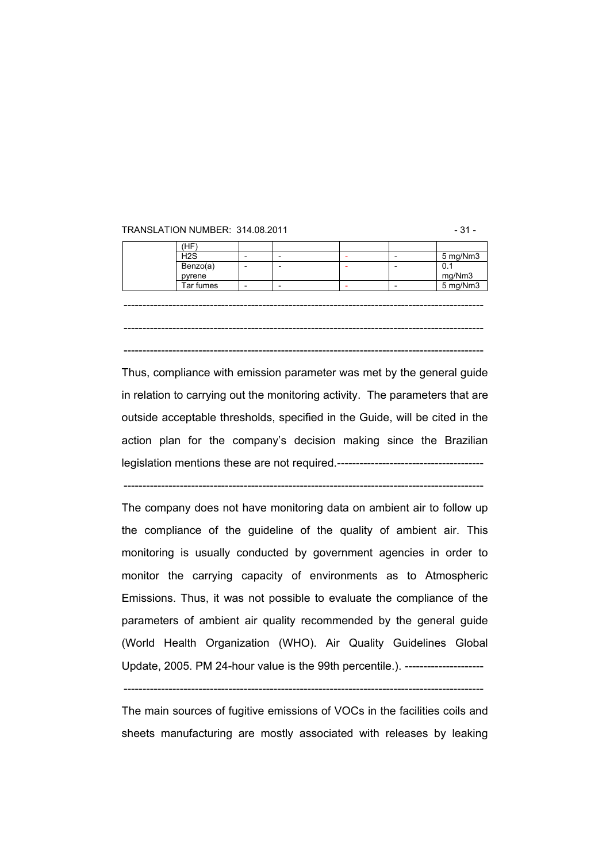#### TRANSLATION NUMBER: 314.08.2011 - 31 -

| (HF                |  |  |                      |
|--------------------|--|--|----------------------|
| H <sub>2</sub> S   |  |  | 5 mg/Nm3             |
| Benzo(a)<br>pyrene |  |  | 0.1                  |
|                    |  |  |                      |
| Tar fumes          |  |  | $mg/Nm3$<br>5 mg/Nm3 |
|                    |  |  |                      |
|                    |  |  |                      |
|                    |  |  |                      |
|                    |  |  |                      |
|                    |  |  |                      |

------------------------------------------------------------------------------------------------

Thus, compliance with emission parameter was met by the general guide in relation to carrying out the monitoring activity. The parameters that are outside acceptable thresholds, specified in the Guide, will be cited in the action plan for the company's decision making since the Brazilian legislation mentions these are not required.---------------------------------------

------------------------------------------------------------------------------------------------

The company does not have monitoring data on ambient air to follow up the compliance of the guideline of the quality of ambient air. This monitoring is usually conducted by government agencies in order to monitor the carrying capacity of environments as to Atmospheric Emissions. Thus, it was not possible to evaluate the compliance of the parameters of ambient air quality recommended by the general guide (World Health Organization (WHO). Air Quality Guidelines Global Update, 2005. PM 24-hour value is the 99th percentile.). ---------------------

The main sources of fugitive emissions of VOCs in the facilities coils and sheets manufacturing are mostly associated with releases by leaking

<sup>------------------------------------------------------------------------------------------------</sup>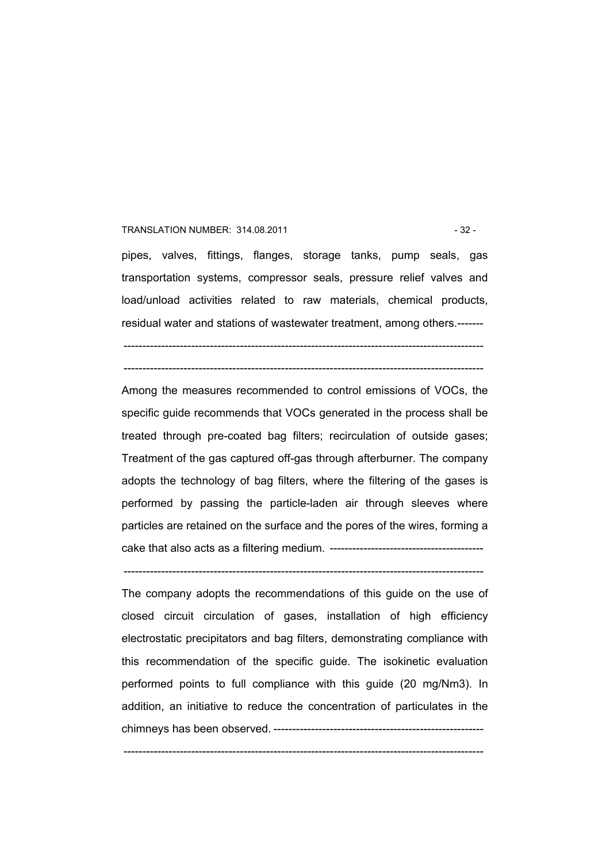#### TRANSLATION NUMBER: 314.08.2011 - 32 -

pipes, valves, fittings, flanges, storage tanks, pump seals, gas transportation systems, compressor seals, pressure relief valves and load/unload activities related to raw materials, chemical products, residual water and stations of wastewater treatment, among others.-------

------------------------------------------------------------------------------------------------ ------------------------------------------------------------------------------------------------

Among the measures recommended to control emissions of VOCs, the specific guide recommends that VOCs generated in the process shall be treated through pre-coated bag filters; recirculation of outside gases; Treatment of the gas captured off-gas through afterburner. The company adopts the technology of bag filters, where the filtering of the gases is performed by passing the particle-laden air through sleeves where particles are retained on the surface and the pores of the wires, forming a cake that also acts as a filtering medium. -----------------------------------------

------------------------------------------------------------------------------------------------

The company adopts the recommendations of this guide on the use of closed circuit circulation of gases, installation of high efficiency electrostatic precipitators and bag filters, demonstrating compliance with this recommendation of the specific guide. The isokinetic evaluation performed points to full compliance with this guide (20 mg/Nm3). In addition, an initiative to reduce the concentration of particulates in the chimneys has been observed. --------------------------------------------------------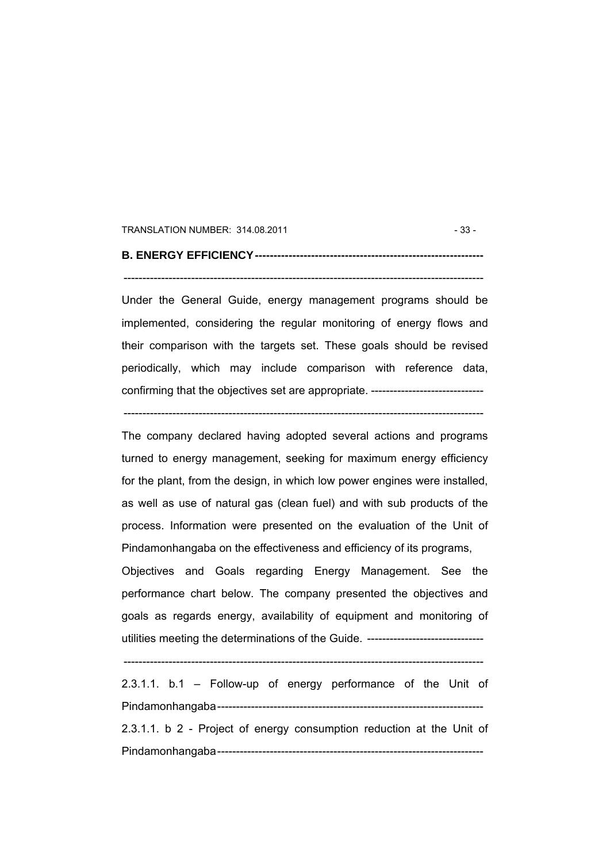#### TRANSLATION NUMBER: 314.08.2011 - 33 -

### **B. ENERGY EFFICIENCY-------------------------------------------------------------**

#### ------------------------------------------------------------------------------------------------

Under the General Guide, energy management programs should be implemented, considering the regular monitoring of energy flows and their comparison with the targets set. These goals should be revised periodically, which may include comparison with reference data, confirming that the objectives set are appropriate. ------------------------------

------------------------------------------------------------------------------------------------

The company declared having adopted several actions and programs turned to energy management, seeking for maximum energy efficiency for the plant, from the design, in which low power engines were installed, as well as use of natural gas (clean fuel) and with sub products of the process. Information were presented on the evaluation of the Unit of Pindamonhangaba on the effectiveness and efficiency of its programs,

Objectives and Goals regarding Energy Management. See the performance chart below. The company presented the objectives and goals as regards energy, availability of equipment and monitoring of utilities meeting the determinations of the Guide. -------------------------------

------------------------------------------------------------------------------------------------

2.3.1.1. b.1 – Follow-up of energy performance of the Unit of Pindamonhangaba----------------------------------------------------------------------- 2.3.1.1. b 2 - Project of energy consumption reduction at the Unit of Pindamonhangaba-----------------------------------------------------------------------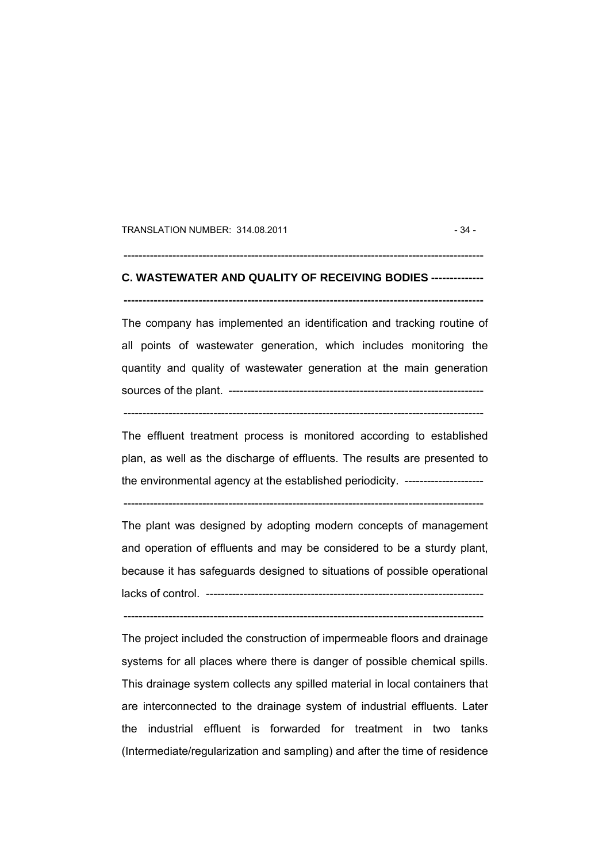TRANSLATION NUMBER: 314.08.2011 - 34 -

# **C. WASTEWATER AND QUALITY OF RECEIVING BODIES --------------**

**------------------------------------------------------------------------------------------------** 

 $-$ 

The company has implemented an identification and tracking routine of all points of wastewater generation, which includes monitoring the quantity and quality of wastewater generation at the main generation sources of the plant. --------------------------------------------------------------------

------------------------------------------------------------------------------------------------

The effluent treatment process is monitored according to established plan, as well as the discharge of effluents. The results are presented to the environmental agency at the established periodicity. ---------------------

 $-$ 

The plant was designed by adopting modern concepts of management and operation of effluents and may be considered to be a sturdy plant, because it has safeguards designed to situations of possible operational lacks of control. --------------------------------------------------------------------------

------------------------------------------------------------------------------------------------

The project included the construction of impermeable floors and drainage systems for all places where there is danger of possible chemical spills. This drainage system collects any spilled material in local containers that are interconnected to the drainage system of industrial effluents. Later the industrial effluent is forwarded for treatment in two tanks (Intermediate/regularization and sampling) and after the time of residence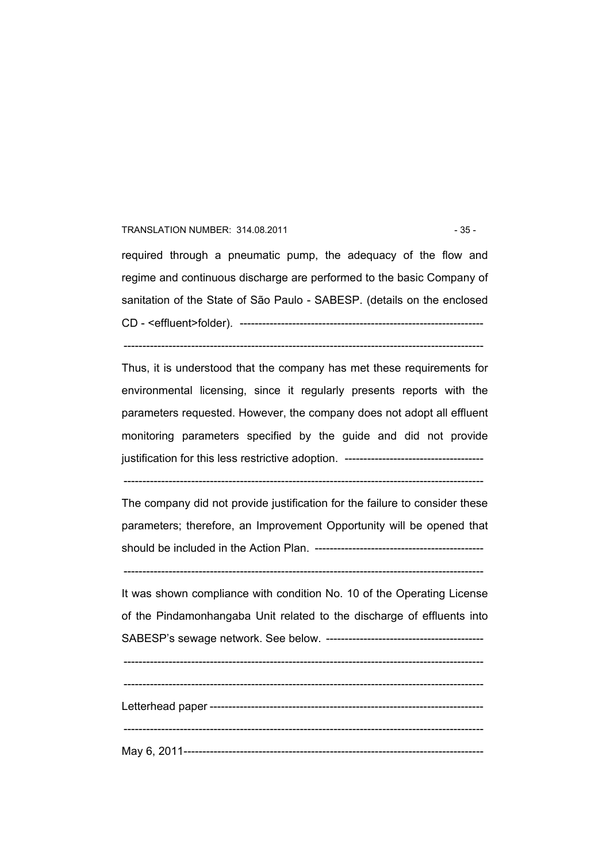#### TRANSLATION NUMBER: 314.08.2011 - 35 -

required through a pneumatic pump, the adequacy of the flow and regime and continuous discharge are performed to the basic Company of sanitation of the State of São Paulo - SABESP. (details on the enclosed CD - <effluent>folder). -----------------------------------------------------------------

------------------------------------------------------------------------------------------------ Thus, it is understood that the company has met these requirements for

environmental licensing, since it regularly presents reports with the parameters requested. However, the company does not adopt all effluent monitoring parameters specified by the guide and did not provide justification for this less restrictive adoption. --------------------------------

------------------------------------------------------------------------------------------------

The company did not provide justification for the failure to consider these parameters; therefore, an Improvement Opportunity will be opened that should be included in the Action Plan. ---------------------------------------------

------------------------------------------------------------------------------------------------

It was shown compliance with condition No. 10 of the Operating License of the Pindamonhangaba Unit related to the discharge of effluents into SABESP's sewage network. See below. ------------------------------------------

 $-$ 

 $-$ Letterhead paper ------------------------------------------------------------------------- ------------------------------------------------------------------------------------------------ May 6, 2011--------------------------------------------------------------------------------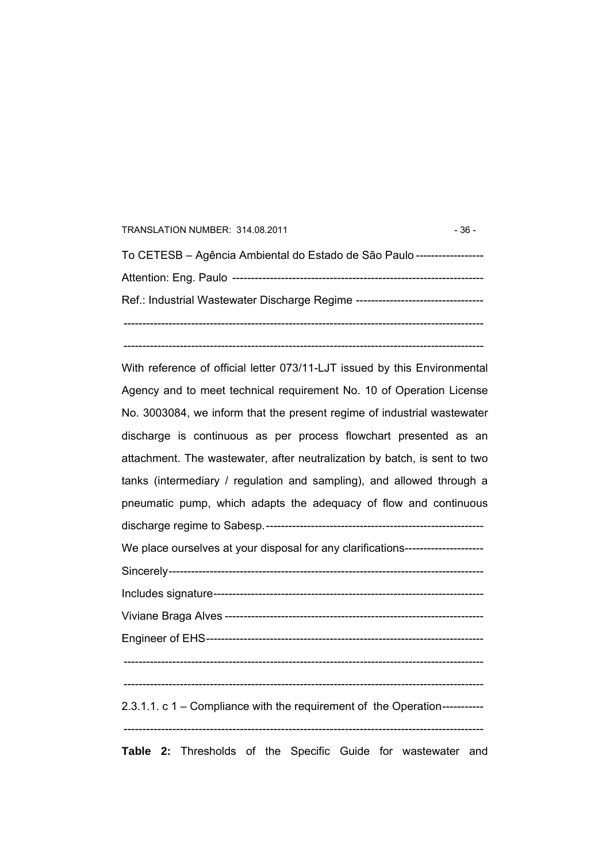| TRANSLATION NUMBER: 314.08.2011                                                  | $-36-$ |
|----------------------------------------------------------------------------------|--------|
| To CETESB – Agência Ambiental do Estado de São Paulo ------------------          |        |
|                                                                                  |        |
| Ref.: Industrial Wastewater Discharge Regime ----------------------------------- |        |
|                                                                                  |        |

------------------------------------------------------------------------------------------------

With reference of official letter 073/11-LJT issued by this Environmental Agency and to meet technical requirement No. 10 of Operation License No. 3003084, we inform that the present regime of industrial wastewater discharge is continuous as per process flowchart presented as an attachment. The wastewater, after neutralization by batch, is sent to two tanks (intermediary / regulation and sampling), and allowed through a pneumatic pump, which adapts the adequacy of flow and continuous discharge regime to Sabesp.---------------------------------------------------------- We place ourselves at your disposal for any clarifications---------------------Sincerely------------------------------------------------------------------------------------ Includes signature------------------------------------------------------------------------ Viviane Braga Alves --------------------------------------------------------------------- Engineer of EHS--------------------------------------------------------------------------  $-$ ------------------------------------------------------------------------------------------------ 2.3.1.1. c 1 – Compliance with the requirement of the Operation----------- ------------------------------------------------------------------------------------------------ **Table 2:** Thresholds of the Specific Guide for wastewater and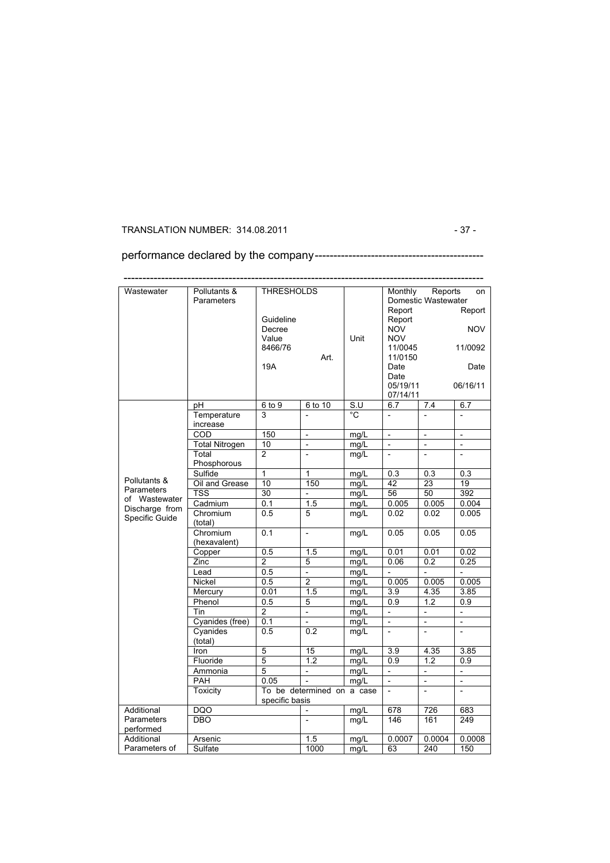## TRANSLATION NUMBER: 314.08.2011 - 37 -

performance declared by the company---------------------------------------------

| Wastewater     | Pollutants &          | <b>THRESHOLDS</b> |                            |                  | Monthly                  | Reports                  | on                       |
|----------------|-----------------------|-------------------|----------------------------|------------------|--------------------------|--------------------------|--------------------------|
|                | Parameters            |                   |                            |                  |                          | Domestic Wastewater      |                          |
|                |                       |                   |                            |                  | Report                   |                          | Report                   |
|                |                       | Guideline         |                            |                  | Report                   |                          |                          |
|                |                       | Decree            |                            |                  | <b>NOV</b>               |                          | <b>NOV</b>               |
|                |                       | Value             |                            | Unit             | <b>NOV</b>               |                          |                          |
|                |                       | 8466/76           |                            |                  | 11/0045                  |                          | 11/0092                  |
|                |                       |                   | Art.                       |                  | 11/0150                  |                          |                          |
|                |                       | 19A               |                            |                  | Date                     |                          | Date                     |
|                |                       |                   |                            |                  | Date                     |                          |                          |
|                |                       |                   |                            |                  | 05/19/11                 |                          | 06/16/11                 |
|                |                       |                   |                            |                  | 07/14/11                 |                          |                          |
|                | pH                    | 6 to 9            | $6$ to $10$                | $\overline{s}$ . | 6.7                      | 7.4                      | 6.7                      |
|                | Temperature           | 3                 |                            | °C               | $\overline{a}$           |                          |                          |
|                | increase              |                   |                            |                  |                          |                          |                          |
|                | COD                   | 150               | $\frac{1}{2}$              | mg/L             | $\frac{1}{2}$            | $\overline{a}$           | $\overline{a}$           |
|                | <b>Total Nitrogen</b> | 10                | $\overline{\phantom{0}}$   | mg/L             | $\overline{\phantom{0}}$ | $\overline{a}$           | $\overline{a}$           |
|                | Total                 | $\overline{2}$    | $\overline{a}$             | mg/L             | $\overline{a}$           | $\overline{a}$           | $\overline{a}$           |
|                | Phosphorous           |                   |                            |                  |                          |                          |                          |
|                | Sulfide               | $\mathbf{1}$      | 1                          | mg/L             | 0.3                      | 0.3                      | 0.3                      |
| Pollutants &   | Oil and Grease        | 10                | 150                        | mg/L             | 42                       | 23                       | 19                       |
| Parameters     | <b>TSS</b>            | 30                | $\overline{\phantom{0}}$   | mq/L             | 56                       | 50                       | 392                      |
| of Wastewater  | Cadmium               | 0.1               | 1.5                        | mg/L             | 0.005                    | 0.005                    | 0.004                    |
| Discharge from | Chromium              | 0.5               | 5                          | mq/L             | 0.02                     | 0.02                     | 0.005                    |
| Specific Guide | (total)               |                   |                            |                  |                          |                          |                          |
|                | Chromium              | 0.1               | $\overline{a}$             | mg/L             | 0.05                     | 0.05                     | 0.05                     |
|                | (hexavalent)          |                   |                            |                  |                          |                          |                          |
|                | Copper                | 0.5               | 1.5                        | mg/L             | 0.01                     | 0.01                     | 0.02                     |
|                | Zinc                  | $\overline{2}$    | 5                          | mg/L             | 0.06                     | 0.2                      | 0.25                     |
|                | Lead                  | 0.5               | $\frac{1}{2}$              | mg/L             | $\overline{a}$           | $\overline{\phantom{0}}$ | $\overline{a}$           |
|                | <b>Nickel</b>         | 0.5               | $\overline{2}$             | mg/L             | 0.005                    | 0.005                    | 0.005                    |
|                | Mercury               | 0.01              | 1.5                        | mg/L             | $\overline{3.9}$         | 4.35                     | 3.85                     |
|                | Phenol                | 0.5               | 5                          | mg/L             | 0.9                      | 1.2                      | 0.9                      |
|                | Tin                   | $\overline{2}$    | $\qquad \qquad -$          | mg/L             | $\overline{\phantom{0}}$ | $\overline{a}$           | $\overline{\phantom{0}}$ |
|                |                       | 0.1               | $\overline{a}$             |                  | $\overline{a}$           | $\overline{a}$           | $\overline{\phantom{a}}$ |
|                | Cyanides (free)       |                   |                            | mg/L             |                          |                          | $\overline{a}$           |
|                | Cyanides              | 0.5               | 0.2                        | mg/L             |                          |                          |                          |
|                | (total)               |                   |                            |                  |                          |                          |                          |
|                | Iron                  | 5                 | 15                         | mg/L             | 3.9                      | 4.35                     | 3.85                     |
|                | Fluoride              | $\overline{5}$    | 1.2                        | mg/L             | $\overline{0.9}$         | 1.2                      | 0.9                      |
|                | Ammonia               | 5                 | $\overline{\phantom{0}}$   | mg/L             | $\overline{\phantom{a}}$ | $\overline{\phantom{0}}$ | $\overline{\phantom{a}}$ |
|                | PAH                   | 0.05              | $\overline{a}$             | mg/L             | $\overline{a}$           | $\overline{\phantom{0}}$ | $\overline{a}$           |
|                | Toxicity              |                   | To be determined on a case |                  | $\overline{a}$           | $\frac{1}{2}$            | $\overline{\phantom{m}}$ |
|                |                       | specific basis    |                            |                  |                          |                          |                          |
| Additional     | <b>DQO</b>            |                   |                            | mg/L             | 678                      | 726                      | 683                      |
| Parameters     | <b>DBO</b>            |                   |                            | mg/L             | 146                      | 161                      | 249                      |
| performed      |                       |                   |                            |                  |                          |                          |                          |
| Additional     | Arsenic               |                   | 1.5                        | mg/L             | 0.0007                   | 0.0004                   | 0.0008                   |
| Parameters of  | Sulfate               |                   | 1000                       | mq/L             | 63                       | 240                      | 150                      |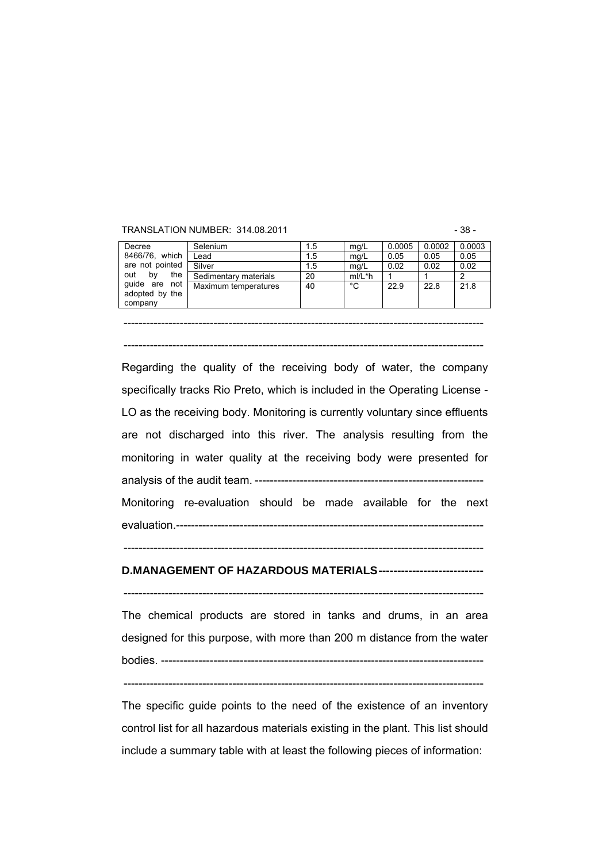#### TRANSLATION NUMBER: 314.08.2011 - 38 -

| Decree                                     | Selenium              | 1.5 | mq/L     | 0.0005 | 0.0002 | 0.0003 |
|--------------------------------------------|-----------------------|-----|----------|--------|--------|--------|
| 8466/76, which                             | Lead                  | 1.5 | mg/L     | 0.05   | 0.05   | 0.05   |
| are not pointed                            | Silver                | 1.5 | ma/L     | 0.02   | 0.02   | 0.02   |
| the<br>bv<br>out                           | Sedimentary materials | 20  | $mI/L*h$ |        |        | ົ      |
| guide are not<br>adopted by the<br>company | Maximum temperatures  | 40  | °C       | 22.9   | 22.8   | 21.8   |

------------------------------------------------------------------------------------------------

------------------------------------------------------------------------------------------------

Regarding the quality of the receiving body of water, the company specifically tracks Rio Preto, which is included in the Operating License - LO as the receiving body. Monitoring is currently voluntary since effluents are not discharged into this river. The analysis resulting from the monitoring in water quality at the receiving body were presented for analysis of the audit team. ------------------------------------------------------------- Monitoring re-evaluation should be made available for the next

evaluation.----------------------------------------------------------------------------------

#### **D.MANAGEMENT OF HAZARDOUS MATERIALS----------------------------**

------------------------------------------------------------------------------------------------

------------------------------------------------------------------------------------------------ The chemical products are stored in tanks and drums, in an area

designed for this purpose, with more than 200 m distance from the water bodies. --------------------------------------------------------------------------------------

 $-$ 

The specific guide points to the need of the existence of an inventory control list for all hazardous materials existing in the plant. This list should include a summary table with at least the following pieces of information: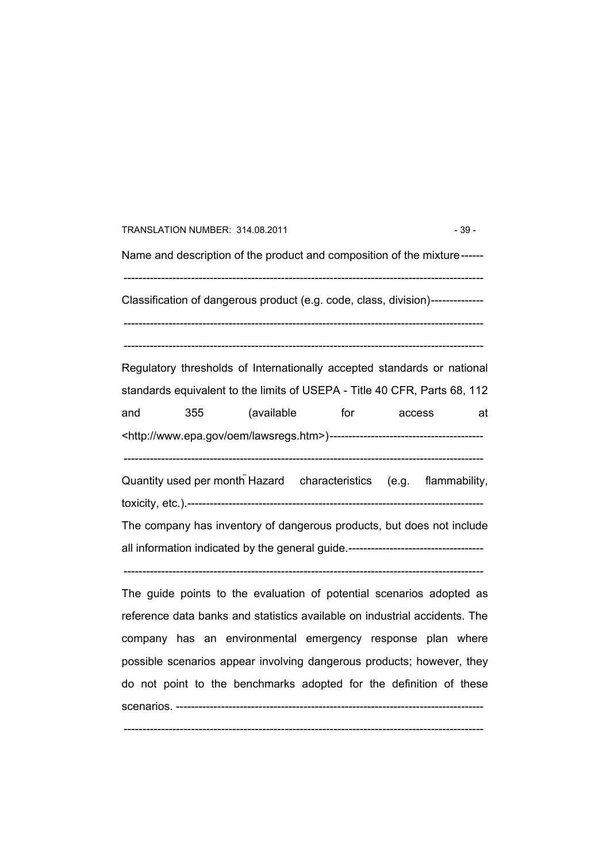| TRANSLATION NUMBER: 314.08.2011                                                 | $-39-$ |
|---------------------------------------------------------------------------------|--------|
| Name and description of the product and composition of the mixture------        |        |
| Classification of dangerous product (e.g. code, class, division)--------------- |        |
|                                                                                 |        |

Regulatory thresholds of Internationally accepted standards or national standards equivalent to the limits of USEPA - Title 40 CFR, Parts 68, 112 and 355 (available for access at <http://www.epa.gov/oem/lawsregs.htm>)----------------------------------------- ------------------------------------------------------------------------------------------------

Quantity used per month Hazard characteristics (e.g. flammability, toxicity, etc.).-------------------------------------------------------------------------------

The company has inventory of dangerous products, but does not include all information indicated by the general guide.------------------------------------

------------------------------------------------------------------------------------------------

The guide points to the evaluation of potential scenarios adopted as reference data banks and statistics available on industrial accidents. The company has an environmental emergency response plan where possible scenarios appear involving dangerous products; however, they do not point to the benchmarks adopted for the definition of these scenarios. ----------------------------------------------------------------------------------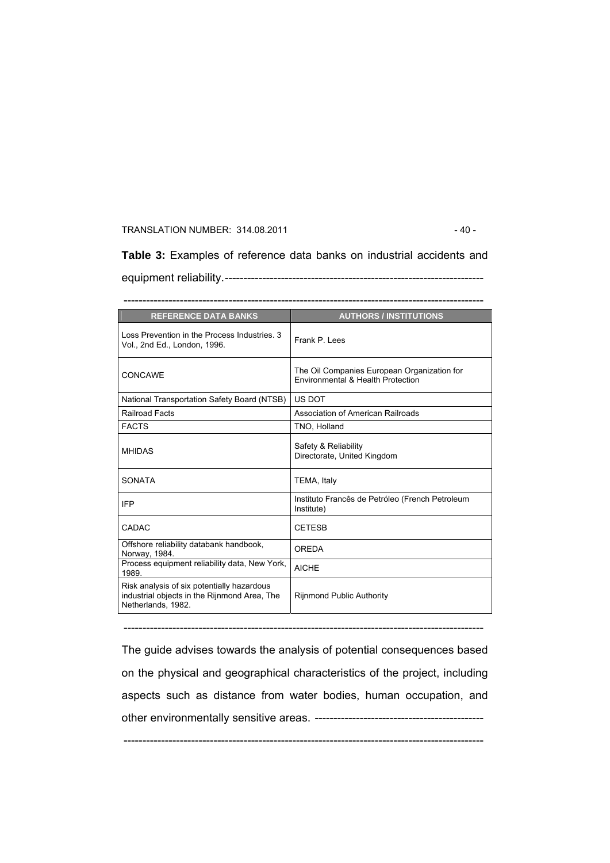### TRANSLATION NUMBER: 314.08.2011 - 40 -

**Table 3:** Examples of reference data banks on industrial accidents and equipment reliability.---------------------------------------------------------------------

------------------------------------------------------------------------------------------------

| <b>REFERENCE DATA BANKS</b>                                                                                      | <b>AUTHORS / INSTITUTIONS</b>                                                    |
|------------------------------------------------------------------------------------------------------------------|----------------------------------------------------------------------------------|
| Loss Prevention in the Process Industries, 3<br>Vol., 2nd Ed., London, 1996.                                     | Frank P Lees                                                                     |
| CONCAWE                                                                                                          | The Oil Companies European Organization for<br>Environmental & Health Protection |
| <b>National Transportation Safety Board (NTSB)</b>                                                               | US DOT                                                                           |
| Railroad Facts                                                                                                   | Association of American Railroads                                                |
| <b>FACTS</b>                                                                                                     | TNO, Holland                                                                     |
| <b>MHIDAS</b>                                                                                                    | Safety & Reliability<br>Directorate, United Kingdom                              |
| <b>SONATA</b>                                                                                                    | TEMA, Italy                                                                      |
| <b>IFP</b>                                                                                                       | Instituto Francês de Petróleo (French Petroleum<br>Institute)                    |
| <b>CADAC</b>                                                                                                     | <b>CETESB</b>                                                                    |
| Offshore reliability databank handbook,<br>Norway, 1984.                                                         | <b>OREDA</b>                                                                     |
| Process equipment reliability data, New York,<br>1989.                                                           | <b>AICHF</b>                                                                     |
| Risk analysis of six potentially hazardous<br>industrial objects in the Rijnmond Area, The<br>Netherlands, 1982. | <b>Rijnmond Public Authority</b>                                                 |

The guide advises towards the analysis of potential consequences based on the physical and geographical characteristics of the project, including aspects such as distance from water bodies, human occupation, and other environmentally sensitive areas. ---------------------------------------------

------------------------------------------------------------------------------------------------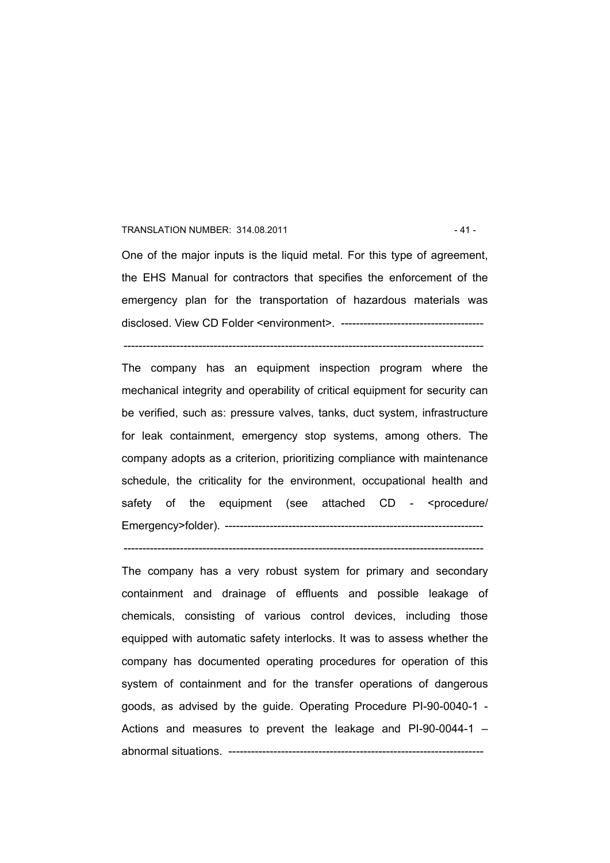#### TRANSLATION NUMBER: 314.08.2011 - 41 -

One of the major inputs is the liquid metal. For this type of agreement, the EHS Manual for contractors that specifies the enforcement of the emergency plan for the transportation of hazardous materials was disclosed. View CD Folder <environment>. --------------------------------------

------------------------------------------------------------------------------------------------

The company has an equipment inspection program where the mechanical integrity and operability of critical equipment for security can be verified, such as: pressure valves, tanks, duct system, infrastructure for leak containment, emergency stop systems, among others. The company adopts as a criterion, prioritizing compliance with maintenance schedule, the criticality for the environment, occupational health and safety of the equipment (see attached CD - <procedure/ Emergency>folder). ---------------------------------------------------------------------

------------------------------------------------------------------------------------------------

The company has a very robust system for primary and secondary containment and drainage of effluents and possible leakage of chemicals, consisting of various control devices, including those equipped with automatic safety interlocks. It was to assess whether the company has documented operating procedures for operation of this system of containment and for the transfer operations of dangerous goods, as advised by the guide. Operating Procedure PI-90-0040-1 - Actions and measures to prevent the leakage and PI-90-0044-1 – abnormal situations. --------------------------------------------------------------------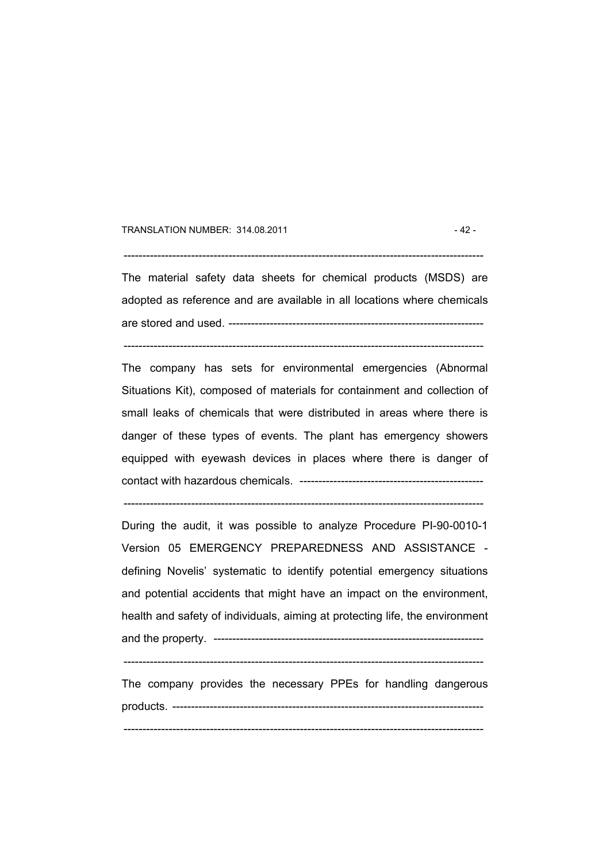#### TRANSLATION NUMBER: 314.08.2011 - 42 -

------------------------------------------------------------------------------------------------

The material safety data sheets for chemical products (MSDS) are adopted as reference and are available in all locations where chemicals are stored and used. --------------------------------------------------------------------

------------------------------------------------------------------------------------------------

The company has sets for environmental emergencies (Abnormal Situations Kit), composed of materials for containment and collection of small leaks of chemicals that were distributed in areas where there is danger of these types of events. The plant has emergency showers equipped with eyewash devices in places where there is danger of contact with hazardous chemicals. -------------------------------------------------

------------------------------------------------------------------------------------------------

During the audit, it was possible to analyze Procedure PI-90-0010-1 Version 05 EMERGENCY PREPAREDNESS AND ASSISTANCE defining Novelis' systematic to identify potential emergency situations and potential accidents that might have an impact on the environment, health and safety of individuals, aiming at protecting life, the environment and the property. ------------------------------------------------------------------------

 $-$ 

The company provides the necessary PPEs for handling dangerous products. -----------------------------------------------------------------------------------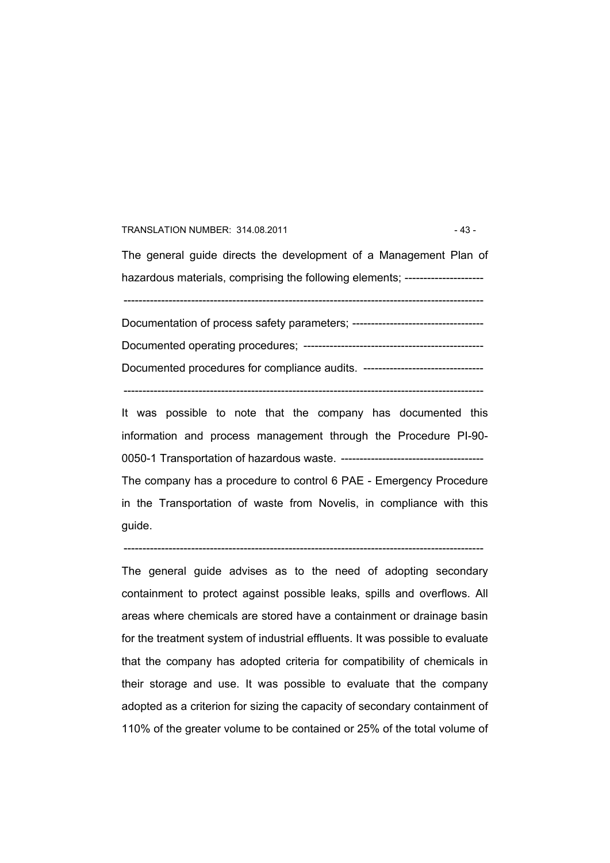#### TRANSLATION NUMBER: 314.08.2011 - 43 -

The general guide directs the development of a Management Plan of hazardous materials, comprising the following elements; -----------------------

------------------------------------------------------------------------------------------------

Documentation of process safety parameters; ----------------------------------- Documented operating procedures; ------------------------------------------------ Documented procedures for compliance audits. --------------------------------

------------------------------------------------------------------------------------------------

It was possible to note that the company has documented this information and process management through the Procedure PI-90- 0050-1 Transportation of hazardous waste. -------------------------------------- The company has a procedure to control 6 PAE - Emergency Procedure in the Transportation of waste from Novelis, in compliance with this guide.

------------------------------------------------------------------------------------------------

The general guide advises as to the need of adopting secondary containment to protect against possible leaks, spills and overflows. All areas where chemicals are stored have a containment or drainage basin for the treatment system of industrial effluents. It was possible to evaluate that the company has adopted criteria for compatibility of chemicals in their storage and use. It was possible to evaluate that the company adopted as a criterion for sizing the capacity of secondary containment of 110% of the greater volume to be contained or 25% of the total volume of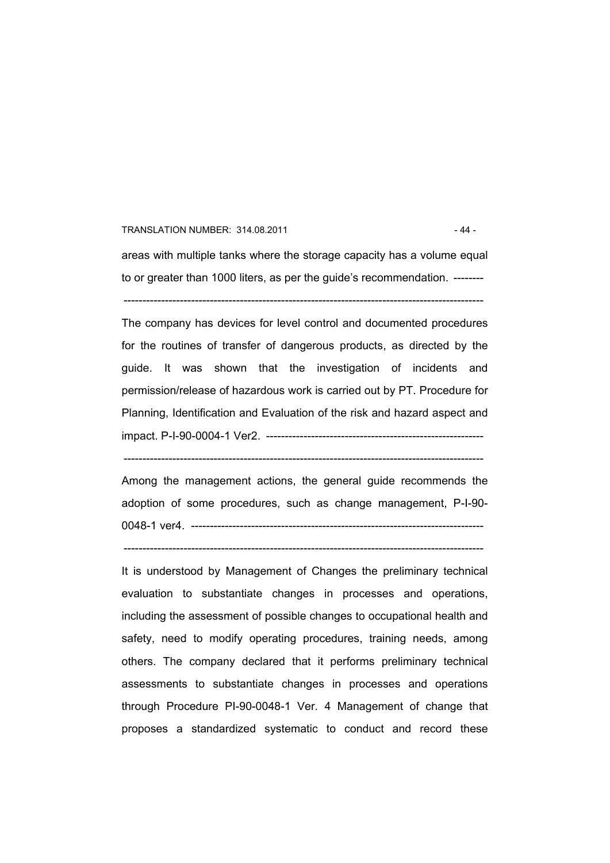#### TRANSLATION NUMBER: 314.08.2011 - 44 -

areas with multiple tanks where the storage capacity has a volume equal to or greater than 1000 liters, as per the guide's recommendation. -------- ------------------------------------------------------------------------------------------------

The company has devices for level control and documented procedures for the routines of transfer of dangerous products, as directed by the guide. It was shown that the investigation of incidents and permission/release of hazardous work is carried out by PT. Procedure for Planning, Identification and Evaluation of the risk and hazard aspect and impact. P-I-90-0004-1 Ver2. ----------------------------------------------------------

Among the management actions, the general guide recommends the adoption of some procedures, such as change management, P-I-90- 0048-1 ver4. ------------------------------------------------------------------------------

------------------------------------------------------------------------------------------------

------------------------------------------------------------------------------------------------

It is understood by Management of Changes the preliminary technical evaluation to substantiate changes in processes and operations, including the assessment of possible changes to occupational health and safety, need to modify operating procedures, training needs, among others. The company declared that it performs preliminary technical assessments to substantiate changes in processes and operations through Procedure PI-90-0048-1 Ver. 4 Management of change that proposes a standardized systematic to conduct and record these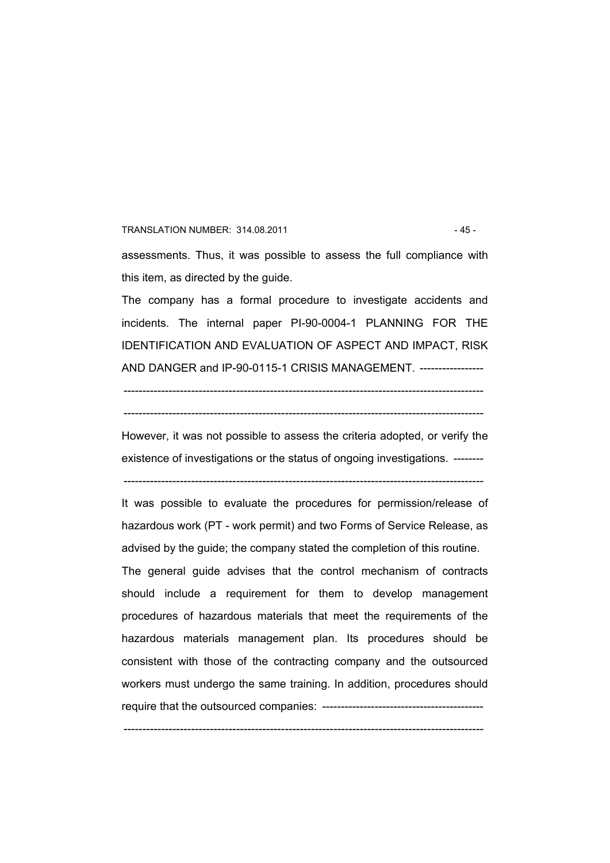# TRANSLATION NUMBER: 314.08.2011 - 45 assessments. Thus, it was possible to assess the full compliance with this item, as directed by the guide.

The company has a formal procedure to investigate accidents and incidents. The internal paper PI-90-0004-1 PLANNING FOR THE IDENTIFICATION AND EVALUATION OF ASPECT AND IMPACT, RISK AND DANGER and IP-90-0115-1 CRISIS MANAGEMENT. -----------------

------------------------------------------------------------------------------------------------

 $-$ 

However, it was not possible to assess the criteria adopted, or verify the existence of investigations or the status of ongoing investigations. --------

------------------------------------------------------------------------------------------------

It was possible to evaluate the procedures for permission/release of hazardous work (PT - work permit) and two Forms of Service Release, as advised by the guide; the company stated the completion of this routine.

The general guide advises that the control mechanism of contracts should include a requirement for them to develop management procedures of hazardous materials that meet the requirements of the hazardous materials management plan. Its procedures should be consistent with those of the contracting company and the outsourced workers must undergo the same training. In addition, procedures should require that the outsourced companies: -------------------------------------------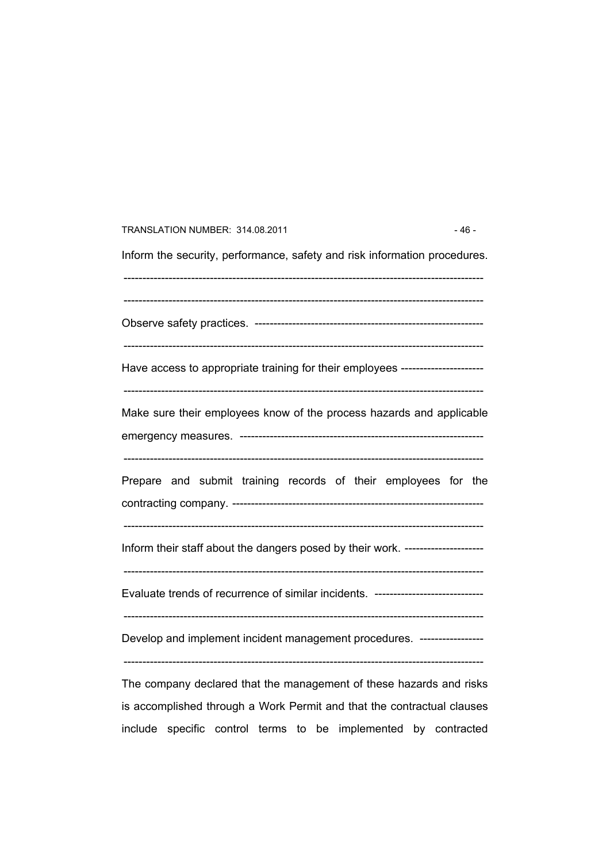| TRANSLATION NUMBER: 314.08.2011                                                  | $-46-$ |
|----------------------------------------------------------------------------------|--------|
| Inform the security, performance, safety and risk information procedures.        |        |
|                                                                                  |        |
| Have access to appropriate training for their employees -----------------------  |        |
| Make sure their employees know of the process hazards and applicable             |        |
| Prepare and submit training records of their employees for the                   |        |
| Inform their staff about the dangers posed by their work. ---------------------  |        |
| Evaluate trends of recurrence of similar incidents. ---------------------------- |        |
| Develop and implement incident management procedures. -----------------          |        |
| The company declared that the monogement of these hereras and right              |        |

The company declared that the management of these hazards and risks is accomplished through a Work Permit and that the contractual clauses include specific control terms to be implemented by contracted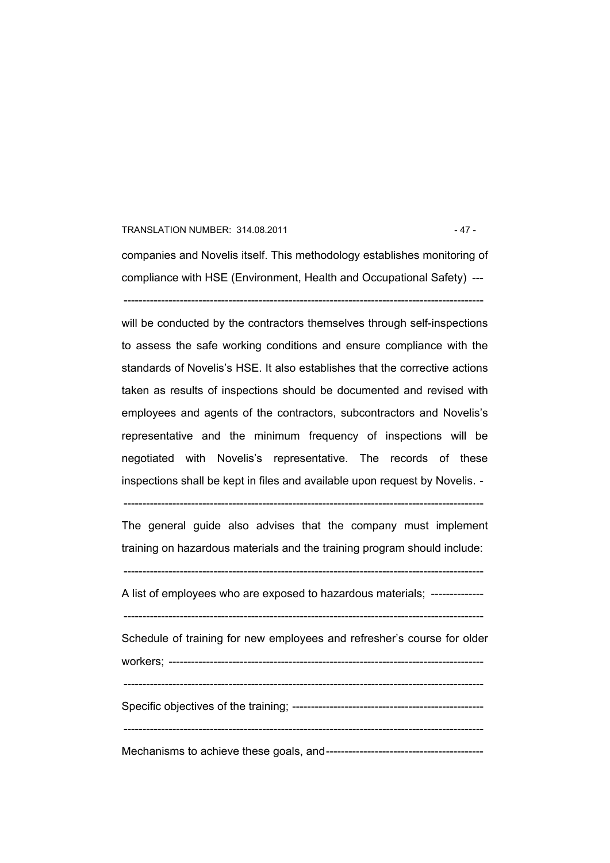#### TRANSLATION NUMBER: 314.08.2011 - 47 -

companies and Novelis itself. This methodology establishes monitoring of compliance with HSE (Environment, Health and Occupational Safety) --- ------------------------------------------------------------------------------------------------

will be conducted by the contractors themselves through self-inspections to assess the safe working conditions and ensure compliance with the standards of Novelis's HSE. It also establishes that the corrective actions taken as results of inspections should be documented and revised with employees and agents of the contractors, subcontractors and Novelis's representative and the minimum frequency of inspections will be negotiated with Novelis's representative. The records of these inspections shall be kept in files and available upon request by Novelis. -

------------------------------------------------------------------------------------------------

The general guide also advises that the company must implement training on hazardous materials and the training program should include:

------------------------------------------------------------------------------------------------

A list of employees who are exposed to hazardous materials; --------------

------------------------------------------------------------------------------------------------

Schedule of training for new employees and refresher's course for older workers; ------------------------------------------------------------------------------------

------------------------------------------------------------------------------------------------

Specific objectives of the training; ---------------------------------------------------

 $-$ 

Mechanisms to achieve these goals, and------------------------------------------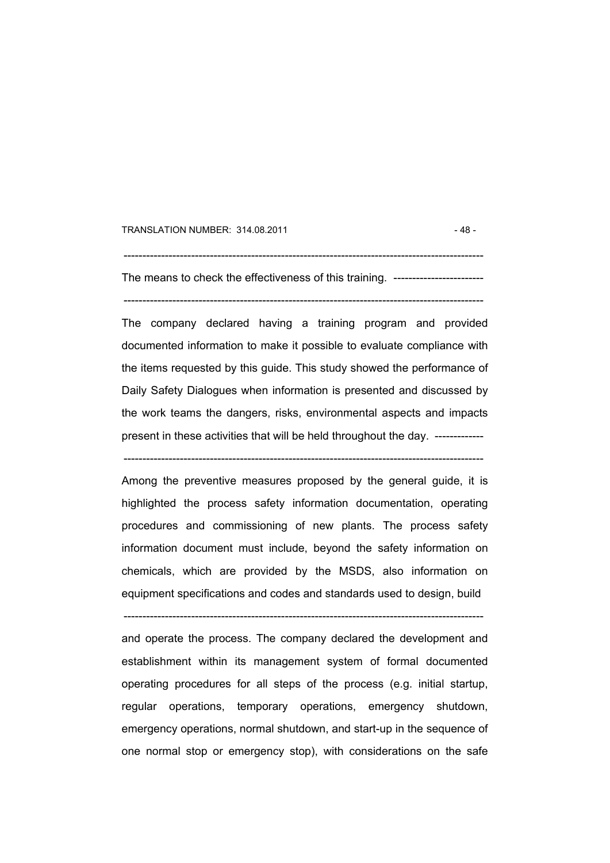TRANSLATION NUMBER: 314.08.2011 - 48 -

------------------------------------------------------------------------------------------------ The means to check the effectiveness of this training. -------------------------

------------------------------------------------------------------------------------------------

The company declared having a training program and provided documented information to make it possible to evaluate compliance with the items requested by this guide. This study showed the performance of Daily Safety Dialogues when information is presented and discussed by the work teams the dangers, risks, environmental aspects and impacts present in these activities that will be held throughout the day. -------------

------------------------------------------------------------------------------------------------

Among the preventive measures proposed by the general guide, it is highlighted the process safety information documentation, operating procedures and commissioning of new plants. The process safety information document must include, beyond the safety information on chemicals, which are provided by the MSDS, also information on equipment specifications and codes and standards used to design, build

------------------------------------------------------------------------------------------------

and operate the process. The company declared the development and establishment within its management system of formal documented operating procedures for all steps of the process (e.g. initial startup, regular operations, temporary operations, emergency shutdown, emergency operations, normal shutdown, and start-up in the sequence of one normal stop or emergency stop), with considerations on the safe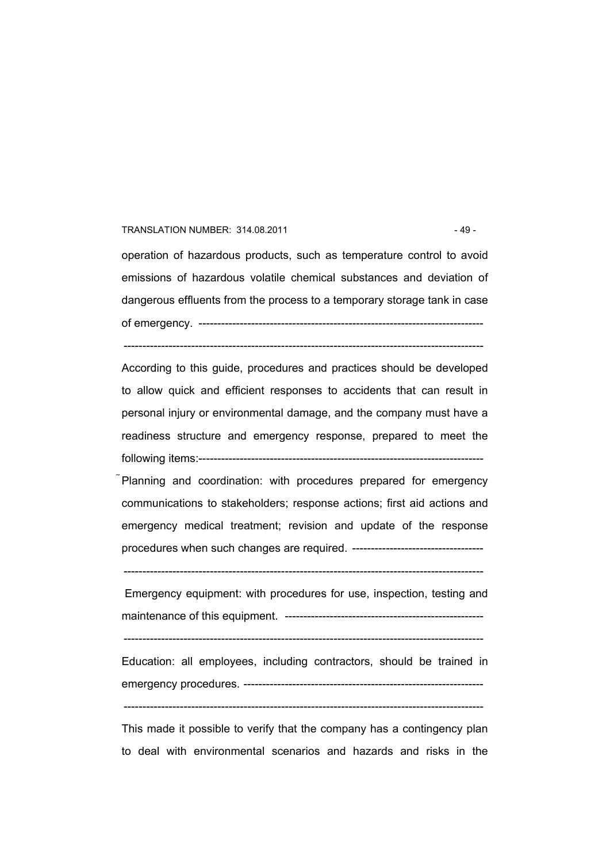#### TRANSLATION NUMBER: 314.08.2011 - 49 -

operation of hazardous products, such as temperature control to avoid emissions of hazardous volatile chemical substances and deviation of dangerous effluents from the process to a temporary storage tank in case of emergency. ----------------------------------------------------------------------------

------------------------------------------------------------------------------------------------

According to this guide, procedures and practices should be developed to allow quick and efficient responses to accidents that can result in personal injury or environmental damage, and the company must have a readiness structure and emergency response, prepared to meet the following items:----------------------------------------------------------------------------

Planning and coordination: with procedures prepared for emergency communications to stakeholders; response actions; first aid actions and emergency medical treatment; revision and update of the response procedures when such changes are required. -----------------------------------

------------------------------------------------------------------------------------------------

 Emergency equipment: with procedures for use, inspection, testing and maintenance of this equipment. -----------------------------------------------------

------------------------------------------------------------------------------------------------

Education: all employees, including contractors, should be trained in emergency procedures. ----------------------------------------------------------------  $-$ 

This made it possible to verify that the company has a contingency plan to deal with environmental scenarios and hazards and risks in the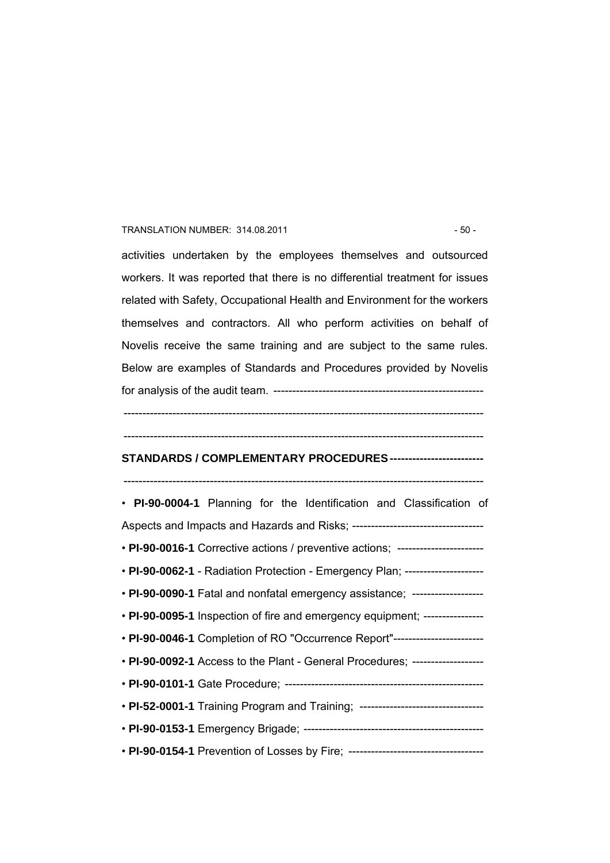#### TRANSLATION NUMBER: 314.08.2011 - 50 -

activities undertaken by the employees themselves and outsourced workers. It was reported that there is no differential treatment for issues related with Safety, Occupational Health and Environment for the workers themselves and contractors. All who perform activities on behalf of Novelis receive the same training and are subject to the same rules. Below are examples of Standards and Procedures provided by Novelis for analysis of the audit team. --------------------------------------------------------

#### ------------------------------------------------------------------------------------------------

------------------------------------------------------------------------------------------------

# **STANDARDS / COMPLEMENTARY PROCEDURES -------------------------**

------------------------------------------------------------------------------------------------

# • **PI-90-0004-1** Planning for the Identification and Classification of Aspects and Impacts and Hazards and Risks; ----------------------------------- • **PI-90-0016-1** Corrective actions / preventive actions; ----------------------- • **PI-90-0062-1** - Radiation Protection - Emergency Plan; --------------------- • **PI-90-0090-1** Fatal and nonfatal emergency assistance; ------------------- • **PI-90-0095-1** Inspection of fire and emergency equipment; ---------------- • **PI-90-0046-1** Completion of RO "Occurrence Report"------------------------ • **PI-90-0092-1** Access to the Plant - General Procedures; ------------------- • **PI-90-0101-1** Gate Procedure; ----------------------------------------------------- • **PI-52-0001-1** Training Program and Training; ---------------------------------• **PI-90-0153-1** Emergency Brigade; ------------------------------------------------ • **PI-90-0154-1** Prevention of Losses by Fire; ------------------------------------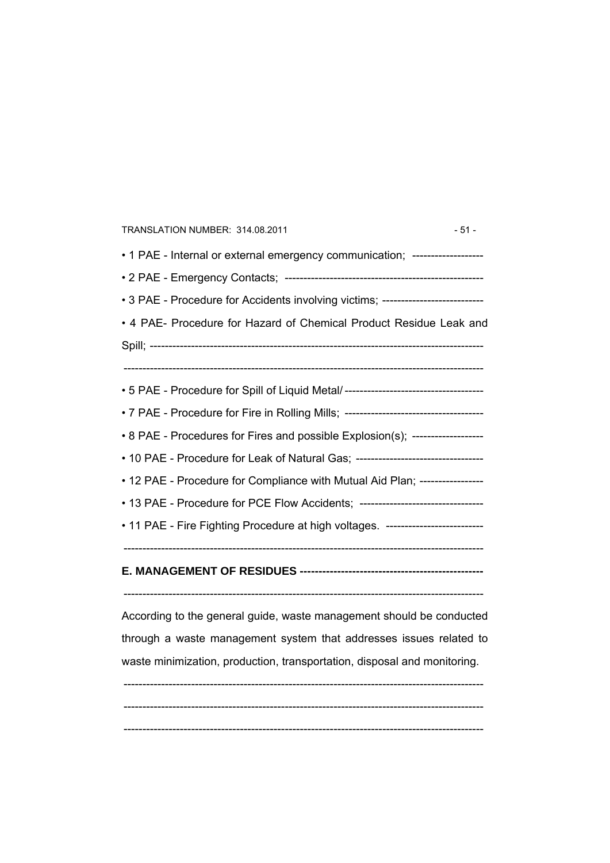| TRANSLATION NUMBER: 314.08.2011<br>$-51-$                                        |
|----------------------------------------------------------------------------------|
| • 1 PAE - Internal or external emergency communication; ------------------       |
|                                                                                  |
| • 3 PAE - Procedure for Accidents involving victims; --------------------------- |
| • 4 PAE- Procedure for Hazard of Chemical Product Residue Leak and               |
|                                                                                  |
|                                                                                  |
| • 5 PAE - Procedure for Spill of Liquid Metal/---------------------------------- |
| • 7 PAE - Procedure for Fire in Rolling Mills; --------------------------------- |
| • 8 PAE - Procedures for Fires and possible Explosion(s); -------------------    |
| • 10 PAE - Procedure for Leak of Natural Gas; ---------------------------------  |
| • 12 PAE - Procedure for Compliance with Mutual Aid Plan; -----------------      |
| • 13 PAE - Procedure for PCE Flow Accidents; ---------------------------------   |
| • 11 PAE - Fire Fighting Procedure at high voltages. --------------------------  |
|                                                                                  |
|                                                                                  |
|                                                                                  |
| According to the general guide, waste management should be conducted             |
| through a waste management system that addresses issues related to               |
| waste minimization, production, transportation, disposal and monitoring.         |
|                                                                                  |
|                                                                                  |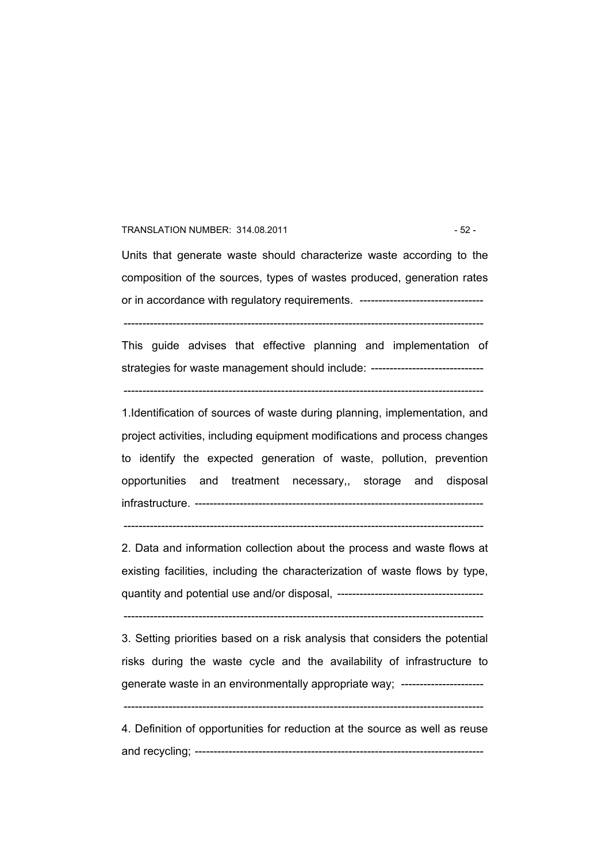#### TRANSLATION NUMBER: 314.08.2011 - 52 -

Units that generate waste should characterize waste according to the composition of the sources, types of wastes produced, generation rates or in accordance with regulatory requirements. ---------------------------------

------------------------------------------------------------------------------------------------

This guide advises that effective planning and implementation of strategies for waste management should include: ------------------------------

------------------------------------------------------------------------------------------------

1.Identification of sources of waste during planning, implementation, and project activities, including equipment modifications and process changes to identify the expected generation of waste, pollution, prevention opportunities and treatment necessary,, storage and disposal infrastructure. -----------------------------------------------------------------------------

 $-$ 

2. Data and information collection about the process and waste flows at existing facilities, including the characterization of waste flows by type, quantity and potential use and/or disposal, ---------------------------------------

------------------------------------------------------------------------------------------------

3. Setting priorities based on a risk analysis that considers the potential risks during the waste cycle and the availability of infrastructure to generate waste in an environmentally appropriate way; ----------------------

------------------------------------------------------------------------------------------------

4. Definition of opportunities for reduction at the source as well as reuse and recycling; -----------------------------------------------------------------------------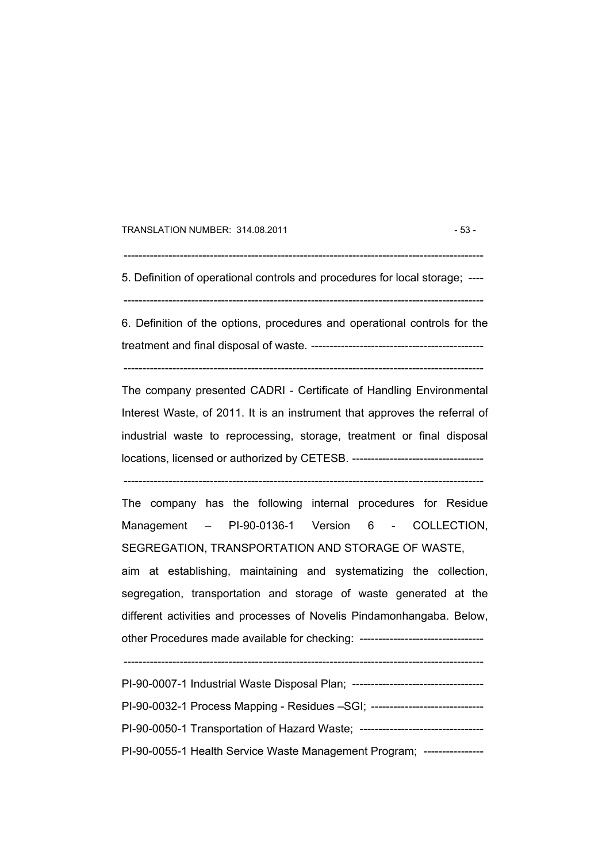TRANSLATION NUMBER: 314.08.2011 - 53 -

 $-$ 

5. Definition of operational controls and procedures for local storage; ----

------------------------------------------------------------------------------------------------

6. Definition of the options, procedures and operational controls for the treatment and final disposal of waste. ----------------------------------------------

------------------------------------------------------------------------------------------------

The company presented CADRI - Certificate of Handling Environmental Interest Waste, of 2011. It is an instrument that approves the referral of industrial waste to reprocessing, storage, treatment or final disposal locations, licensed or authorized by CETESB. -----------------------------------

------------------------------------------------------------------------------------------------

The company has the following internal procedures for Residue Management – PI-90-0136-1 Version 6 - COLLECTION, SEGREGATION, TRANSPORTATION AND STORAGE OF WASTE, aim at establishing, maintaining and systematizing the collection, segregation, transportation and storage of waste generated at the different activities and processes of Novelis Pindamonhangaba. Below, other Procedures made available for checking: ----------------------------------

| PI-90-0007-1 Industrial Waste Disposal Plan; ---------------------------------- |
|---------------------------------------------------------------------------------|
| PI-90-0032-1 Process Mapping - Residues -SGI; -------------------------         |
| PI-90-0050-1 Transportation of Hazard Waste; ------------                       |
| PI-90-0055-1 Health Service Waste Management Program; ----------------          |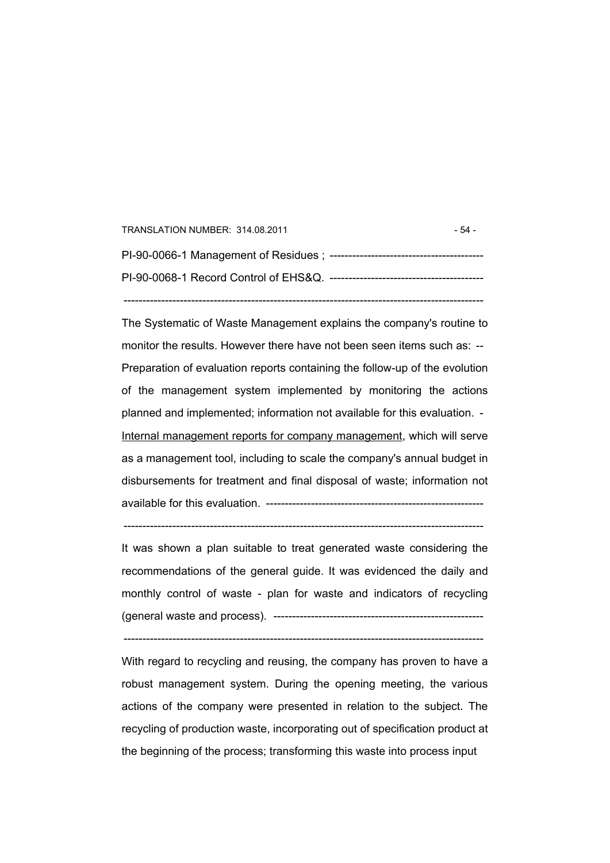| TRANSLATION NUMBER: 314.08.2011 | - 54 - |
|---------------------------------|--------|
|                                 |        |
|                                 |        |
|                                 |        |

The Systematic of Waste Management explains the company's routine to monitor the results. However there have not been seen items such as: -- Preparation of evaluation reports containing the follow-up of the evolution of the management system implemented by monitoring the actions planned and implemented; information not available for this evaluation. - Internal management reports for company management, which will serve as a management tool, including to scale the company's annual budget in disbursements for treatment and final disposal of waste; information not available for this evaluation. ----------------------------------------------------------

It was shown a plan suitable to treat generated waste considering the recommendations of the general guide. It was evidenced the daily and monthly control of waste - plan for waste and indicators of recycling (general waste and process). --------------------------------------------------------

------------------------------------------------------------------------------------------------

 $-$ 

With regard to recycling and reusing, the company has proven to have a robust management system. During the opening meeting, the various actions of the company were presented in relation to the subject. The recycling of production waste, incorporating out of specification product at the beginning of the process; transforming this waste into process input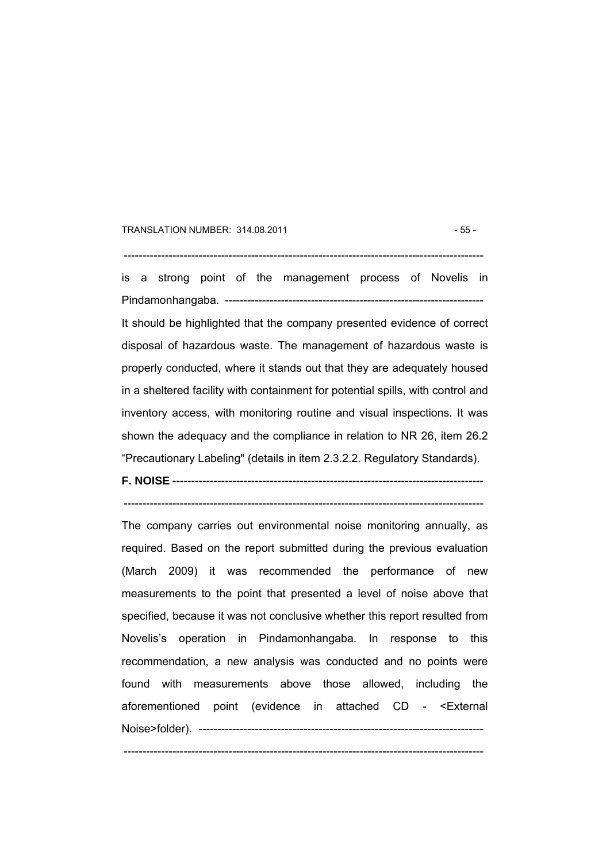#### TRANSLATION NUMBER: 314.08.2011 - 55 -

------------------------------------------------------------------------------------------------

is a strong point of the management process of Novelis in Pindamonhangaba. --------------------------------------------------------------------- It should be highlighted that the company presented evidence of correct disposal of hazardous waste. The management of hazardous waste is properly conducted, where it stands out that they are adequately housed in a sheltered facility with containment for potential spills, with control and inventory access, with monitoring routine and visual inspections. It was shown the adequacy and the compliance in relation to NR 26, item 26.2 "Precautionary Labeling" (details in item 2.3.2.2. Regulatory Standards).

**F. NOISE -----------------------------------------------------------------------------------** 

------------------------------------------------------------------------------------------------

The company carries out environmental noise monitoring annually, as required. Based on the report submitted during the previous evaluation (March 2009) it was recommended the performance of new measurements to the point that presented a level of noise above that specified, because it was not conclusive whether this report resulted from Novelis's operation in Pindamonhangaba. In response to this recommendation, a new analysis was conducted and no points were found with measurements above those allowed, including the aforementioned point (evidence in attached CD - <External Noise>folder). ----------------------------------------------------------------------------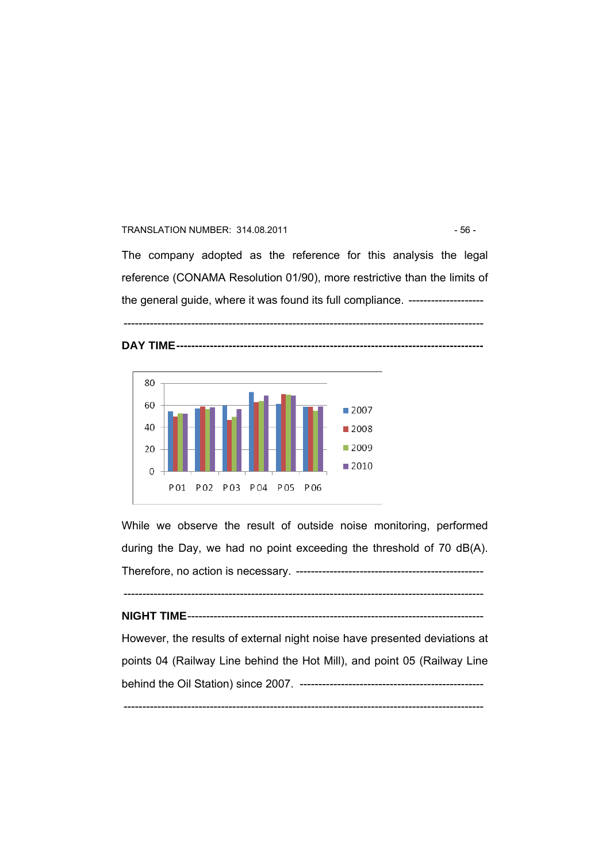#### TRANSLATION NUMBER: 314.08.2011 - 56 -

The company adopted as the reference for this analysis the legal reference (CONAMA Resolution 01/90), more restrictive than the limits of the general guide, where it was found its full compliance. --------------------

------------------------------------------------------------------------------------------------





While we observe the result of outside noise monitoring, performed during the Day, we had no point exceeding the threshold of 70 dB(A). Therefore, no action is necessary. --------------------------------------------------

------------------------------------------------------------------------------------------------

**NIGHT TIME**------------------------------------------------------------------------------- However, the results of external night noise have presented deviations at points 04 (Railway Line behind the Hot Mill), and point 05 (Railway Line

behind the Oil Station) since 2007. -------------------------------------------------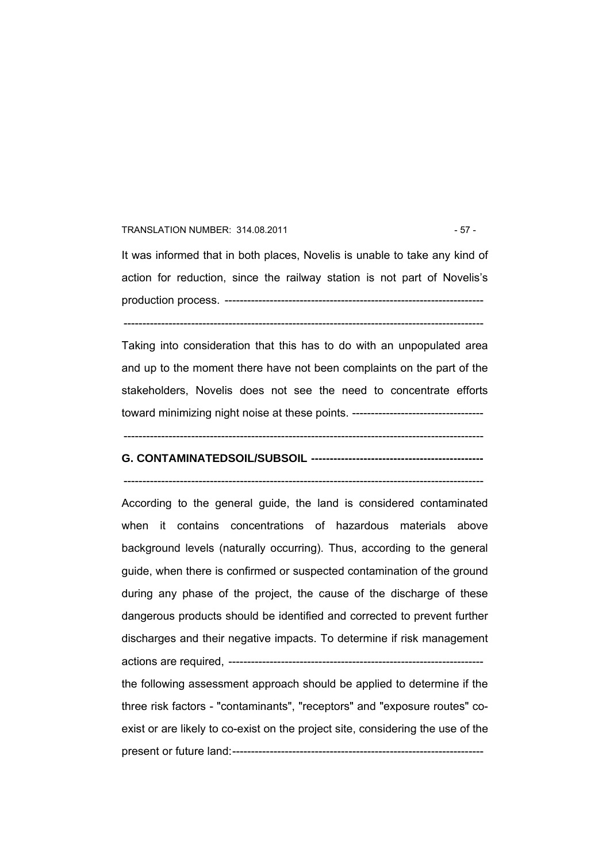#### TRANSLATION NUMBER: 314.08.2011 - 57 -

It was informed that in both places, Novelis is unable to take any kind of action for reduction, since the railway station is not part of Novelis's production process. --------------------------------------------------------------------- ------------------------------------------------------------------------------------------------

Taking into consideration that this has to do with an unpopulated area and up to the moment there have not been complaints on the part of the stakeholders, Novelis does not see the need to concentrate efforts toward minimizing night noise at these points. -----------------------------------

------------------------------------------------------------------------------------------------

# **G. CONTAMINATEDSOIL/SUBSOIL ----------------------------------------------**

------------------------------------------------------------------------------------------------

According to the general guide, the land is considered contaminated when it contains concentrations of hazardous materials above background levels (naturally occurring). Thus, according to the general guide, when there is confirmed or suspected contamination of the ground during any phase of the project, the cause of the discharge of these dangerous products should be identified and corrected to prevent further discharges and their negative impacts. To determine if risk management actions are required, ------------------------------------------------------------------- the following assessment approach should be applied to determine if the three risk factors - "contaminants", "receptors" and "exposure routes" coexist or are likely to co-exist on the project site, considering the use of the

present or future land:-------------------------------------------------------------------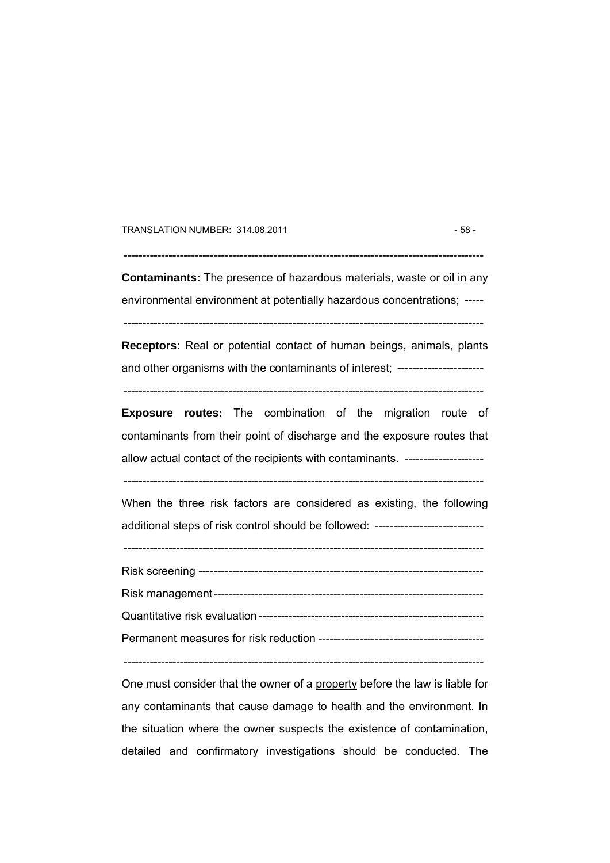TRANSLATION NUMBER: 314.08.2011 - 58 -

 $-$ 

**Contaminants:** The presence of hazardous materials, waste or oil in any environmental environment at potentially hazardous concentrations; -----

**Receptors:** Real or potential contact of human beings, animals, plants

------------------------------------------------------------------------------------------------

and other organisms with the contaminants of interest; ----------------------- ------------------------------------------------------------------------------------------------

**Exposure routes:** The combination of the migration route of contaminants from their point of discharge and the exposure routes that allow actual contact of the recipients with contaminants. ---------------------

------------------------------------------------------------------------------------------------

When the three risk factors are considered as existing, the following additional steps of risk control should be followed: ----------------------------

------------------------------------------------------------------------------------------------

Risk screening ---------------------------------------------------------------------------- Risk management------------------------------------------------------------------------ Quantitative risk evaluation ------------------------------------------------------------ Permanent measures for risk reduction --------------------------------------------

------------------------------------------------------------------------------------------------

One must consider that the owner of a property before the law is liable for any contaminants that cause damage to health and the environment. In the situation where the owner suspects the existence of contamination, detailed and confirmatory investigations should be conducted. The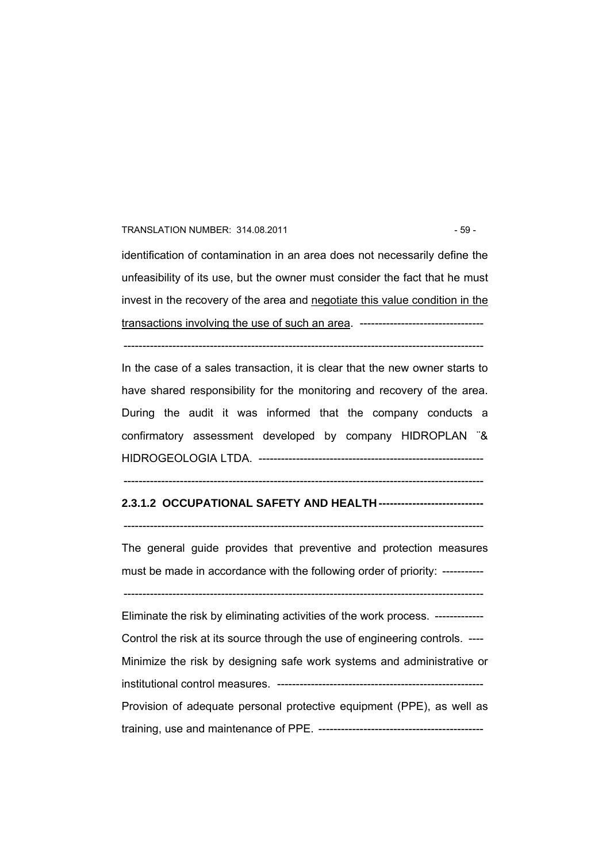#### TRANSLATION NUMBER: 314.08.2011 - 59 -

identification of contamination in an area does not necessarily define the unfeasibility of its use, but the owner must consider the fact that he must invest in the recovery of the area and negotiate this value condition in the transactions involving the use of such an area. ---------------------------------

------------------------------------------------------------------------------------------------

In the case of a sales transaction, it is clear that the new owner starts to have shared responsibility for the monitoring and recovery of the area. During the audit it was informed that the company conducts a confirmatory assessment developed by company HIDROPLAN ¨& HIDROGEOLOGIA LTDA. ------------------------------------------------------------

#### ------------------------------------------------------------------------------------------------

## **2.3.1.2 OCCUPATIONAL SAFETY AND HEALTH ----------------------------**

------------------------------------------------------------------------------------------------

The general guide provides that preventive and protection measures must be made in accordance with the following order of priority: -----------

------------------------------------------------------------------------------------------------ Eliminate the risk by eliminating activities of the work process. ------------- Control the risk at its source through the use of engineering controls. ---- Minimize the risk by designing safe work systems and administrative or institutional control measures. ------------------------------------------------------- Provision of adequate personal protective equipment (PPE), as well as training, use and maintenance of PPE. --------------------------------------------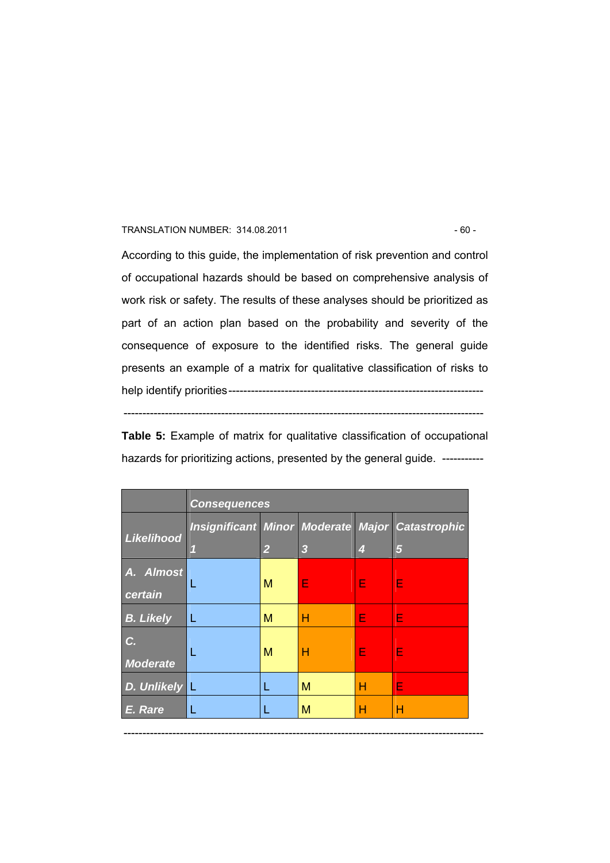#### TRANSLATION NUMBER: 314.08.2011 - 60 -

According to this guide, the implementation of risk prevention and control of occupational hazards should be based on comprehensive analysis of work risk or safety. The results of these analyses should be prioritized as part of an action plan based on the probability and severity of the consequence of exposure to the identified risks. The general guide presents an example of a matrix for qualitative classification of risks to help identify priorities--------------------------------------------------------------------

**Table 5:** Example of matrix for qualitative classification of occupational hazards for prioritizing actions, presented by the general guide. -----------

------------------------------------------------------------------------------------------------

|                       | <b>Consequences</b> |                         |   |   |                                                        |
|-----------------------|---------------------|-------------------------|---|---|--------------------------------------------------------|
|                       |                     |                         |   |   | <b>Insignificant Minor Moderate Major Catastrophic</b> |
| Likelihood            | 91                  | $\overline{\mathbf{2}}$ | 3 | 4 | 5                                                      |
| A. Almost<br>certain  | L                   | M                       | E | Е | Е                                                      |
| <b>B. Likely</b>      | L                   | M                       | н | Е | Е                                                      |
| C.<br><b>Moderate</b> |                     | M                       | н | Е | Е                                                      |
| D. Unlikely L         |                     |                         | M | н | E                                                      |
| E. Rare               |                     |                         | M | н | н                                                      |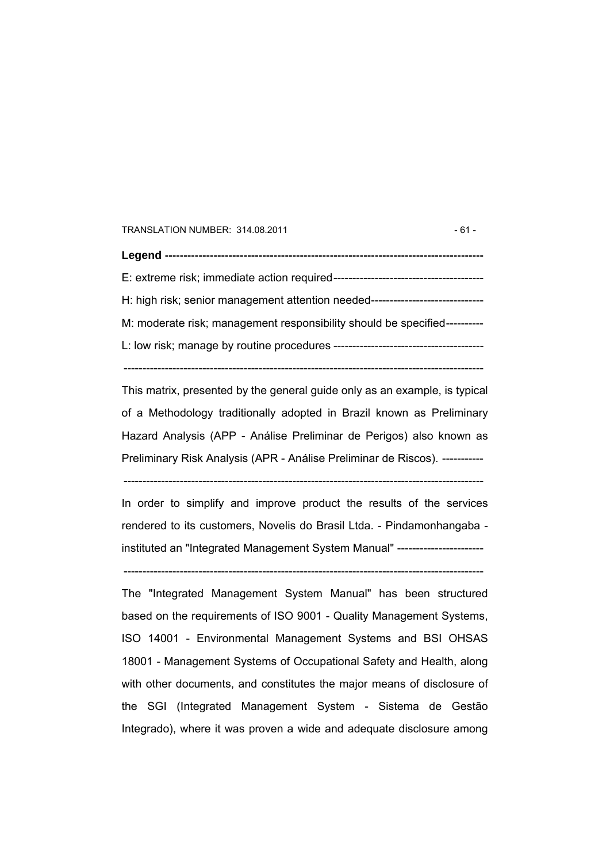TRANSLATION NUMBER: 314.08.2011 - 61 -

**Legend -------------------------------------------------------------------------------------**  E: extreme risk; immediate action required---------------------------------------- H: high risk; senior management attention needed------------------------------ M: moderate risk; management responsibility should be specified---------- L: low risk; manage by routine procedures ----------------------------------------

This matrix, presented by the general guide only as an example, is typical of a Methodology traditionally adopted in Brazil known as Preliminary Hazard Analysis (APP - Análise Preliminar de Perigos) also known as Preliminary Risk Analysis (APR - Análise Preliminar de Riscos). -----------

------------------------------------------------------------------------------------------------

In order to simplify and improve product the results of the services rendered to its customers, Novelis do Brasil Ltda. - Pindamonhangaba instituted an "Integrated Management System Manual" -----------------------

------------------------------------------------------------------------------------------------

------------------------------------------------------------------------------------------------

The "Integrated Management System Manual" has been structured based on the requirements of ISO 9001 - Quality Management Systems, ISO 14001 - Environmental Management Systems and BSI OHSAS 18001 - Management Systems of Occupational Safety and Health, along with other documents, and constitutes the major means of disclosure of the SGI (Integrated Management System - Sistema de Gestão Integrado), where it was proven a wide and adequate disclosure among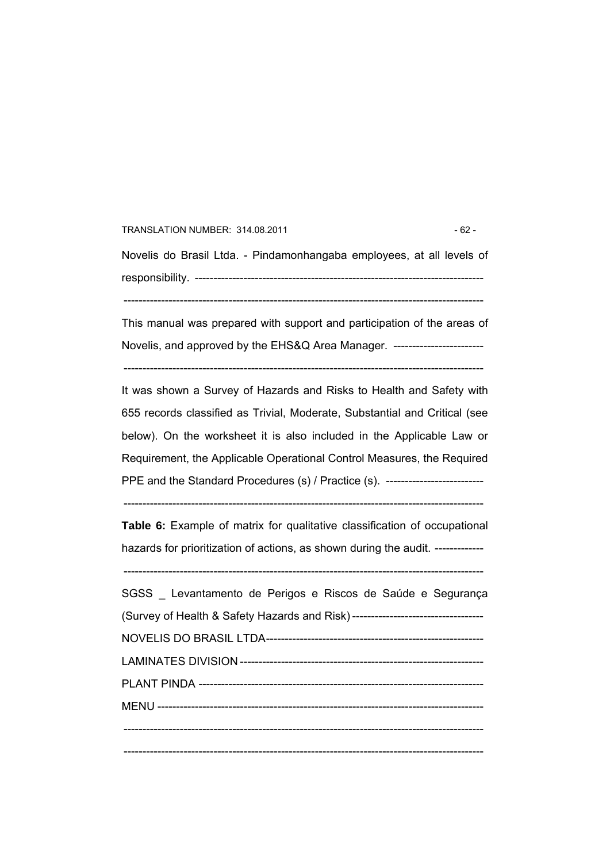TRANSLATION NUMBER: 314.08.2011 - 62 -Novelis do Brasil Ltda. - Pindamonhangaba employees, at all levels of responsibility. -----------------------------------------------------------------------------

This manual was prepared with support and participation of the areas of

------------------------------------------------------------------------------------------------

Novelis, and approved by the EHS&Q Area Manager. -------------------------

------------------------------------------------------------------------------------------------

It was shown a Survey of Hazards and Risks to Health and Safety with 655 records classified as Trivial, Moderate, Substantial and Critical (see below). On the worksheet it is also included in the Applicable Law or Requirement, the Applicable Operational Control Measures, the Required PPE and the Standard Procedures (s) / Practice (s). ---------------------------

------------------------------------------------------------------------------------------------

**Table 6:** Example of matrix for qualitative classification of occupational hazards for prioritization of actions, as shown during the audit. -------------

| SGSS Levantamento de Perigos e Riscos de Saúde e Segurança |
|------------------------------------------------------------|
|                                                            |
|                                                            |
|                                                            |
|                                                            |
|                                                            |
|                                                            |
|                                                            |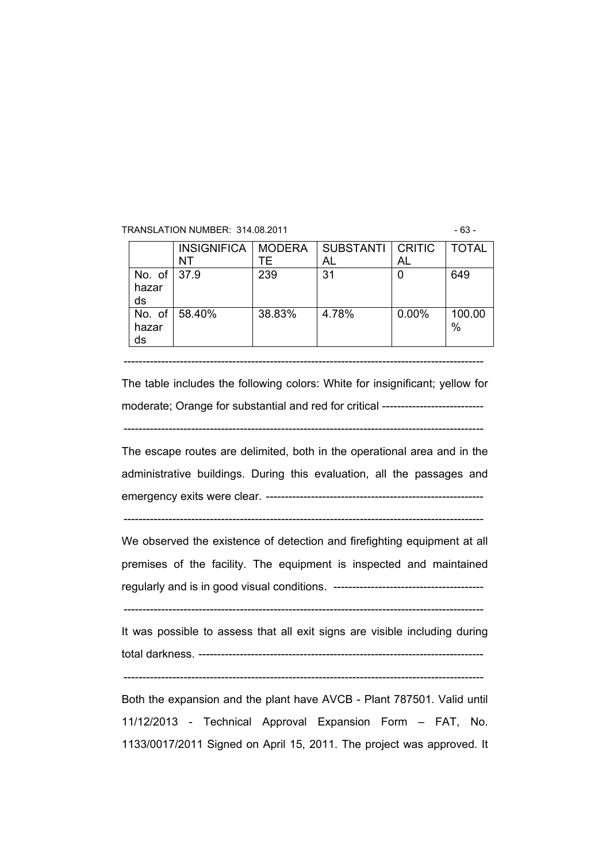TRANSLATION NUMBER: 314.08.2011 - 63 -

|                               | INSIGNIFICA   MODERA |        | SUBSTANTI   CRITIC |          | <b>TOTAL</b>   |
|-------------------------------|----------------------|--------|--------------------|----------|----------------|
|                               | NT                   | ΤF     | AL                 | AL       |                |
| No. of $ 37.9$<br>hazar<br>ds |                      | 239    | 31                 |          | 649            |
| hazar<br>ds                   | No. of 58.40%        | 38.83% | 4.78%              | $0.00\%$ | 100.00<br>$\%$ |

The table includes the following colors: White for insignificant; yellow for moderate; Orange for substantial and red for critical ---------------------------

------------------------------------------------------------------------------------------------

------------------------------------------------------------------------------------------------

The escape routes are delimited, both in the operational area and in the administrative buildings. During this evaluation, all the passages and emergency exits were clear. ----------------------------------------------------------

------------------------------------------------------------------------------------------------

We observed the existence of detection and firefighting equipment at all premises of the facility. The equipment is inspected and maintained regularly and is in good visual conditions. ----------------------------------------

------------------------------------------------------------------------------------------------

It was possible to assess that all exit signs are visible including during total darkness. ----------------------------------------------------------------------------

------------------------------------------------------------------------------------------------

Both the expansion and the plant have AVCB - Plant 787501. Valid until 11/12/2013 - Technical Approval Expansion Form – FAT, No. 1133/0017/2011 Signed on April 15, 2011. The project was approved. It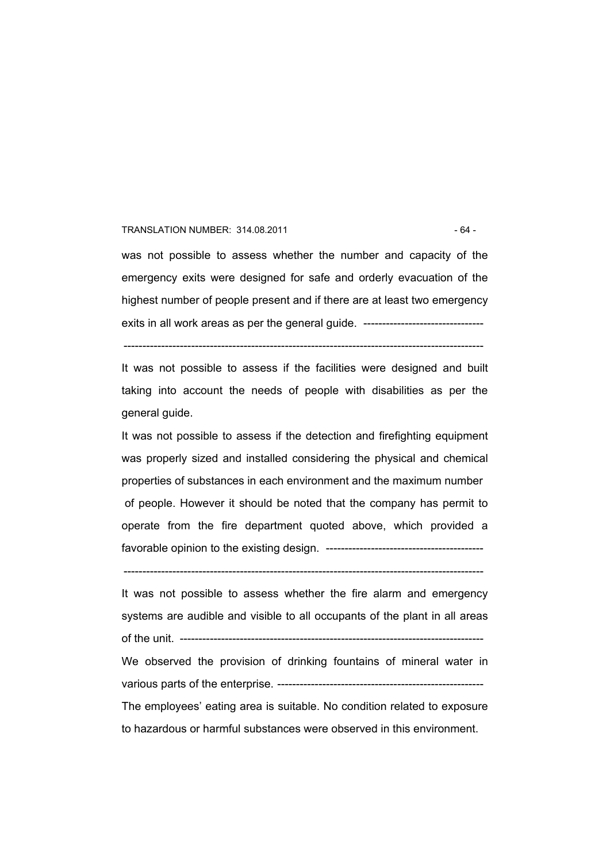#### TRANSLATION NUMBER: 314.08.2011 - 64 -

was not possible to assess whether the number and capacity of the emergency exits were designed for safe and orderly evacuation of the highest number of people present and if there are at least two emergency exits in all work areas as per the general guide. ------------------------------

It was not possible to assess if the facilities were designed and built taking into account the needs of people with disabilities as per the general guide.

------------------------------------------------------------------------------------------------

It was not possible to assess if the detection and firefighting equipment was properly sized and installed considering the physical and chemical properties of substances in each environment and the maximum number of people. However it should be noted that the company has permit to operate from the fire department quoted above, which provided a favorable opinion to the existing design. ------------------------------------------

------------------------------------------------------------------------------------------------

It was not possible to assess whether the fire alarm and emergency systems are audible and visible to all occupants of the plant in all areas of the unit. --------------------------------------------------------------------------------- We observed the provision of drinking fountains of mineral water in various parts of the enterprise. ------------------------------------------------------- The employees' eating area is suitable. No condition related to exposure to hazardous or harmful substances were observed in this environment.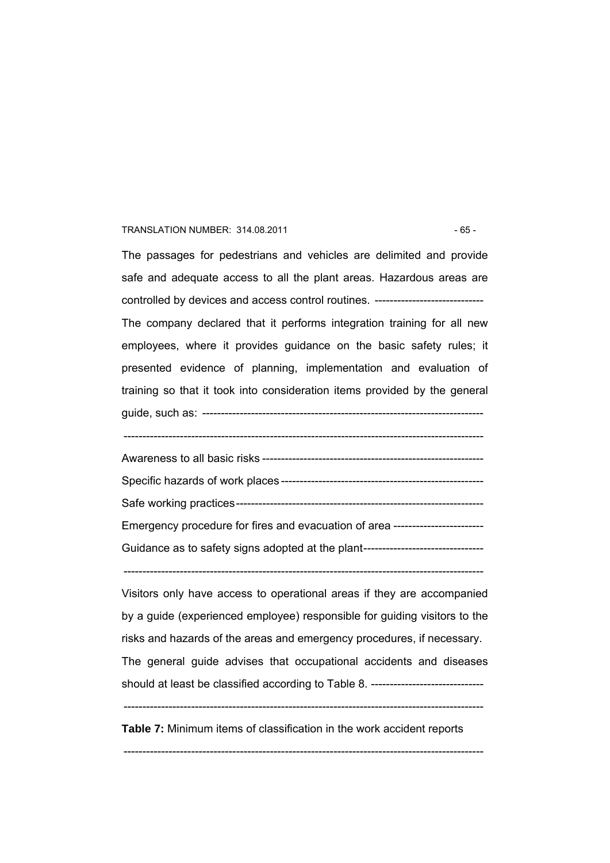#### TRANSLATION NUMBER: 314.08.2011 - 65 -

The passages for pedestrians and vehicles are delimited and provide safe and adequate access to all the plant areas. Hazardous areas are controlled by devices and access control routines. ----------------------------- The company declared that it performs integration training for all new employees, where it provides guidance on the basic safety rules; it presented evidence of planning, implementation and evaluation of training so that it took into consideration items provided by the general

guide, such as: ---------------------------------------------------------------------------

------------------------------------------------------------------------------------------------

Awareness to all basic risks ----------------------------------------------------------- Specific hazards of work places ------------------------------------------------------ Safe working practices------------------------------------------------------------------ Emergency procedure for fires and evacuation of area ------------------------ Guidance as to safety signs adopted at the plant---------------------------------

------------------------------------------------------------------------------------------------

Visitors only have access to operational areas if they are accompanied by a guide (experienced employee) responsible for guiding visitors to the risks and hazards of the areas and emergency procedures, if necessary. The general guide advises that occupational accidents and diseases should at least be classified according to Table 8. ------------------------------ ------------------------------------------------------------------------------------------------

**Table 7:** Minimum items of classification in the work accident reports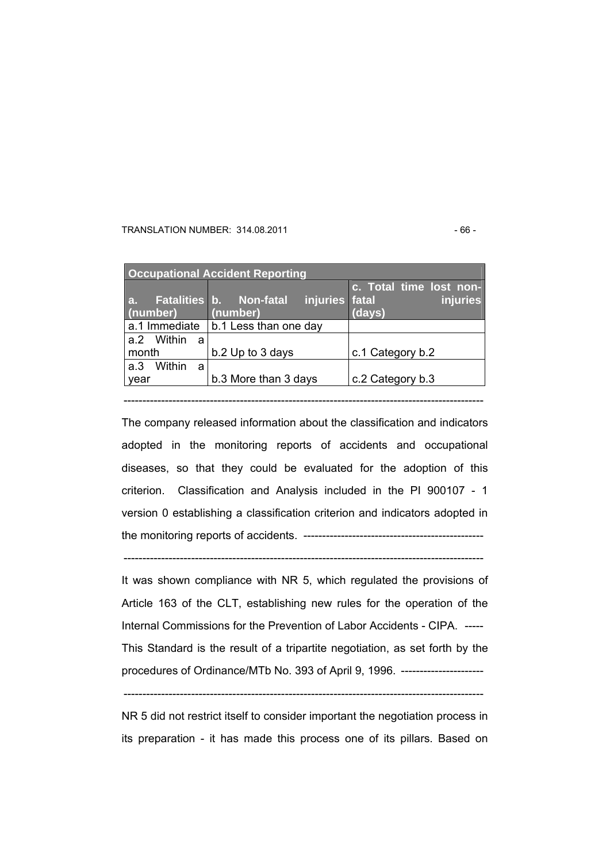#### TRANSLATION NUMBER: 314.08.2011 - 66 -

| <b>Occupational Accident Reporting</b> |                                                       |                                               |  |  |
|----------------------------------------|-------------------------------------------------------|-----------------------------------------------|--|--|
| a.<br>(number)                         | Fatalities b. Non-fatal<br>injuries fatal<br>(number) | c. Total time lost non-<br>injuries<br>(days) |  |  |
| a.1 Immediate                          | b.1 Less than one day                                 |                                               |  |  |
| a.2 Within<br>a                        |                                                       |                                               |  |  |
| month                                  | b.2 Up to 3 days                                      | c.1 Category b.2                              |  |  |
| Within<br>a.3<br>a                     |                                                       |                                               |  |  |
| b.3 More than 3 days<br>year           |                                                       | c.2 Category b.3                              |  |  |
|                                        |                                                       |                                               |  |  |

------------------------------------------------------------------------------------------------

The company released information about the classification and indicators adopted in the monitoring reports of accidents and occupational diseases, so that they could be evaluated for the adoption of this criterion. Classification and Analysis included in the PI 900107 - 1 version 0 establishing a classification criterion and indicators adopted in the monitoring reports of accidents. ------------------------------------------------

It was shown compliance with NR 5, which regulated the provisions of Article 163 of the CLT, establishing new rules for the operation of the Internal Commissions for the Prevention of Labor Accidents - CIPA. ----- This Standard is the result of a tripartite negotiation, as set forth by the procedures of Ordinance/MTb No. 393 of April 9, 1996. ----------------------

------------------------------------------------------------------------------------------------

------------------------------------------------------------------------------------------------

NR 5 did not restrict itself to consider important the negotiation process in its preparation - it has made this process one of its pillars. Based on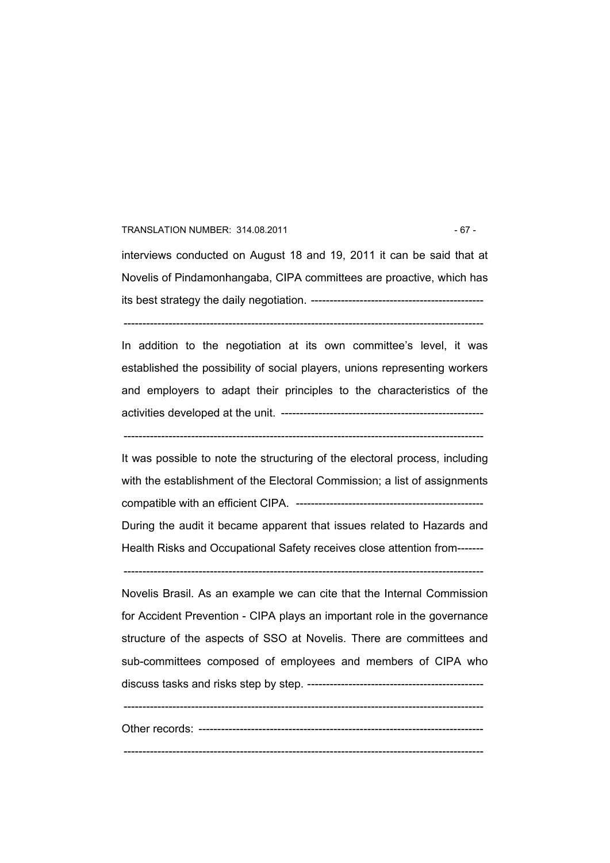#### TRANSLATION NUMBER: 314.08.2011 - 67 -

interviews conducted on August 18 and 19, 2011 it can be said that at Novelis of Pindamonhangaba, CIPA committees are proactive, which has its best strategy the daily negotiation. ----------------------------------------------

------------------------------------------------------------------------------------------------

In addition to the negotiation at its own committee's level, it was established the possibility of social players, unions representing workers and employers to adapt their principles to the characteristics of the activities developed at the unit. ------------------------------------------------------

------------------------------------------------------------------------------------------------

It was possible to note the structuring of the electoral process, including with the establishment of the Electoral Commission; a list of assignments compatible with an efficient CIPA. -------------------------------------------------- During the audit it became apparent that issues related to Hazards and Health Risks and Occupational Safety receives close attention from-------

------------------------------------------------------------------------------------------------

Novelis Brasil. As an example we can cite that the Internal Commission for Accident Prevention - CIPA plays an important role in the governance structure of the aspects of SSO at Novelis. There are committees and sub-committees composed of employees and members of CIPA who discuss tasks and risks step by step. -----------------------------------------------

------------------------------------------------------------------------------------------------

Other records: ----------------------------------------------------------------------------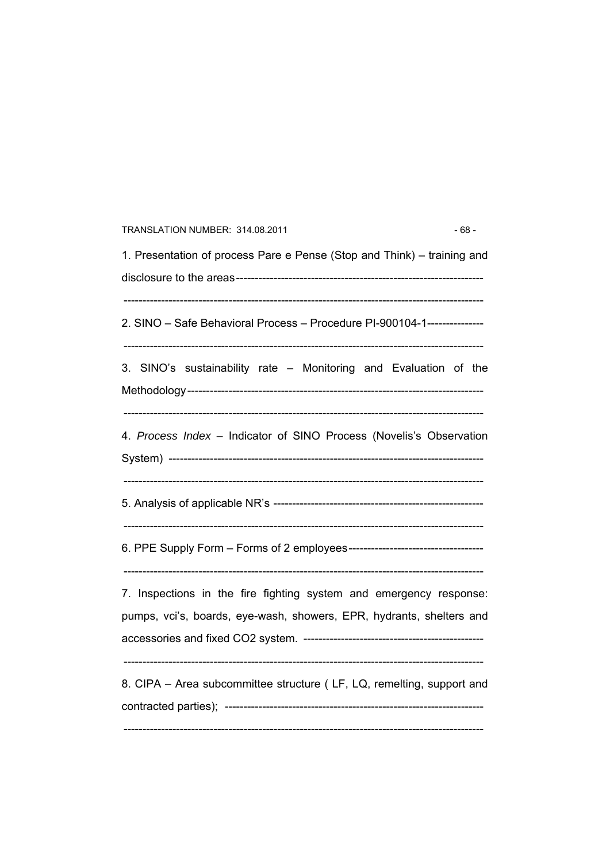| TRANSLATION NUMBER: 314.08.2011                                                                                                            | - 68 - |
|--------------------------------------------------------------------------------------------------------------------------------------------|--------|
| 1. Presentation of process Pare e Pense (Stop and Think) – training and                                                                    |        |
| 2. SINO - Safe Behavioral Process - Procedure PI-900104-1---------------                                                                   |        |
| 3. SINO's sustainability rate - Monitoring and Evaluation of the                                                                           |        |
| 4. Process Index - Indicator of SINO Process (Novelis's Observation                                                                        |        |
|                                                                                                                                            |        |
|                                                                                                                                            |        |
| 7. Inspections in the fire fighting system and emergency response:<br>pumps, vci's, boards, eye-wash, showers, EPR, hydrants, shelters and |        |
| 8. CIPA - Area subcommittee structure (LF, LQ, remelting, support and                                                                      |        |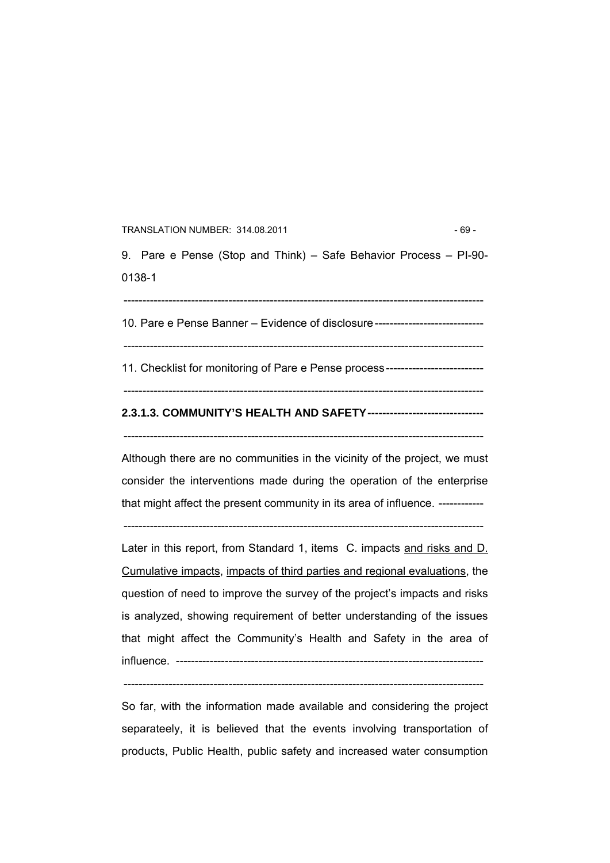#### TRANSLATION NUMBER: 314.08.2011 - 69 -

9. Pare e Pense (Stop and Think) – Safe Behavior Process – PI-90- 0138-1

------------------------------------------------------------------------------------------------

10. Pare e Pense Banner – Evidence of disclosure-----------------------------

11. Checklist for monitoring of Pare e Pense process--------------------------

------------------------------------------------------------------------------------------------

 $-$ 

# **2.3.1.3. COMMUNITY'S HEALTH AND SAFETY-------------------------------**

------------------------------------------------------------------------------------------------

Although there are no communities in the vicinity of the project, we must consider the interventions made during the operation of the enterprise that might affect the present community in its area of influence. ------------

------------------------------------------------------------------------------------------------

Later in this report, from Standard 1, items C. impacts and risks and D. Cumulative impacts, impacts of third parties and regional evaluations, the question of need to improve the survey of the project's impacts and risks is analyzed, showing requirement of better understanding of the issues that might affect the Community's Health and Safety in the area of influence. ----------------------------------------------------------------------------------

------------------------------------------------------------------------------------------------

So far, with the information made available and considering the project separateely, it is believed that the events involving transportation of products, Public Health, public safety and increased water consumption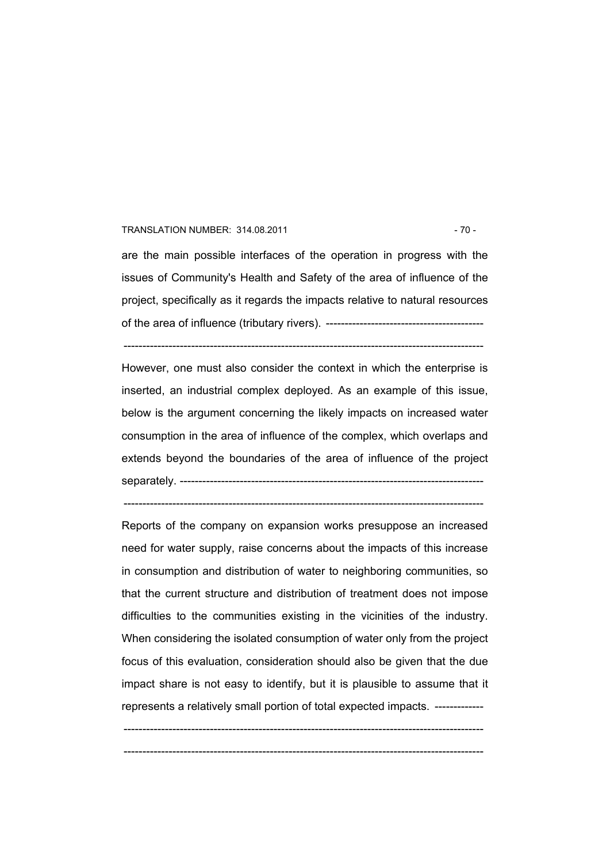#### TRANSLATION NUMBER: 314.08.2011 - 70 -

are the main possible interfaces of the operation in progress with the issues of Community's Health and Safety of the area of influence of the project, specifically as it regards the impacts relative to natural resources of the area of influence (tributary rivers). ------------------------------------------

------------------------------------------------------------------------------------------------

However, one must also consider the context in which the enterprise is inserted, an industrial complex deployed. As an example of this issue, below is the argument concerning the likely impacts on increased water consumption in the area of influence of the complex, which overlaps and extends beyond the boundaries of the area of influence of the project separately. ---------------------------------------------------------------------------------

------------------------------------------------------------------------------------------------

Reports of the company on expansion works presuppose an increased need for water supply, raise concerns about the impacts of this increase in consumption and distribution of water to neighboring communities, so that the current structure and distribution of treatment does not impose difficulties to the communities existing in the vicinities of the industry. When considering the isolated consumption of water only from the project focus of this evaluation, consideration should also be given that the due impact share is not easy to identify, but it is plausible to assume that it represents a relatively small portion of total expected impacts. -------------

------------------------------------------------------------------------------------------------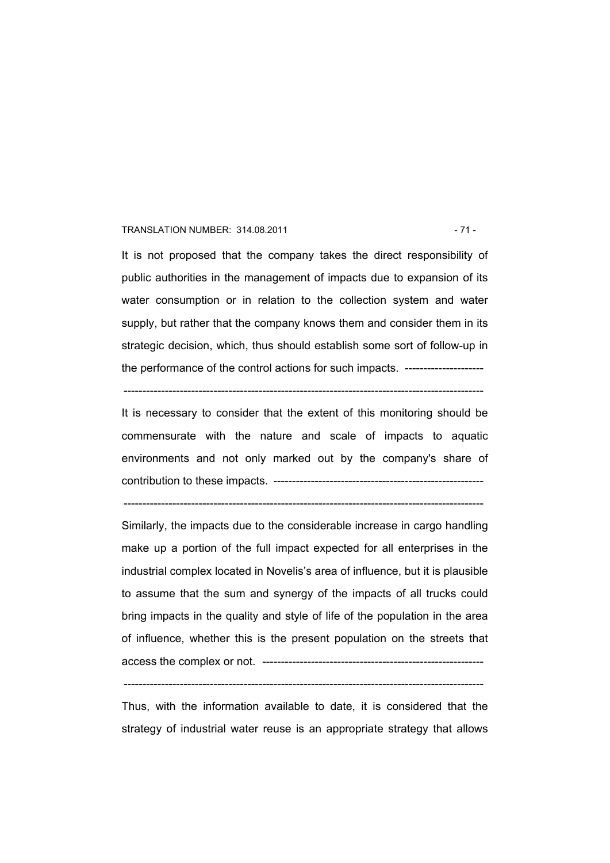#### TRANSLATION NUMBER: 314.08.2011 - 71 -

It is not proposed that the company takes the direct responsibility of public authorities in the management of impacts due to expansion of its water consumption or in relation to the collection system and water supply, but rather that the company knows them and consider them in its strategic decision, which, thus should establish some sort of follow-up in the performance of the control actions for such impacts. ---------------------

------------------------------------------------------------------------------------------------

It is necessary to consider that the extent of this monitoring should be commensurate with the nature and scale of impacts to aquatic environments and not only marked out by the company's share of contribution to these impacts. --------------------------------------------------------

------------------------------------------------------------------------------------------------

Similarly, the impacts due to the considerable increase in cargo handling make up a portion of the full impact expected for all enterprises in the industrial complex located in Novelis's area of influence, but it is plausible to assume that the sum and synergy of the impacts of all trucks could bring impacts in the quality and style of life of the population in the area of influence, whether this is the present population on the streets that access the complex or not. -----------------------------------------------------------

------------------------------------------------------------------------------------------------

Thus, with the information available to date, it is considered that the strategy of industrial water reuse is an appropriate strategy that allows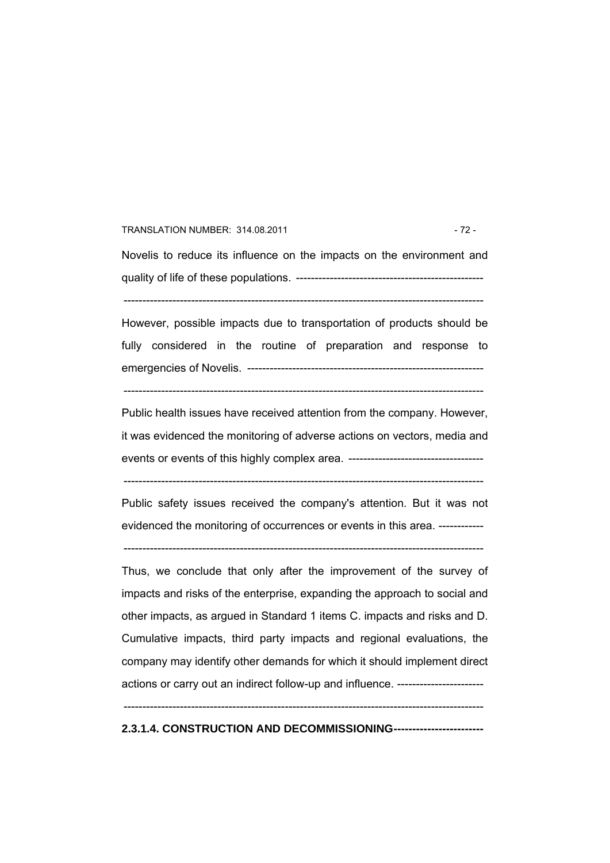#### TRANSLATION NUMBER: 314.08.2011 - 72 -

Novelis to reduce its influence on the impacts on the environment and quality of life of these populations. --------------------------------------------------

------------------------------------------------------------------------------------------------

However, possible impacts due to transportation of products should be fully considered in the routine of preparation and response to emergencies of Novelis. --------------------------------------------------------------- ------------------------------------------------------------------------------------------------

Public health issues have received attention from the company. However, it was evidenced the monitoring of adverse actions on vectors, media and events or events of this highly complex area. ------------------------------------

------------------------------------------------------------------------------------------------

Public safety issues received the company's attention. But it was not evidenced the monitoring of occurrences or events in this area. ------------

------------------------------------------------------------------------------------------------

Thus, we conclude that only after the improvement of the survey of impacts and risks of the enterprise, expanding the approach to social and other impacts, as argued in Standard 1 items C. impacts and risks and D. Cumulative impacts, third party impacts and regional evaluations, the company may identify other demands for which it should implement direct actions or carry out an indirect follow-up and influence. -----------------------

------------------------------------------------------------------------------------------------

**2.3.1.4. CONSTRUCTION AND DECOMMISSIONING------------------------**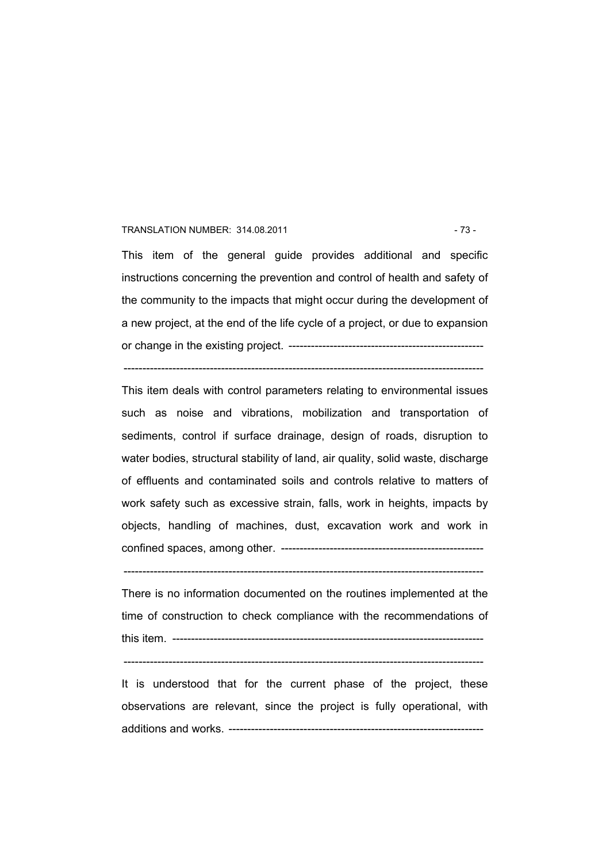#### TRANSLATION NUMBER: 314.08.2011 - 73 -

This item of the general guide provides additional and specific instructions concerning the prevention and control of health and safety of the community to the impacts that might occur during the development of a new project, at the end of the life cycle of a project, or due to expansion or change in the existing project. ----------------------------------------------------

------------------------------------------------------------------------------------------------

This item deals with control parameters relating to environmental issues such as noise and vibrations, mobilization and transportation of sediments, control if surface drainage, design of roads, disruption to water bodies, structural stability of land, air quality, solid waste, discharge of effluents and contaminated soils and controls relative to matters of work safety such as excessive strain, falls, work in heights, impacts by objects, handling of machines, dust, excavation work and work in confined spaces, among other. ------------------------------------------------------

------------------------------------------------------------------------------------------------

There is no information documented on the routines implemented at the time of construction to check compliance with the recommendations of this item. -----------------------------------------------------------------------------------

 $-$ 

It is understood that for the current phase of the project, these observations are relevant, since the project is fully operational, with additions and works. --------------------------------------------------------------------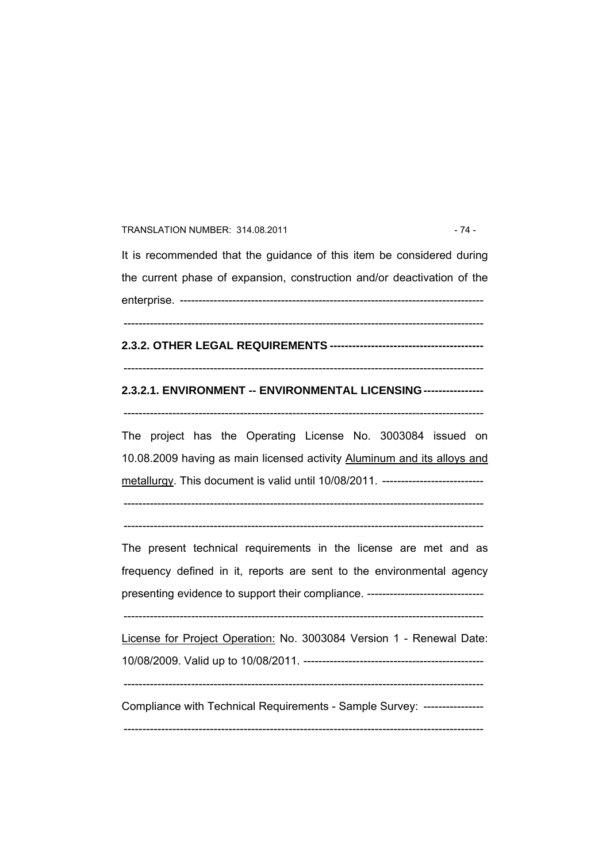#### TRANSLATION NUMBER: 314.08.2011 - 74 -

It is recommended that the guidance of this item be considered during the current phase of expansion, construction and/or deactivation of the enterprise. --------------------------------------------------------------------------------- ------------------------------------------------------------------------------------------------

**2.3.2. OTHER LEGAL REQUIREMENTS -----------------------------------------** 

## ------------------------------------------------------------------------------------------------

## **2.3.2.1. ENVIRONMENT -- ENVIRONMENTAL LICENSING----------------**

------------------------------------------------------------------------------------------------

The project has the Operating License No. 3003084 issued on 10.08.2009 having as main licensed activity Aluminum and its alloys and metallurgy. This document is valid until 10/08/2011. ---------------------------

------------------------------------------------------------------------------------------------  $-$ 

The present technical requirements in the license are met and as frequency defined in it, reports are sent to the environmental agency presenting evidence to support their compliance. --------------------------------

------------------------------------------------------------------------------------------------

License for Project Operation: No. 3003084 Version 1 - Renewal Date: 10/08/2009. Valid up to 10/08/2011. ------------------------------------------------

------------------------------------------------------------------------------------------------

Compliance with Technical Requirements - Sample Survey: ----------------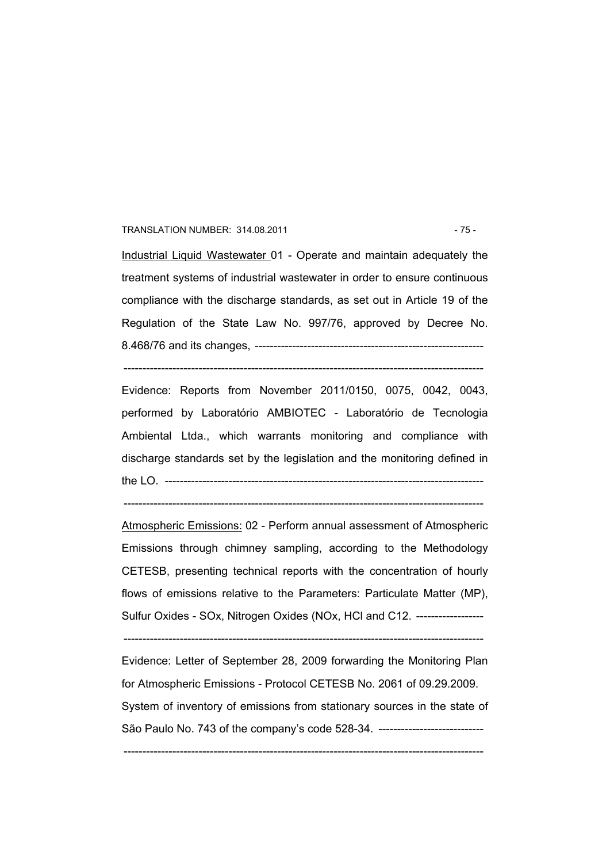#### TRANSLATION NUMBER: 314.08.2011 - 75 -

Industrial Liquid Wastewater 01 - Operate and maintain adequately the treatment systems of industrial wastewater in order to ensure continuous compliance with the discharge standards, as set out in Article 19 of the Regulation of the State Law No. 997/76, approved by Decree No. 8.468/76 and its changes, -------------------------------------------------------------

------------------------------------------------------------------------------------------------

Evidence: Reports from November 2011/0150, 0075, 0042, 0043, performed by Laboratório AMBIOTEC - Laboratório de Tecnologia Ambiental Ltda., which warrants monitoring and compliance with discharge standards set by the legislation and the monitoring defined in the LO. -------------------------------------------------------------------------------------

------------------------------------------------------------------------------------------------

Atmospheric Emissions: 02 - Perform annual assessment of Atmospheric Emissions through chimney sampling, according to the Methodology CETESB, presenting technical reports with the concentration of hourly flows of emissions relative to the Parameters: Particulate Matter (MP), Sulfur Oxides - SOx, Nitrogen Oxides (NOx, HCl and C12. ------------------

------------------------------------------------------------------------------------------------

Evidence: Letter of September 28, 2009 forwarding the Monitoring Plan for Atmospheric Emissions - Protocol CETESB No. 2061 of 09.29.2009. System of inventory of emissions from stationary sources in the state of São Paulo No. 743 of the company's code 528-34. --------------------------------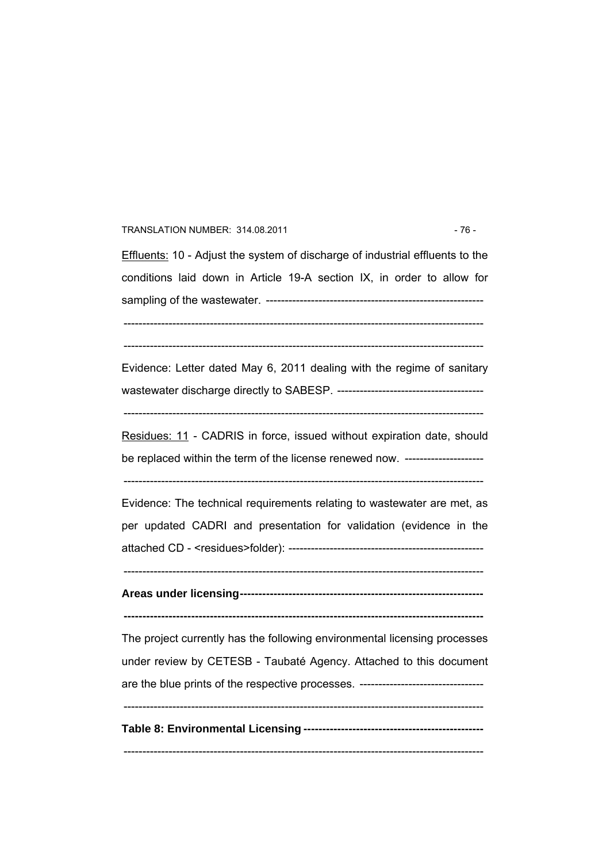#### TRANSLATION NUMBER: 314.08.2011 - 76 -

Effluents: 10 - Adjust the system of discharge of industrial effluents to the conditions laid down in Article 19-A section IX, in order to allow for sampling of the wastewater. ---------------------------------------------------------- ------------------------------------------------------------------------------------------------

------------------------------------------------------------------------------------------------

Evidence: Letter dated May 6, 2011 dealing with the regime of sanitary wastewater discharge directly to SABESP. ---------------------------------------

------------------------------------------------------------------------------------------------

Residues: 11 - CADRIS in force, issued without expiration date, should be replaced within the term of the license renewed now. -----------------------

------------------------------------------------------------------------------------------------

Evidence: The technical requirements relating to wastewater are met, as per updated CADRI and presentation for validation (evidence in the attached CD - <residues>folder): ----------------------------------------------------

------------------------------------------------------------------------------------------------

**Areas under licensing-----------------------------------------------------------------** 

**------------------------------------------------------------------------------------------------** 

The project currently has the following environmental licensing processes under review by CETESB - Taubaté Agency. Attached to this document are the blue prints of the respective processes. -------------------------------- $-$ 

**Table 8: Environmental Licensing ------------------------------------------------**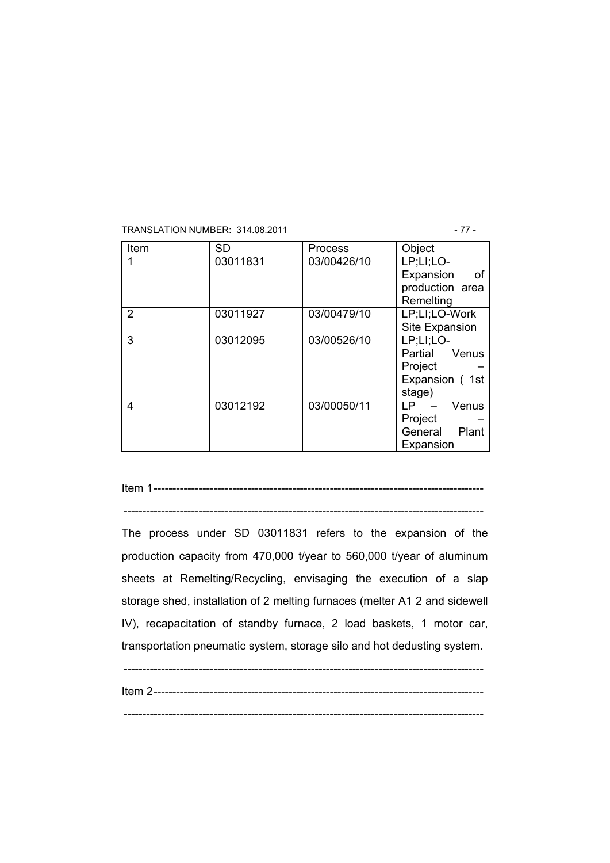#### TRANSLATION NUMBER: 314.08.2011 - 77 -

| Item | SD       | <b>Process</b> | Object           |  |  |
|------|----------|----------------|------------------|--|--|
|      | 03011831 | 03/00426/10    | LP;LI;LO-        |  |  |
|      |          |                | Expansion<br>οf  |  |  |
|      |          |                | production area  |  |  |
|      |          |                | Remelting        |  |  |
| 2    | 03011927 | 03/00479/10    | LP;LI;LO-Work    |  |  |
|      |          |                | Site Expansion   |  |  |
| 3    | 03012095 | 03/00526/10    | LP;LI;LO-        |  |  |
|      |          |                | Partial<br>Venus |  |  |
|      |          |                | Project          |  |  |
|      |          |                | Expansion (1st   |  |  |
|      |          |                | stage)           |  |  |
| 4    | 03012192 | 03/00050/11    | LP<br>Venus      |  |  |
|      |          |                | Project          |  |  |
|      |          |                | General<br>Plant |  |  |
|      |          |                | Expansion        |  |  |

Item 1----------------------------------------------------------------------------------------

------------------------------------------------------------------------------------------------

The process under SD 03011831 refers to the expansion of the production capacity from 470,000 t/year to 560,000 t/year of aluminum sheets at Remelting/Recycling, envisaging the execution of a slap storage shed, installation of 2 melting furnaces (melter A1 2 and sidewell IV), recapacitation of standby furnace, 2 load baskets, 1 motor car, transportation pneumatic system, storage silo and hot dedusting system.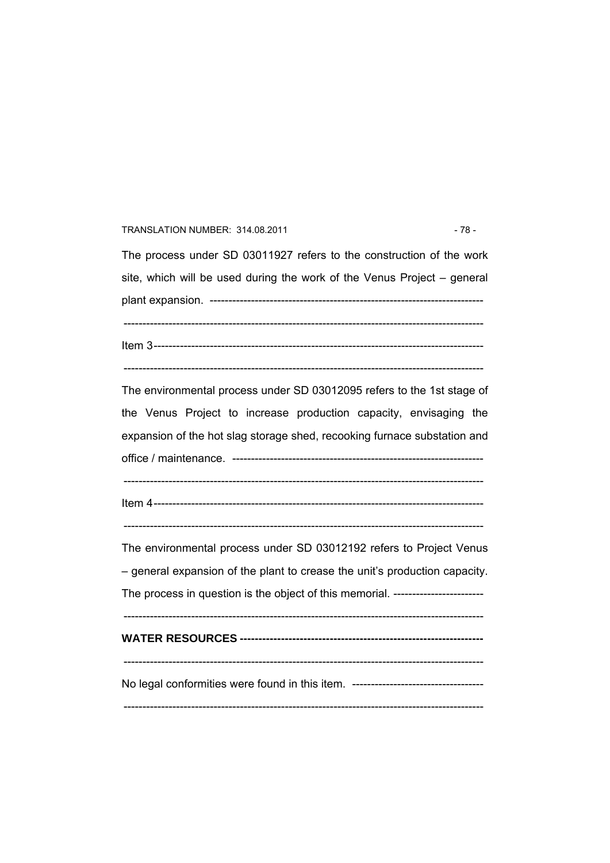#### TRANSLATION NUMBER: 314.08.2011 - 78 -

The process under SD 03011927 refers to the construction of the work site, which will be used during the work of the Venus Project – general plant expansion. ------------------------------------------------------------------------- ------------------------------------------------------------------------------------------------ Item 3----------------------------------------------------------------------------------------

------------------------------------------------------------------------------------------------

The environmental process under SD 03012095 refers to the 1st stage of the Venus Project to increase production capacity, envisaging the expansion of the hot slag storage shed, recooking furnace substation and office / maintenance. ------------------------------------------------------------------- ------------------------------------------------------------------------------------------------

Item 4----------------------------------------------------------------------------------------

 $-$ 

The environmental process under SD 03012192 refers to Project Venus – general expansion of the plant to crease the unit's production capacity. The process in question is the object of this memorial. ------------------------

------------------------------------------------------------------------------------------------ **WATER RESOURCES -----------------------------------------------------------------** 

 $-$ 

No legal conformities were found in this item. ----------------------------------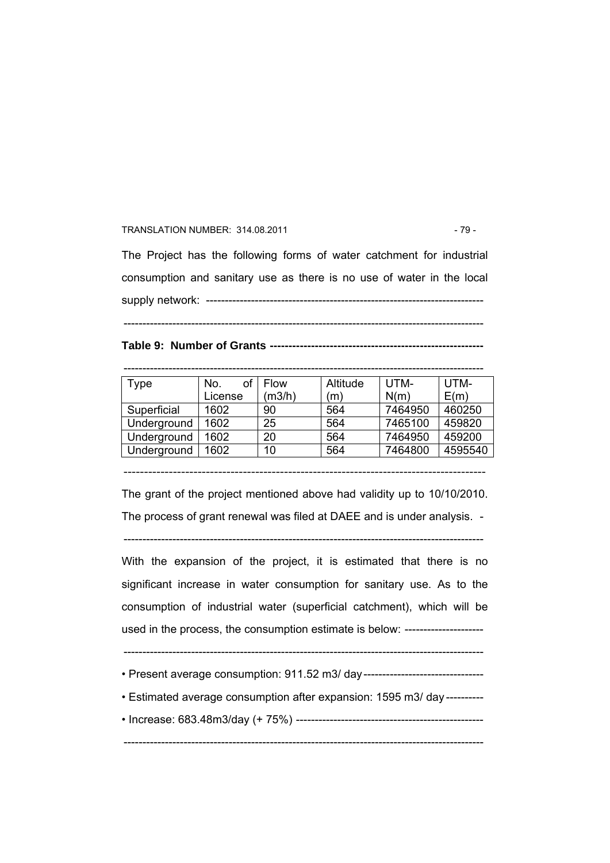#### TRANSLATION NUMBER: 314.08.2011 - 79 -

The Project has the following forms of water catchment for industrial consumption and sanitary use as there is no use of water in the local

supply network: --------------------------------------------------------------------------

------------------------------------------------------------------------------------------------

**Table 9: Number of Grants ---------------------------------------------------------** 

------------------------------------------------------------------------------------------------

| Type        | No.<br>License | <b>Flow</b><br>(m3/h) | Altitude<br>(m` | UTM-<br>N(m) | UTM-<br>E(m) |
|-------------|----------------|-----------------------|-----------------|--------------|--------------|
| Superficial | 1602           | 90                    | 564             | 7464950      | 460250       |
| Underground | 1602           | 25                    | 564             | 7465100      | 459820       |
| Underground | 1602           | 20                    | 564             | 7464950      | 459200       |
| Underground | 1602           | 10                    | 564             | 7464800      | 4595540      |

----------------------------------------------------------------------------------------

The grant of the project mentioned above had validity up to 10/10/2010. The process of grant renewal was filed at DAEE and is under analysis. -

------------------------------------------------------------------------------------------------

With the expansion of the project, it is estimated that there is no significant increase in water consumption for sanitary use. As to the consumption of industrial water (superficial catchment), which will be used in the process, the consumption estimate is below: ---------------------

------------------------------------------------------------------------------------------------

- Present average consumption: 911.52 m3/ day----------------------------------
- Estimated average consumption after expansion: 1595 m3/ day ----------
- Increase: 683.48m3/day (+ 75%) --------------------------------------------------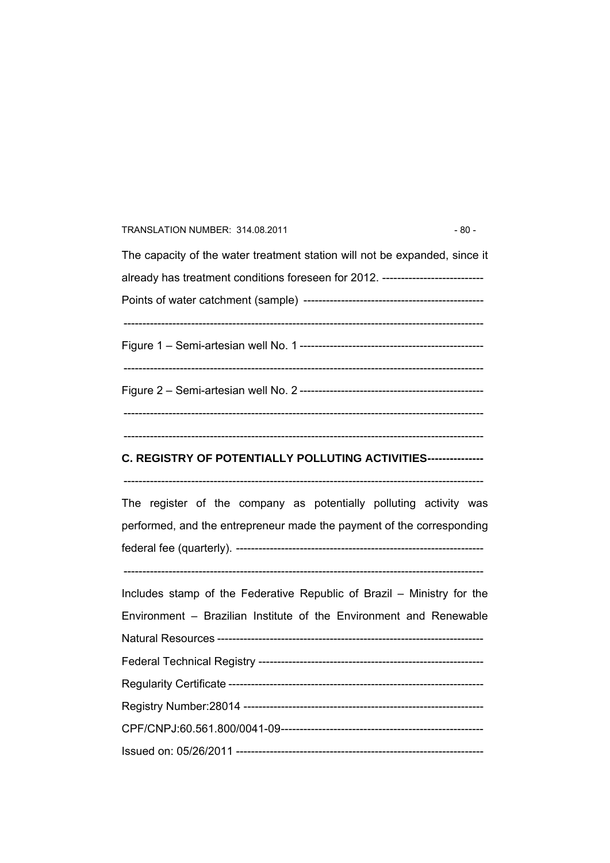| $-80-$<br>TRANSLATION NUMBER: 314.08.2011                                                                                                  |
|--------------------------------------------------------------------------------------------------------------------------------------------|
| The capacity of the water treatment station will not be expanded, since it                                                                 |
| already has treatment conditions foreseen for 2012. ---------------------------                                                            |
|                                                                                                                                            |
|                                                                                                                                            |
|                                                                                                                                            |
| C. REGISTRY OF POTENTIALLY POLLUTING ACTIVITIES---------------                                                                             |
| The register of the company as potentially polluting activity was<br>performed, and the entrepreneur made the payment of the corresponding |
|                                                                                                                                            |
| Includes stamp of the Federative Republic of Brazil - Ministry for the                                                                     |
| Environment - Brazilian Institute of the Environment and Renewable                                                                         |
|                                                                                                                                            |
|                                                                                                                                            |
|                                                                                                                                            |
|                                                                                                                                            |
|                                                                                                                                            |
|                                                                                                                                            |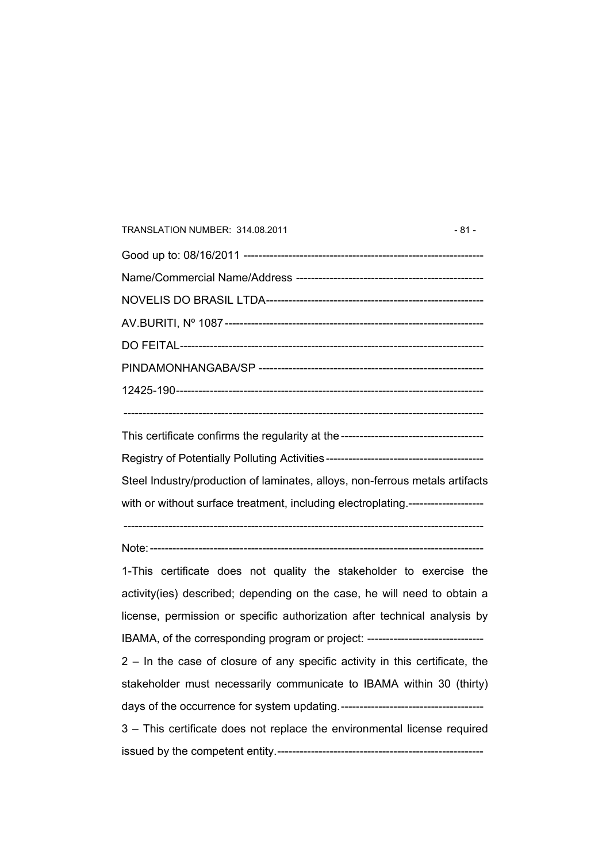| TRANSLATION NUMBER: 314.08.2011                                                 | - 81 - |
|---------------------------------------------------------------------------------|--------|
|                                                                                 |        |
|                                                                                 |        |
|                                                                                 |        |
|                                                                                 |        |
|                                                                                 |        |
|                                                                                 |        |
|                                                                                 |        |
|                                                                                 |        |
|                                                                                 |        |
| Steel Industry/production of laminates, alloys, non-ferrous metals artifacts    |        |
| with or without surface treatment, including electroplating.------------------- |        |
|                                                                                 |        |
| 1-This certificate does not quality the stakeholder to exercise the             |        |
| activity(ies) described; depending on the case, he will need to obtain a        |        |
| license, permission or specific authorization after technical analysis by       |        |
| IBAMA, of the corresponding program or project: ------------------------------- |        |
| 2 - In the case of closure of any specific activity in this certificate, the    |        |
| stakeholder must necessarily communicate to IBAMA within 30 (thirty)            |        |
|                                                                                 |        |
| 3 - This certificate does not replace the environmental license required        |        |
|                                                                                 |        |
|                                                                                 |        |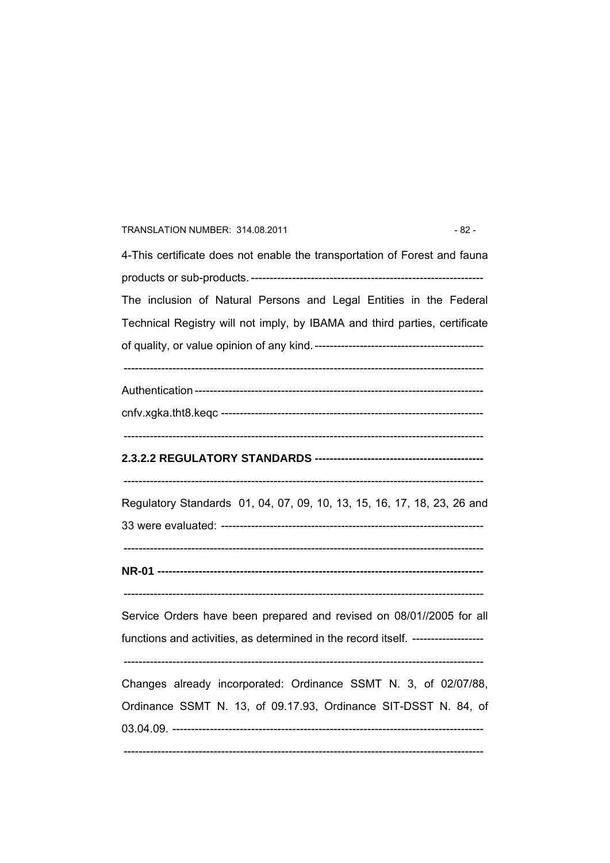# TRANSLATION NUMBER: 314.08.2011 - 82 -4-This certificate does not enable the transportation of Forest and fauna products or sub-products. -------------------------------------------------------------- The inclusion of Natural Persons and Legal Entities in the Federal Technical Registry will not imply, by IBAMA and third parties, certificate of quality, or value opinion of any kind.--------------------------------------------- ------------------------------------------------------------------------------------------------ Authentication ---------------------------------------------------------------------------- cnfv.xgka.tht8.keqc ---------------------------------------------------------------------- ------------------------------------------------------------------------------------------------ **2.3.2.2 REGULATORY STANDARDS ---------------------------------------------**  ------------------------------------------------------------------------------------------------ Regulatory Standards 01, 04, 07, 09, 10, 13, 15, 16, 17, 18, 23, 26 and 33 were evaluated: ---------------------------------------------------------------------- ------------------------------------------------------------------------------------------------ **NR-01 ---------------------------------------------------------------------------------------**   $-$ Service Orders have been prepared and revised on 08/01//2005 for all functions and activities, as determined in the record itself. ------------------- ------------------------------------------------------------------------------------------------ Changes already incorporated: Ordinance SSMT N. 3, of 02/07/88, Ordinance SSMT N. 13, of 09.17.93, Ordinance SIT-DSST N. 84, of 03.04.09. ----------------------------------------------------------------------------------- ------------------------------------------------------------------------------------------------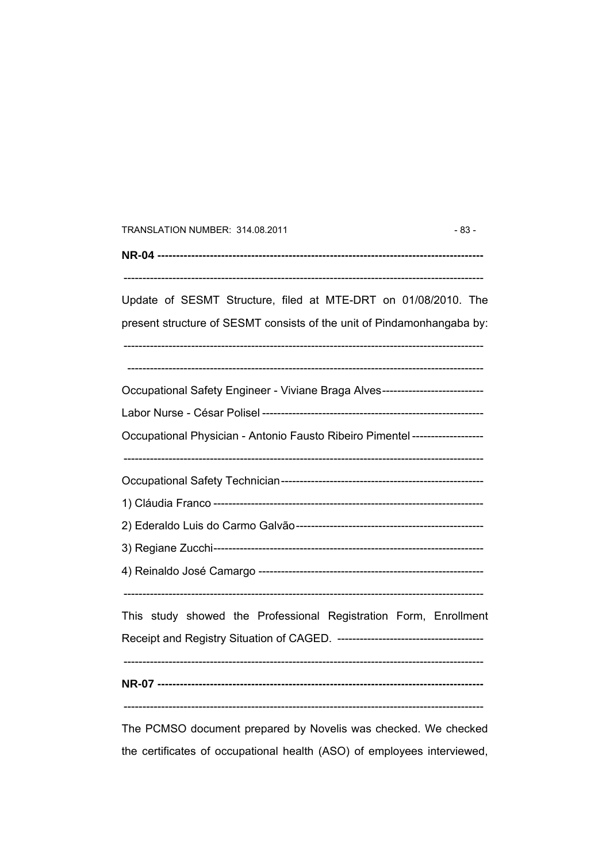| TRANSLATION NUMBER: 314.08.2011                                                |  |  |  |
|--------------------------------------------------------------------------------|--|--|--|
|                                                                                |  |  |  |
| Update of SESMT Structure, filed at MTE-DRT on 01/08/2010. The                 |  |  |  |
| present structure of SESMT consists of the unit of Pindamonhangaba by:         |  |  |  |
| Occupational Safety Engineer - Viviane Braga Alves---------------------------- |  |  |  |
|                                                                                |  |  |  |
| Occupational Physician - Antonio Fausto Ribeiro Pimentel ------------------    |  |  |  |
|                                                                                |  |  |  |
|                                                                                |  |  |  |
|                                                                                |  |  |  |
|                                                                                |  |  |  |
|                                                                                |  |  |  |
| This study showed the Professional Registration Form, Enrollment               |  |  |  |
|                                                                                |  |  |  |
|                                                                                |  |  |  |
| The DCMSO decument prepared by Nevelis was sheeked. We sheeked                 |  |  |  |

The PCMSO document prepared by Novelis was checked. We checked the certificates of occupational health (ASO) of employees interviewed,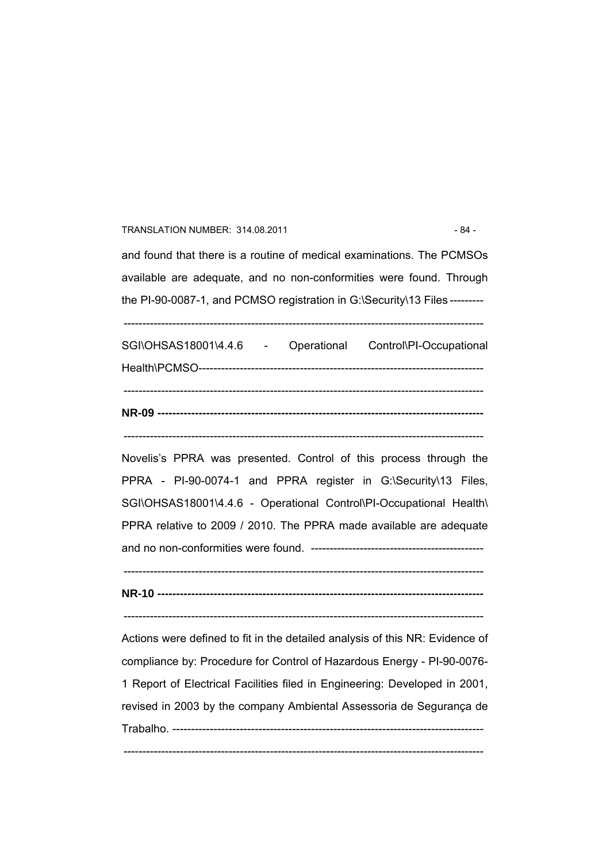#### TRANSLATION NUMBER: 314.08.2011 - 84 -

and found that there is a routine of medical examinations. The PCMSOs available are adequate, and no non-conformities were found. Through the PI-90-0087-1, and PCMSO registration in G:\Security\13 Files ---------

------------------------------------------------------------------------------------------------

|  | SGI\OHSAS18001\4.4.6 - Operational Control\PI-Occupational |
|--|------------------------------------------------------------|

------------------------------------------------------------------------------------------------

Novelis's PPRA was presented. Control of this process through the PPRA - PI-90-0074-1 and PPRA register in G:\Security\13 Files, SGI\OHSAS18001\4.4.6 - Operational Control\PI-Occupational Health\ PPRA relative to 2009 / 2010. The PPRA made available are adequate and no non-conformities were found. ----------------------------------------------

------------------------------------------------------------------------------------------------

**NR-10 ---------------------------------------------------------------------------------------** 

------------------------------------------------------------------------------------------------

Actions were defined to fit in the detailed analysis of this NR: Evidence of compliance by: Procedure for Control of Hazardous Energy - PI-90-0076- 1 Report of Electrical Facilities filed in Engineering: Developed in 2001, revised in 2003 by the company Ambiental Assessoria de Segurança de Trabalho. -----------------------------------------------------------------------------------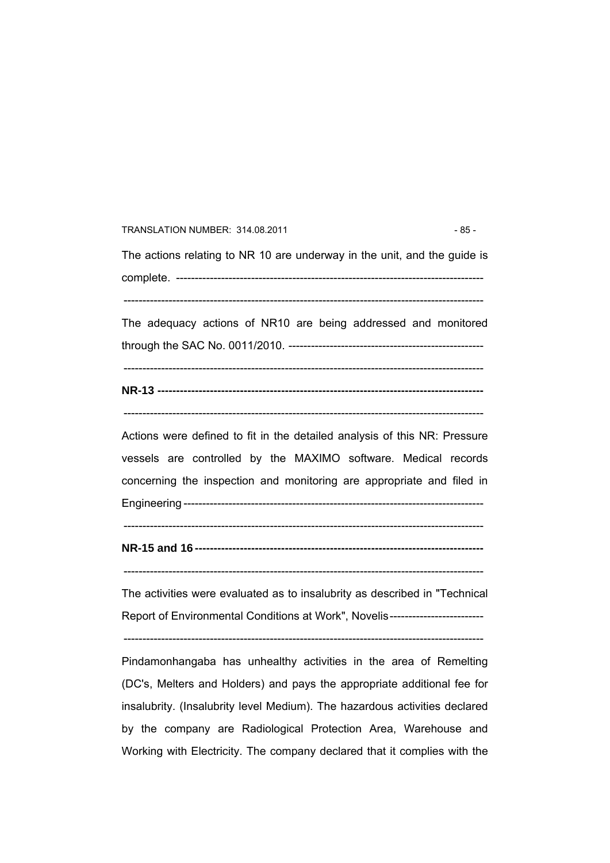TRANSLATION NUMBER: 314.08.2011 - 85 -The actions relating to NR 10 are underway in the unit, and the guide is complete. ---------------------------------------------------------------------------------- ------------------------------------------------------------------------------------------------ The adequacy actions of NR10 are being addressed and monitored through the SAC No. 0011/2010. ---------------------------------------------------- ------------------------------------------------------------------------------------------------ **NR-13 ---------------------------------------------------------------------------------------**  ------------------------------------------------------------------------------------------------ Actions were defined to fit in the detailed analysis of this NR: Pressure vessels are controlled by the MAXIMO software. Medical records concerning the inspection and monitoring are appropriate and filed in Engineering --------------------------------------------------------------------------------  $-$ **NR-15 and 16 -----------------------------------------------------------------------------**  ------------------------------------------------------------------------------------------------ The activities were evaluated as to insalubrity as described in "Technical Report of Environmental Conditions at Work", Novelis--------------------------------------------------------------------------------------------------------------------------- Pindamonhangaba has unhealthy activities in the area of Remelting (DC's, Melters and Holders) and pays the appropriate additional fee for insalubrity. (Insalubrity level Medium). The hazardous activities declared by the company are Radiological Protection Area, Warehouse and

Working with Electricity. The company declared that it complies with the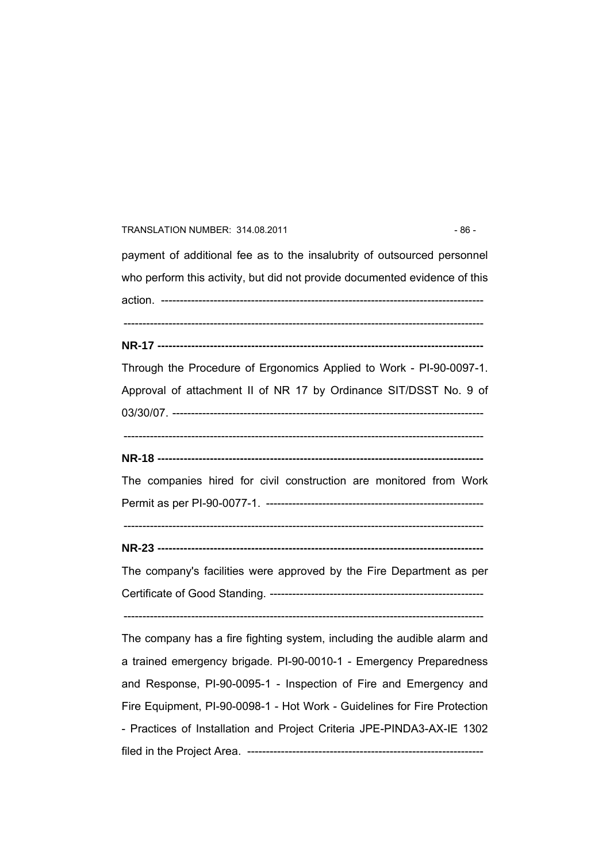#### TRANSLATION NUMBER: 314.08.2011 - 86 -

payment of additional fee as to the insalubrity of outsourced personnel who perform this activity, but did not provide documented evidence of this action. -------------------------------------------------------------------------------------- ------------------------------------------------------------------------------------------------

**NR-17 ---------------------------------------------------------------------------------------** 

Through the Procedure of Ergonomics Applied to Work - PI-90-0097-1. Approval of attachment II of NR 17 by Ordinance SIT/DSST No. 9 of 03/30/07. -----------------------------------------------------------------------------------

------------------------------------------------------------------------------------------------

**NR-18 ---------------------------------------------------------------------------------------** 

The companies hired for civil construction are monitored from Work Permit as per PI-90-0077-1. ----------------------------------------------------------

 $-$ 

**NR-23 ---------------------------------------------------------------------------------------** 

The company's facilities were approved by the Fire Department as per Certificate of Good Standing. ---------------------------------------------------------

------------------------------------------------------------------------------------------------

The company has a fire fighting system, including the audible alarm and a trained emergency brigade. PI-90-0010-1 - Emergency Preparedness and Response, PI-90-0095-1 - Inspection of Fire and Emergency and Fire Equipment, PI-90-0098-1 - Hot Work - Guidelines for Fire Protection - Practices of Installation and Project Criteria JPE-PINDA3-AX-IE 1302 filed in the Project Area. ---------------------------------------------------------------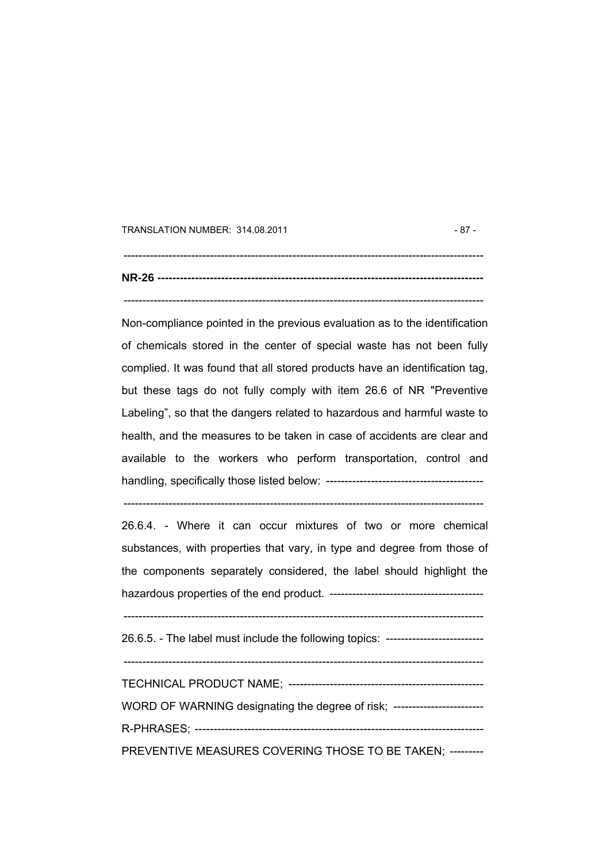TRANSLATION NUMBER: 314.08.2011 - 87 -

 $-$ **NR-26 ---------------------------------------------------------------------------------------**  ------------------------------------------------------------------------------------------------

Non-compliance pointed in the previous evaluation as to the identification of chemicals stored in the center of special waste has not been fully complied. It was found that all stored products have an identification tag, but these tags do not fully comply with item 26.6 of NR "Preventive Labeling", so that the dangers related to hazardous and harmful waste to health, and the measures to be taken in case of accidents are clear and available to the workers who perform transportation, control and handling, specifically those listed below: ------------------------------------------

------------------------------------------------------------------------------------------------

26.6.4. - Where it can occur mixtures of two or more chemical substances, with properties that vary, in type and degree from those of the components separately considered, the label should highlight the hazardous properties of the end product. ----------------------------------------- ------------------------------------------------------------------------------------------------ 26.6.5. - The label must include the following topics: -------------------------- ------------------------------------------------------------------------------------------------ TECHNICAL PRODUCT NAME; ---------------------------------------------------- WORD OF WARNING designating the degree of risk; -------------------------R-PHRASES; -----------------------------------------------------------------------------

PREVENTIVE MEASURES COVERING THOSE TO BE TAKEN; ---------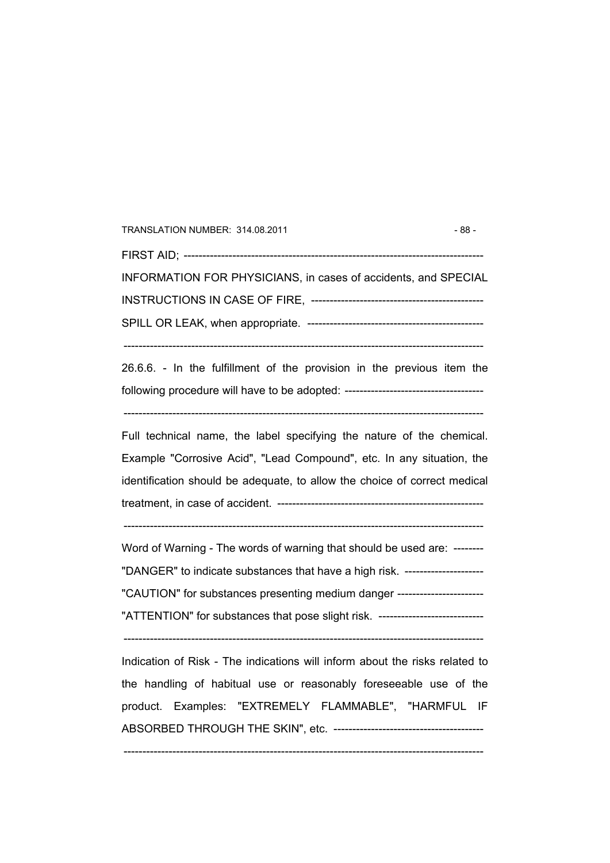TRANSLATION NUMBER: 314.08.2011 - 88 -FIRST AID; -------------------------------------------------------------------------------- INFORMATION FOR PHYSICIANS, in cases of accidents, and SPECIAL INSTRUCTIONS IN CASE OF FIRE, ---------------------------------------------- SPILL OR LEAK, when appropriate. -----------------------------------------------

26.6.6. - In the fulfillment of the provision in the previous item the following procedure will have to be adopted: -------------------------------------

------------------------------------------------------------------------------------------------

------------------------------------------------------------------------------------------------

Full technical name, the label specifying the nature of the chemical. Example "Corrosive Acid", "Lead Compound", etc. In any situation, the identification should be adequate, to allow the choice of correct medical treatment, in case of accident. -------------------------------------------------------

 $-$ 

Word of Warning - The words of warning that should be used are: -------- "DANGER" to indicate substances that have a high risk. --------------------- "CAUTION" for substances presenting medium danger ----------------------- "ATTENTION" for substances that pose slight risk. ----------------------------

------------------------------------------------------------------------------------------------

Indication of Risk - The indications will inform about the risks related to the handling of habitual use or reasonably foreseeable use of the product. Examples: "EXTREMELY FLAMMABLE", "HARMFUL IF ABSORBED THROUGH THE SKIN", etc. ----------------------------------------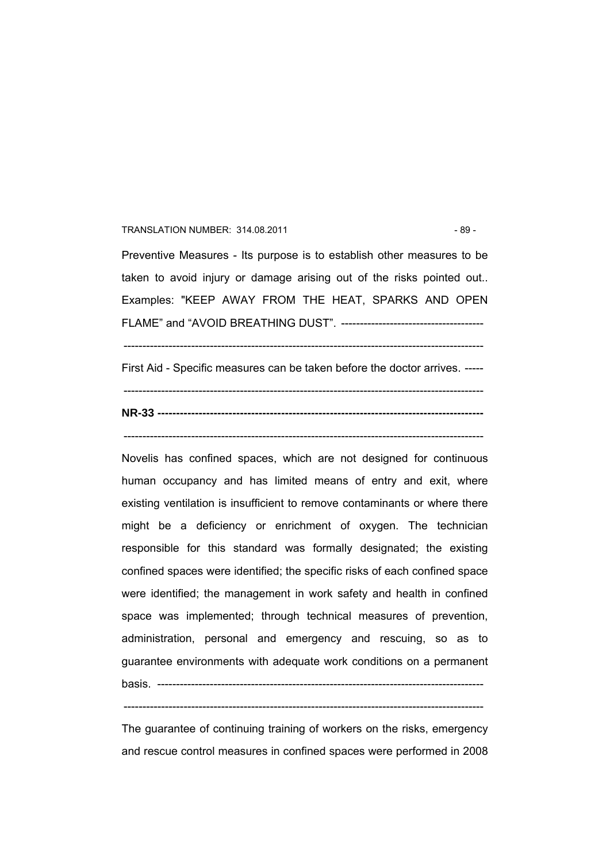#### TRANSLATION NUMBER: 314.08.2011 - 89 -

Preventive Measures - Its purpose is to establish other measures to be taken to avoid injury or damage arising out of the risks pointed out.. Examples: "KEEP AWAY FROM THE HEAT, SPARKS AND OPEN FLAME" and "AVOID BREATHING DUST". --------------------------------------

First Aid - Specific measures can be taken before the doctor arrives. -----

------------------------------------------------------------------------------------------------

 $-$ **NR-33 ---------------------------------------------------------------------------------------** 

------------------------------------------------------------------------------------------------

Novelis has confined spaces, which are not designed for continuous human occupancy and has limited means of entry and exit, where existing ventilation is insufficient to remove contaminants or where there might be a deficiency or enrichment of oxygen. The technician responsible for this standard was formally designated; the existing confined spaces were identified; the specific risks of each confined space were identified; the management in work safety and health in confined space was implemented; through technical measures of prevention, administration, personal and emergency and rescuing, so as to guarantee environments with adequate work conditions on a permanent basis. ---------------------------------------------------------------------------------------

------------------------------------------------------------------------------------------------

The guarantee of continuing training of workers on the risks, emergency and rescue control measures in confined spaces were performed in 2008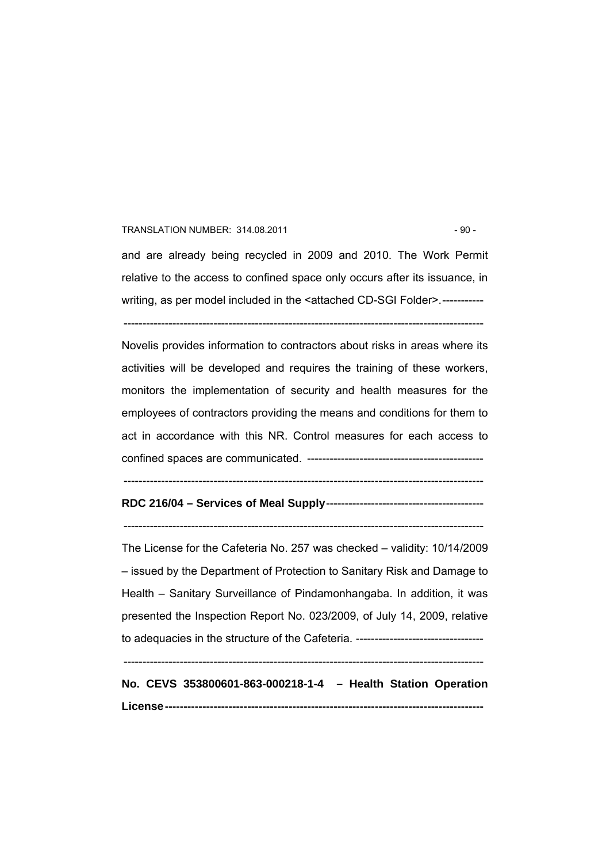#### TRANSLATION NUMBER: 314.08.2011 - 90 -

and are already being recycled in 2009 and 2010. The Work Permit relative to the access to confined space only occurs after its issuance, in

writing, as per model included in the <attached CD-SGI Folder>.-----------

------------------------------------------------------------------------------------------------

Novelis provides information to contractors about risks in areas where its activities will be developed and requires the training of these workers, monitors the implementation of security and health measures for the employees of contractors providing the means and conditions for them to act in accordance with this NR. Control measures for each access to confined spaces are communicated. -----------------------------------------------

**------------------------------------------------------------------------------------------------** 

**RDC 216/04 – Services of Meal Supply**------------------------------------------

 $-$ 

The License for the Cafeteria No. 257 was checked – validity: 10/14/2009 – issued by the Department of Protection to Sanitary Risk and Damage to Health – Sanitary Surveillance of Pindamonhangaba. In addition, it was presented the Inspection Report No. 023/2009, of July 14, 2009, relative to adequacies in the structure of the Cafeteria. ----------------------------------

------------------------------------------------------------------------------------------------

**No. CEVS 353800601-863-000218-1-4 – Health Station Operation License-------------------------------------------------------------------------------------**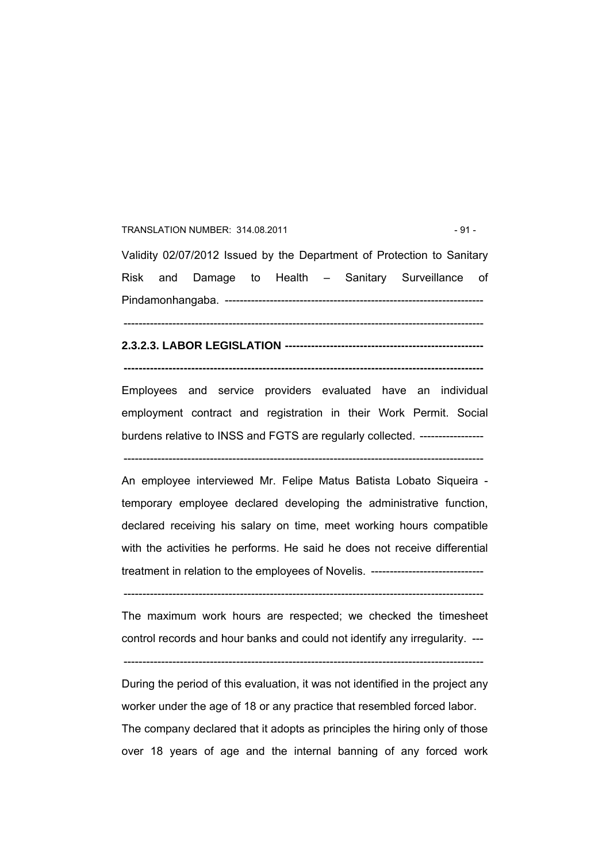### TRANSLATION NUMBER: 314.08.2011 - 91 -

Validity 02/07/2012 Issued by the Department of Protection to Sanitary Risk and Damage to Health – Sanitary Surveillance of Pindamonhangaba. --------------------------------------------------------------------- ------------------------------------------------------------------------------------------------

**2.3.2.3. LABOR LEGISLATION -----------------------------------------------------** 

**------------------------------------------------------------------------------------------------** 

Employees and service providers evaluated have an individual employment contract and registration in their Work Permit. Social burdens relative to INSS and FGTS are regularly collected. -----------------

------------------------------------------------------------------------------------------------

An employee interviewed Mr. Felipe Matus Batista Lobato Siqueira temporary employee declared developing the administrative function, declared receiving his salary on time, meet working hours compatible with the activities he performs. He said he does not receive differential treatment in relation to the employees of Novelis. ------------------------------

------------------------------------------------------------------------------------------------

The maximum work hours are respected; we checked the timesheet control records and hour banks and could not identify any irregularity. ---

------------------------------------------------------------------------------------------------

During the period of this evaluation, it was not identified in the project any worker under the age of 18 or any practice that resembled forced labor. The company declared that it adopts as principles the hiring only of those over 18 years of age and the internal banning of any forced work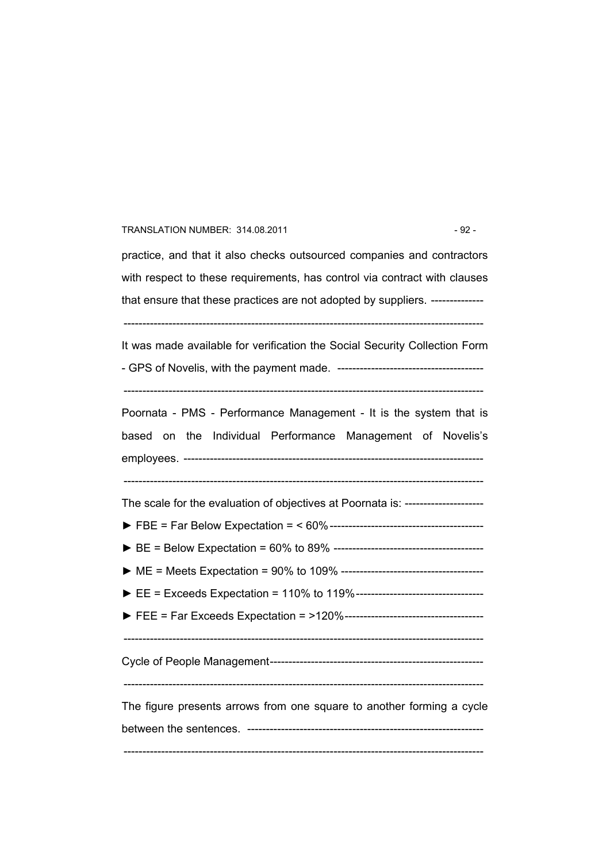#### TRANSLATION NUMBER: 314.08.2011 - 92 -

practice, and that it also checks outsourced companies and contractors with respect to these requirements, has control via contract with clauses that ensure that these practices are not adopted by suppliers. --------------

------------------------------------------------------------------------------------------------

It was made available for verification the Social Security Collection Form - GPS of Novelis, with the payment made. ---------------------------------------

 $-$ 

Poornata - PMS - Performance Management - It is the system that is based on the Individual Performance Management of Novelis's employees. --------------------------------------------------------------------------------

------------------------------------------------------------------------------------------------

The scale for the evaluation of objectives at Poornata is: ---------------------

- ► FBE = Far Below Expectation = < 60%-----------------------------------------
- ► BE = Below Expectation = 60% to 89% ----------------------------------------
- ► ME = Meets Expectation = 90% to 109% --------------------------------------
- ► EE = Exceeds Expectation = 110% to 119%----------------------------------
- ► FEE = Far Exceeds Expectation = >120%-------------------------------------

------------------------------------------------------------------------------------------------

Cycle of People Management---------------------------------------------------------

 $-$ 

The figure presents arrows from one square to another forming a cycle between the sentences. ---------------------------------------------------------------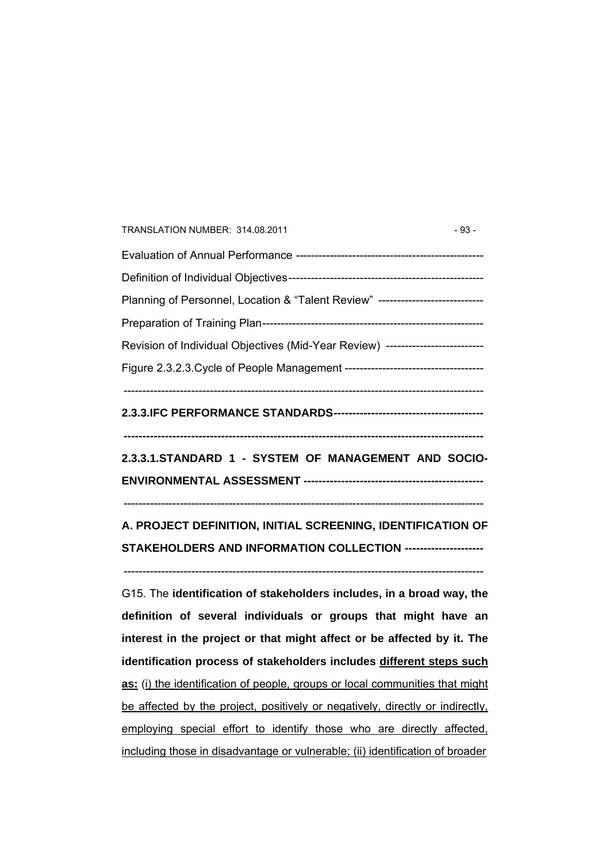| TRANSLATION NUMBER: 314.08.2011                                                 | $-93-$ |
|---------------------------------------------------------------------------------|--------|
|                                                                                 |        |
|                                                                                 |        |
| Planning of Personnel, Location & "Talent Review" ----------------------------- |        |
|                                                                                 |        |
| Revision of Individual Objectives (Mid-Year Review) --------------------------- |        |
|                                                                                 |        |
|                                                                                 |        |

## **2.3.3.IFC PERFORMANCE STANDARDS----------------------------------------**

**------------------------------------------------------------------------------------------------** 

**2.3.3.1.STANDARD 1 - SYSTEM OF MANAGEMENT AND SOCIO-ENVIRONMENTAL ASSESSMENT ------------------------------------------------** 

------------------------------------------------------------------------------------------------

**A. PROJECT DEFINITION, INITIAL SCREENING, IDENTIFICATION OF STAKEHOLDERS AND INFORMATION COLLECTION ---------------------** 

------------------------------------------------------------------------------------------------

G15. The **identification of stakeholders includes, in a broad way, the definition of several individuals or groups that might have an interest in the project or that might affect or be affected by it. The identification process of stakeholders includes different steps such as:** (i) the identification of people, groups or local communities that might be affected by the project, positively or negatively, directly or indirectly, employing special effort to identify those who are directly affected, including those in disadvantage or vulnerable; (ii) identification of broader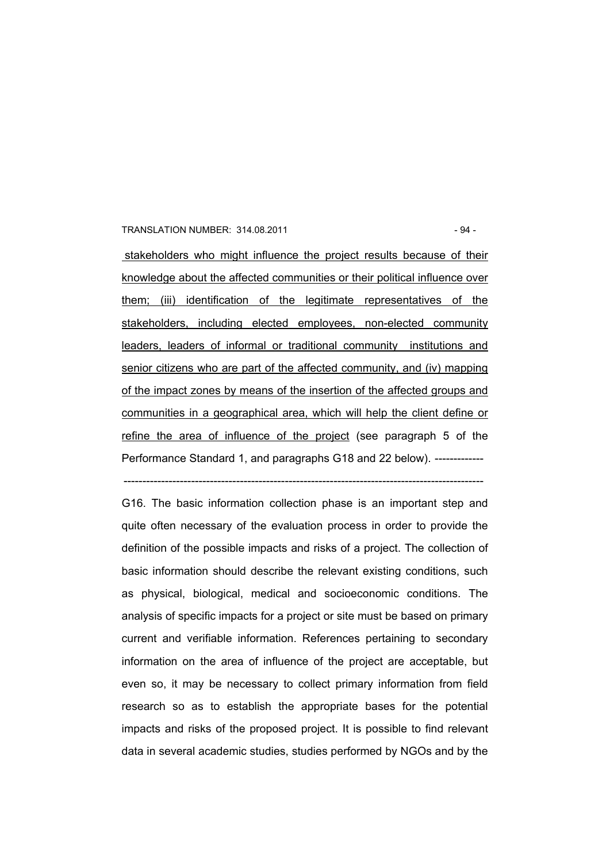#### TRANSLATION NUMBER: 314.08.2011 - 94 -

 stakeholders who might influence the project results because of their knowledge about the affected communities or their political influence over them; (iii) identification of the legitimate representatives of the stakeholders, including elected employees, non-elected community leaders, leaders of informal or traditional community institutions and senior citizens who are part of the affected community, and (iv) mapping of the impact zones by means of the insertion of the affected groups and communities in a geographical area, which will help the client define or refine the area of influence of the project (see paragraph 5 of the Performance Standard 1, and paragraphs G18 and 22 below). -------------

------------------------------------------------------------------------------------------------

G16. The basic information collection phase is an important step and quite often necessary of the evaluation process in order to provide the definition of the possible impacts and risks of a project. The collection of basic information should describe the relevant existing conditions, such as physical, biological, medical and socioeconomic conditions. The analysis of specific impacts for a project or site must be based on primary current and verifiable information. References pertaining to secondary information on the area of influence of the project are acceptable, but even so, it may be necessary to collect primary information from field research so as to establish the appropriate bases for the potential impacts and risks of the proposed project. It is possible to find relevant data in several academic studies, studies performed by NGOs and by the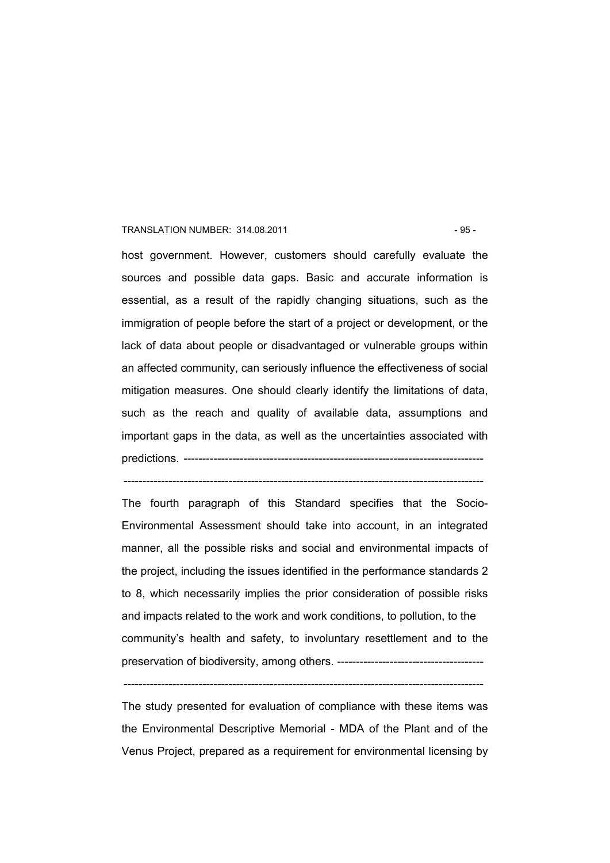#### TRANSLATION NUMBER: 314.08.2011 - 95 -

host government. However, customers should carefully evaluate the sources and possible data gaps. Basic and accurate information is essential, as a result of the rapidly changing situations, such as the immigration of people before the start of a project or development, or the lack of data about people or disadvantaged or vulnerable groups within an affected community, can seriously influence the effectiveness of social mitigation measures. One should clearly identify the limitations of data, such as the reach and quality of available data, assumptions and important gaps in the data, as well as the uncertainties associated with predictions. ---------------------------------

The fourth paragraph of this Standard specifies that the Socio-Environmental Assessment should take into account, in an integrated manner, all the possible risks and social and environmental impacts of the project, including the issues identified in the performance standards 2 to 8, which necessarily implies the prior consideration of possible risks and impacts related to the work and work conditions, to pollution, to the community's health and safety, to involuntary resettlement and to the preservation of biodiversity, among others. ---------------------------------------

------------------------------------------------------------------------------------------------

The study presented for evaluation of compliance with these items was the Environmental Descriptive Memorial - MDA of the Plant and of the Venus Project, prepared as a requirement for environmental licensing by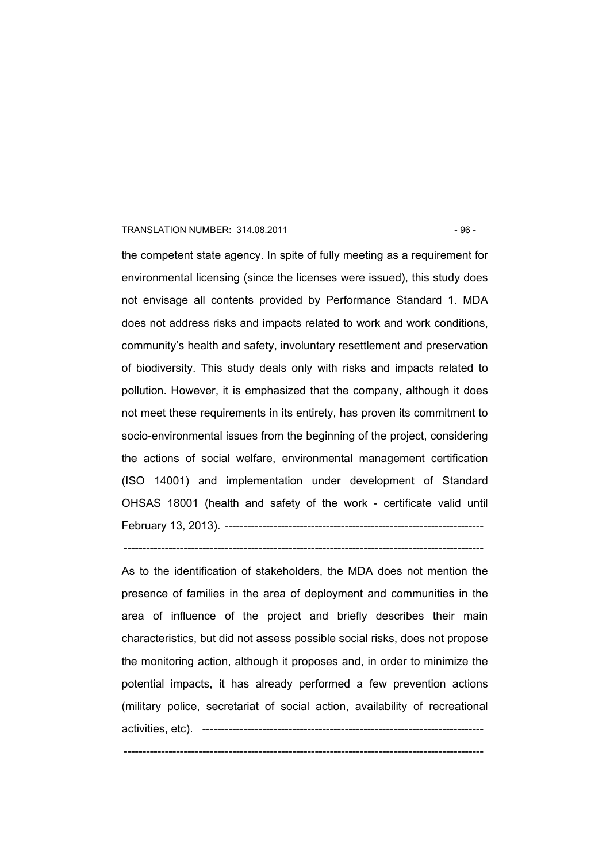#### TRANSLATION NUMBER: 314.08.2011 - 96 -

the competent state agency. In spite of fully meeting as a requirement for environmental licensing (since the licenses were issued), this study does not envisage all contents provided by Performance Standard 1. MDA does not address risks and impacts related to work and work conditions, community's health and safety, involuntary resettlement and preservation of biodiversity. This study deals only with risks and impacts related to pollution. However, it is emphasized that the company, although it does not meet these requirements in its entirety, has proven its commitment to socio-environmental issues from the beginning of the project, considering the actions of social welfare, environmental management certification (ISO 14001) and implementation under development of Standard OHSAS 18001 (health and safety of the work - certificate valid until February 13, 2013). ---------------------------------------------------------------------

------------------------------------------------------------------------------------------------

As to the identification of stakeholders, the MDA does not mention the presence of families in the area of deployment and communities in the area of influence of the project and briefly describes their main characteristics, but did not assess possible social risks, does not propose the monitoring action, although it proposes and, in order to minimize the potential impacts, it has already performed a few prevention actions (military police, secretariat of social action, availability of recreational activities, etc). ---------------------------------------------------------------------------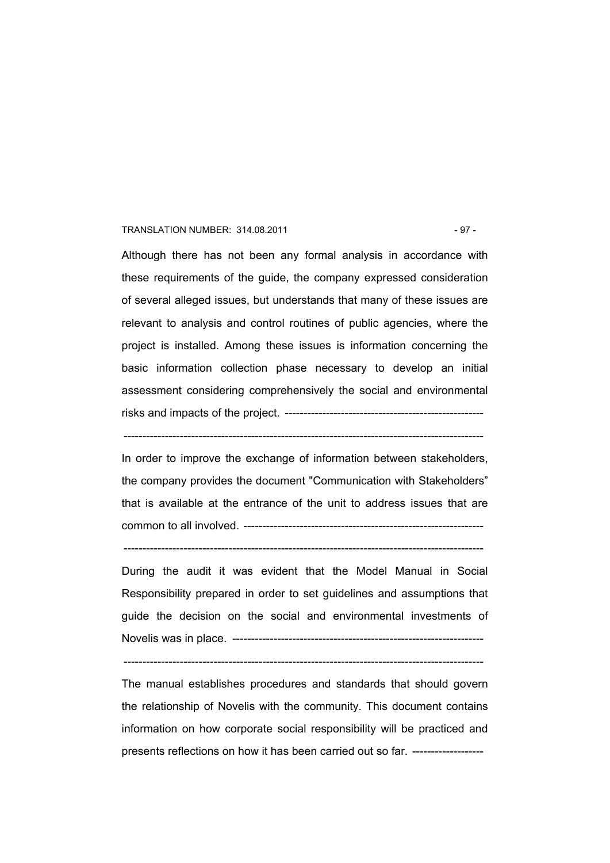#### TRANSLATION NUMBER: 314.08.2011 - 97 -

Although there has not been any formal analysis in accordance with these requirements of the guide, the company expressed consideration of several alleged issues, but understands that many of these issues are relevant to analysis and control routines of public agencies, where the project is installed. Among these issues is information concerning the basic information collection phase necessary to develop an initial assessment considering comprehensively the social and environmental risks and impacts of the project. -----------------------------------------------------

------------------------------------------------------------------------------------------------

In order to improve the exchange of information between stakeholders, the company provides the document "Communication with Stakeholders" that is available at the entrance of the unit to address issues that are common to all involved. ----------------------------------------------------------------

------------------------------------------------------------------------------------------------

During the audit it was evident that the Model Manual in Social Responsibility prepared in order to set guidelines and assumptions that guide the decision on the social and environmental investments of Novelis was in place. -------------------------------------------------------------------

 $-$ 

The manual establishes procedures and standards that should govern the relationship of Novelis with the community. This document contains information on how corporate social responsibility will be practiced and presents reflections on how it has been carried out so far. -------------------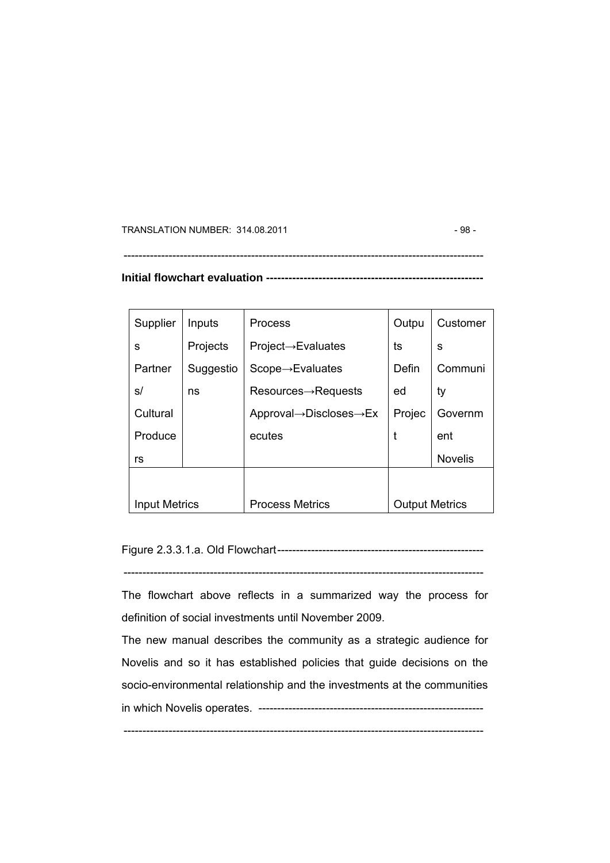TRANSLATION NUMBER: 314.08.2011 - 98 -

## **Initial flowchart evaluation ----------------------------------------------------------**

------------------------------------------------------------------------------------------------

| Supplier             | Inputs    | <b>Process</b>                                    | Outpu                 | Customer       |
|----------------------|-----------|---------------------------------------------------|-----------------------|----------------|
| S                    | Projects  | $Project \rightarrow Evaluate$                    | ts                    | s              |
| Partner              | Suggestio | $Scope \rightarrow Evaluate$                      | Defin                 | Communi        |
| s/                   | ns        | $Resources \rightarrow Requests$                  | ed                    | ty             |
| Cultural             |           | Approval $\rightarrow$ Discloses $\rightarrow$ Ex | Projec                | Governm        |
| Produce              |           | ecutes                                            |                       | ent            |
| rs                   |           |                                                   |                       | <b>Novelis</b> |
|                      |           |                                                   |                       |                |
| <b>Input Metrics</b> |           | <b>Process Metrics</b>                            | <b>Output Metrics</b> |                |

Figure 2.3.3.1.a. Old Flowchart-------------------------------------------------------

------------------------------------------------------------------------------------------------

The flowchart above reflects in a summarized way the process for definition of social investments until November 2009.

The new manual describes the community as a strategic audience for Novelis and so it has established policies that guide decisions on the socio-environmental relationship and the investments at the communities in which Novelis operates. ------------------------------------------------------------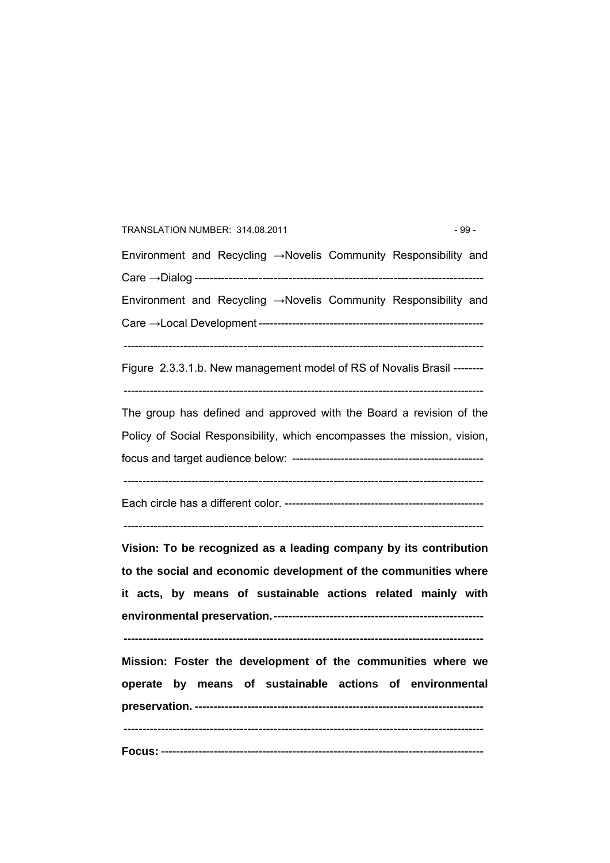# Environment and Recycling →Novelis Community Responsibility and Care →Dialog ----------------------------------------------------------------------------- Environment and Recycling →Novelis Community Responsibility and Care →Local Development ------------------------------------------------------------ ------------------------------------------------------------------------------------------------ Figure 2.3.3.1.b. New management model of RS of Novalis Brasil --------  $-$ The group has defined and approved with the Board a revision of the Policy of Social Responsibility, which encompasses the mission, vision, focus and target audience below: --------------------------------------------------- ------------------------------------------------------------------------------------------------ Each circle has a different color. -----------------------------------------------------  $-$ **Vision: To be recognized as a leading company by its contribution to the social and economic development of the communities where it acts, by means of sustainable actions related mainly with environmental preservation.-------------------------------------------------------- ------------------------------------------------------------------------------------------------ Mission: Foster the development of the communities where we operate by means of sustainable actions of environmental preservation. ----------------------------------------------------------------------------- ------------------------------------------------------------------------------------------------ Focus:** --------------------------------------------------------------------------------------

TRANSLATION NUMBER: 314.08.2011 - 99 -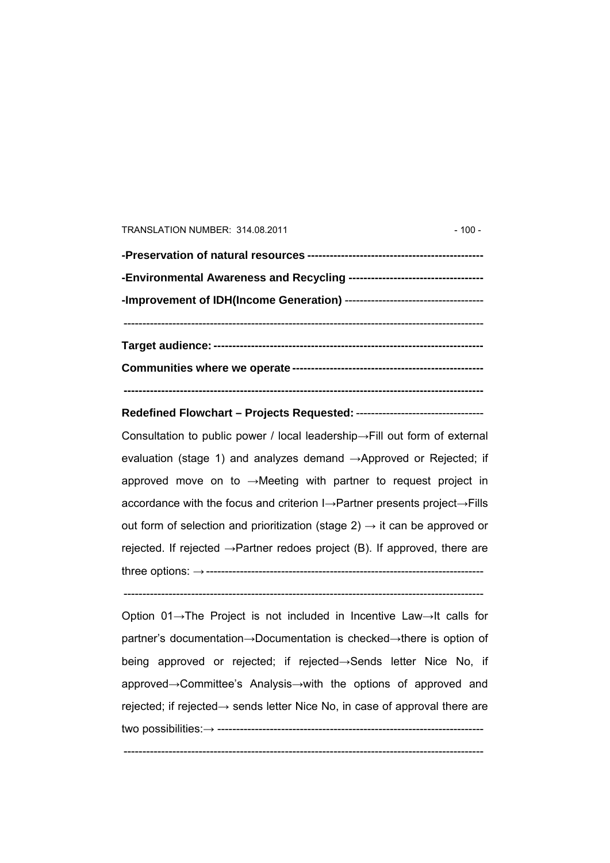#### TRANSLATION NUMBER: 314.08.2011 100 - 100 -

**Redefined Flowchart – Projects Requested:** ---------------------------------- Consultation to public power / local leadership→Fill out form of external

evaluation (stage 1) and analyzes demand →Approved or Rejected; if approved move on to →Meeting with partner to request project in accordance with the focus and criterion I→Partner presents project→Fills out form of selection and prioritization (stage 2)  $\rightarrow$  it can be approved or rejected. If rejected  $\rightarrow$  Partner redoes project (B). If approved, there are three options: →--------------------------------------------------------------------------

 $-$ 

Option 01→The Project is not included in Incentive Law→It calls for partner's documentation→Documentation is checked→there is option of being approved or rejected; if rejected→Sends letter Nice No, if approved→Committee's Analysis→with the options of approved and rejected; if rejected→ sends letter Nice No, in case of approval there are two possibilities:→ -----------------------------------------------------------------------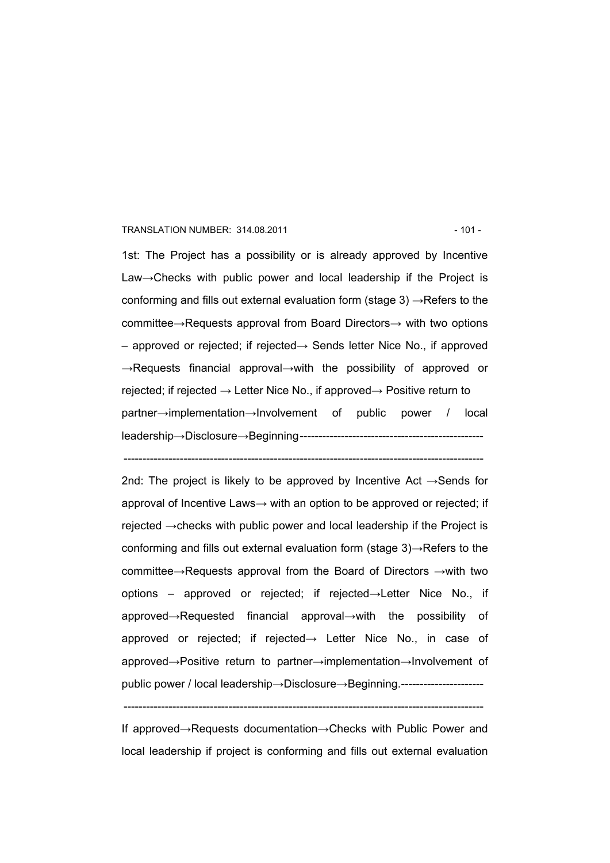#### TRANSLATION NUMBER: 314.08.2011 - 101 -

1st: The Project has a possibility or is already approved by Incentive Law→Checks with public power and local leadership if the Project is conforming and fills out external evaluation form (stage 3)  $\rightarrow$ Refers to the committee→Requests approval from Board Directors→ with two options – approved or rejected; if rejected→ Sends letter Nice No., if approved →Requests financial approval→with the possibility of approved or rejected; if rejected  $\rightarrow$  Letter Nice No., if approved $\rightarrow$  Positive return to partner→implementation→Involvement of public power / local leadership→Disclosure→Beginning-------------------------------------------------

------------------------------------------------------------------------------------------------

2nd: The project is likely to be approved by Incentive Act  $\rightarrow$  Sends for approval of Incentive Laws→ with an option to be approved or rejected; if rejected →checks with public power and local leadership if the Project is conforming and fills out external evaluation form (stage 3)→Refers to the committee→Requests approval from the Board of Directors →with two options – approved or rejected; if rejected→Letter Nice No., if approved→Requested financial approval→with the possibility of approved or rejected; if rejected→ Letter Nice No., in case of approved→Positive return to partner→implementation→Involvement of public power / local leadership→Disclosure→Beginning.----------------------

If approved→Requests documentation→Checks with Public Power and local leadership if project is conforming and fills out external evaluation

<sup>------------------------------------------------------------------------------------------------</sup>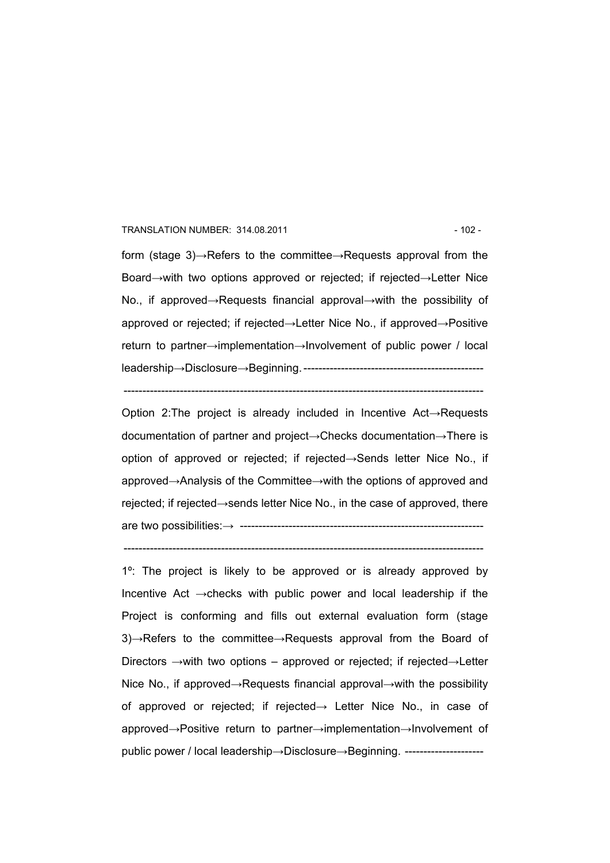#### TRANSLATION NUMBER: 314.08.2011 12 - 102 -

form (stage 3)→Refers to the committee→Requests approval from the Board→with two options approved or rejected; if rejected→Letter Nice No., if approved→Requests financial approval→with the possibility of approved or rejected; if rejected→Letter Nice No., if approved→Positive return to partner→implementation→Involvement of public power / local leadership→Disclosure→Beginning. ------------------------------------------------

 $-$ 

Option 2:The project is already included in Incentive Act→Requests documentation of partner and project→Checks documentation→There is option of approved or rejected; if rejected→Sends letter Nice No., if approved→Analysis of the Committee→with the options of approved and rejected; if rejected→sends letter Nice No., in the case of approved, there are two possibilities:→ -----------------------------------------------------------------

------------------------------------------------------------------------------------------------

1º: The project is likely to be approved or is already approved by Incentive Act →checks with public power and local leadership if the Project is conforming and fills out external evaluation form (stage 3)→Refers to the committee→Requests approval from the Board of Directors →with two options – approved or rejected; if rejected→Letter Nice No., if approved→Requests financial approval→with the possibility of approved or rejected; if rejected→ Letter Nice No., in case of approved→Positive return to partner→implementation→Involvement of public power / local leadership→Disclosure→Beginning. ----------------------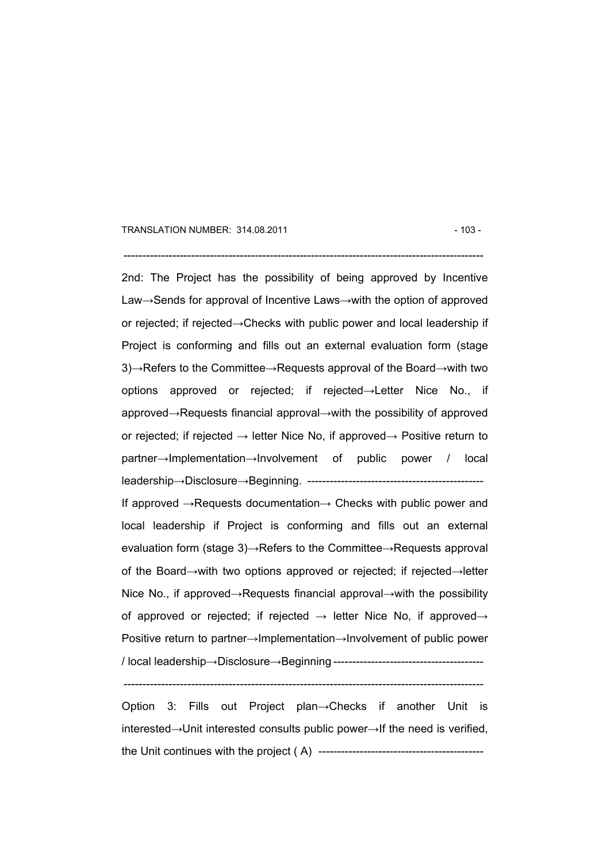#### TRANSLATION NUMBER: 314.08.2011 **103 - 103 - 103 - 103 - 103 - 103 - 103 - 103** -

#### ------------------------------------------------------------------------------------------------

2nd: The Project has the possibility of being approved by Incentive Law→Sends for approval of Incentive Laws→with the option of approved or rejected; if rejected→Checks with public power and local leadership if Project is conforming and fills out an external evaluation form (stage 3)→Refers to the Committee→Requests approval of the Board→with two options approved or rejected; if rejected→Letter Nice No., if approved→Requests financial approval→with the possibility of approved or rejected; if rejected  $\rightarrow$  letter Nice No, if approved $\rightarrow$  Positive return to partner→Implementation→Involvement of public power / local leadership→Disclosure→Beginning. -----------------------------------------------

If approved →Requests documentation→ Checks with public power and local leadership if Project is conforming and fills out an external evaluation form (stage 3)→Refers to the Committee→Requests approval of the Board→with two options approved or rejected; if rejected→letter Nice No., if approved→Requests financial approval→with the possibility of approved or rejected; if rejected  $\rightarrow$  letter Nice No, if approved $\rightarrow$ Positive return to partner→Implementation→Involvement of public power / local leadership→Disclosure→Beginning ----------------------------------------

Option 3: Fills out Project plan→Checks if another Unit is interested→Unit interested consults public power→If the need is verified, the Unit continues with the project ( A) --------------------------------------------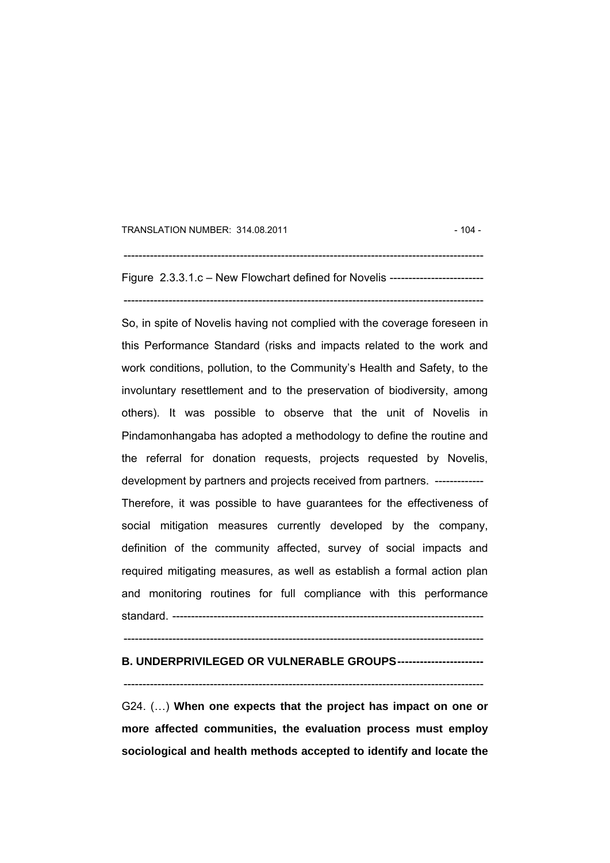TRANSLATION NUMBER: 314.08.2011 **104 - 104 - 104 - 104 - 104 - 104 - 104 - 104 - 104 - 104 - 104 - 104 - 104 - 104 - 104 - 104 - 104 - 104 - 104 - 104 - 104 - 104 - 105 - 105 - 106 - 107 - 108 - 108 - 108 - 108 - 108 - 108** 

Figure 2.3.3.1.c – New Flowchart defined for Novelis ------------------------- ------------------------------------------------------------------------------------------------

 $-$ 

So, in spite of Novelis having not complied with the coverage foreseen in this Performance Standard (risks and impacts related to the work and work conditions, pollution, to the Community's Health and Safety, to the involuntary resettlement and to the preservation of biodiversity, among others). It was possible to observe that the unit of Novelis in Pindamonhangaba has adopted a methodology to define the routine and the referral for donation requests, projects requested by Novelis, development by partners and projects received from partners. ------------- Therefore, it was possible to have guarantees for the effectiveness of social mitigation measures currently developed by the company, definition of the community affected, survey of social impacts and required mitigating measures, as well as establish a formal action plan and monitoring routines for full compliance with this performance standard. -----------------------------------------------------------------------------------

------------------------------------------------------------------------------------------------

### **B. UNDERPRIVILEGED OR VULNERABLE GROUPS-----------------------**

------------------------------------------------------------------------------------------------

G24. (…) **When one expects that the project has impact on one or more affected communities, the evaluation process must employ sociological and health methods accepted to identify and locate the**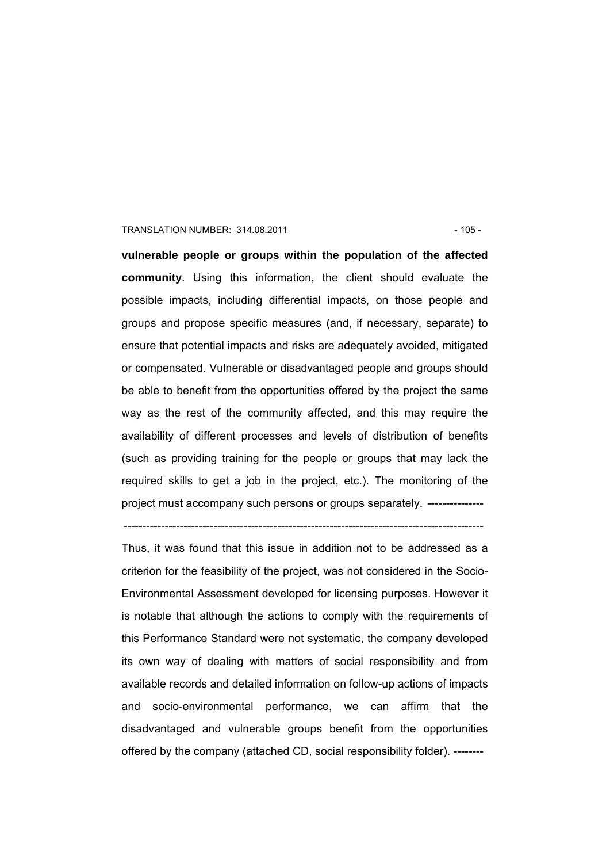#### TRANSLATION NUMBER: 314.08.2011 - 105 -

**vulnerable people or groups within the population of the affected community**. Using this information, the client should evaluate the possible impacts, including differential impacts, on those people and groups and propose specific measures (and, if necessary, separate) to ensure that potential impacts and risks are adequately avoided, mitigated or compensated. Vulnerable or disadvantaged people and groups should be able to benefit from the opportunities offered by the project the same way as the rest of the community affected, and this may require the availability of different processes and levels of distribution of benefits (such as providing training for the people or groups that may lack the required skills to get a job in the project, etc.). The monitoring of the project must accompany such persons or groups separately. ---------------

------------------------------------------------------------------------------------------------

Thus, it was found that this issue in addition not to be addressed as a criterion for the feasibility of the project, was not considered in the Socio-Environmental Assessment developed for licensing purposes. However it is notable that although the actions to comply with the requirements of this Performance Standard were not systematic, the company developed its own way of dealing with matters of social responsibility and from available records and detailed information on follow-up actions of impacts and socio-environmental performance, we can affirm that the disadvantaged and vulnerable groups benefit from the opportunities offered by the company (attached CD, social responsibility folder). --------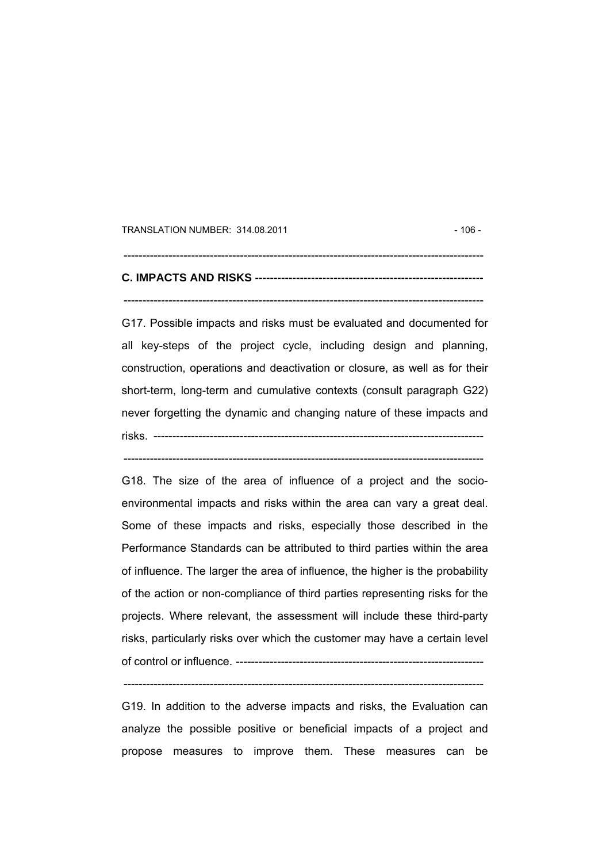TRANSLATION NUMBER: 314.08.2011 **106 - 106 - 106 - 106 - 106 - 106 - 106 - 106 - 106 - 106 - 106 - 106 - 106 - 106 - 106 - 106 - 106 - 106 - 106 - 106 - 107 - 108 - 108 - 108 - 108 - 108 - 108 - 108 - 108 - 108 - 108 - 108** 

## **C. IMPACTS AND RISKS -------------------------------------------------------------**  ------------------------------------------------------------------------------------------------

------------------------------------------------------------------------------------------------

G17. Possible impacts and risks must be evaluated and documented for all key-steps of the project cycle, including design and planning, construction, operations and deactivation or closure, as well as for their short-term, long-term and cumulative contexts (consult paragraph G22) never forgetting the dynamic and changing nature of these impacts and risks. ----------------------------------------------------------------------------------------

------------------------------------------------------------------------------------------------

G18. The size of the area of influence of a project and the socioenvironmental impacts and risks within the area can vary a great deal. Some of these impacts and risks, especially those described in the Performance Standards can be attributed to third parties within the area of influence. The larger the area of influence, the higher is the probability of the action or non-compliance of third parties representing risks for the projects. Where relevant, the assessment will include these third-party risks, particularly risks over which the customer may have a certain level of control or influence. ------------------------------------------------------------------

G19. In addition to the adverse impacts and risks, the Evaluation can analyze the possible positive or beneficial impacts of a project and propose measures to improve them. These measures can be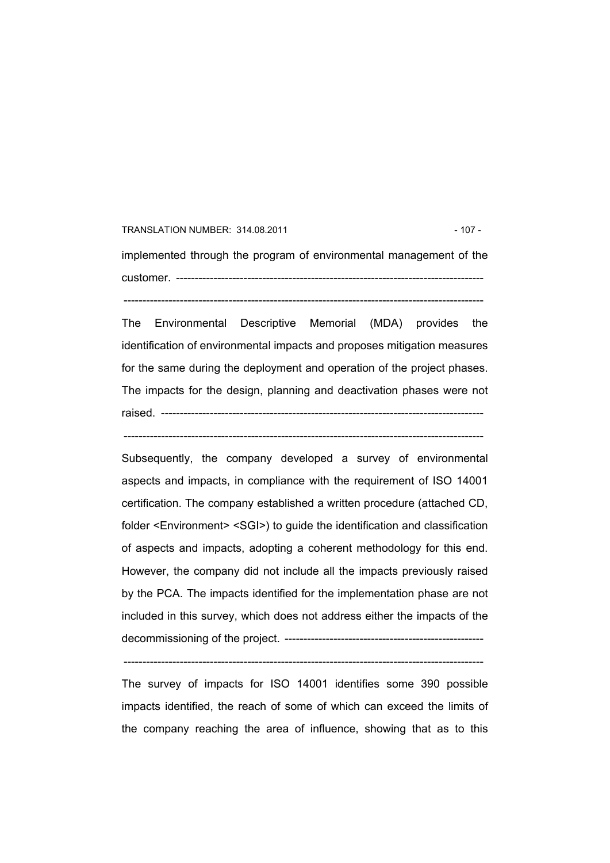## TRANSLATION NUMBER: 314.08.2011 - 107 implemented through the program of environmental management of the customer. ---------------------------------------------------------------------------------- ------------------------------------------------------------------------------------------------

The Environmental Descriptive Memorial (MDA) provides the identification of environmental impacts and proposes mitigation measures for the same during the deployment and operation of the project phases. The impacts for the design, planning and deactivation phases were not raised. --------------------------------------------------------------------------------------

------------------------------------------------------------------------------------------------

Subsequently, the company developed a survey of environmental aspects and impacts, in compliance with the requirement of ISO 14001 certification. The company established a written procedure (attached CD, folder <Environment> <SGI>) to guide the identification and classification of aspects and impacts, adopting a coherent methodology for this end. However, the company did not include all the impacts previously raised by the PCA. The impacts identified for the implementation phase are not included in this survey, which does not address either the impacts of the decommissioning of the project. -----------------------------------------------------

 $-$ 

The survey of impacts for ISO 14001 identifies some 390 possible impacts identified, the reach of some of which can exceed the limits of the company reaching the area of influence, showing that as to this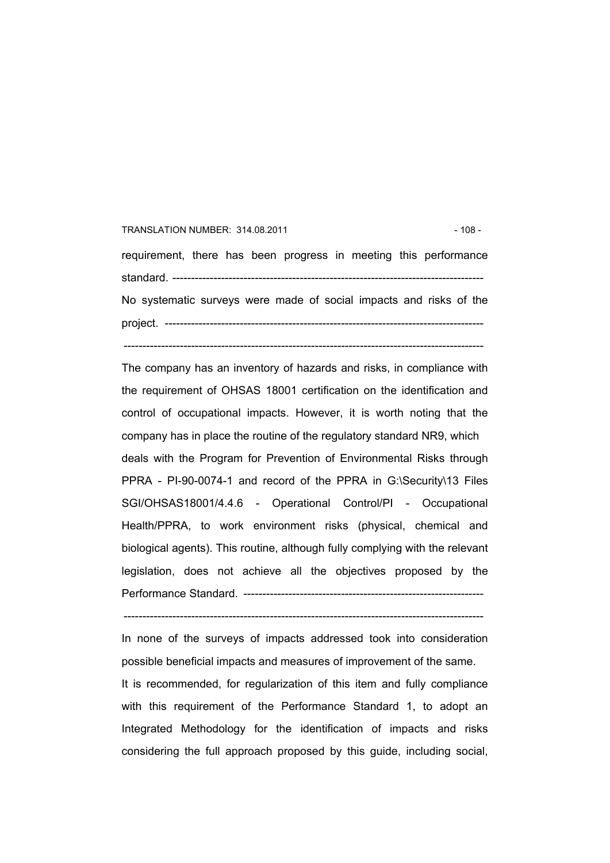# TRANSLATION NUMBER: 314.08.2011 **108 - 108 - 108 - 108 - 108 - 108 - 108 - 108** requirement, there has been progress in meeting this performance standard. ----------------------------------------------------------------------------------- No systematic surveys were made of social impacts and risks of the project. -------------------------------------------------------------------------------------

------------------------------------------------------------------------------------------------

The company has an inventory of hazards and risks, in compliance with the requirement of OHSAS 18001 certification on the identification and control of occupational impacts. However, it is worth noting that the company has in place the routine of the regulatory standard NR9, which deals with the Program for Prevention of Environmental Risks through PPRA - PI-90-0074-1 and record of the PPRA in G:\Security\13 Files SGI/OHSAS18001/4.4.6 - Operational Control/PI - Occupational Health/PPRA, to work environment risks (physical, chemical and biological agents). This routine, although fully complying with the relevant legislation, does not achieve all the objectives proposed by the Performance Standard. ----------------------------------------------------------------

------------------------------------------------------------------------------------------------

In none of the surveys of impacts addressed took into consideration possible beneficial impacts and measures of improvement of the same.

It is recommended, for regularization of this item and fully compliance with this requirement of the Performance Standard 1, to adopt an Integrated Methodology for the identification of impacts and risks considering the full approach proposed by this guide, including social,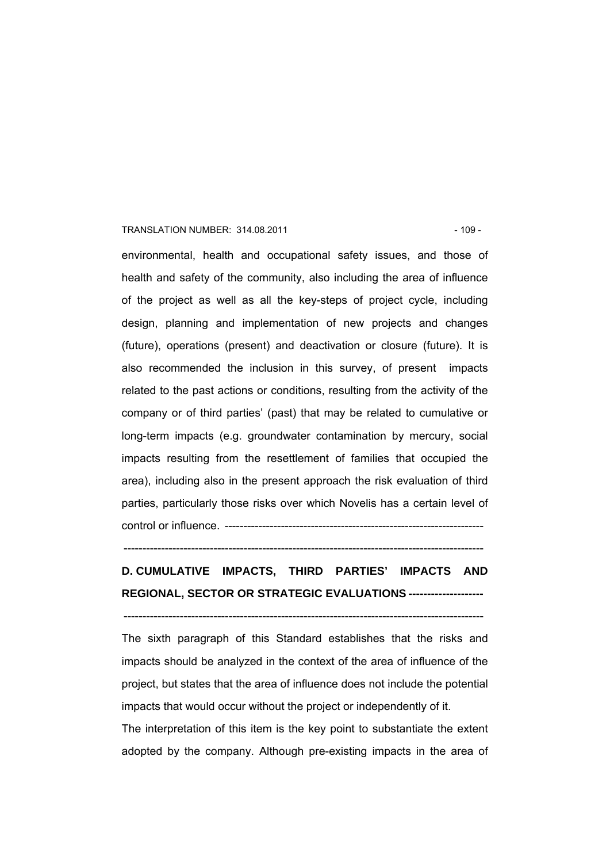#### TRANSLATION NUMBER: 314.08.2011 - 109 -

environmental, health and occupational safety issues, and those of health and safety of the community, also including the area of influence of the project as well as all the key-steps of project cycle, including design, planning and implementation of new projects and changes (future), operations (present) and deactivation or closure (future). It is also recommended the inclusion in this survey, of present impacts related to the past actions or conditions, resulting from the activity of the company or of third parties' (past) that may be related to cumulative or long-term impacts (e.g. groundwater contamination by mercury, social impacts resulting from the resettlement of families that occupied the area), including also in the present approach the risk evaluation of third parties, particularly those risks over which Novelis has a certain level of control or influence. ---------------------------------------------------------------------

------------------------------------------------------------------------------------------------

# **D. CUMULATIVE IMPACTS, THIRD PARTIES' IMPACTS AND REGIONAL, SECTOR OR STRATEGIC EVALUATIONS --------------------**

------------------------------------------------------------------------------------------------

The sixth paragraph of this Standard establishes that the risks and impacts should be analyzed in the context of the area of influence of the project, but states that the area of influence does not include the potential impacts that would occur without the project or independently of it.

The interpretation of this item is the key point to substantiate the extent adopted by the company. Although pre-existing impacts in the area of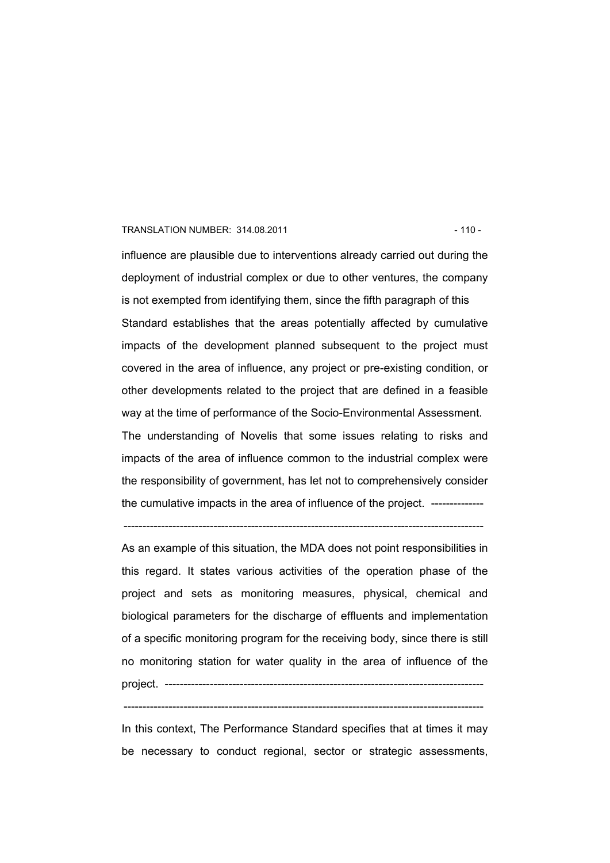#### TRANSLATION NUMBER: 314.08.2011 **12.12.13.13.14.08.2011** - 110 -

influence are plausible due to interventions already carried out during the deployment of industrial complex or due to other ventures, the company is not exempted from identifying them, since the fifth paragraph of this Standard establishes that the areas potentially affected by cumulative impacts of the development planned subsequent to the project must covered in the area of influence, any project or pre-existing condition, or other developments related to the project that are defined in a feasible way at the time of performance of the Socio-Environmental Assessment. The understanding of Novelis that some issues relating to risks and impacts of the area of influence common to the industrial complex were

the responsibility of government, has let not to comprehensively consider the cumulative impacts in the area of influence of the project. --------------

------------------------------------------------------------------------------------------------

As an example of this situation, the MDA does not point responsibilities in this regard. It states various activities of the operation phase of the project and sets as monitoring measures, physical, chemical and biological parameters for the discharge of effluents and implementation of a specific monitoring program for the receiving body, since there is still no monitoring station for water quality in the area of influence of the project. -------------------------------------------------------------------------------------

In this context, The Performance Standard specifies that at times it may be necessary to conduct regional, sector or strategic assessments,

<sup>------------------------------------------------------------------------------------------------</sup>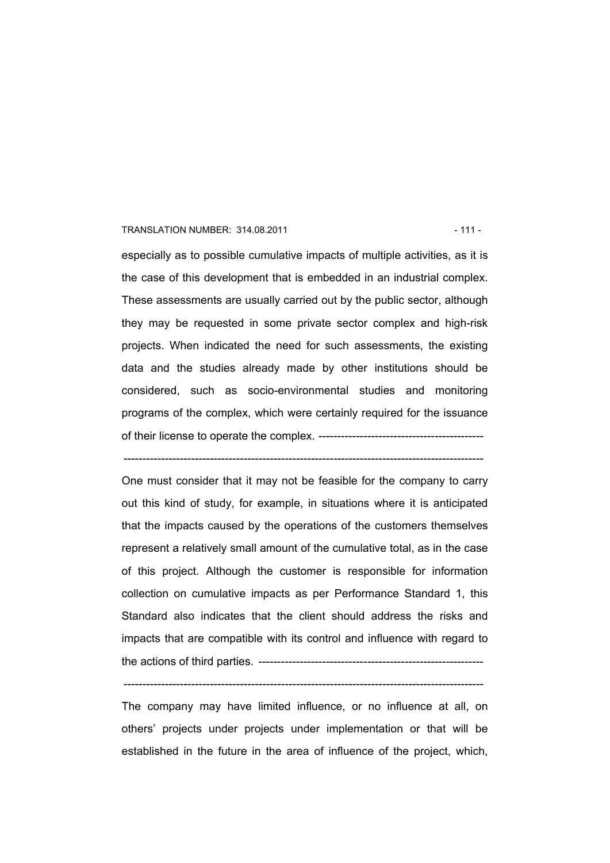#### TRANSLATION NUMBER: 314.08.2011 120 120 120 120 120 121 12

especially as to possible cumulative impacts of multiple activities, as it is the case of this development that is embedded in an industrial complex. These assessments are usually carried out by the public sector, although they may be requested in some private sector complex and high-risk projects. When indicated the need for such assessments, the existing data and the studies already made by other institutions should be considered, such as socio-environmental studies and monitoring programs of the complex, which were certainly required for the issuance of their license to operate the complex. --------------------------------------------

------------------------------------------------------------------------------------------------

One must consider that it may not be feasible for the company to carry out this kind of study, for example, in situations where it is anticipated that the impacts caused by the operations of the customers themselves represent a relatively small amount of the cumulative total, as in the case of this project. Although the customer is responsible for information collection on cumulative impacts as per Performance Standard 1, this Standard also indicates that the client should address the risks and impacts that are compatible with its control and influence with regard to the actions of third parties. ------------------------------------------------------------

The company may have limited influence, or no influence at all, on others' projects under projects under implementation or that will be established in the future in the area of influence of the project, which,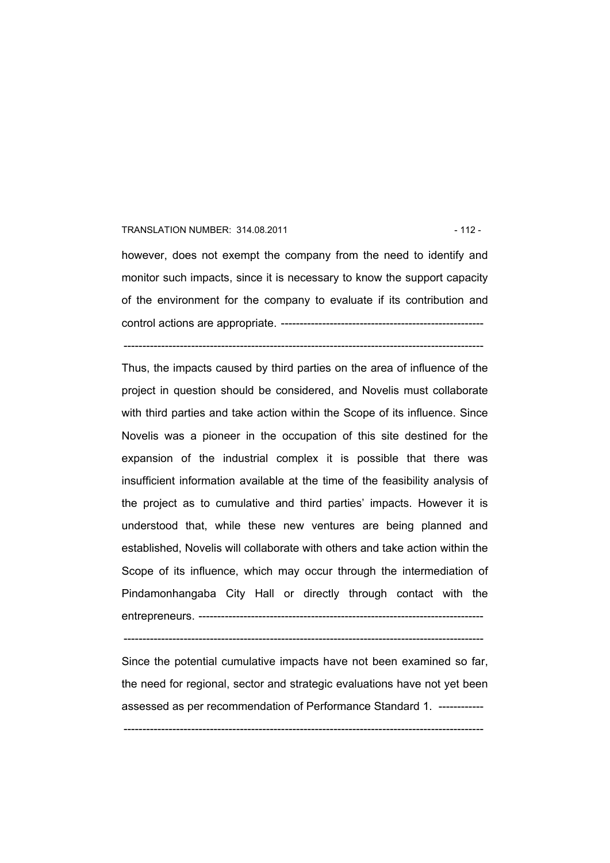#### TRANSLATION NUMBER: 314.08.2011 **12 - 112 - 112 - 112 - 112 - 112 - 112 - 112 - 112 - 112 - 112 - 112 - 112 - 112 - 112 - 112 - 112 - 112 - 112 - 112 - 112 - 112 - 112 - 112 - 112 - 112 - 112 - 112 - 112 - 112 - 112 - 112**

however, does not exempt the company from the need to identify and monitor such impacts, since it is necessary to know the support capacity of the environment for the company to evaluate if its contribution and control actions are appropriate. ------------------------------------------------------

------------------------------------------------------------------------------------------------

Thus, the impacts caused by third parties on the area of influence of the project in question should be considered, and Novelis must collaborate with third parties and take action within the Scope of its influence. Since Novelis was a pioneer in the occupation of this site destined for the expansion of the industrial complex it is possible that there was insufficient information available at the time of the feasibility analysis of the project as to cumulative and third parties' impacts. However it is understood that, while these new ventures are being planned and established, Novelis will collaborate with others and take action within the Scope of its influence, which may occur through the intermediation of Pindamonhangaba City Hall or directly through contact with the entrepreneurs. ----------------------------------------------------------------------------

------------------------------------------------------------------------------------------------

Since the potential cumulative impacts have not been examined so far, the need for regional, sector and strategic evaluations have not yet been assessed as per recommendation of Performance Standard 1. ------------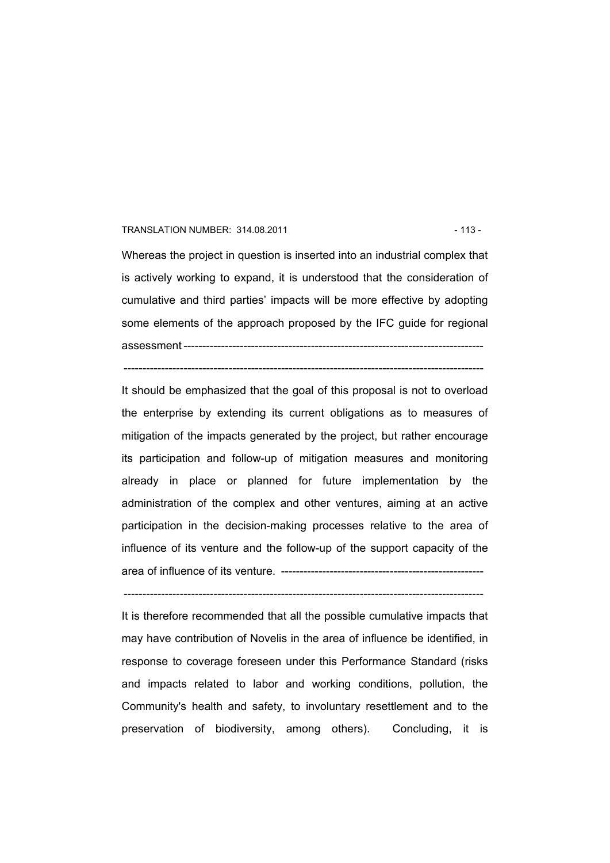#### TRANSLATION NUMBER: 314.08.2011 13 - 113 -

Whereas the project in question is inserted into an industrial complex that is actively working to expand, it is understood that the consideration of cumulative and third parties' impacts will be more effective by adopting some elements of the approach proposed by the IFC guide for regional assessment --------------------------------------------------------------------------------

------------------------------------------------------------------------------------------------

It should be emphasized that the goal of this proposal is not to overload the enterprise by extending its current obligations as to measures of mitigation of the impacts generated by the project, but rather encourage its participation and follow-up of mitigation measures and monitoring already in place or planned for future implementation by the administration of the complex and other ventures, aiming at an active participation in the decision-making processes relative to the area of influence of its venture and the follow-up of the support capacity of the area of influence of its venture. ------------------------------------------------------

It is therefore recommended that all the possible cumulative impacts that may have contribution of Novelis in the area of influence be identified, in response to coverage foreseen under this Performance Standard (risks and impacts related to labor and working conditions, pollution, the Community's health and safety, to involuntary resettlement and to the preservation of biodiversity, among others). Concluding, it is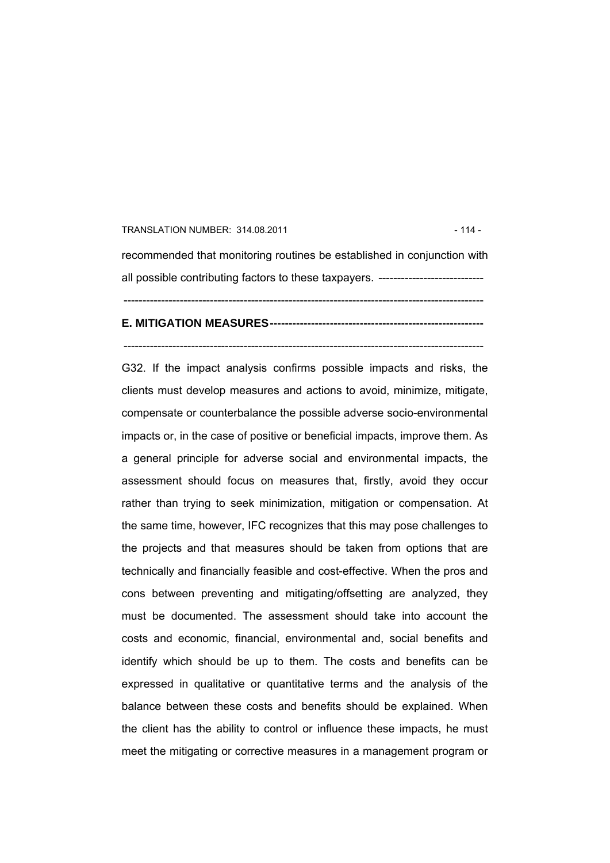# TRANSLATION NUMBER: 314.08.2011 **114 - 114 - 114 - 114 - 114 - 114 - 114 - 114 - 114 - 114 - 114 - 11** recommended that monitoring routines be established in conjunction with all possible contributing factors to these taxpayers. ----------------------------------------------------------------------------------------------------------------------------

**E. MITIGATION MEASURES---------------------------------------------------------** 

------------------------------------------------------------------------------------------------

G32. If the impact analysis confirms possible impacts and risks, the clients must develop measures and actions to avoid, minimize, mitigate, compensate or counterbalance the possible adverse socio-environmental impacts or, in the case of positive or beneficial impacts, improve them. As a general principle for adverse social and environmental impacts, the assessment should focus on measures that, firstly, avoid they occur rather than trying to seek minimization, mitigation or compensation. At the same time, however, IFC recognizes that this may pose challenges to the projects and that measures should be taken from options that are technically and financially feasible and cost-effective. When the pros and cons between preventing and mitigating/offsetting are analyzed, they must be documented. The assessment should take into account the costs and economic, financial, environmental and, social benefits and identify which should be up to them. The costs and benefits can be expressed in qualitative or quantitative terms and the analysis of the balance between these costs and benefits should be explained. When the client has the ability to control or influence these impacts, he must meet the mitigating or corrective measures in a management program or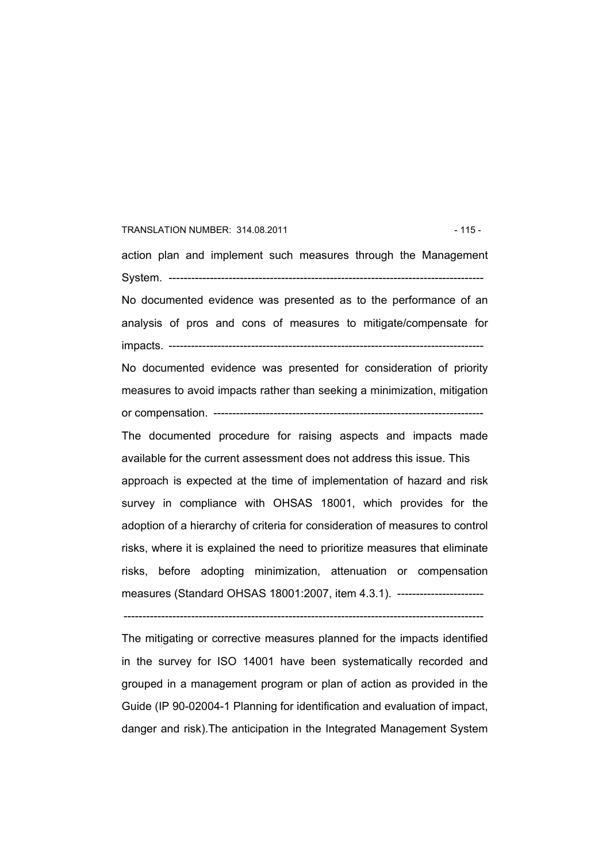# TRANSLATION NUMBER: 314.08.2011 15 - 115 -

action plan and implement such measures through the Management System. ------------------------------------------------------------------------------------ No documented evidence was presented as to the performance of an analysis of pros and cons of measures to mitigate/compensate for impacts. ------------------------------------------------------------------------------------

No documented evidence was presented for consideration of priority measures to avoid impacts rather than seeking a minimization, mitigation or compensation. ------------------------------------------------------------------------

The documented procedure for raising aspects and impacts made available for the current assessment does not address this issue. This approach is expected at the time of implementation of hazard and risk survey in compliance with OHSAS 18001, which provides for the adoption of a hierarchy of criteria for consideration of measures to control risks, where it is explained the need to prioritize measures that eliminate risks, before adopting minimization, attenuation or compensation measures (Standard OHSAS 18001:2007, item 4.3.1). --------------------------

------------------------------------------------------------------------------------------------

The mitigating or corrective measures planned for the impacts identified in the survey for ISO 14001 have been systematically recorded and grouped in a management program or plan of action as provided in the Guide (IP 90-02004-1 Planning for identification and evaluation of impact, danger and risk).The anticipation in the Integrated Management System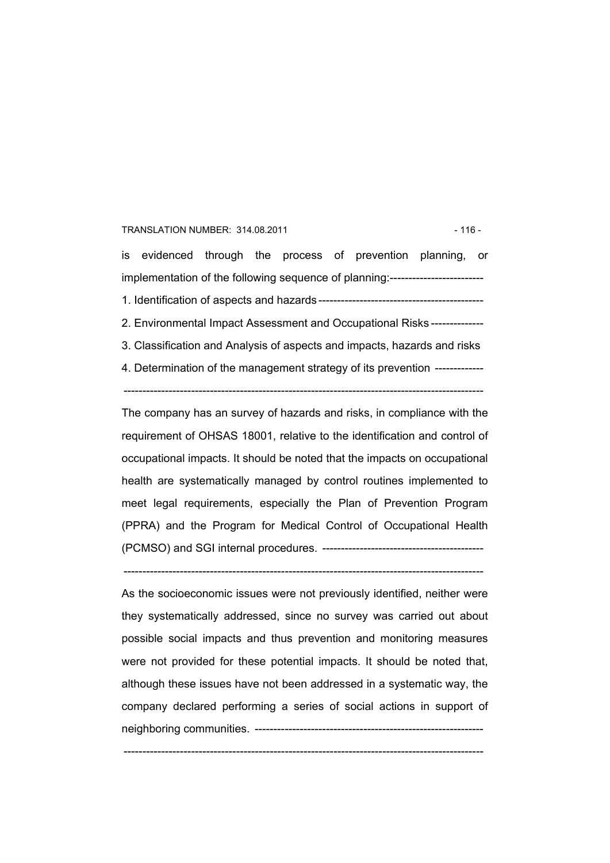#### TRANSLATION NUMBER: 314.08.2011 - 116 -

is evidenced through the process of prevention planning, or implementation of the following sequence of planning:------------------------- 1. Identification of aspects and hazards-------------------------------------------- 2. Environmental Impact Assessment and Occupational Risks -------------- 3. Classification and Analysis of aspects and impacts, hazards and risks 4. Determination of the management strategy of its prevention -------------

------------------------------------------------------------------------------------------------

The company has an survey of hazards and risks, in compliance with the requirement of OHSAS 18001, relative to the identification and control of occupational impacts. It should be noted that the impacts on occupational health are systematically managed by control routines implemented to meet legal requirements, especially the Plan of Prevention Program (PPRA) and the Program for Medical Control of Occupational Health (PCMSO) and SGI internal procedures. -------------------------------------------

------------------------------------------------------------------------------------------------

As the socioeconomic issues were not previously identified, neither were they systematically addressed, since no survey was carried out about possible social impacts and thus prevention and monitoring measures were not provided for these potential impacts. It should be noted that, although these issues have not been addressed in a systematic way, the company declared performing a series of social actions in support of neighboring communities. -------------------------------------------------------------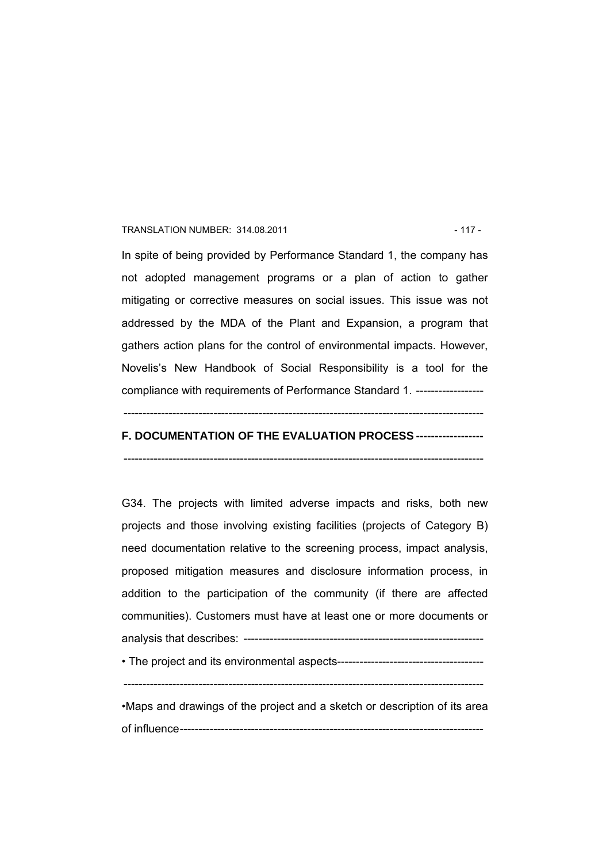#### TRANSLATION NUMBER: 314.08.2011 12 - 117 -

In spite of being provided by Performance Standard 1, the company has not adopted management programs or a plan of action to gather mitigating or corrective measures on social issues. This issue was not addressed by the MDA of the Plant and Expansion, a program that gathers action plans for the control of environmental impacts. However, Novelis's New Handbook of Social Responsibility is a tool for the compliance with requirements of Performance Standard 1. ------------------

# ------------------------------------------------------------------------------------------------

# **F. DOCUMENTATION OF THE EVALUATION PROCESS ------------------**

------------------------------------------------------------------------------------------------

G34. The projects with limited adverse impacts and risks, both new projects and those involving existing facilities (projects of Category B) need documentation relative to the screening process, impact analysis, proposed mitigation measures and disclosure information process, in addition to the participation of the community (if there are affected communities). Customers must have at least one or more documents or analysis that describes: ----------------------------------------------------------------

• The project and its environmental aspects---------------------------------------

------------------------------------------------------------------------------------------------

•Maps and drawings of the project and a sketch or description of its area of influence---------------------------------------------------------------------------------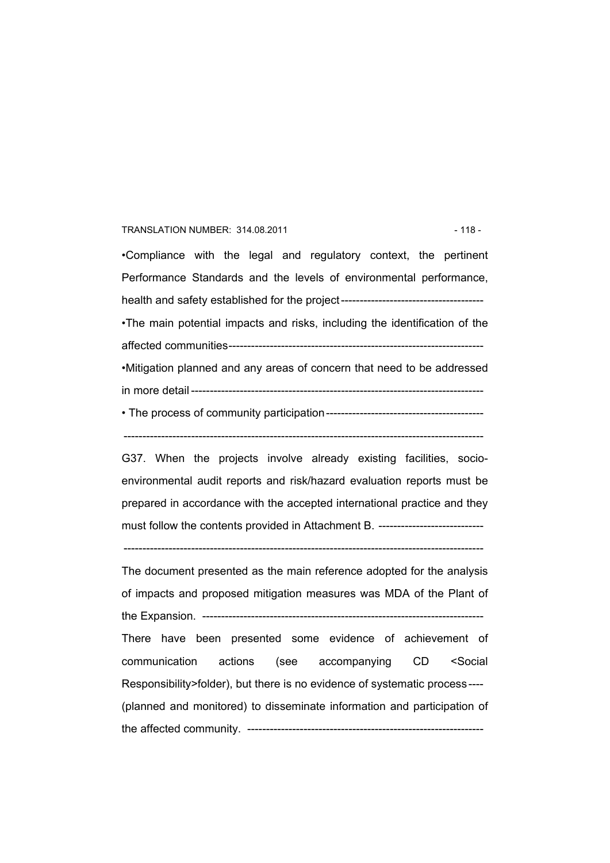#### TRANSLATION NUMBER: 314.08.2011 **12.18 - 118 - 118 - 118 - 118 - 118 - 118** -

•Compliance with the legal and regulatory context, the pertinent Performance Standards and the levels of environmental performance, health and safety established for the project-------------------------------------- •The main potential impacts and risks, including the identification of the affected communities-------------------------------------------------------------------- •Mitigation planned and any areas of concern that need to be addressed in more detail ------------------------------------------------------------------------------ • The process of community participation------------------------------------------

------------------------------------------------------------------------------------------------

G37. When the projects involve already existing facilities, socioenvironmental audit reports and risk/hazard evaluation reports must be prepared in accordance with the accepted international practice and they must follow the contents provided in Attachment B. -----------------------------

------------------------------------------------------------------------------------------------

The document presented as the main reference adopted for the analysis of impacts and proposed mitigation measures was MDA of the Plant of the Expansion. --------------------------There have been presented some evidence of achievement of communication actions (see accompanying CD <Social Responsibility>folder), but there is no evidence of systematic process---- (planned and monitored) to disseminate information and participation of the affected community. ---------------------------------------------------------------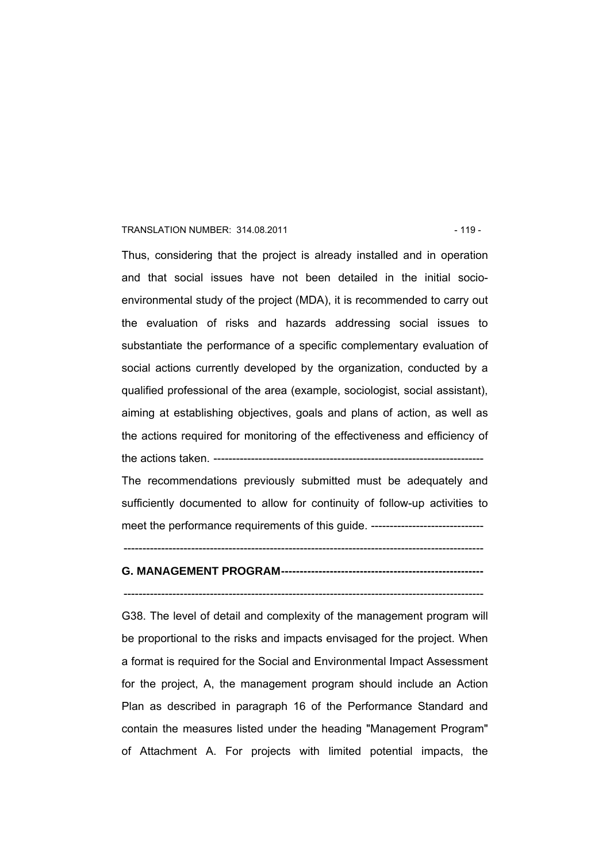#### TRANSLATION NUMBER: 314.08.2011 19 - 119 -

Thus, considering that the project is already installed and in operation and that social issues have not been detailed in the initial socioenvironmental study of the project (MDA), it is recommended to carry out the evaluation of risks and hazards addressing social issues to substantiate the performance of a specific complementary evaluation of social actions currently developed by the organization, conducted by a qualified professional of the area (example, sociologist, social assistant), aiming at establishing objectives, goals and plans of action, as well as the actions required for monitoring of the effectiveness and efficiency of the actions taken. -----------------------

The recommendations previously submitted must be adequately and sufficiently documented to allow for continuity of follow-up activities to meet the performance requirements of this guide. -------------------------------

# **G. MANAGEMENT PROGRAM------------------------------------------------------**

------------------------------------------------------------------------------------------------

------------------------------------------------------------------------------------------------

G38. The level of detail and complexity of the management program will be proportional to the risks and impacts envisaged for the project. When a format is required for the Social and Environmental Impact Assessment for the project, A, the management program should include an Action Plan as described in paragraph 16 of the Performance Standard and contain the measures listed under the heading "Management Program" of Attachment A. For projects with limited potential impacts, the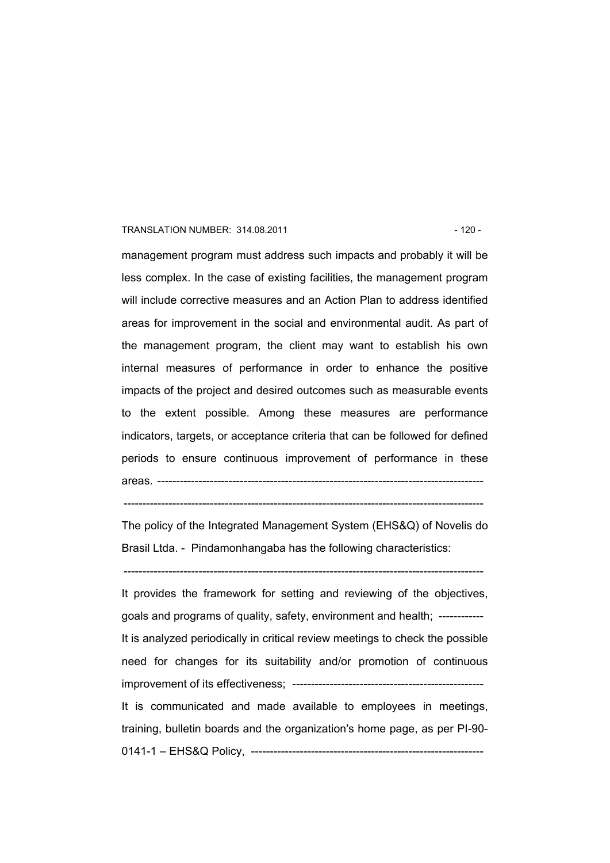#### TRANSLATION NUMBER: 314.08.2011 120 - 120 -

management program must address such impacts and probably it will be less complex. In the case of existing facilities, the management program will include corrective measures and an Action Plan to address identified areas for improvement in the social and environmental audit. As part of the management program, the client may want to establish his own internal measures of performance in order to enhance the positive impacts of the project and desired outcomes such as measurable events to the extent possible. Among these measures are performance indicators, targets, or acceptance criteria that can be followed for defined periods to ensure continuous improvement of performance in these areas. ---------------------------------------------------------------------------------------

 $-$ 

The policy of the Integrated Management System (EHS&Q) of Novelis do Brasil Ltda. - Pindamonhangaba has the following characteristics:

------------------------------------------------------------------------------------------------

It provides the framework for setting and reviewing of the objectives, goals and programs of quality, safety, environment and health; ------------ It is analyzed periodically in critical review meetings to check the possible need for changes for its suitability and/or promotion of continuous improvement of its effectiveness; --------------------------------------------------- It is communicated and made available to employees in meetings, training, bulletin boards and the organization's home page, as per PI-90- 0141-1 - EHS&Q Policy, -------------------------------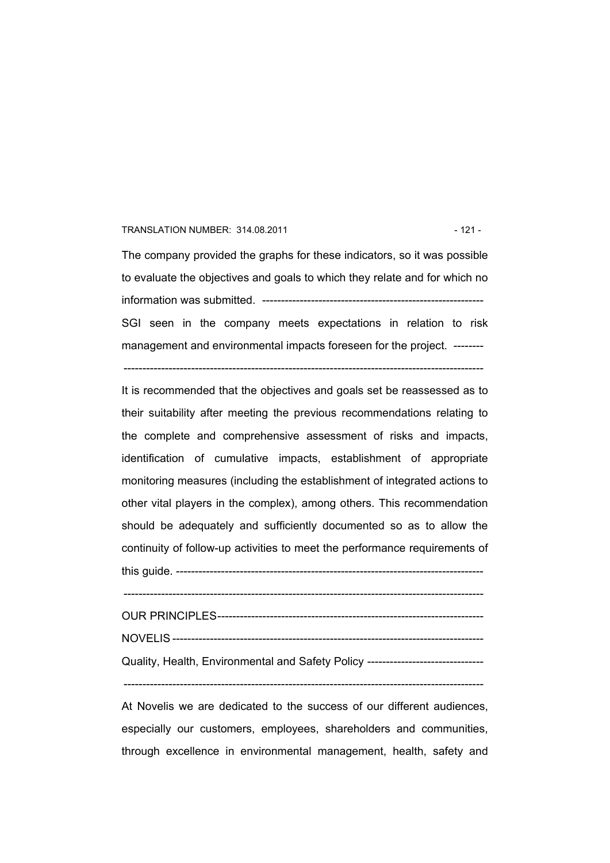#### TRANSLATION NUMBER: 314.08.2011 121 - 121 -

The company provided the graphs for these indicators, so it was possible to evaluate the objectives and goals to which they relate and for which no information was submitted. ----------------------------------------------------------- SGI seen in the company meets expectations in relation to risk management and environmental impacts foreseen for the project. --------

 $-$ 

It is recommended that the objectives and goals set be reassessed as to their suitability after meeting the previous recommendations relating to the complete and comprehensive assessment of risks and impacts, identification of cumulative impacts, establishment of appropriate monitoring measures (including the establishment of integrated actions to other vital players in the complex), among others. This recommendation should be adequately and sufficiently documented so as to allow the continuity of follow-up activities to meet the performance requirements of

this guide. ----------------------------------------------------------------------------------

------------------------------------------------------------------------------------------------

OUR PRINCIPLES----------------------------------------------------------------------- NOVELIS ----------------------------------------------------------------------------------- Quality, Health, Environmental and Safety Policy -------------------------------

------------------------------------------------------------------------------------------------

At Novelis we are dedicated to the success of our different audiences, especially our customers, employees, shareholders and communities, through excellence in environmental management, health, safety and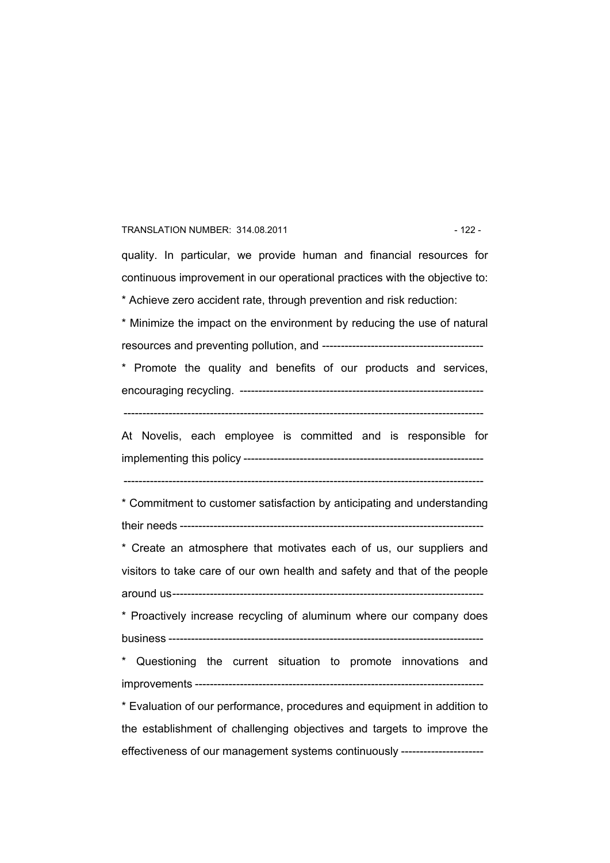#### TRANSLATION NUMBER: 314.08.2011 122 - 122 -

quality. In particular, we provide human and financial resources for continuous improvement in our operational practices with the objective to: \* Achieve zero accident rate, through prevention and risk reduction:

\* Minimize the impact on the environment by reducing the use of natural resources and preventing pollution, and -------------------------------------------

\* Promote the quality and benefits of our products and services, encouraging recycling. -----------------------------------------------------------------

------------------------------------------------------------------------------------------------

At Novelis, each employee is committed and is responsible for implementing this policy ----------------------------------------------------------------

------------------------------------------------------------------------------------------------

\* Commitment to customer satisfaction by anticipating and understanding their needs ---------------------------------------------------------------------------------

\* Create an atmosphere that motivates each of us, our suppliers and visitors to take care of our own health and safety and that of the people around us-----------------------------------------------------------------------------------

\* Proactively increase recycling of aluminum where our company does business ------------------------------------------------------------------------------------

\* Questioning the current situation to promote innovations and improvements -----------------------------------------------------------------------------

\* Evaluation of our performance, procedures and equipment in addition to the establishment of challenging objectives and targets to improve the effectiveness of our management systems continuously ----------------------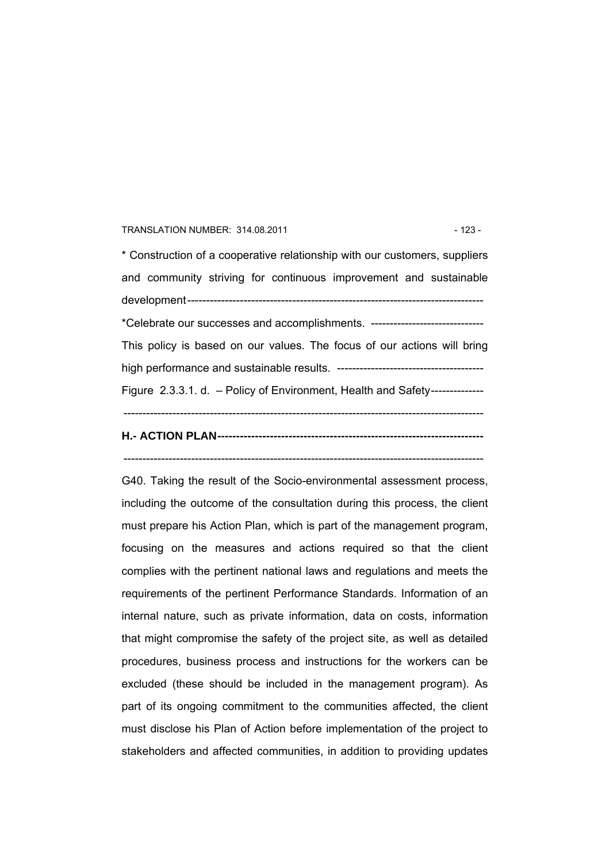#### TRANSLATION NUMBER: 314.08.2011 123 - 123 -

\* Construction of a cooperative relationship with our customers, suppliers and community striving for continuous improvement and sustainable development------------------------------------------------------------------------------- \*Celebrate our successes and accomplishments. ------------------------------ This policy is based on our values. The focus of our actions will bring high performance and sustainable results. --------------------------------------- Figure 2.3.3.1. d. – Policy of Environment, Health and Safety-------------- ------------------------------------------------------------------------------------------------

# **H.- ACTION PLAN-----------------------------------------------------------------------**

------------------------------------------------------------------------------------------------

G40. Taking the result of the Socio-environmental assessment process, including the outcome of the consultation during this process, the client must prepare his Action Plan, which is part of the management program, focusing on the measures and actions required so that the client complies with the pertinent national laws and regulations and meets the requirements of the pertinent Performance Standards. Information of an internal nature, such as private information, data on costs, information that might compromise the safety of the project site, as well as detailed procedures, business process and instructions for the workers can be excluded (these should be included in the management program). As part of its ongoing commitment to the communities affected, the client must disclose his Plan of Action before implementation of the project to stakeholders and affected communities, in addition to providing updates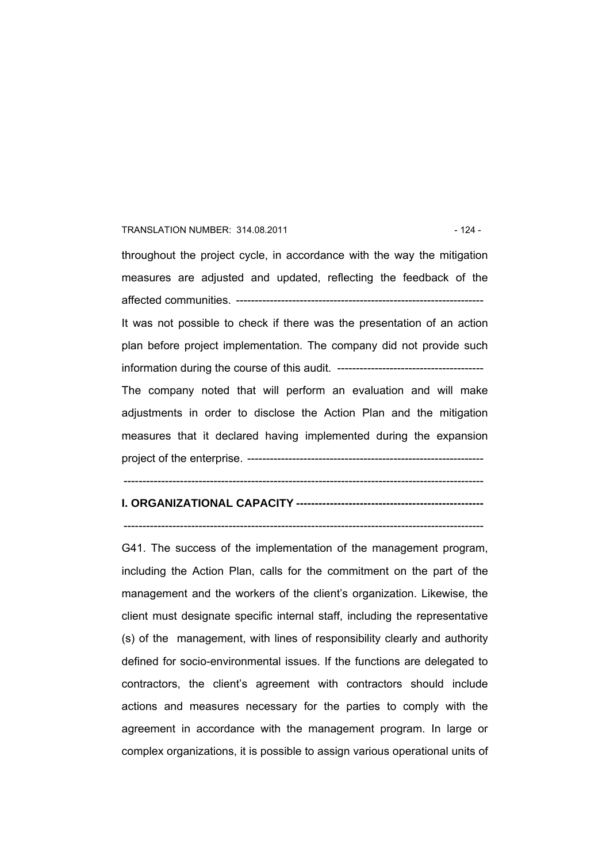#### TRANSLATION NUMBER: 314.08.2011 **124 - 124 - 124 - 124 - 124 - 124 - 124 - 124 - 124 - 124 - 124 - 124 - 124 - 124 - 124 - 124 - 124 - 125 - 126 - 126 - 127 - 128 - 128 - 128 - 128 - 128 - 128 - 128 - 128 - 128 - 128 - 128**

throughout the project cycle, in accordance with the way the mitigation measures are adjusted and updated, reflecting the feedback of the affected communities. ------------------------------------------------------------------ It was not possible to check if there was the presentation of an action plan before project implementation. The company did not provide such information during the course of this audit. --------------------------------------- The company noted that will perform an evaluation and will make adjustments in order to disclose the Action Plan and the mitigation measures that it declared having implemented during the expansion project of the enterprise. ---------------------------------------------------------------

------------------------------------------------------------------------------------------------

# **I. ORGANIZATIONAL CAPACITY --------------------------------------------------**

 $-$ 

G41. The success of the implementation of the management program, including the Action Plan, calls for the commitment on the part of the management and the workers of the client's organization. Likewise, the client must designate specific internal staff, including the representative (s) of the management, with lines of responsibility clearly and authority defined for socio-environmental issues. If the functions are delegated to contractors, the client's agreement with contractors should include actions and measures necessary for the parties to comply with the agreement in accordance with the management program. In large or complex organizations, it is possible to assign various operational units of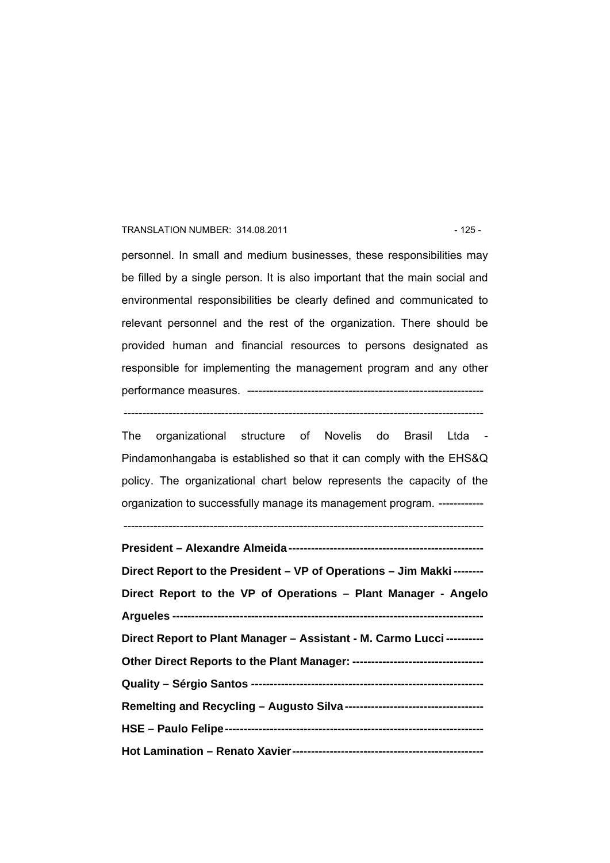#### TRANSLATION NUMBER: 314.08.2011 125 - 125 -

personnel. In small and medium businesses, these responsibilities may be filled by a single person. It is also important that the main social and environmental responsibilities be clearly defined and communicated to relevant personnel and the rest of the organization. There should be provided human and financial resources to persons designated as responsible for implementing the management program and any other performance measures. ---------------------------------------------------------------

------------------------------------------------------------------------------------------------

The organizational structure of Novelis do Brasil Ltda - Pindamonhangaba is established so that it can comply with the EHS&Q policy. The organizational chart below represents the capacity of the organization to successfully manage its management program. ------------

| Direct Report to the President – VP of Operations – Jim Makki -------- |
|------------------------------------------------------------------------|
| Direct Report to the VP of Operations - Plant Manager - Angelo         |
|                                                                        |
| Direct Report to Plant Manager - Assistant - M. Carmo Lucci ---------- |
|                                                                        |
|                                                                        |
|                                                                        |
|                                                                        |
|                                                                        |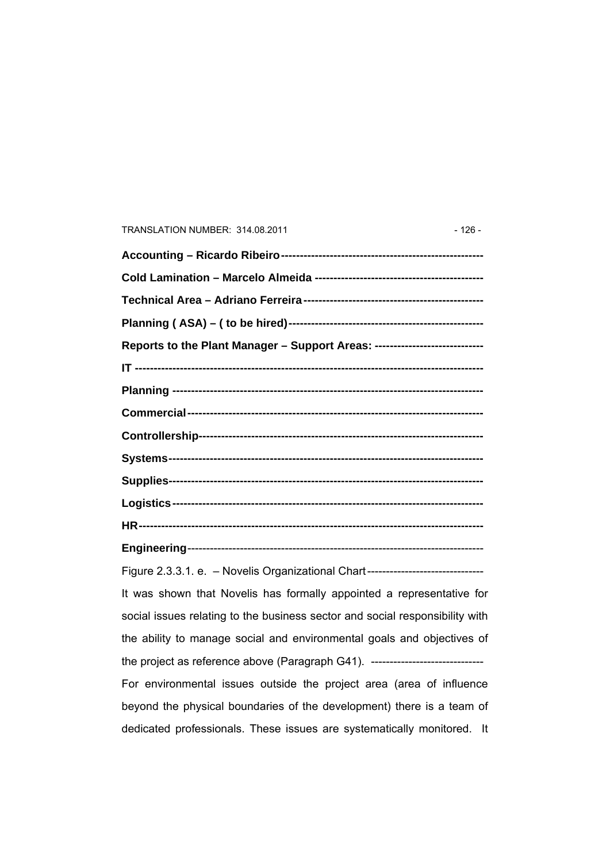# TRANSLATION NUMBER: 314.08.2011 - 126 -

| Reports to the Plant Manager - Support Areas: ----------------------------       |
|----------------------------------------------------------------------------------|
|                                                                                  |
|                                                                                  |
|                                                                                  |
|                                                                                  |
|                                                                                  |
|                                                                                  |
|                                                                                  |
|                                                                                  |
|                                                                                  |
| Figure 2.3.3.1. e. - Novelis Organizational Chart------------------------------- |
| It was shown that Novelis has formally appointed a representative for            |
| social issues relating to the business sector and social responsibility with     |
| the ability to manage social and environmental goals and objectives of           |
| the project as reference above (Paragraph G41). -------------------------------- |
| For environmental issues outside the project area (area of influence             |
| beyond the physical boundaries of the development) there is a team of            |
| dedicated professionals. These issues are systematically monitored. It           |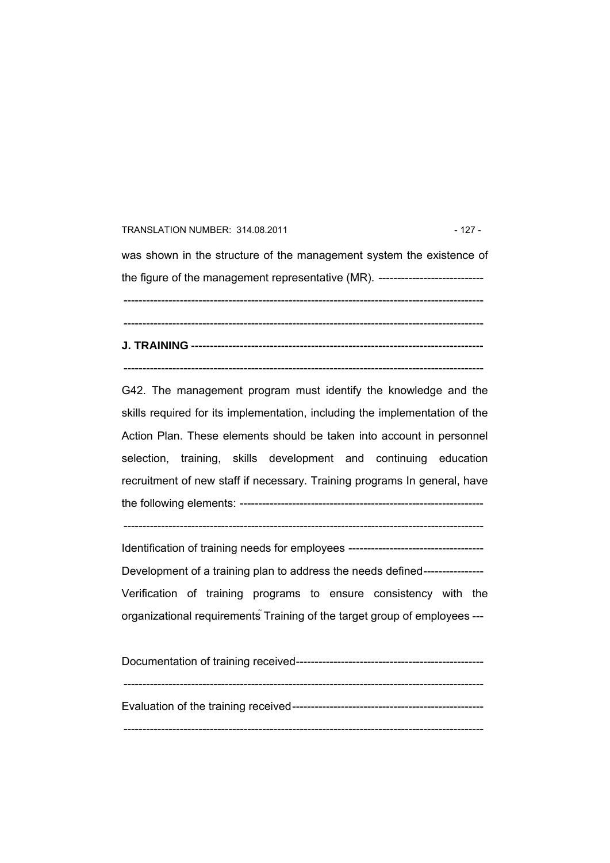#### TRANSLATION NUMBER: 314.08.2011 127 - 127 -

was shown in the structure of the management system the existence of the figure of the management representative (MR). ------------------------------------------------------------------------------------------------------------------------------ ------------------------------------------------------------------------------------------------ **J. TRAINING ------------------------------------------------------------------------------** 

------------------------------------------------------------------------------------------------

G42. The management program must identify the knowledge and the skills required for its implementation, including the implementation of the Action Plan. These elements should be taken into account in personnel selection, training, skills development and continuing education recruitment of new staff if necessary. Training programs In general, have the following elements: -----------------------------------------------------------------

 $-$ 

Identification of training needs for employees ------------------------------------ Development of a training plan to address the needs defined-----------------Verification of training programs to ensure consistency with the organizational requirements Training of the target group of employees ---

| Evaluation of the training received-------------------------------- |  |
|---------------------------------------------------------------------|--|
|                                                                     |  |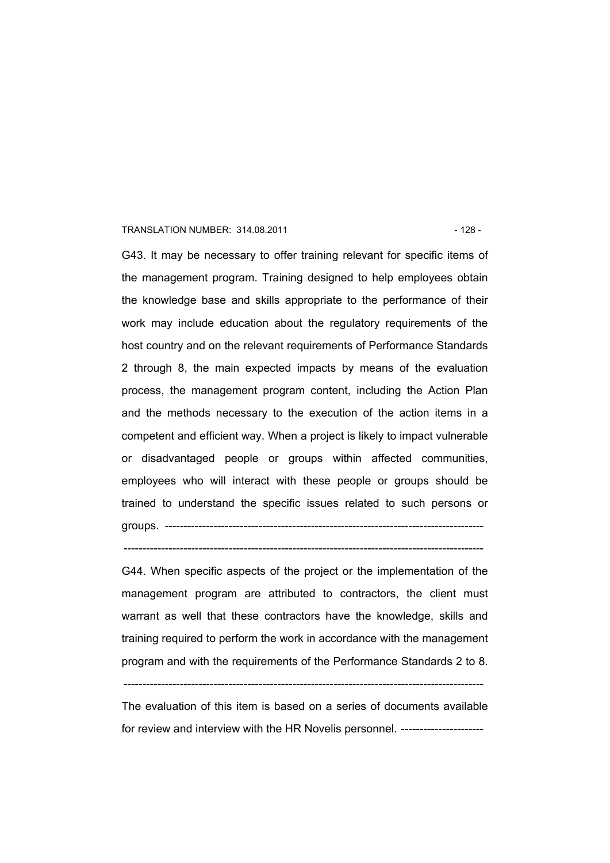#### TRANSLATION NUMBER: 314.08.2011 128 - 128 -

G43. It may be necessary to offer training relevant for specific items of the management program. Training designed to help employees obtain the knowledge base and skills appropriate to the performance of their work may include education about the regulatory requirements of the host country and on the relevant requirements of Performance Standards 2 through 8, the main expected impacts by means of the evaluation process, the management program content, including the Action Plan and the methods necessary to the execution of the action items in a competent and efficient way. When a project is likely to impact vulnerable or disadvantaged people or groups within affected communities, employees who will interact with these people or groups should be trained to understand the specific issues related to such persons or groups. -------------------------------------------------------------------------------------

G44. When specific aspects of the project or the implementation of the

------------------------------------------------------------------------------------------------

management program are attributed to contractors, the client must warrant as well that these contractors have the knowledge, skills and training required to perform the work in accordance with the management program and with the requirements of the Performance Standards 2 to 8.

The evaluation of this item is based on a series of documents available for review and interview with the HR Novelis personnel. ----------------------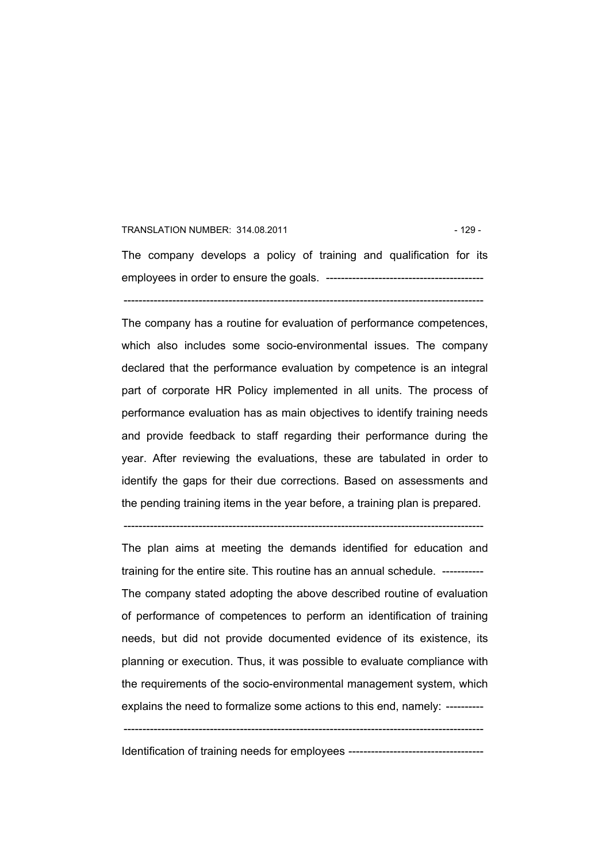#### TRANSLATION NUMBER: 314.08.2011 **129 - 129 - 129 - 129 - 129 - 129 - 129 - 129 - 129 - 129 - 129 - 129 - 129 - 129 - 129 - 129 - 129 - 129 - 129 - 129 - 129 - 129 - 129 - 129 - 129 - 129 - 120 - 120 - 120 - 120 - 120 - 120**

The company develops a policy of training and qualification for its employees in order to ensure the goals. ------------------------------------------

------------------------------------------------------------------------------------------------

The company has a routine for evaluation of performance competences, which also includes some socio-environmental issues. The company declared that the performance evaluation by competence is an integral part of corporate HR Policy implemented in all units. The process of performance evaluation has as main objectives to identify training needs and provide feedback to staff regarding their performance during the year. After reviewing the evaluations, these are tabulated in order to identify the gaps for their due corrections. Based on assessments and the pending training items in the year before, a training plan is prepared.

The plan aims at meeting the demands identified for education and training for the entire site. This routine has an annual schedule. ----------- The company stated adopting the above described routine of evaluation of performance of competences to perform an identification of training needs, but did not provide documented evidence of its existence, its planning or execution. Thus, it was possible to evaluate compliance with the requirements of the socio-environmental management system, which explains the need to formalize some actions to this end, namely: ----------

------------------------------------------------------------------------------------------------

------------------------------------------------------------------------------------------------

Identification of training needs for employees ------------------------------------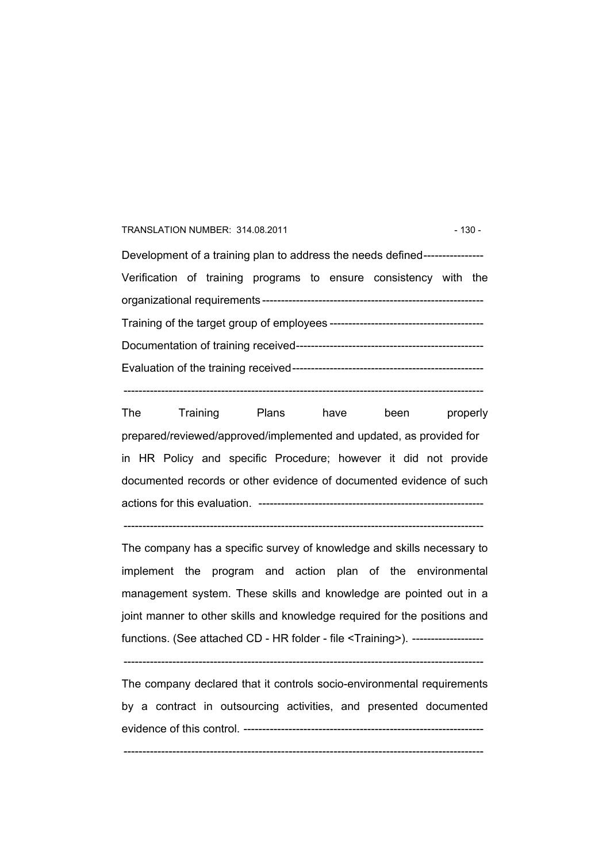#### TRANSLATION NUMBER: 314.08.2011 130 - 130 -

Development of a training plan to address the needs defined---------------- Verification of training programs to ensure consistency with the organizational requirements ----------------------------------------------------------- Training of the target group of employees ----------------------------------------- Documentation of training received-------------------------------------------------- Evaluation of the training received---------------------------------------------------

The Training Plans have been properly prepared/reviewed/approved/implemented and updated, as provided for in HR Policy and specific Procedure; however it did not provide documented records or other evidence of documented evidence of such actions for this evaluation. ------------------------------------------------------------

------------------------------------------------------------------------------------------------

 $-$ 

The company has a specific survey of knowledge and skills necessary to implement the program and action plan of the environmental management system. These skills and knowledge are pointed out in a joint manner to other skills and knowledge required for the positions and functions. (See attached CD - HR folder - file <Training>). --------------------

------------------------------------------------------------------------------------------------

The company declared that it controls socio-environmental requirements by a contract in outsourcing activities, and presented documented evidence of this control. ----------------------------------------------------------------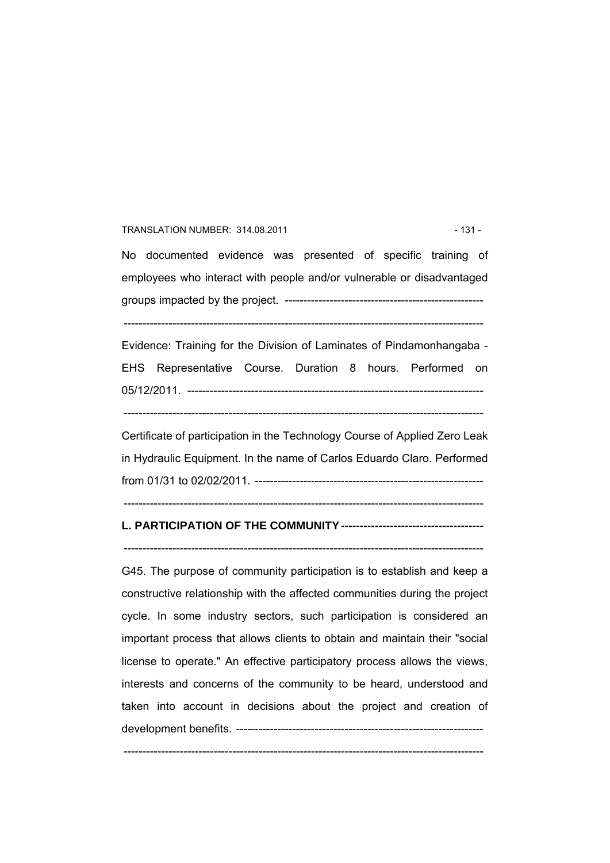#### TRANSLATION NUMBER: 314.08.2011 120 120 131 - 131 -

No documented evidence was presented of specific training of employees who interact with people and/or vulnerable or disadvantaged groups impacted by the project. ----------------------------------------------------- ------------------------------------------------------------------------------------------------

Evidence: Training for the Division of Laminates of Pindamonhangaba - EHS Representative Course. Duration 8 hours. Performed on 05/12/2011. -------------------------------------------------------------------------------

------------------------------------------------------------------------------------------------

Certificate of participation in the Technology Course of Applied Zero Leak in Hydraulic Equipment. In the name of Carlos Eduardo Claro. Performed from 01/31 to 02/02/2011. -------------------------------------------------------------

------------------------------------------------------------------------------------------------

# **L. PARTICIPATION OF THE COMMUNITY --------------------------------------**

------------------------------------------------------------------------------------------------

G45. The purpose of community participation is to establish and keep a constructive relationship with the affected communities during the project cycle. In some industry sectors, such participation is considered an important process that allows clients to obtain and maintain their "social license to operate." An effective participatory process allows the views, interests and concerns of the community to be heard, understood and taken into account in decisions about the project and creation of development benefits. ------------------------------------------------------------------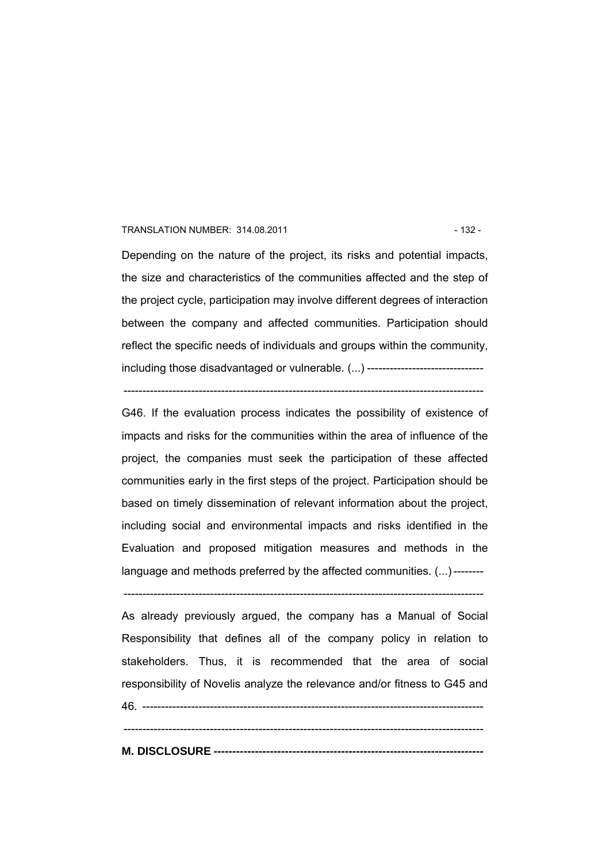#### TRANSLATION NUMBER: 314.08.2011 120 120 132 - 132 -

Depending on the nature of the project, its risks and potential impacts, the size and characteristics of the communities affected and the step of the project cycle, participation may involve different degrees of interaction between the company and affected communities. Participation should reflect the specific needs of individuals and groups within the community, including those disadvantaged or vulnerable. (...) -------------------------------

------------------------------------------------------------------------------------------------

G46. If the evaluation process indicates the possibility of existence of impacts and risks for the communities within the area of influence of the project, the companies must seek the participation of these affected communities early in the first steps of the project. Participation should be based on timely dissemination of relevant information about the project, including social and environmental impacts and risks identified in the Evaluation and proposed mitigation measures and methods in the language and methods preferred by the affected communities. (...) --------

------------------------------------------------------------------------------------------------

As already previously argued, the company has a Manual of Social Responsibility that defines all of the company policy in relation to stakeholders. Thus, it is recommended that the area of social responsibility of Novelis analyze the relevance and/or fitness to G45 and 46. ------------------------------------------------------------------------------------------- ------------------------------------------------------------------------------------------------

**M. DISCLOSURE ------------------------------------------------------------------------**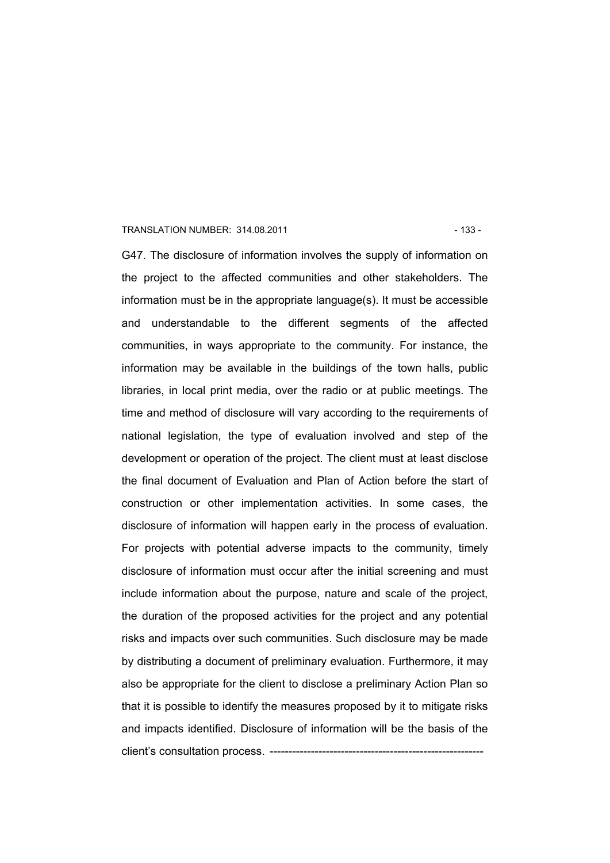#### TRANSLATION NUMBER: 314.08.2011 - 133 -

G47. The disclosure of information involves the supply of information on the project to the affected communities and other stakeholders. The information must be in the appropriate language(s). It must be accessible and understandable to the different segments of the affected communities, in ways appropriate to the community. For instance, the information may be available in the buildings of the town halls, public libraries, in local print media, over the radio or at public meetings. The time and method of disclosure will vary according to the requirements of national legislation, the type of evaluation involved and step of the development or operation of the project. The client must at least disclose the final document of Evaluation and Plan of Action before the start of construction or other implementation activities. In some cases, the disclosure of information will happen early in the process of evaluation. For projects with potential adverse impacts to the community, timely disclosure of information must occur after the initial screening and must include information about the purpose, nature and scale of the project, the duration of the proposed activities for the project and any potential risks and impacts over such communities. Such disclosure may be made by distributing a document of preliminary evaluation. Furthermore, it may also be appropriate for the client to disclose a preliminary Action Plan so that it is possible to identify the measures proposed by it to mitigate risks and impacts identified. Disclosure of information will be the basis of the client's consultation process. ------------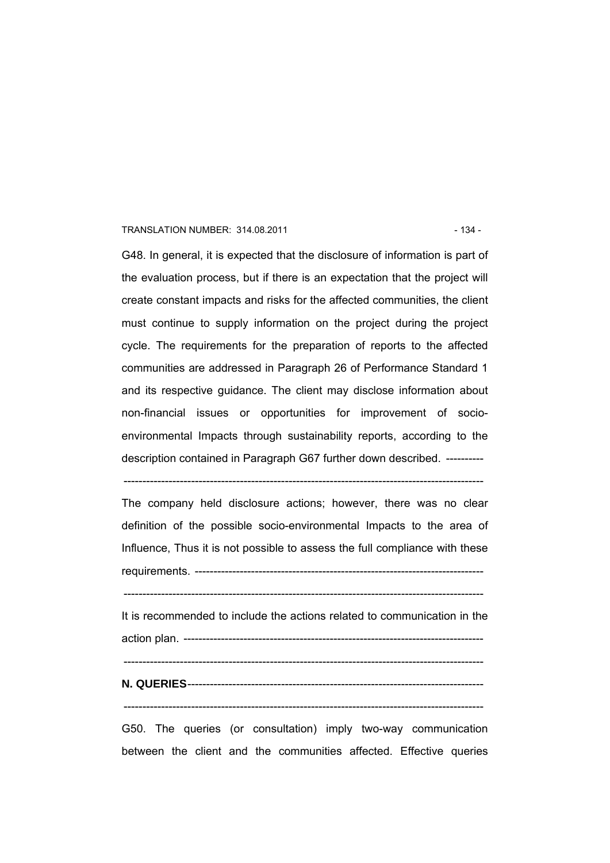#### TRANSLATION NUMBER: 314.08.2011 **134 - 134 - 134 - 134 - 134 - 134 - 134 - 134** -

G48. In general, it is expected that the disclosure of information is part of the evaluation process, but if there is an expectation that the project will create constant impacts and risks for the affected communities, the client must continue to supply information on the project during the project cycle. The requirements for the preparation of reports to the affected communities are addressed in Paragraph 26 of Performance Standard 1 and its respective guidance. The client may disclose information about non-financial issues or opportunities for improvement of socioenvironmental Impacts through sustainability reports, according to the description contained in Paragraph G67 further down described. ----------

The company held disclosure actions; however, there was no clear definition of the possible socio-environmental Impacts to the area of Influence, Thus it is not possible to assess the full compliance with these requirements. -----------------------------------------------------------------------------

------------------------------------------------------------------------------------------------

------------------------------------------------------------------------------------------------

It is recommended to include the actions related to communication in the action plan. --------------------------------------------------------------------------------

 $-$ 

# **N. QUERIES**-------------------------------------------------------------------------------

------------------------------------------------------------------------------------------------

G50. The queries (or consultation) imply two-way communication between the client and the communities affected. Effective queries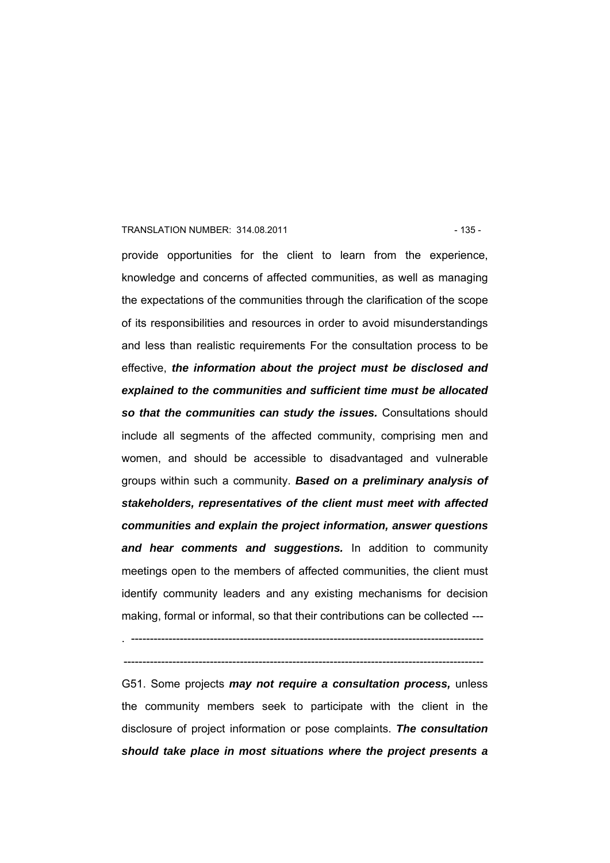#### TRANSLATION NUMBER: 314.08.2011 135 - 135 -

provide opportunities for the client to learn from the experience, knowledge and concerns of affected communities, as well as managing the expectations of the communities through the clarification of the scope of its responsibilities and resources in order to avoid misunderstandings and less than realistic requirements For the consultation process to be effective, *the information about the project must be disclosed and explained to the communities and sufficient time must be allocated so that the communities can study the issues.* Consultations should include all segments of the affected community, comprising men and women, and should be accessible to disadvantaged and vulnerable groups within such a community. *Based on a preliminary analysis of stakeholders, representatives of the client must meet with affected communities and explain the project information, answer questions and hear comments and suggestions.* In addition to community meetings open to the members of affected communities, the client must identify community leaders and any existing mechanisms for decision making, formal or informal, so that their contributions can be collected ---

------------------------------------------------------------------------------------------------

G51. Some projects *may not require a consultation process,* unless the community members seek to participate with the client in the disclosure of project information or pose complaints. *The consultation should take place in most situations where the project presents a* 

<sup>. ----------------------------------------------------------------------------------------------</sup>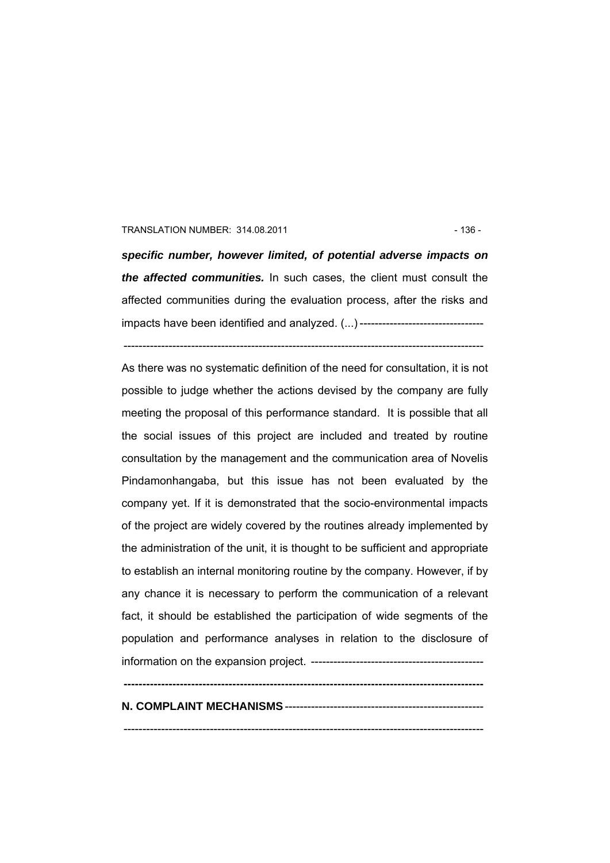#### TRANSLATION NUMBER: 314.08.2011 136 - 136 -

*specific number, however limited, of potential adverse impacts on the affected communities.* In such cases, the client must consult the affected communities during the evaluation process, after the risks and impacts have been identified and analyzed. (...) ---------------------------------

------------------------------------------------------------------------------------------------

As there was no systematic definition of the need for consultation, it is not possible to judge whether the actions devised by the company are fully meeting the proposal of this performance standard. It is possible that all the social issues of this project are included and treated by routine consultation by the management and the communication area of Novelis Pindamonhangaba, but this issue has not been evaluated by the company yet. If it is demonstrated that the socio-environmental impacts of the project are widely covered by the routines already implemented by the administration of the unit, it is thought to be sufficient and appropriate to establish an internal monitoring routine by the company. However, if by any chance it is necessary to perform the communication of a relevant fact, it should be established the participation of wide segments of the population and performance analyses in relation to the disclosure of information on the expansion project. ----------------------------------------------

# **N. COMPLAINT MECHANISMS**-----------------------------------------------------

------------------------------------------------------------------------------------------------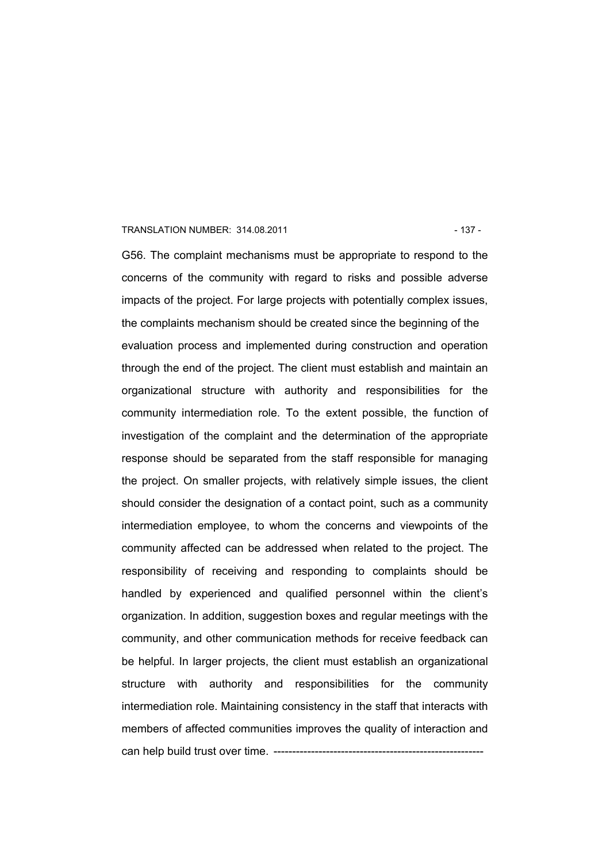#### TRANSLATION NUMBER: 314.08.2011 137 - 137 -

G56. The complaint mechanisms must be appropriate to respond to the concerns of the community with regard to risks and possible adverse impacts of the project. For large projects with potentially complex issues, the complaints mechanism should be created since the beginning of the evaluation process and implemented during construction and operation through the end of the project. The client must establish and maintain an organizational structure with authority and responsibilities for the community intermediation role. To the extent possible, the function of investigation of the complaint and the determination of the appropriate response should be separated from the staff responsible for managing the project. On smaller projects, with relatively simple issues, the client should consider the designation of a contact point, such as a community intermediation employee, to whom the concerns and viewpoints of the community affected can be addressed when related to the project. The responsibility of receiving and responding to complaints should be handled by experienced and qualified personnel within the client's organization. In addition, suggestion boxes and regular meetings with the community, and other communication methods for receive feedback can be helpful. In larger projects, the client must establish an organizational structure with authority and responsibilities for the community intermediation role. Maintaining consistency in the staff that interacts with members of affected communities improves the quality of interaction and can help build trust over time. -------------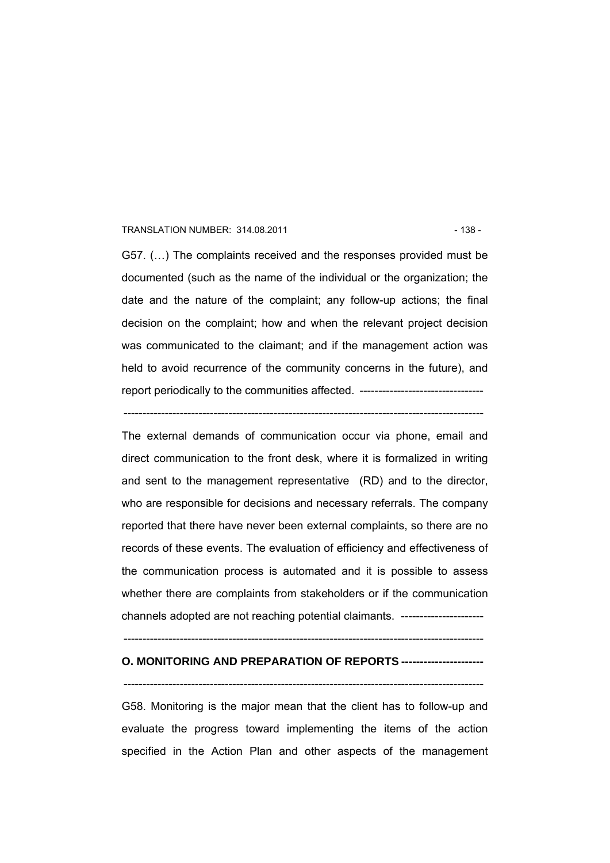#### TRANSLATION NUMBER: 314.08.2011 **138 - 138 - 138 - 138 - 138 - 138 - 138 - 138** -

G57. (…) The complaints received and the responses provided must be documented (such as the name of the individual or the organization; the date and the nature of the complaint; any follow-up actions; the final decision on the complaint; how and when the relevant project decision was communicated to the claimant; and if the management action was held to avoid recurrence of the community concerns in the future), and report periodically to the communities affected. ---------------------------------

------------------------------------------------------------------------------------------------

The external demands of communication occur via phone, email and direct communication to the front desk, where it is formalized in writing and sent to the management representative (RD) and to the director, who are responsible for decisions and necessary referrals. The company reported that there have never been external complaints, so there are no records of these events. The evaluation of efficiency and effectiveness of the communication process is automated and it is possible to assess whether there are complaints from stakeholders or if the communication channels adopted are not reaching potential claimants. ----------------------

------------------------------------------------------------------------------------------------

# **O. MONITORING AND PREPARATION OF REPORTS ----------------------**

------------------------------------------------------------------------------------------------

G58. Monitoring is the major mean that the client has to follow-up and evaluate the progress toward implementing the items of the action specified in the Action Plan and other aspects of the management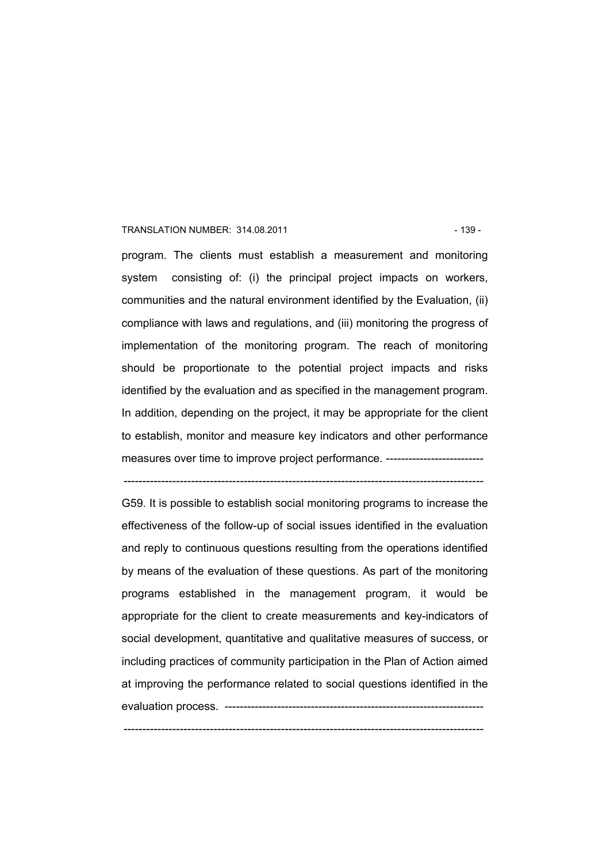#### TRANSLATION NUMBER: 314.08.2011 139 - 139 -

program. The clients must establish a measurement and monitoring system consisting of: (i) the principal project impacts on workers, communities and the natural environment identified by the Evaluation, (ii) compliance with laws and regulations, and (iii) monitoring the progress of implementation of the monitoring program. The reach of monitoring should be proportionate to the potential project impacts and risks identified by the evaluation and as specified in the management program. In addition, depending on the project, it may be appropriate for the client to establish, monitor and measure key indicators and other performance measures over time to improve project performance. ----------------------------

------------------------------------------------------------------------------------------------

G59. It is possible to establish social monitoring programs to increase the effectiveness of the follow-up of social issues identified in the evaluation and reply to continuous questions resulting from the operations identified by means of the evaluation of these questions. As part of the monitoring programs established in the management program, it would be appropriate for the client to create measurements and key-indicators of social development, quantitative and qualitative measures of success, or including practices of community participation in the Plan of Action aimed at improving the performance related to social questions identified in the evaluation process. ---------------------------------------------------------------------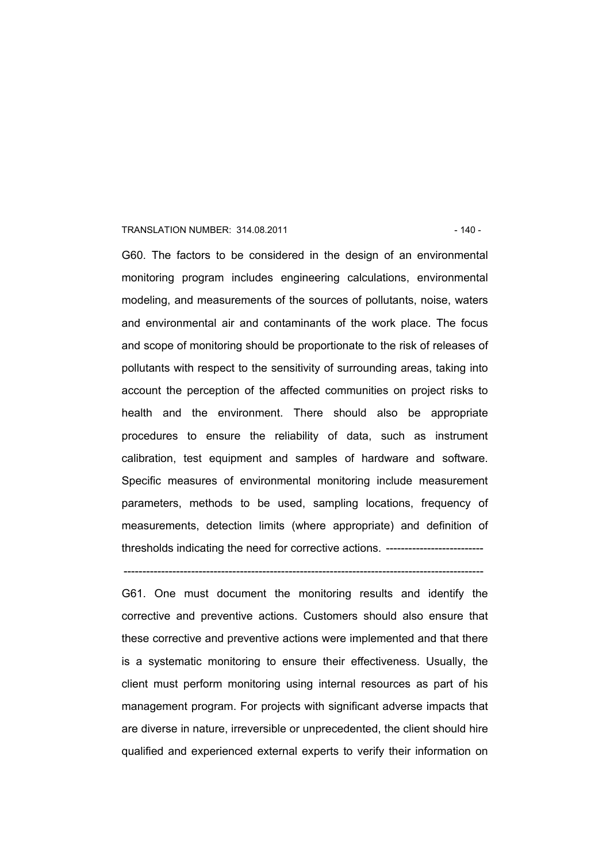#### TRANSLATION NUMBER: 314.08.2011 120 - 140 - 140 -

G60. The factors to be considered in the design of an environmental monitoring program includes engineering calculations, environmental modeling, and measurements of the sources of pollutants, noise, waters and environmental air and contaminants of the work place. The focus and scope of monitoring should be proportionate to the risk of releases of pollutants with respect to the sensitivity of surrounding areas, taking into account the perception of the affected communities on project risks to health and the environment. There should also be appropriate procedures to ensure the reliability of data, such as instrument calibration, test equipment and samples of hardware and software. Specific measures of environmental monitoring include measurement parameters, methods to be used, sampling locations, frequency of measurements, detection limits (where appropriate) and definition of thresholds indicating the need for corrective actions. --------------------------

------------------------------------------------------------------------------------------------

G61. One must document the monitoring results and identify the corrective and preventive actions. Customers should also ensure that these corrective and preventive actions were implemented and that there is a systematic monitoring to ensure their effectiveness. Usually, the client must perform monitoring using internal resources as part of his management program. For projects with significant adverse impacts that are diverse in nature, irreversible or unprecedented, the client should hire qualified and experienced external experts to verify their information on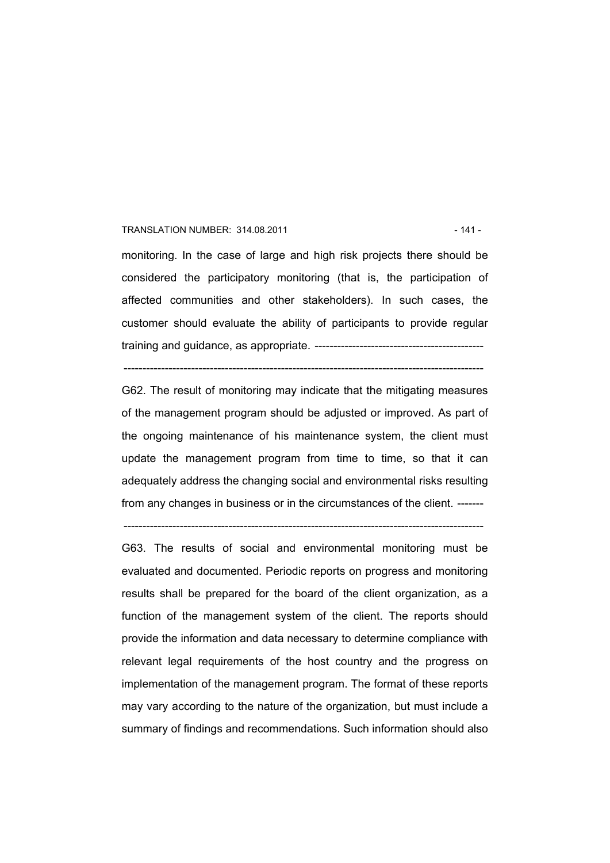#### TRANSLATION NUMBER: 314.08.2011 120 120 120 120 120 121 141

monitoring. In the case of large and high risk projects there should be considered the participatory monitoring (that is, the participation of affected communities and other stakeholders). In such cases, the customer should evaluate the ability of participants to provide regular training and guidance, as appropriate. ---------------------------------------------

------------------------------------------------------------------------------------------------

G62. The result of monitoring may indicate that the mitigating measures of the management program should be adjusted or improved. As part of the ongoing maintenance of his maintenance system, the client must update the management program from time to time, so that it can adequately address the changing social and environmental risks resulting from any changes in business or in the circumstances of the client. -------

------------------------------------------------------------------------------------------------

G63. The results of social and environmental monitoring must be evaluated and documented. Periodic reports on progress and monitoring results shall be prepared for the board of the client organization, as a function of the management system of the client. The reports should provide the information and data necessary to determine compliance with relevant legal requirements of the host country and the progress on implementation of the management program. The format of these reports may vary according to the nature of the organization, but must include a summary of findings and recommendations. Such information should also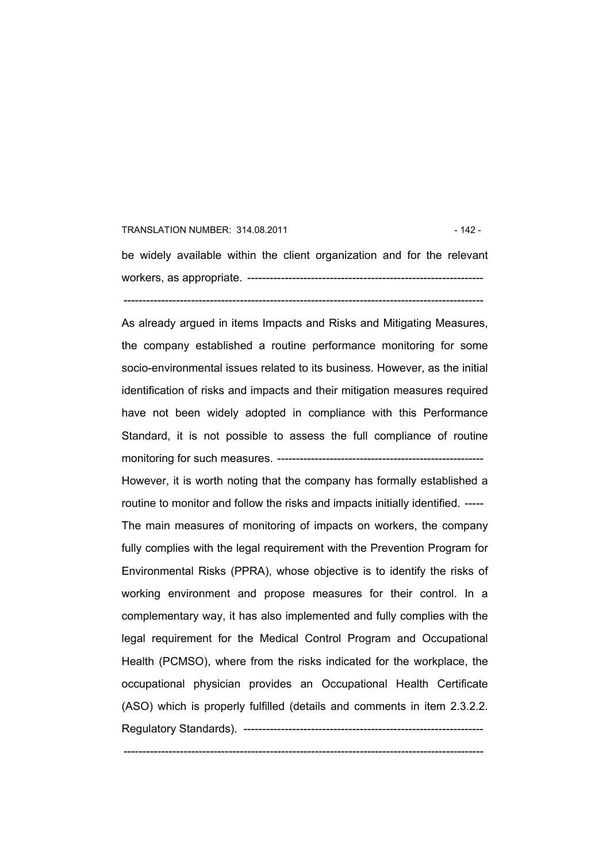#### TRANSLATION NUMBER: 314.08.2011 **12 - 142 - 142 - 142 - 142 - 142 - 142 - 142 - 142 - 142 - 142 - 142 - 142 - 142 - 142 - 142 - 142 - 142 - 142 - 142 - 142 - 142 - 142 - 142 - 142 - 142 - 142 - 142 - 142 - 142 - 142 - 142**

be widely available within the client organization and for the relevant workers, as appropriate. --------------------------------------------------------------- ------------------------------------------------------------------------------------------------

As already argued in items Impacts and Risks and Mitigating Measures, the company established a routine performance monitoring for some socio-environmental issues related to its business. However, as the initial identification of risks and impacts and their mitigation measures required have not been widely adopted in compliance with this Performance Standard, it is not possible to assess the full compliance of routine monitoring for such measures. -------------------------------------------------------

However, it is worth noting that the company has formally established a routine to monitor and follow the risks and impacts initially identified. ----- The main measures of monitoring of impacts on workers, the company fully complies with the legal requirement with the Prevention Program for Environmental Risks (PPRA), whose objective is to identify the risks of working environment and propose measures for their control. In a complementary way, it has also implemented and fully complies with the legal requirement for the Medical Control Program and Occupational Health (PCMSO), where from the risks indicated for the workplace, the occupational physician provides an Occupational Health Certificate (ASO) which is properly fulfilled (details and comments in item 2.3.2.2. Regulatory Standards). ----------------------------------------------------------------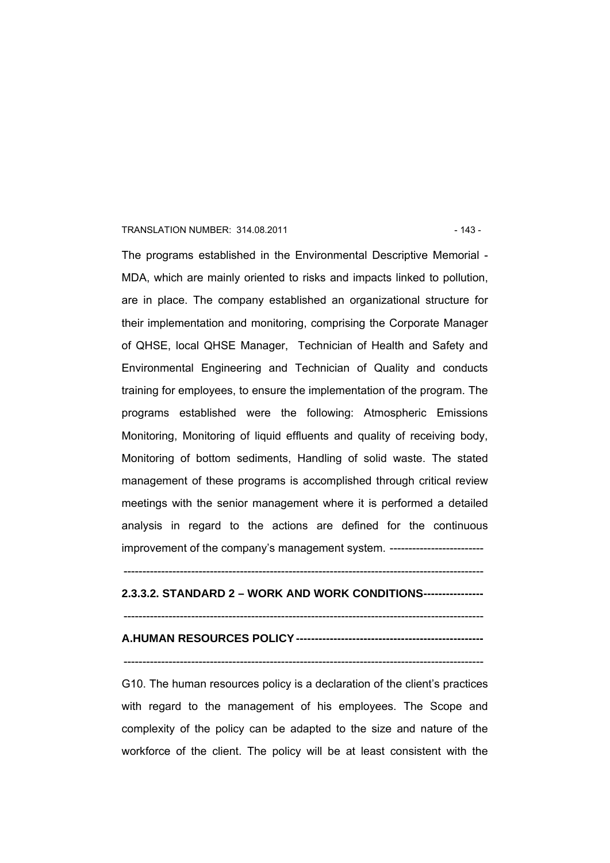#### TRANSLATION NUMBER: 314.08.2011 **12.12.13 12.14.08.2011** 12.143

The programs established in the Environmental Descriptive Memorial - MDA, which are mainly oriented to risks and impacts linked to pollution, are in place. The company established an organizational structure for their implementation and monitoring, comprising the Corporate Manager of QHSE, local QHSE Manager, Technician of Health and Safety and Environmental Engineering and Technician of Quality and conducts training for employees, to ensure the implementation of the program. The programs established were the following: Atmospheric Emissions Monitoring, Monitoring of liquid effluents and quality of receiving body, Monitoring of bottom sediments, Handling of solid waste. The stated management of these programs is accomplished through critical review meetings with the senior management where it is performed a detailed analysis in regard to the actions are defined for the continuous improvement of the company's management system. -------------------------

------------------------------------------------------------------------------------------------

# **2.3.3.2. STANDARD 2 – WORK AND WORK CONDITIONS----------------**

------------------------------------------------------------------------------------------------

#### **A.HUMAN RESOURCES POLICY --------------------------------------------------**

# ------------------------------------------------------------------------------------------------

G10. The human resources policy is a declaration of the client's practices with regard to the management of his employees. The Scope and complexity of the policy can be adapted to the size and nature of the workforce of the client. The policy will be at least consistent with the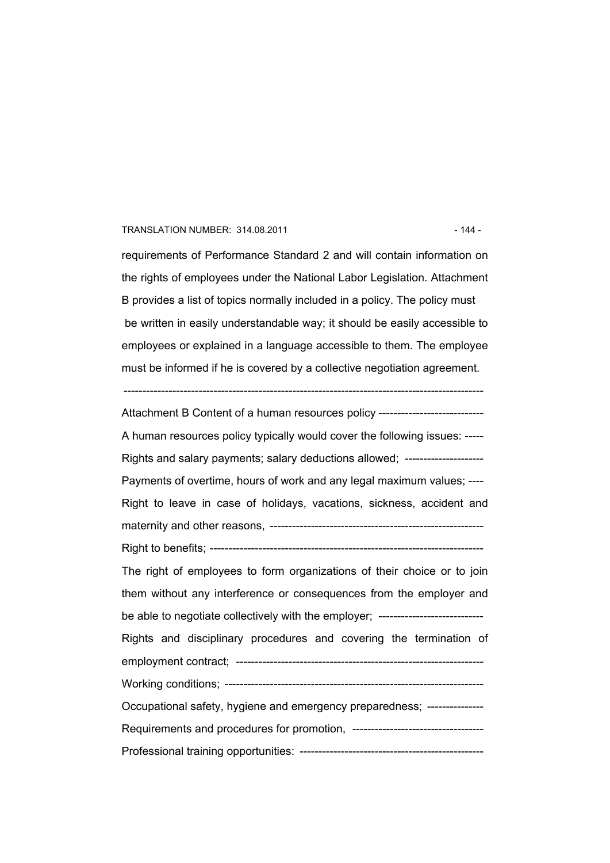#### TRANSLATION NUMBER: 314.08.2011 **12.14.14 12.14.14 12.14.14 12.14.14** 12.144 12.144

requirements of Performance Standard 2 and will contain information on the rights of employees under the National Labor Legislation. Attachment B provides a list of topics normally included in a policy. The policy must be written in easily understandable way; it should be easily accessible to employees or explained in a language accessible to them. The employee must be informed if he is covered by a collective negotiation agreement.

------------------------------------------------------------------------------------------------

Attachment B Content of a human resources policy ------------------------------A human resources policy typically would cover the following issues: ----- Rights and salary payments; salary deductions allowed; --------------------- Payments of overtime, hours of work and any legal maximum values; ---- Right to leave in case of holidays, vacations, sickness, accident and maternity and other reasons, --------------------------------------------------------- Right to benefits; ------------------------------------------------------------------------- The right of employees to form organizations of their choice or to join them without any interference or consequences from the employer and be able to negotiate collectively with the employer; ---------------------------Rights and disciplinary procedures and covering the termination of employment contract; ------------------------------------------------------------------ Working conditions; --------------------------------------------------------------------- Occupational safety, hygiene and emergency preparedness; --------------- Requirements and procedures for promotion, ----------------------------------- Professional training opportunities: -------------------------------------------------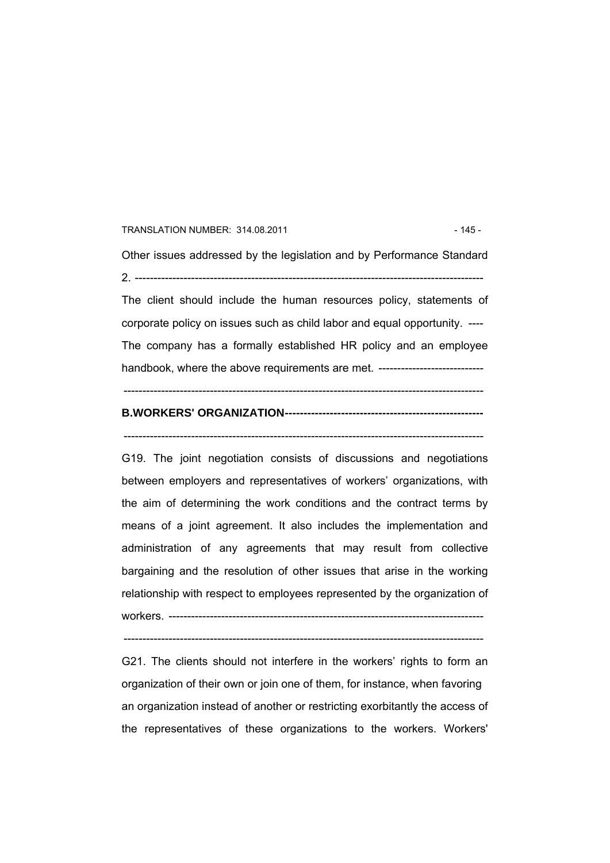#### TRANSLATION NUMBER: 314.08.2011 - 145 -

Other issues addressed by the legislation and by Performance Standard 2. ---------------------------------------------------------------------------------------------

The client should include the human resources policy, statements of corporate policy on issues such as child labor and equal opportunity. ---- The company has a formally established HR policy and an employee handbook, where the above requirements are met. --------------------------------

 $-$ 

------------------------------------------------------------------------------------------------

### **B.WORKERS' ORGANIZATION-----------------------------------------------------**

G19. The joint negotiation consists of discussions and negotiations between employers and representatives of workers' organizations, with the aim of determining the work conditions and the contract terms by means of a joint agreement. It also includes the implementation and administration of any agreements that may result from collective bargaining and the resolution of other issues that arise in the working relationship with respect to employees represented by the organization of workers. ------------------------------------------------------------------------------------

 $-$ 

G21. The clients should not interfere in the workers' rights to form an organization of their own or join one of them, for instance, when favoring an organization instead of another or restricting exorbitantly the access of the representatives of these organizations to the workers. Workers'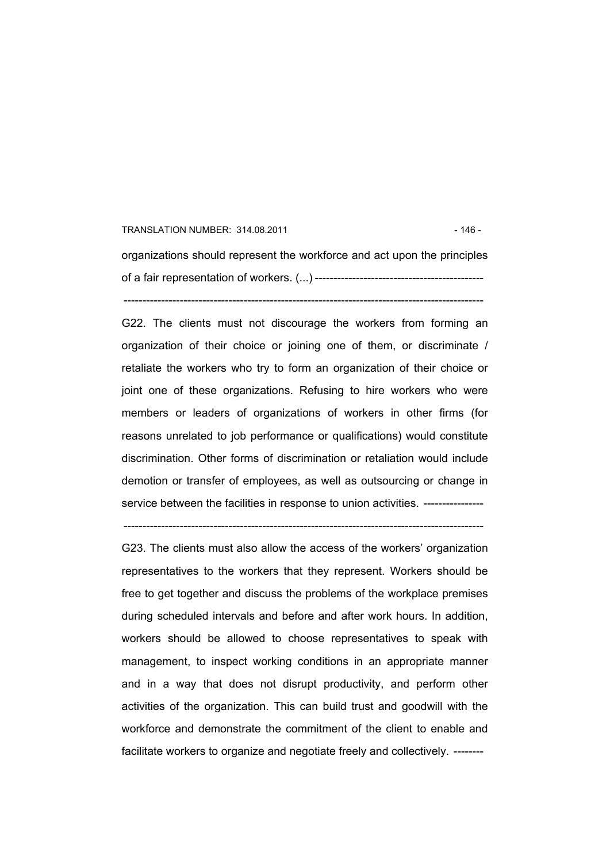# TRANSLATION NUMBER: 314.08.2011 **12001** 12001 12001 12001 12001 12001 12001 12001 12001 12001 12001 12001 1200 organizations should represent the workforce and act upon the principles of a fair representation of workers. (...) ---------------------------------------------

------------------------------------------------------------------------------------------------

G22. The clients must not discourage the workers from forming an organization of their choice or joining one of them, or discriminate / retaliate the workers who try to form an organization of their choice or joint one of these organizations. Refusing to hire workers who were members or leaders of organizations of workers in other firms (for reasons unrelated to job performance or qualifications) would constitute discrimination. Other forms of discrimination or retaliation would include demotion or transfer of employees, as well as outsourcing or change in service between the facilities in response to union activities. ----------------

------------------------------------------------------------------------------------------------ G23. The clients must also allow the access of the workers' organization representatives to the workers that they represent. Workers should be free to get together and discuss the problems of the workplace premises during scheduled intervals and before and after work hours. In addition, workers should be allowed to choose representatives to speak with management, to inspect working conditions in an appropriate manner and in a way that does not disrupt productivity, and perform other activities of the organization. This can build trust and goodwill with the workforce and demonstrate the commitment of the client to enable and facilitate workers to organize and negotiate freely and collectively. --------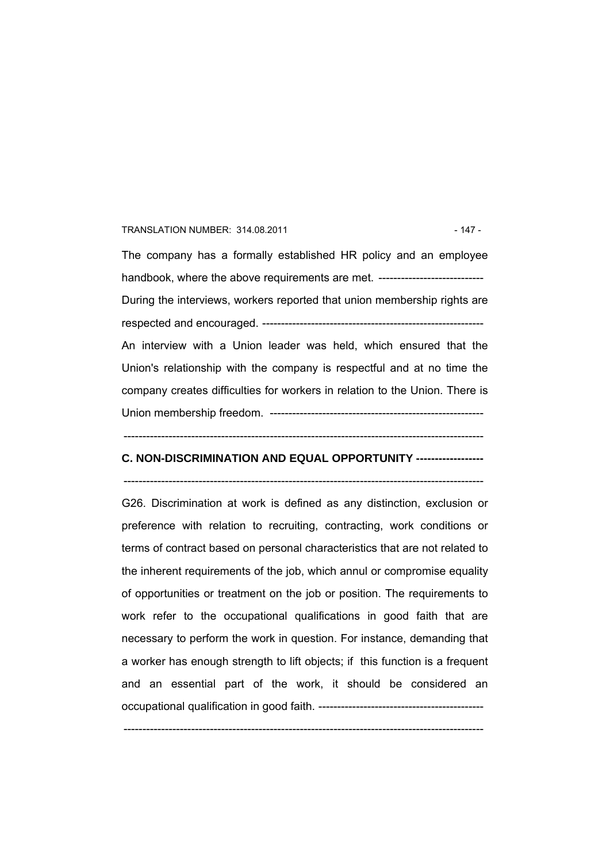#### TRANSLATION NUMBER: 314.08.2011 - 147 -

The company has a formally established HR policy and an employee handbook, where the above requirements are met. --------------------------------During the interviews, workers reported that union membership rights are respected and encouraged. ----------------------------------------------------------- An interview with a Union leader was held, which ensured that the Union's relationship with the company is respectful and at no time the company creates difficulties for workers in relation to the Union. There is Union membership freedom. ---------------------------------------------------------

#### ------------------------------------------------------------------------------------------------

#### **C. NON-DISCRIMINATION AND EQUAL OPPORTUNITY ------------------**

------------------------------------------------------------------------------------------------

G26. Discrimination at work is defined as any distinction, exclusion or preference with relation to recruiting, contracting, work conditions or terms of contract based on personal characteristics that are not related to the inherent requirements of the job, which annul or compromise equality of opportunities or treatment on the job or position. The requirements to work refer to the occupational qualifications in good faith that are necessary to perform the work in question. For instance, demanding that a worker has enough strength to lift objects; if this function is a frequent and an essential part of the work, it should be considered an occupational qualification in good faith. --------------------------------------------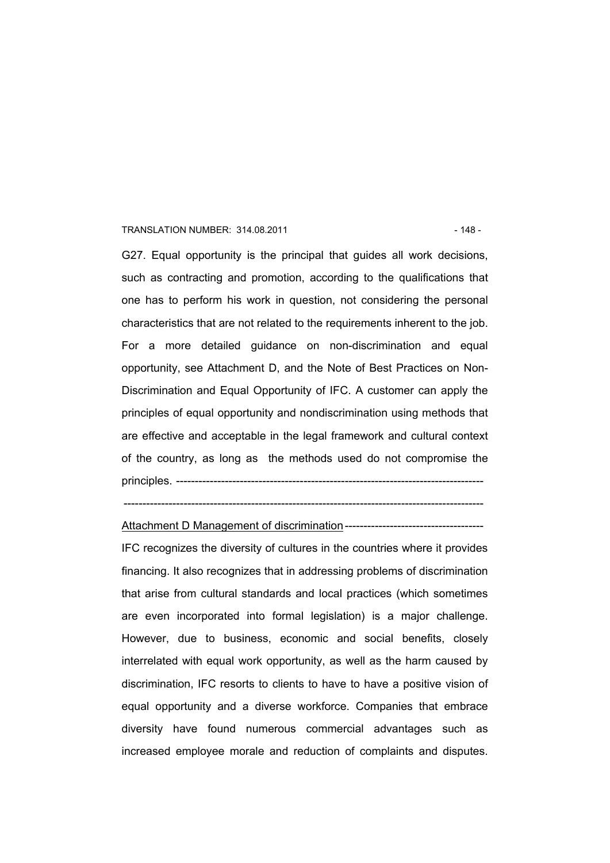#### TRANSLATION NUMBER: 314.08.2011 - 148 -

G27. Equal opportunity is the principal that guides all work decisions, such as contracting and promotion, according to the qualifications that one has to perform his work in question, not considering the personal characteristics that are not related to the requirements inherent to the job. For a more detailed guidance on non-discrimination and equal opportunity, see Attachment D, and the Note of Best Practices on Non-Discrimination and Equal Opportunity of IFC. A customer can apply the principles of equal opportunity and nondiscrimination using methods that are effective and acceptable in the legal framework and cultural context of the country, as long as the methods used do not compromise the principles. ----------------------------------------------------------------------------------

------------------------------------------------------------------------------------------------

Attachment D Management of discrimination-------------------------------------

IFC recognizes the diversity of cultures in the countries where it provides financing. It also recognizes that in addressing problems of discrimination that arise from cultural standards and local practices (which sometimes are even incorporated into formal legislation) is a major challenge. However, due to business, economic and social benefits, closely interrelated with equal work opportunity, as well as the harm caused by discrimination, IFC resorts to clients to have to have a positive vision of equal opportunity and a diverse workforce. Companies that embrace diversity have found numerous commercial advantages such as increased employee morale and reduction of complaints and disputes.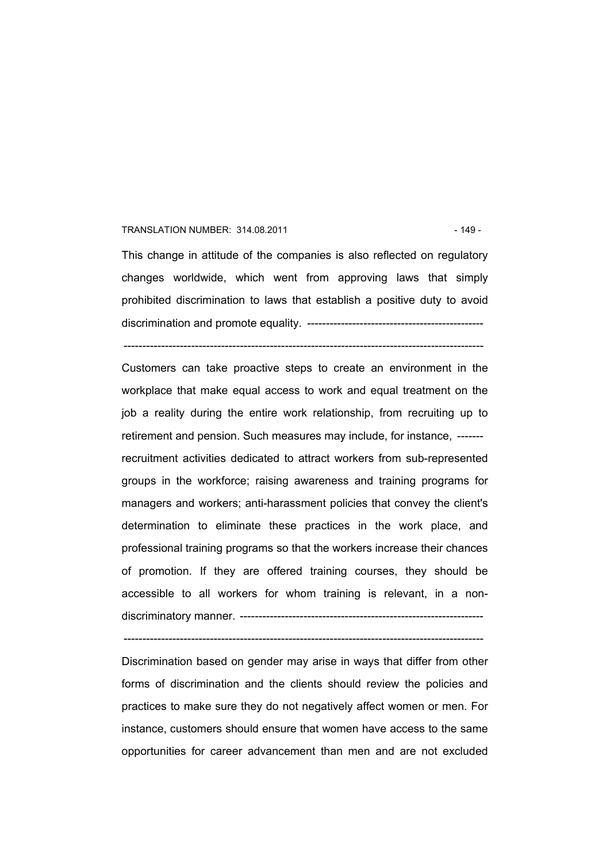#### TRANSLATION NUMBER: 314.08.2011 - 149 -

This change in attitude of the companies is also reflected on regulatory changes worldwide, which went from approving laws that simply prohibited discrimination to laws that establish a positive duty to avoid discrimination and promote equality. -----------------------------------------------

------------------------------------------------------------------------------------------------

Customers can take proactive steps to create an environment in the workplace that make equal access to work and equal treatment on the job a reality during the entire work relationship, from recruiting up to retirement and pension. Such measures may include, for instance, ------ recruitment activities dedicated to attract workers from sub-represented groups in the workforce; raising awareness and training programs for managers and workers; anti-harassment policies that convey the client's determination to eliminate these practices in the work place, and professional training programs so that the workers increase their chances of promotion. If they are offered training courses, they should be accessible to all workers for whom training is relevant, in a nondiscriminatory manner. -----------------------------------------------------------------

Discrimination based on gender may arise in ways that differ from other forms of discrimination and the clients should review the policies and practices to make sure they do not negatively affect women or men. For instance, customers should ensure that women have access to the same opportunities for career advancement than men and are not excluded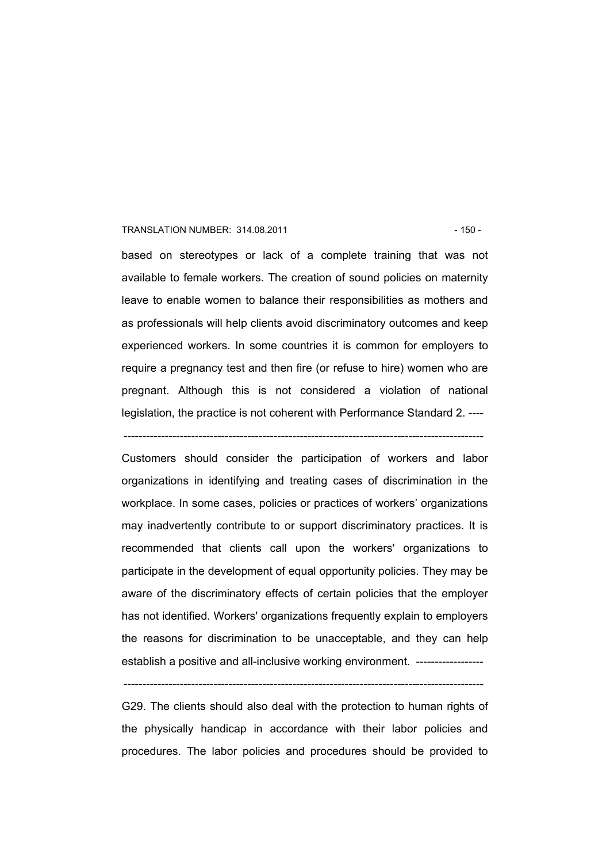#### TRANSLATION NUMBER: 314.08.2011 150 - 150 - 150 -

based on stereotypes or lack of a complete training that was not available to female workers. The creation of sound policies on maternity leave to enable women to balance their responsibilities as mothers and as professionals will help clients avoid discriminatory outcomes and keep experienced workers. In some countries it is common for employers to require a pregnancy test and then fire (or refuse to hire) women who are pregnant. Although this is not considered a violation of national legislation, the practice is not coherent with Performance Standard 2. ----

------------------------------------------------------------------------------------------------

Customers should consider the participation of workers and labor organizations in identifying and treating cases of discrimination in the workplace. In some cases, policies or practices of workers' organizations may inadvertently contribute to or support discriminatory practices. It is recommended that clients call upon the workers' organizations to participate in the development of equal opportunity policies. They may be aware of the discriminatory effects of certain policies that the employer has not identified. Workers' organizations frequently explain to employers the reasons for discrimination to be unacceptable, and they can help establish a positive and all-inclusive working environment. --------------------

G29. The clients should also deal with the protection to human rights of the physically handicap in accordance with their labor policies and procedures. The labor policies and procedures should be provided to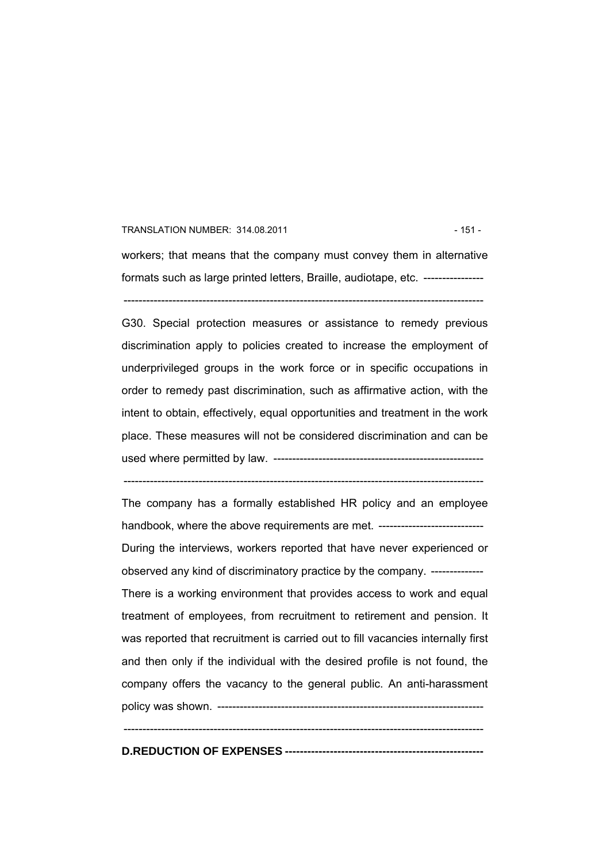#### TRANSLATION NUMBER: 314.08.2011 151 - 151 - 151 - 151 - 151 - 151 - 151 - 151 - 151 - 151 - 151 - 151 - 151 - 1

workers; that means that the company must convey them in alternative formats such as large printed letters, Braille, audiotape, etc. -----------------------------------------------------------------------------------------------------------------

G30. Special protection measures or assistance to remedy previous discrimination apply to policies created to increase the employment of underprivileged groups in the work force or in specific occupations in order to remedy past discrimination, such as affirmative action, with the intent to obtain, effectively, equal opportunities and treatment in the work place. These measures will not be considered discrimination and can be used where permitted by law. --------------------------------------------------------

------------------------------------------------------------------------------------------------

The company has a formally established HR policy and an employee handbook, where the above requirements are met. --------------------------------During the interviews, workers reported that have never experienced or observed any kind of discriminatory practice by the company. -------------- There is a working environment that provides access to work and equal treatment of employees, from recruitment to retirement and pension. It was reported that recruitment is carried out to fill vacancies internally first and then only if the individual with the desired profile is not found, the company offers the vacancy to the general public. An anti-harassment policy was shown. -----------------------------------------------------------------------  $-$ 

**D.REDUCTION OF EXPENSES -----------------------------------------------------**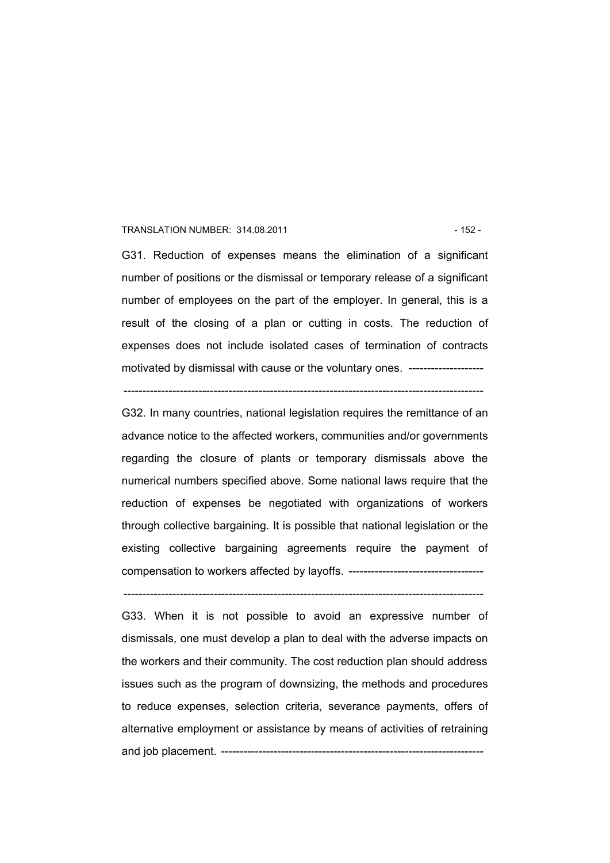#### TRANSLATION NUMBER: 314.08.2011 120 120 120 132 - 152 -

G31. Reduction of expenses means the elimination of a significant number of positions or the dismissal or temporary release of a significant number of employees on the part of the employer. In general, this is a result of the closing of a plan or cutting in costs. The reduction of expenses does not include isolated cases of termination of contracts motivated by dismissal with cause or the voluntary ones. ----------------------

------------------------------------------------------------------------------------------------

G32. In many countries, national legislation requires the remittance of an advance notice to the affected workers, communities and/or governments regarding the closure of plants or temporary dismissals above the numerical numbers specified above. Some national laws require that the reduction of expenses be negotiated with organizations of workers through collective bargaining. It is possible that national legislation or the existing collective bargaining agreements require the payment of compensation to workers affected by layoffs. ------------------------------------

------------------------------------------------------------------------------------------------

G33. When it is not possible to avoid an expressive number of dismissals, one must develop a plan to deal with the adverse impacts on the workers and their community. The cost reduction plan should address issues such as the program of downsizing, the methods and procedures to reduce expenses, selection criteria, severance payments, offers of alternative employment or assistance by means of activities of retraining and job placement. ----------------------------------------------------------------------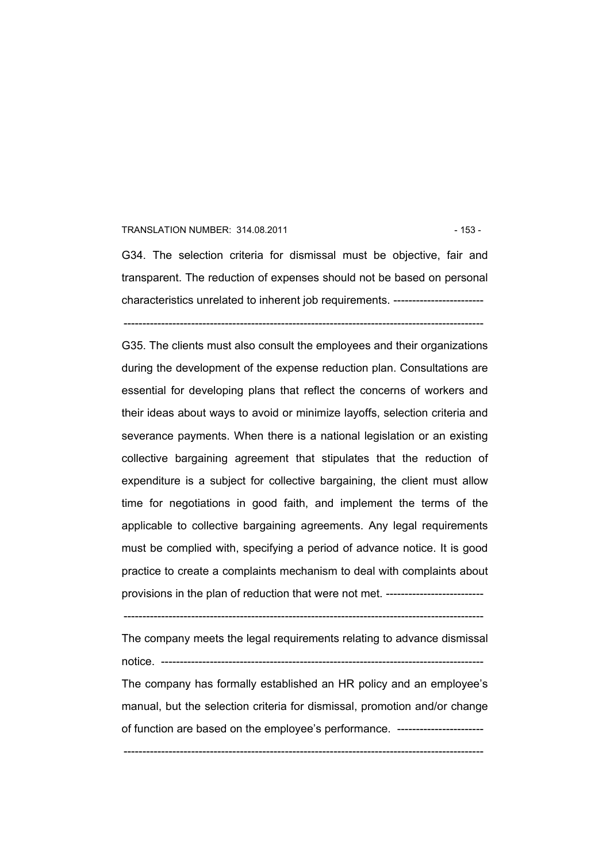#### TRANSLATION NUMBER: 314.08.2011 153 - 153 -

G34. The selection criteria for dismissal must be objective, fair and transparent. The reduction of expenses should not be based on personal characteristics unrelated to inherent job requirements. ------------------------ ------------------------------------------------------------------------------------------------

G35. The clients must also consult the employees and their organizations during the development of the expense reduction plan. Consultations are essential for developing plans that reflect the concerns of workers and their ideas about ways to avoid or minimize layoffs, selection criteria and severance payments. When there is a national legislation or an existing collective bargaining agreement that stipulates that the reduction of expenditure is a subject for collective bargaining, the client must allow time for negotiations in good faith, and implement the terms of the applicable to collective bargaining agreements. Any legal requirements must be complied with, specifying a period of advance notice. It is good practice to create a complaints mechanism to deal with complaints about provisions in the plan of reduction that were not met. --------------------------

The company meets the legal requirements relating to advance dismissal notice. --------------------------------------------------------------------------------------

The company has formally established an HR policy and an employee's manual, but the selection criteria for dismissal, promotion and/or change of function are based on the employee's performance. -----------------------

<sup>------------------------------------------------------------------------------------------------</sup>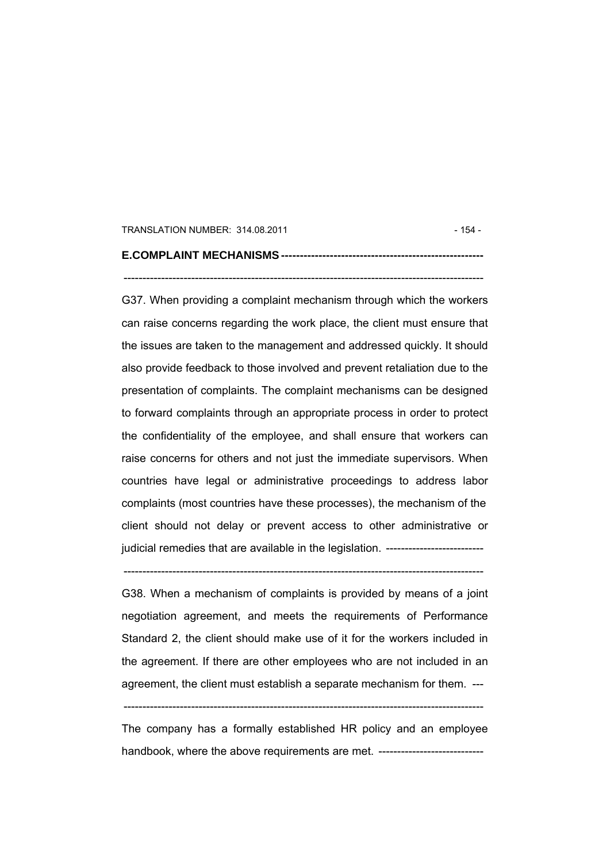#### TRANSLATION NUMBER: 314.08.2011 154 - 154 -

## **E.COMPLAINT MECHANISMS ------------------------------------------------------**

------------------------------------------------------------------------------------------------

G37. When providing a complaint mechanism through which the workers can raise concerns regarding the work place, the client must ensure that the issues are taken to the management and addressed quickly. It should also provide feedback to those involved and prevent retaliation due to the presentation of complaints. The complaint mechanisms can be designed to forward complaints through an appropriate process in order to protect the confidentiality of the employee, and shall ensure that workers can raise concerns for others and not just the immediate supervisors. When countries have legal or administrative proceedings to address labor complaints (most countries have these processes), the mechanism of the client should not delay or prevent access to other administrative or judicial remedies that are available in the legislation. --------------------------

------------------------------------------------------------------------------------------------

G38. When a mechanism of complaints is provided by means of a joint negotiation agreement, and meets the requirements of Performance Standard 2, the client should make use of it for the workers included in the agreement. If there are other employees who are not included in an agreement, the client must establish a separate mechanism for them. ---

------------------------------------------------------------------------------------------------

The company has a formally established HR policy and an employee handbook, where the above requirements are met. --------------------------------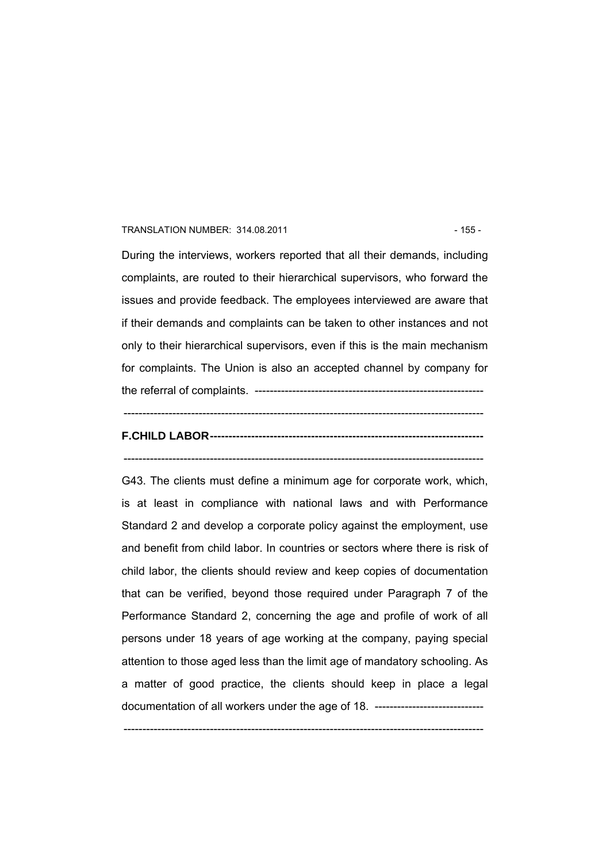#### TRANSLATION NUMBER: 314.08.2011 155 - 155 - 155 - 155 - 155 - 155 - 155 - 155 - 155 - 155 - 155 - 155 - 155 - 1

During the interviews, workers reported that all their demands, including complaints, are routed to their hierarchical supervisors, who forward the issues and provide feedback. The employees interviewed are aware that if their demands and complaints can be taken to other instances and not only to their hierarchical supervisors, even if this is the main mechanism for complaints. The Union is also an accepted channel by company for the referral of complaints. -------------------------------------------------------------

# **F.CHILD LABOR-------------------------------------------------------------------------**

------------------------------------------------------------------------------------------------

------------------------------------------------------------------------------------------------

G43. The clients must define a minimum age for corporate work, which, is at least in compliance with national laws and with Performance Standard 2 and develop a corporate policy against the employment, use and benefit from child labor. In countries or sectors where there is risk of child labor, the clients should review and keep copies of documentation that can be verified, beyond those required under Paragraph 7 of the Performance Standard 2, concerning the age and profile of work of all persons under 18 years of age working at the company, paying special attention to those aged less than the limit age of mandatory schooling. As a matter of good practice, the clients should keep in place a legal documentation of all workers under the age of 18. ------------------------------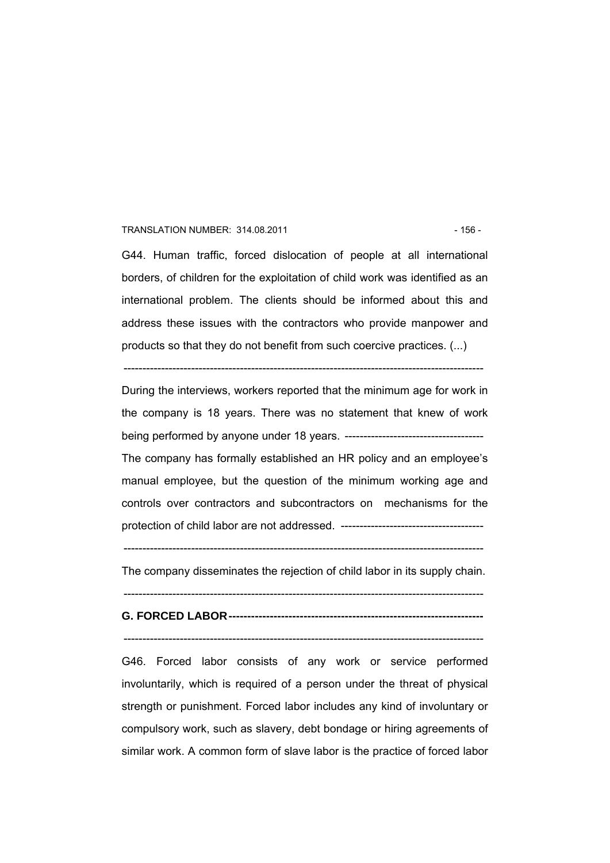#### TRANSLATION NUMBER: 314.08.2011 156 - 156 - 156 - 156 - 156 - 156 - 156 - 157 - 158 - 158 - 158 - 158 - 158 - 1

G44. Human traffic, forced dislocation of people at all international borders, of children for the exploitation of child work was identified as an international problem. The clients should be informed about this and address these issues with the contractors who provide manpower and products so that they do not benefit from such coercive practices. (...)

------------------------------------------------------------------------------------------------

During the interviews, workers reported that the minimum age for work in the company is 18 years. There was no statement that knew of work being performed by anyone under 18 years. ------------------------------------- The company has formally established an HR policy and an employee's manual employee, but the question of the minimum working age and controls over contractors and subcontractors on mechanisms for the protection of child labor are not addressed. --------------------------------------

------------------------------------------------------------------------------------------------

The company disseminates the rejection of child labor in its supply chain.

### ------------------------------------------------------------------------------------------------ **G. FORCED LABOR--------------------------------------------------------------------**

------------------------------------------------------------------------------------------------

G46. Forced labor consists of any work or service performed involuntarily, which is required of a person under the threat of physical strength or punishment. Forced labor includes any kind of involuntary or compulsory work, such as slavery, debt bondage or hiring agreements of similar work. A common form of slave labor is the practice of forced labor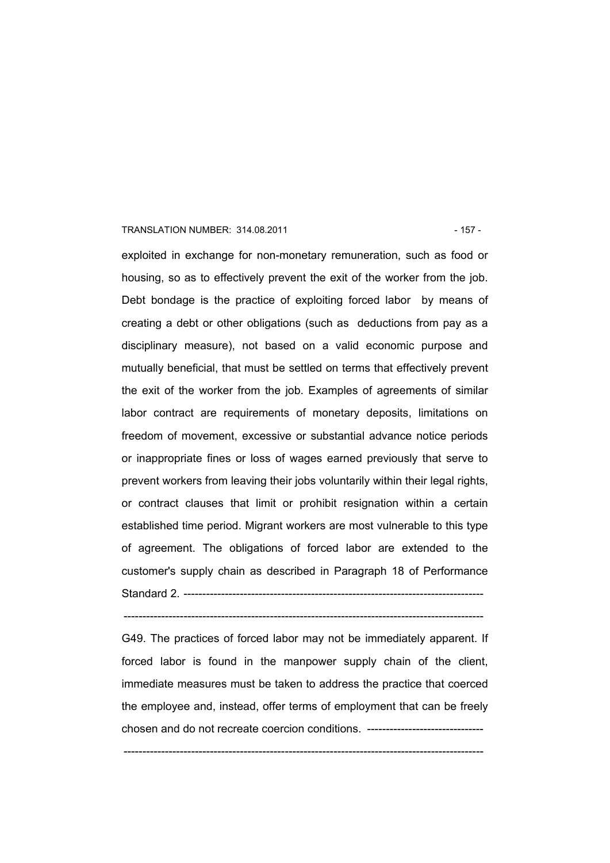#### TRANSLATION NUMBER: 314.08.2011 157 - 157 -

exploited in exchange for non-monetary remuneration, such as food or housing, so as to effectively prevent the exit of the worker from the job. Debt bondage is the practice of exploiting forced labor by means of creating a debt or other obligations (such as deductions from pay as a disciplinary measure), not based on a valid economic purpose and mutually beneficial, that must be settled on terms that effectively prevent the exit of the worker from the job. Examples of agreements of similar labor contract are requirements of monetary deposits, limitations on freedom of movement, excessive or substantial advance notice periods or inappropriate fines or loss of wages earned previously that serve to prevent workers from leaving their jobs voluntarily within their legal rights, or contract clauses that limit or prohibit resignation within a certain established time period. Migrant workers are most vulnerable to this type of agreement. The obligations of forced labor are extended to the customer's supply chain as described in Paragraph 18 of Performance Standard 2 ------------------

------------------------------------------------------------------------------------------------

G49. The practices of forced labor may not be immediately apparent. If forced labor is found in the manpower supply chain of the client, immediate measures must be taken to address the practice that coerced the employee and, instead, offer terms of employment that can be freely chosen and do not recreate coercion conditions. -------------------------------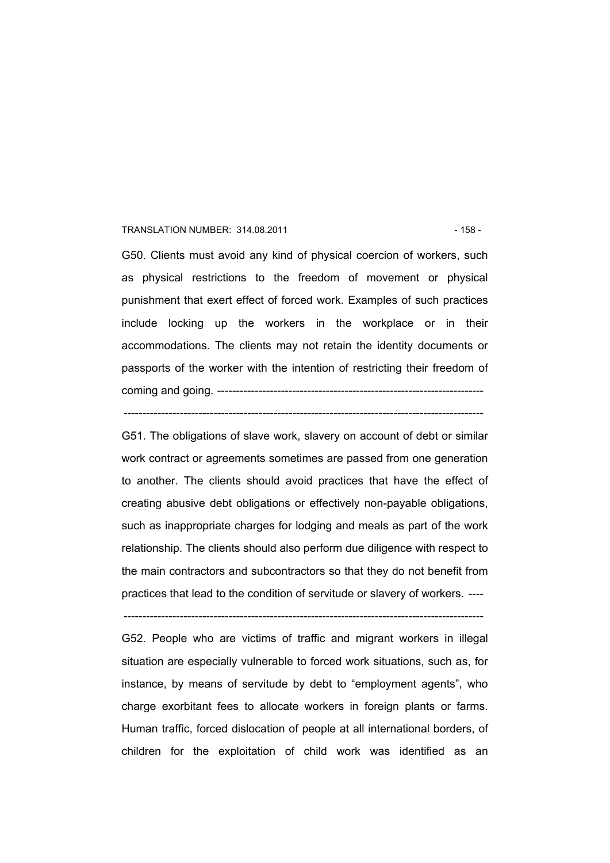#### TRANSLATION NUMBER: 314.08.2011 158 - 158 - 158 - 158 - 158 - 158 - 158 - 158 - 158 - 158 - 158 - 158 - 158 - 158 - 158 - 158 - 158 - 158 - 158 - 158 - 158 - 158 - 158 - 158 - 158 - 158 - 158 - 158 - 158 - 158 - 158 - 158

G50. Clients must avoid any kind of physical coercion of workers, such as physical restrictions to the freedom of movement or physical punishment that exert effect of forced work. Examples of such practices include locking up the workers in the workplace or in their accommodations. The clients may not retain the identity documents or passports of the worker with the intention of restricting their freedom of coming and going. -----------------------------------------------------------------------

------------------------------------------------------------------------------------------------

G51. The obligations of slave work, slavery on account of debt or similar work contract or agreements sometimes are passed from one generation to another. The clients should avoid practices that have the effect of creating abusive debt obligations or effectively non-payable obligations, such as inappropriate charges for lodging and meals as part of the work relationship. The clients should also perform due diligence with respect to the main contractors and subcontractors so that they do not benefit from practices that lead to the condition of servitude or slavery of workers. ----

------------------------------------------------------------------------------------------------

G52. People who are victims of traffic and migrant workers in illegal situation are especially vulnerable to forced work situations, such as, for instance, by means of servitude by debt to "employment agents", who charge exorbitant fees to allocate workers in foreign plants or farms. Human traffic, forced dislocation of people at all international borders, of children for the exploitation of child work was identified as an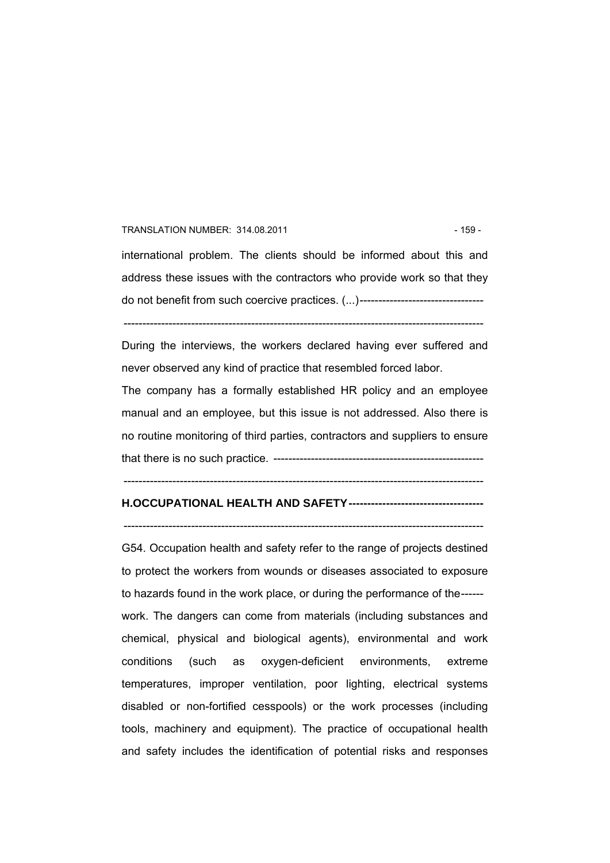#### TRANSLATION NUMBER: 314.08.2011 159 - 159 - 159 -

international problem. The clients should be informed about this and address these issues with the contractors who provide work so that they do not benefit from such coercive practices. (...)--------------------------------- ------------------------------------------------------------------------------------------------

During the interviews, the workers declared having ever suffered and never observed any kind of practice that resembled forced labor.

The company has a formally established HR policy and an employee manual and an employee, but this issue is not addressed. Also there is no routine monitoring of third parties, contractors and suppliers to ensure that there is no such practice. --------------------------------------------------------

------------------------------------------------------------------------------------------------

#### **H.OCCUPATIONAL HEALTH AND SAFETY------------------------------------**

------------------------------------------------------------------------------------------------

G54. Occupation health and safety refer to the range of projects destined to protect the workers from wounds or diseases associated to exposure to hazards found in the work place, or during the performance of the----- work. The dangers can come from materials (including substances and chemical, physical and biological agents), environmental and work conditions (such as oxygen-deficient environments, extreme temperatures, improper ventilation, poor lighting, electrical systems disabled or non-fortified cesspools) or the work processes (including tools, machinery and equipment). The practice of occupational health and safety includes the identification of potential risks and responses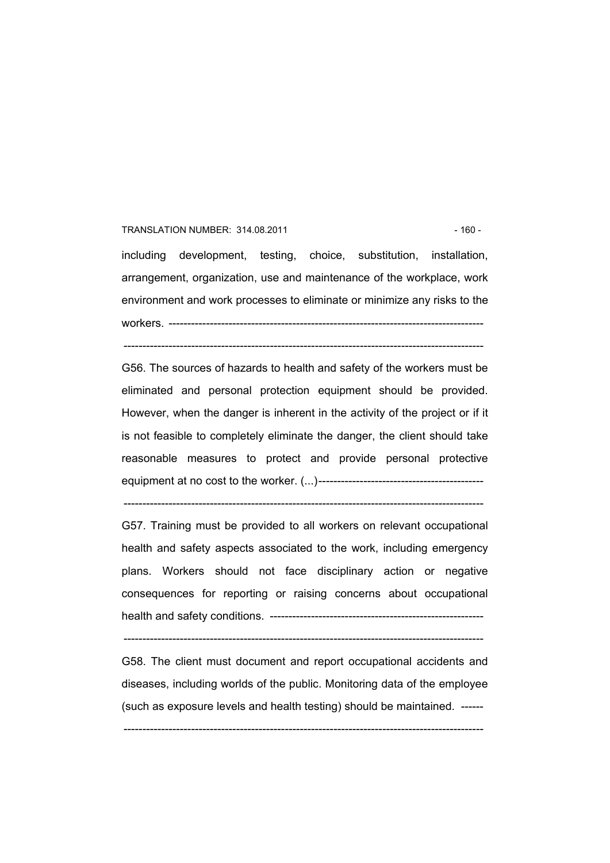#### TRANSLATION NUMBER: 314.08.2011 - 160 -

including development, testing, choice, substitution, installation, arrangement, organization, use and maintenance of the workplace, work environment and work processes to eliminate or minimize any risks to the workers. ------------------------------------------------------------------------------------

------------------------------------------------------------------------------------------------

G56. The sources of hazards to health and safety of the workers must be eliminated and personal protection equipment should be provided. However, when the danger is inherent in the activity of the project or if it is not feasible to completely eliminate the danger, the client should take reasonable measures to protect and provide personal protective equipment at no cost to the worker. (...)--------------------------------------------

G57. Training must be provided to all workers on relevant occupational health and safety aspects associated to the work, including emergency plans. Workers should not face disciplinary action or negative consequences for reporting or raising concerns about occupational health and safety conditions. ---------------------------------------------------------

------------------------------------------------------------------------------------------------

------------------------------------------------------------------------------------------------

G58. The client must document and report occupational accidents and diseases, including worlds of the public. Monitoring data of the employee (such as exposure levels and health testing) should be maintained. ------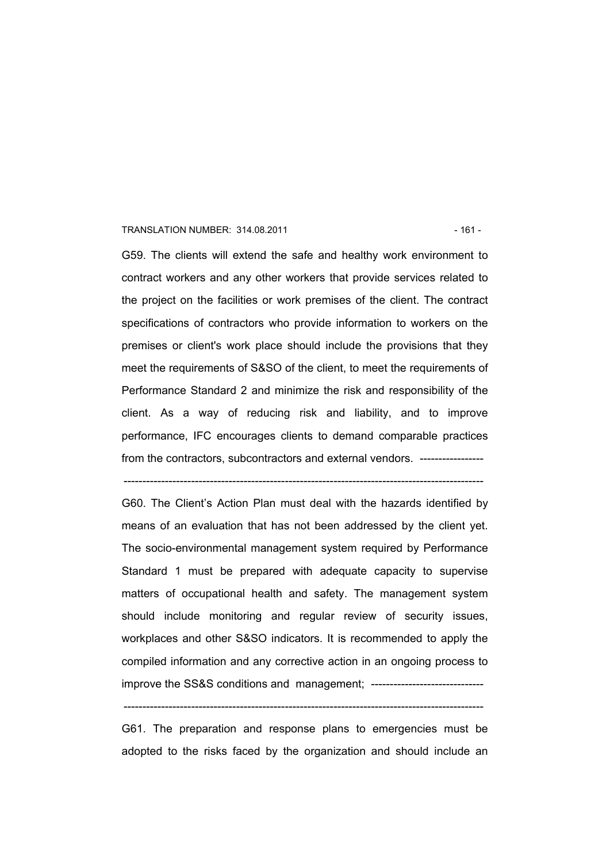#### TRANSLATION NUMBER: 314.08.2011 - 161 -

G59. The clients will extend the safe and healthy work environment to contract workers and any other workers that provide services related to the project on the facilities or work premises of the client. The contract specifications of contractors who provide information to workers on the premises or client's work place should include the provisions that they meet the requirements of S&SO of the client, to meet the requirements of Performance Standard 2 and minimize the risk and responsibility of the client. As a way of reducing risk and liability, and to improve performance, IFC encourages clients to demand comparable practices from the contractors, subcontractors and external vendors, ------------------

G60. The Client's Action Plan must deal with the hazards identified by means of an evaluation that has not been addressed by the client yet. The socio-environmental management system required by Performance Standard 1 must be prepared with adequate capacity to supervise matters of occupational health and safety. The management system should include monitoring and regular review of security issues, workplaces and other S&SO indicators. It is recommended to apply the compiled information and any corrective action in an ongoing process to improve the SS&S conditions and management; ------------------------------

------------------------------------------------------------------------------------------------

------------------------------------------------------------------------------------------------

G61. The preparation and response plans to emergencies must be adopted to the risks faced by the organization and should include an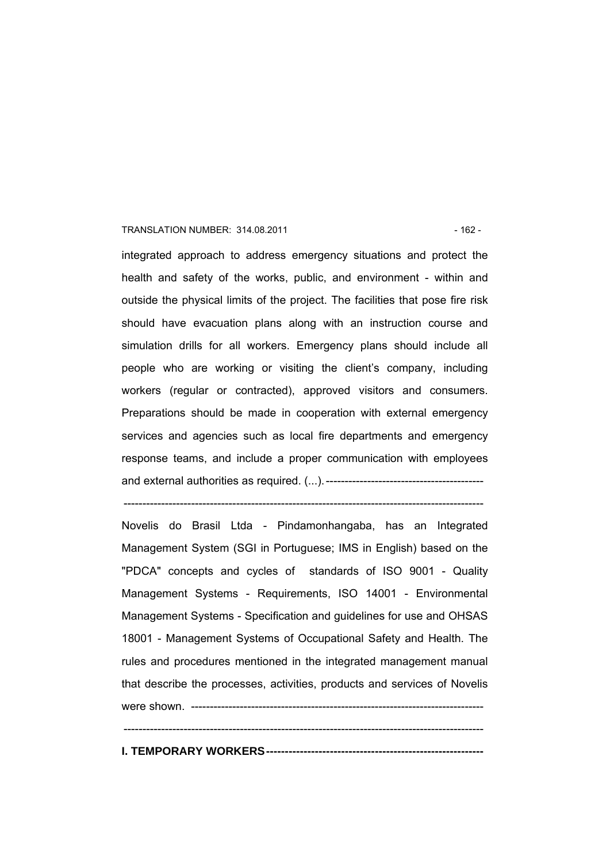#### TRANSLATION NUMBER: 314.08.2011 - 162 -

integrated approach to address emergency situations and protect the health and safety of the works, public, and environment - within and outside the physical limits of the project. The facilities that pose fire risk should have evacuation plans along with an instruction course and simulation drills for all workers. Emergency plans should include all people who are working or visiting the client's company, including workers (regular or contracted), approved visitors and consumers. Preparations should be made in cooperation with external emergency services and agencies such as local fire departments and emergency response teams, and include a proper communication with employees and external authorities as required. (...).------------------------------------------

Novelis do Brasil Ltda - Pindamonhangaba, has an Integrated Management System (SGI in Portuguese; IMS in English) based on the "PDCA" concepts and cycles of standards of ISO 9001 - Quality Management Systems - Requirements, ISO 14001 - Environmental Management Systems - Specification and guidelines for use and OHSAS 18001 - Management Systems of Occupational Safety and Health. The rules and procedures mentioned in the integrated management manual that describe the processes, activities, products and services of Novelis were shown. ------------------------------------------------------------------------------  $-$ 

 $-$ 

**I. TEMPORARY WORKERS----------------------------------------------------------**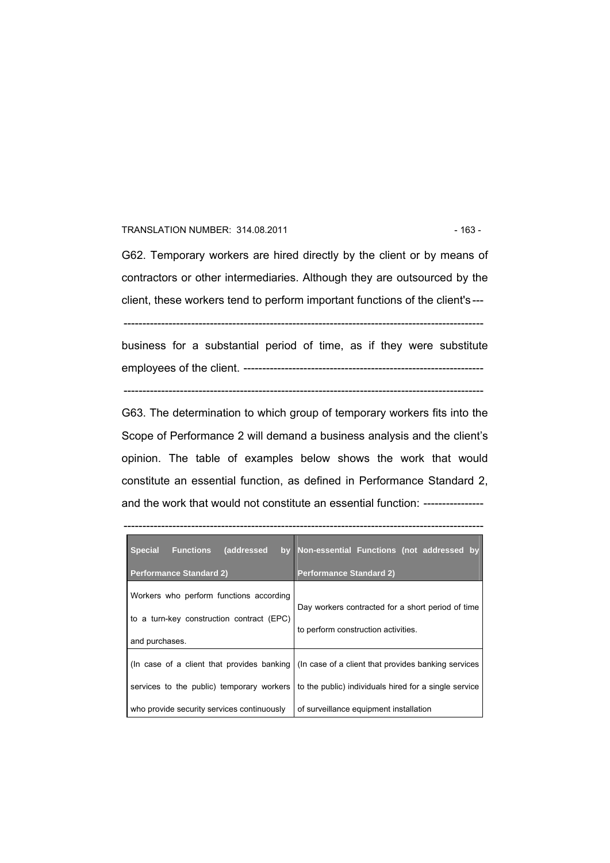#### TRANSLATION NUMBER: 314.08.2011 - 163 -

G62. Temporary workers are hired directly by the client or by means of contractors or other intermediaries. Although they are outsourced by the client, these workers tend to perform important functions of the client's ---

------------------------------------------------------------------------------------------------

business for a substantial period of time, as if they were substitute employees of the client. ---------------------------------------------------------------- ------------------------------------------------------------------------------------------------

G63. The determination to which group of temporary workers fits into the Scope of Performance 2 will demand a business analysis and the client's opinion. The table of examples below shows the work that would constitute an essential function, as defined in Performance Standard 2, and the work that would not constitute an essential function: ----------------

 $-$ 

| <b>Special</b><br><b>Functions</b><br>(addressed                                                       | by Non-essential Functions (not addressed by                                                                                                             |
|--------------------------------------------------------------------------------------------------------|----------------------------------------------------------------------------------------------------------------------------------------------------------|
| <b>Performance Standard 2)</b>                                                                         | <b>Performance Standard 2)</b>                                                                                                                           |
| Workers who perform functions according<br>to a turn-key construction contract (EPC)<br>and purchases. | Day workers contracted for a short period of time<br>to perform construction activities.                                                                 |
| services to the public) temporary workers                                                              | (In case of a client that provides banking) (In case of a client that provides banking services<br>to the public) individuals hired for a single service |
| who provide security services continuously                                                             | of surveillance equipment installation                                                                                                                   |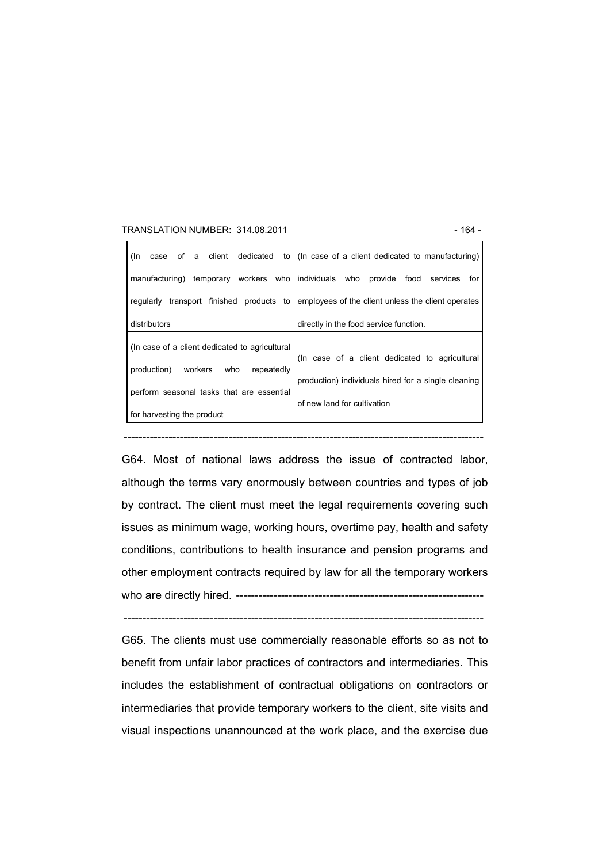| TRANSLATION NUMBER: 314.08.2011                | - 164 -                                                               |
|------------------------------------------------|-----------------------------------------------------------------------|
| of a client dedicated<br>(In<br>case           | to (In case of a client dedicated to manufacturing)                   |
| manufacturing)                                 | temporary workers who individuals who provide food<br>services<br>for |
| transport finished products to<br>regularly    | employees of the client unless the client operates                    |
| distributors                                   | directly in the food service function.                                |
| (In case of a client dedicated to agricultural |                                                                       |
| production)<br>workers<br>repeatedly<br>who    | (In case of a client dedicated to agricultural                        |
| perform seasonal tasks that are essential      | production) individuals hired for a single cleaning                   |
|                                                | of new land for cultivation                                           |
| for harvesting the product                     |                                                                       |

G64. Most of national laws address the issue of contracted labor, although the terms vary enormously between countries and types of job by contract. The client must meet the legal requirements covering such issues as minimum wage, working hours, overtime pay, health and safety conditions, contributions to health insurance and pension programs and other employment contracts required by law for all the temporary workers who are directly hired. ------------------------------------------------------------------

------------------------------------------------------------------------------------------------

G65. The clients must use commercially reasonable efforts so as not to benefit from unfair labor practices of contractors and intermediaries. This includes the establishment of contractual obligations on contractors or intermediaries that provide temporary workers to the client, site visits and visual inspections unannounced at the work place, and the exercise due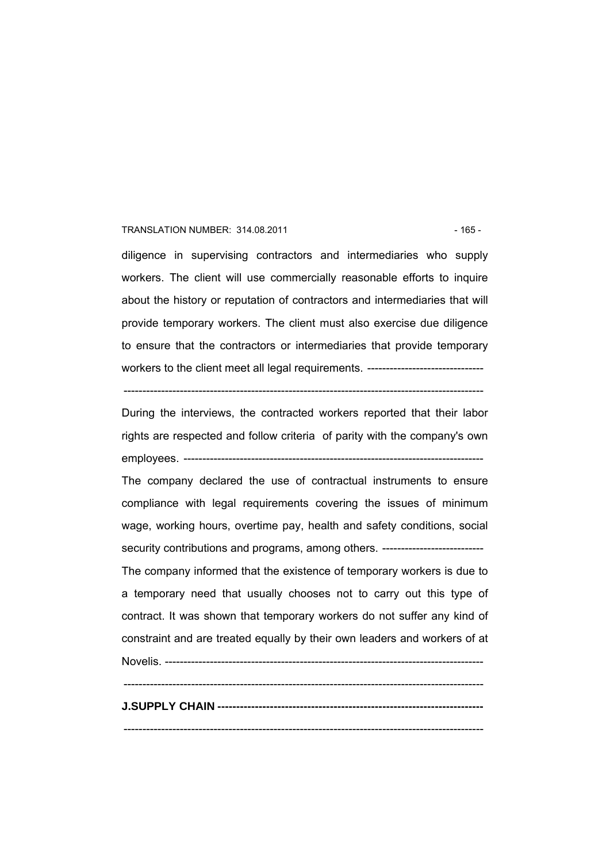#### TRANSLATION NUMBER: 314.08.2011 - 165 -

diligence in supervising contractors and intermediaries who supply workers. The client will use commercially reasonable efforts to inquire about the history or reputation of contractors and intermediaries that will provide temporary workers. The client must also exercise due diligence to ensure that the contractors or intermediaries that provide temporary workers to the client meet all legal requirements. ------------------------------

------------------------------------------------------------------------------------------------

During the interviews, the contracted workers reported that their labor rights are respected and follow criteria of parity with the company's own employees. --------------------------------------------------------------------------------

The company declared the use of contractual instruments to ensure compliance with legal requirements covering the issues of minimum wage, working hours, overtime pay, health and safety conditions, social security contributions and programs, among others. -----------------------------

The company informed that the existence of temporary workers is due to a temporary need that usually chooses not to carry out this type of contract. It was shown that temporary workers do not suffer any kind of constraint and are treated equally by their own leaders and workers of at

Novelis. -------------------------------------------------------------------------------------  $-$ **J.SUPPLY CHAIN -----------------------------------------------------------------------**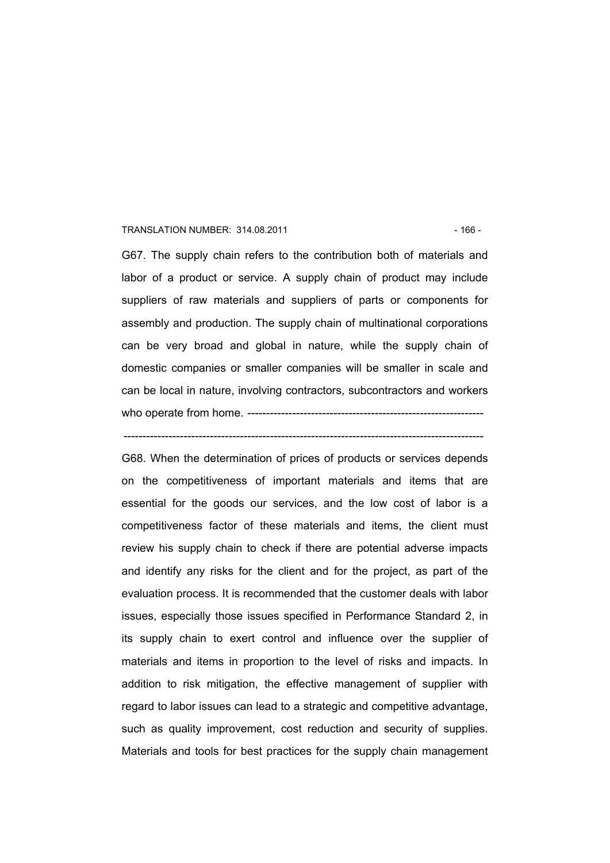#### TRANSLATION NUMBER: 314.08.2011 - 166 -

G67. The supply chain refers to the contribution both of materials and labor of a product or service. A supply chain of product may include suppliers of raw materials and suppliers of parts or components for assembly and production. The supply chain of multinational corporations can be very broad and global in nature, while the supply chain of domestic companies or smaller companies will be smaller in scale and can be local in nature, involving contractors, subcontractors and workers who operate from home. ---------------------------------------------------------------

------------------------------------------------------------------------------------------------

G68. When the determination of prices of products or services depends on the competitiveness of important materials and items that are essential for the goods our services, and the low cost of labor is a competitiveness factor of these materials and items, the client must review his supply chain to check if there are potential adverse impacts and identify any risks for the client and for the project, as part of the evaluation process. It is recommended that the customer deals with labor issues, especially those issues specified in Performance Standard 2, in its supply chain to exert control and influence over the supplier of materials and items in proportion to the level of risks and impacts. In addition to risk mitigation, the effective management of supplier with regard to labor issues can lead to a strategic and competitive advantage, such as quality improvement, cost reduction and security of supplies. Materials and tools for best practices for the supply chain management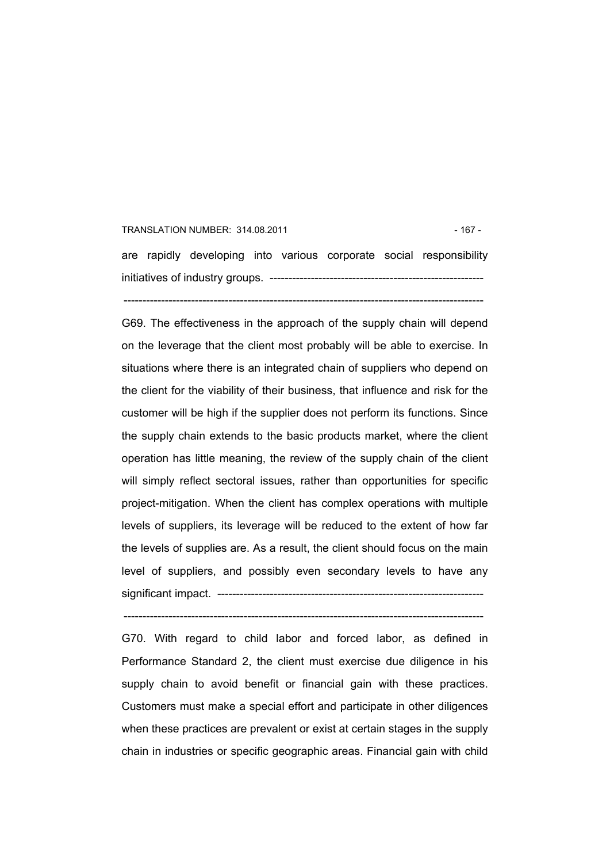## TRANSLATION NUMBER: 314.08.2011 - 167 are rapidly developing into various corporate social responsibility initiatives of industry groups. --------------------------------------------------------- ------------------------------------------------------------------------------------------------

G69. The effectiveness in the approach of the supply chain will depend on the leverage that the client most probably will be able to exercise. In situations where there is an integrated chain of suppliers who depend on the client for the viability of their business, that influence and risk for the customer will be high if the supplier does not perform its functions. Since the supply chain extends to the basic products market, where the client operation has little meaning, the review of the supply chain of the client will simply reflect sectoral issues, rather than opportunities for specific project-mitigation. When the client has complex operations with multiple levels of suppliers, its leverage will be reduced to the extent of how far the levels of supplies are. As a result, the client should focus on the main level of suppliers, and possibly even secondary levels to have any significant impact. -----------------------------------------------------------------------

G70. With regard to child labor and forced labor, as defined in Performance Standard 2, the client must exercise due diligence in his supply chain to avoid benefit or financial gain with these practices. Customers must make a special effort and participate in other diligences when these practices are prevalent or exist at certain stages in the supply chain in industries or specific geographic areas. Financial gain with child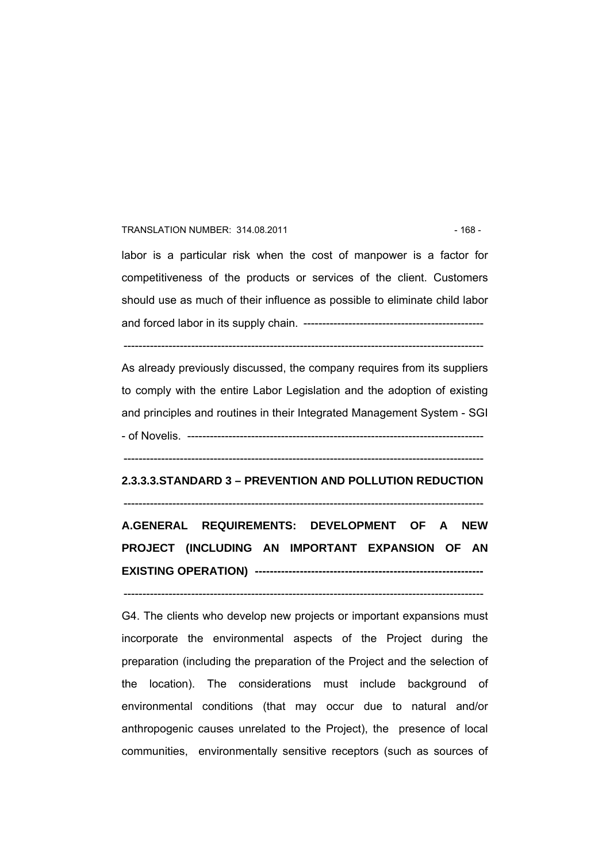#### TRANSLATION NUMBER: 314.08.2011 - 168 -

labor is a particular risk when the cost of manpower is a factor for competitiveness of the products or services of the client. Customers should use as much of their influence as possible to eliminate child labor and forced labor in its supply chain. ------------------------------------------------

------------------------------------------------------------------------------------------------

As already previously discussed, the company requires from its suppliers to comply with the entire Labor Legislation and the adoption of existing and principles and routines in their Integrated Management System - SGI - of Novelis. -------------------------------------------------------------------------------

------------------------------------------------------------------------------------------------

### **2.3.3.3.STANDARD 3 – PREVENTION AND POLLUTION REDUCTION**

------------------------------------------------------------------------------------------------ **A.GENERAL REQUIREMENTS: DEVELOPMENT OF A NEW PROJECT (INCLUDING AN IMPORTANT EXPANSION OF AN** 

**EXISTING OPERATION) -------------------------------------------------------------**  ------------------------------------------------------------------------------------------------

G4. The clients who develop new projects or important expansions must incorporate the environmental aspects of the Project during the preparation (including the preparation of the Project and the selection of the location). The considerations must include background of environmental conditions (that may occur due to natural and/or anthropogenic causes unrelated to the Project), the presence of local communities, environmentally sensitive receptors (such as sources of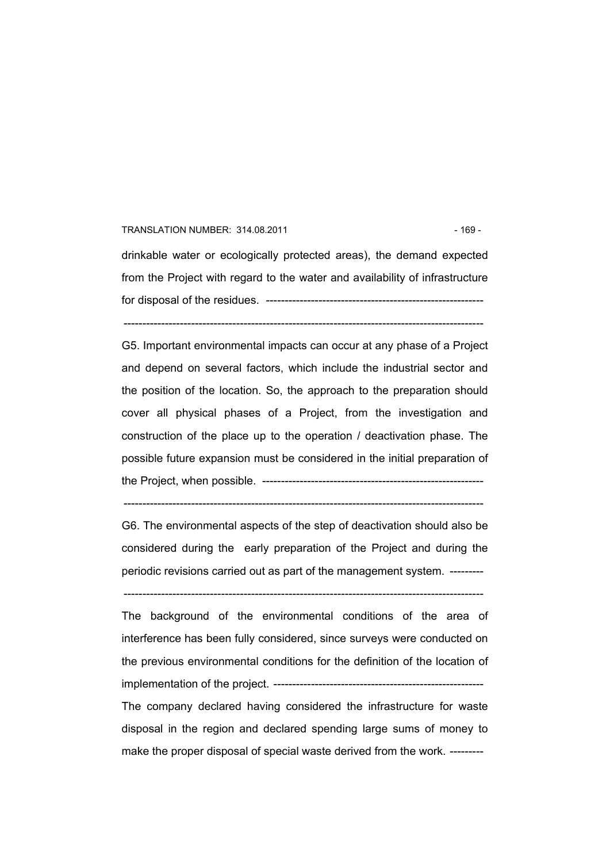#### TRANSLATION NUMBER: 314.08.2011 - 169 -

drinkable water or ecologically protected areas), the demand expected from the Project with regard to the water and availability of infrastructure for disposal of the residues. ---------------------------------------------------------- ------------------------------------------------------------------------------------------------

G5. Important environmental impacts can occur at any phase of a Project and depend on several factors, which include the industrial sector and the position of the location. So, the approach to the preparation should cover all physical phases of a Project, from the investigation and construction of the place up to the operation / deactivation phase. The possible future expansion must be considered in the initial preparation of the Project, when possible. -----------------------------------------------------------

G6. The environmental aspects of the step of deactivation should also be considered during the early preparation of the Project and during the periodic revisions carried out as part of the management system. ---------

 $-$ 

------------------------------------------------------------------------------------------------

The background of the environmental conditions of the area of interference has been fully considered, since surveys were conducted on the previous environmental conditions for the definition of the location of implementation of the project. -------------------------------------------------------- The company declared having considered the infrastructure for waste disposal in the region and declared spending large sums of money to

make the proper disposal of special waste derived from the work. ---------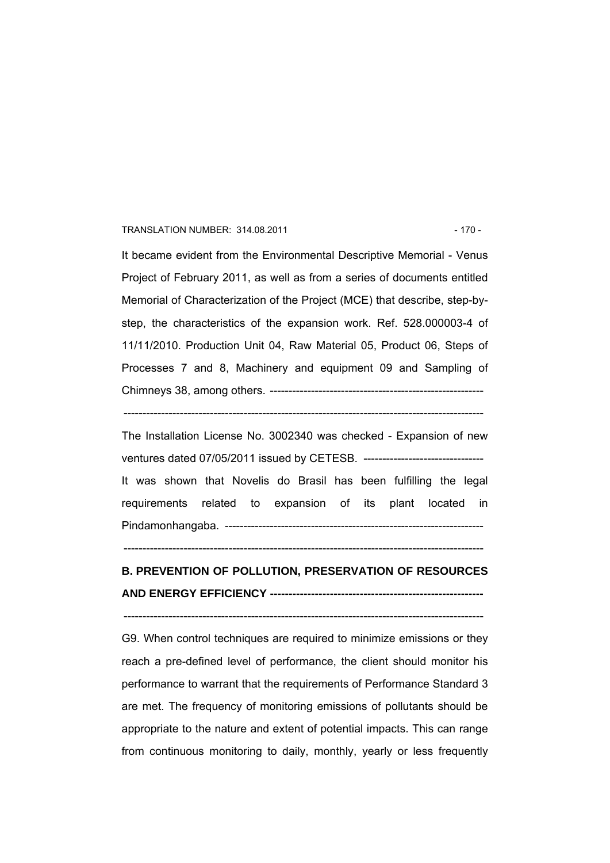#### TRANSLATION NUMBER: 314.08.2011 - 170 - 170 -

It became evident from the Environmental Descriptive Memorial - Venus Project of February 2011, as well as from a series of documents entitled Memorial of Characterization of the Project (MCE) that describe, step-bystep, the characteristics of the expansion work. Ref. 528.000003-4 of 11/11/2010. Production Unit 04, Raw Material 05, Product 06, Steps of Processes 7 and 8, Machinery and equipment 09 and Sampling of Chimneys 38, among others. ---------------------------------------------------------

------------------------------------------------------------------------------------------------

The Installation License No. 3002340 was checked - Expansion of new ventures dated 07/05/2011 issued by CETESB. -------------------------------- It was shown that Novelis do Brasil has been fulfilling the legal requirements related to expansion of its plant located in Pindamonhangaba. ---------------------------------------------------------------------

------------------------------------------------------------------------------------------------

### **B. PREVENTION OF POLLUTION, PRESERVATION OF RESOURCES AND ENERGY EFFICIENCY ---------------------------------------------------------**

------------------------------------------------------------------------------------------------

G9. When control techniques are required to minimize emissions or they reach a pre-defined level of performance, the client should monitor his performance to warrant that the requirements of Performance Standard 3 are met. The frequency of monitoring emissions of pollutants should be appropriate to the nature and extent of potential impacts. This can range from continuous monitoring to daily, monthly, yearly or less frequently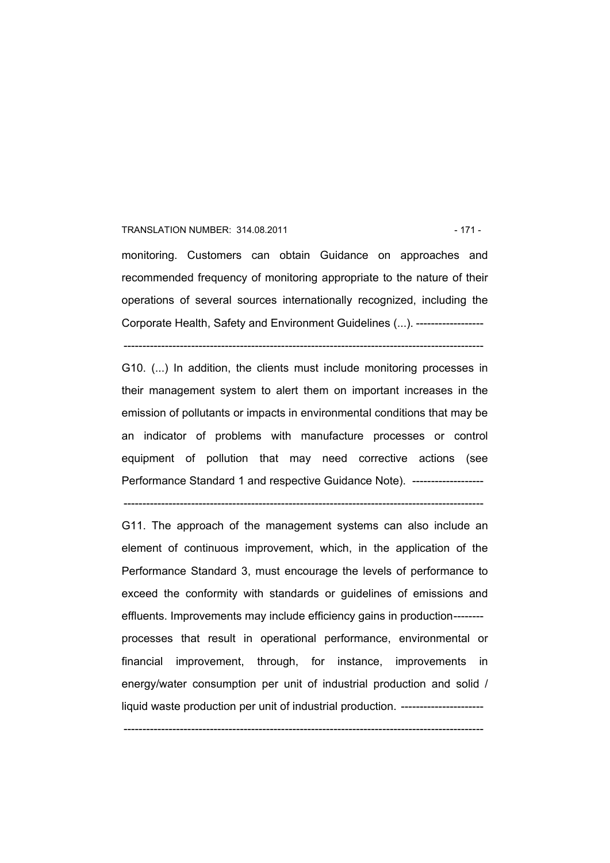#### TRANSLATION NUMBER: 314.08.2011 121 - 171 -

monitoring. Customers can obtain Guidance on approaches and recommended frequency of monitoring appropriate to the nature of their operations of several sources internationally recognized, including the Corporate Health, Safety and Environment Guidelines (...). ------------------

------------------------------------------------------------------------------------------------

G10. (...) In addition, the clients must include monitoring processes in their management system to alert them on important increases in the emission of pollutants or impacts in environmental conditions that may be an indicator of problems with manufacture processes or control equipment of pollution that may need corrective actions (see Performance Standard 1 and respective Guidance Note). --------------------

------------------------------------------------------------------------------------------------

G11. The approach of the management systems can also include an element of continuous improvement, which, in the application of the Performance Standard 3, must encourage the levels of performance to exceed the conformity with standards or guidelines of emissions and effluents. Improvements may include efficiency gains in production------- processes that result in operational performance, environmental or financial improvement, through, for instance, improvements in energy/water consumption per unit of industrial production and solid / liquid waste production per unit of industrial production. ----------------------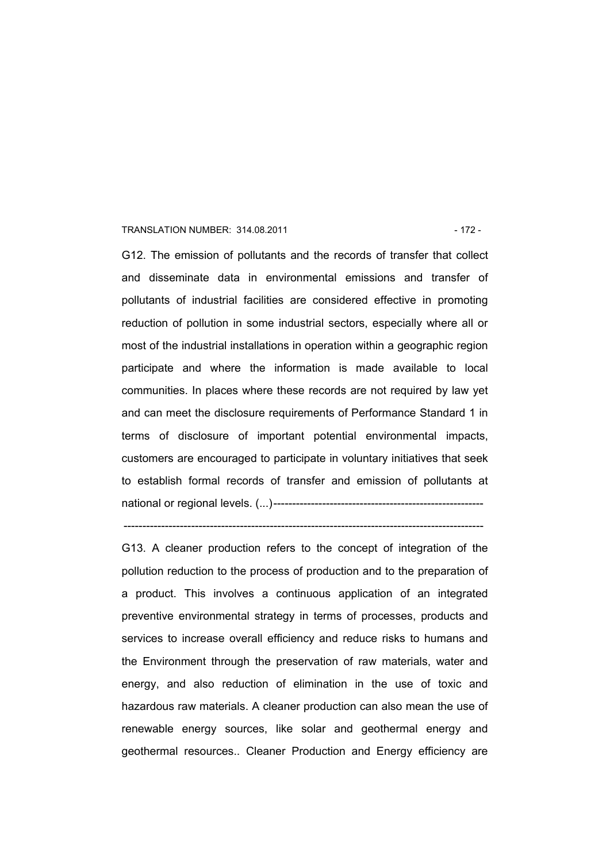#### TRANSLATION NUMBER: 314.08.2011 12 - 172 -

G12. The emission of pollutants and the records of transfer that collect and disseminate data in environmental emissions and transfer of pollutants of industrial facilities are considered effective in promoting reduction of pollution in some industrial sectors, especially where all or most of the industrial installations in operation within a geographic region participate and where the information is made available to local communities. In places where these records are not required by law yet and can meet the disclosure requirements of Performance Standard 1 in terms of disclosure of important potential environmental impacts, customers are encouraged to participate in voluntary initiatives that seek to establish formal records of transfer and emission of pollutants at national or regional levels. (...)--------------------------------------------------------

G13. A cleaner production refers to the concept of integration of the pollution reduction to the process of production and to the preparation of a product. This involves a continuous application of an integrated preventive environmental strategy in terms of processes, products and services to increase overall efficiency and reduce risks to humans and the Environment through the preservation of raw materials, water and energy, and also reduction of elimination in the use of toxic and hazardous raw materials. A cleaner production can also mean the use of renewable energy sources, like solar and geothermal energy and geothermal resources.. Cleaner Production and Energy efficiency are

 $-$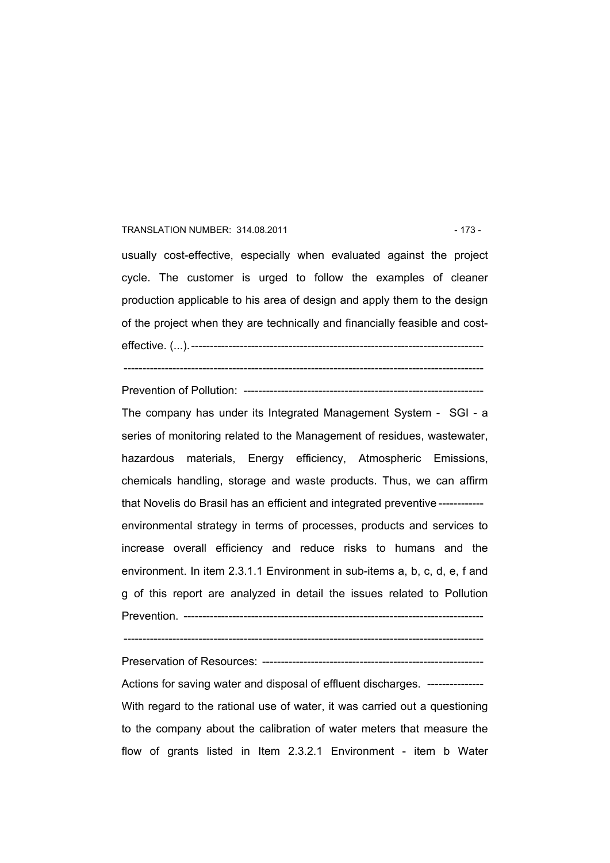#### TRANSLATION NUMBER: 314.08.2011 120 120 120 120 121 123

usually cost-effective, especially when evaluated against the project cycle. The customer is urged to follow the examples of cleaner production applicable to his area of design and apply them to the design of the project when they are technically and financially feasible and costeffective. (...).------------------------------------------------------------------------------

------------------------------------------------------------------------------------------------

Prevention of Pollution: ----------------------------------------------------------------

The company has under its Integrated Management System - SGI - a series of monitoring related to the Management of residues, wastewater, hazardous materials, Energy efficiency, Atmospheric Emissions, chemicals handling, storage and waste products. Thus, we can affirm that Novelis do Brasil has an efficient and integrated preventive ----------- environmental strategy in terms of processes, products and services to increase overall efficiency and reduce risks to humans and the environment. In item 2.3.1.1 Environment in sub-items a, b, c, d, e, f and g of this report are analyzed in detail the issues related to Pollution Prevention. --------------------------------------------------------------------------------

------------------------------------------------------------------------------------------------

Preservation of Resources: -----------------------------------------------------------

Actions for saving water and disposal of effluent discharges. --------------- With regard to the rational use of water, it was carried out a questioning to the company about the calibration of water meters that measure the flow of grants listed in Item 2.3.2.1 Environment - item b Water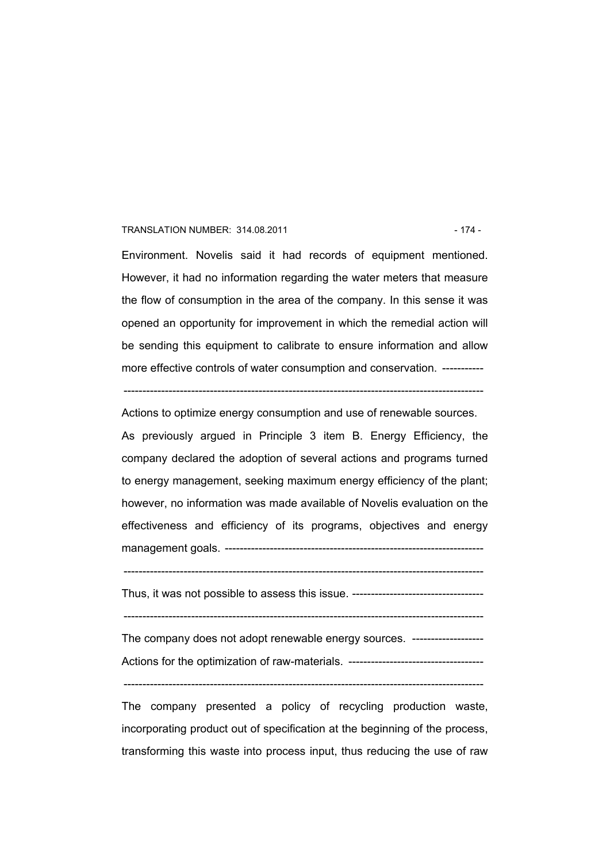#### TRANSLATION NUMBER: 314.08.2011 - 174 -

Environment. Novelis said it had records of equipment mentioned. However, it had no information regarding the water meters that measure the flow of consumption in the area of the company. In this sense it was opened an opportunity for improvement in which the remedial action will be sending this equipment to calibrate to ensure information and allow more effective controls of water consumption and conservation. -----------

------------------------------------------------------------------------------------------------

Actions to optimize energy consumption and use of renewable sources. As previously argued in Principle 3 item B. Energy Efficiency, the company declared the adoption of several actions and programs turned to energy management, seeking maximum energy efficiency of the plant; however, no information was made available of Novelis evaluation on the effectiveness and efficiency of its programs, objectives and energy management goals. ---------------------------------------------------------------------

 $-$ 

Thus, it was not possible to assess this issue. -----------------------------------

------------------------------------------------------------------------------------------------

The company does not adopt renewable energy sources. ---------------------Actions for the optimization of raw-materials. ------------------------------------

------------------------------------------------------------------------------------------------

The company presented a policy of recycling production waste, incorporating product out of specification at the beginning of the process, transforming this waste into process input, thus reducing the use of raw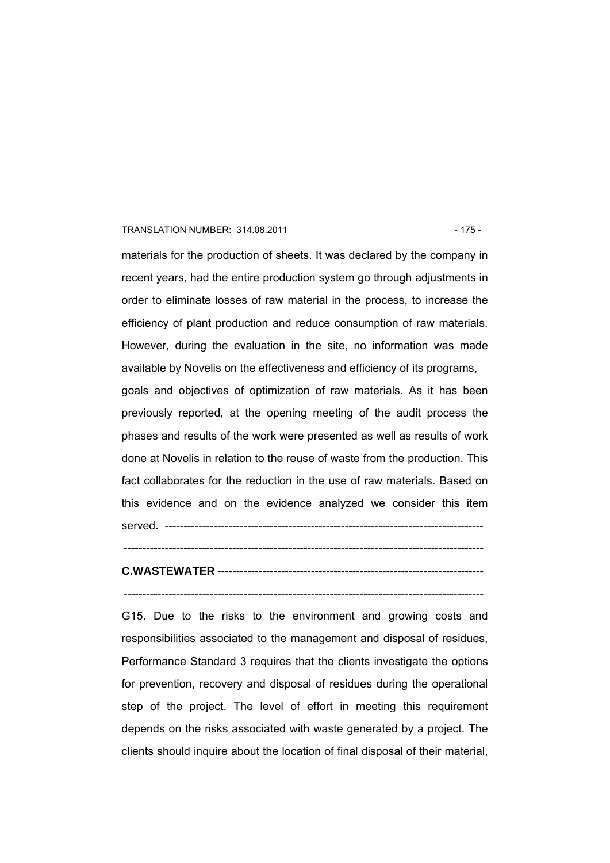#### TRANSLATION NUMBER: 314.08.2011 - 175 -

materials for the production of sheets. It was declared by the company in recent years, had the entire production system go through adjustments in order to eliminate losses of raw material in the process, to increase the efficiency of plant production and reduce consumption of raw materials. However, during the evaluation in the site, no information was made available by Novelis on the effectiveness and efficiency of its programs, goals and objectives of optimization of raw materials. As it has been previously reported, at the opening meeting of the audit process the phases and results of the work were presented as well as results of work done at Novelis in relation to the reuse of waste from the production. This fact collaborates for the reduction in the use of raw materials. Based on this evidence and on the evidence analyzed we consider this item served. -------------------------------------------------------------------------------------

# **C.WASTEWATER -----------------------------------------------------------------------**

------------------------------------------------------------------------------------------------

------------------------------------------------------------------------------------------------

G15. Due to the risks to the environment and growing costs and responsibilities associated to the management and disposal of residues, Performance Standard 3 requires that the clients investigate the options for prevention, recovery and disposal of residues during the operational step of the project. The level of effort in meeting this requirement depends on the risks associated with waste generated by a project. The clients should inquire about the location of final disposal of their material,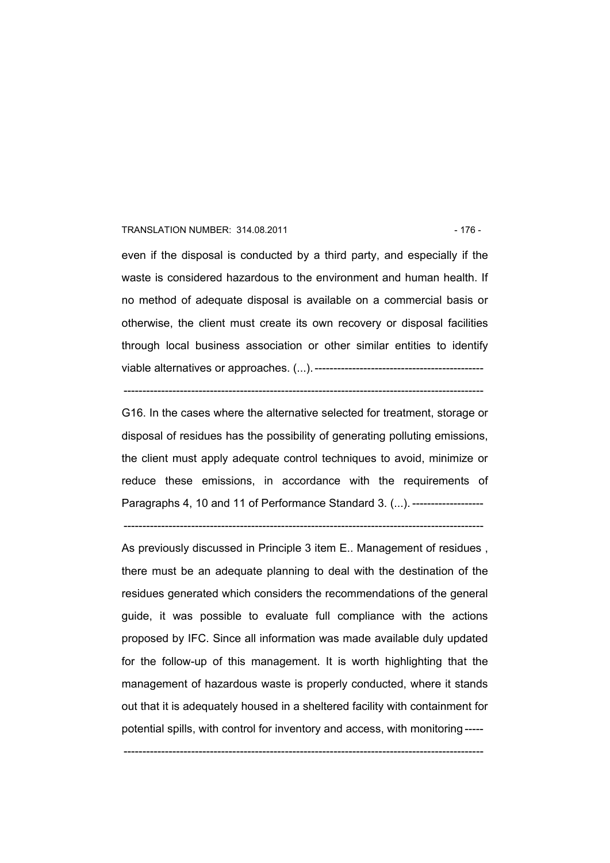#### TRANSLATION NUMBER: 314.08.2011 - 176 -

even if the disposal is conducted by a third party, and especially if the waste is considered hazardous to the environment and human health. If no method of adequate disposal is available on a commercial basis or otherwise, the client must create its own recovery or disposal facilities through local business association or other similar entities to identify viable alternatives or approaches. (...).---------------------------------------------

 $-$ 

G16. In the cases where the alternative selected for treatment, storage or disposal of residues has the possibility of generating polluting emissions, the client must apply adequate control techniques to avoid, minimize or reduce these emissions, in accordance with the requirements of Paragraphs 4, 10 and 11 of Performance Standard 3. (...). ---------------------

------------------------------------------------------------------------------------------------

As previously discussed in Principle 3 item E.. Management of residues , there must be an adequate planning to deal with the destination of the residues generated which considers the recommendations of the general guide, it was possible to evaluate full compliance with the actions proposed by IFC. Since all information was made available duly updated for the follow-up of this management. It is worth highlighting that the management of hazardous waste is properly conducted, where it stands out that it is adequately housed in a sheltered facility with containment for potential spills, with control for inventory and access, with monitoring -----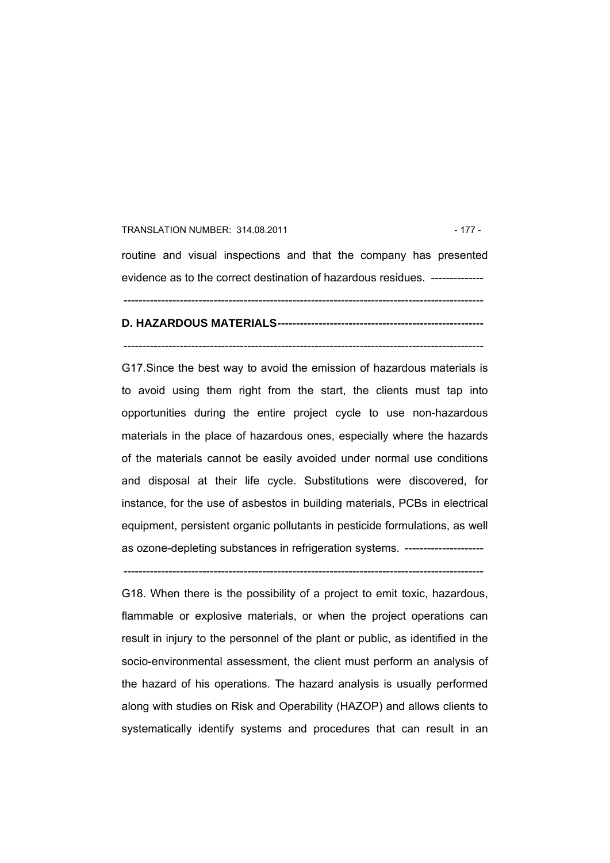#### TRANSLATION NUMBER: 314.08.2011 - 177 -

routine and visual inspections and that the company has presented evidence as to the correct destination of hazardous residues. --------------

------------------------------------------------------------------------------------------------

#### **D. HAZARDOUS MATERIALS-------------------------------------------------------**

------------------------------------------------------------------------------------------------

G17.Since the best way to avoid the emission of hazardous materials is to avoid using them right from the start, the clients must tap into opportunities during the entire project cycle to use non-hazardous materials in the place of hazardous ones, especially where the hazards of the materials cannot be easily avoided under normal use conditions and disposal at their life cycle. Substitutions were discovered, for instance, for the use of asbestos in building materials, PCBs in electrical equipment, persistent organic pollutants in pesticide formulations, as well as ozone-depleting substances in refrigeration systems. ------------------------

------------------------------------------------------------------------------------------------

G18. When there is the possibility of a project to emit toxic, hazardous, flammable or explosive materials, or when the project operations can result in injury to the personnel of the plant or public, as identified in the socio-environmental assessment, the client must perform an analysis of the hazard of his operations. The hazard analysis is usually performed along with studies on Risk and Operability (HAZOP) and allows clients to systematically identify systems and procedures that can result in an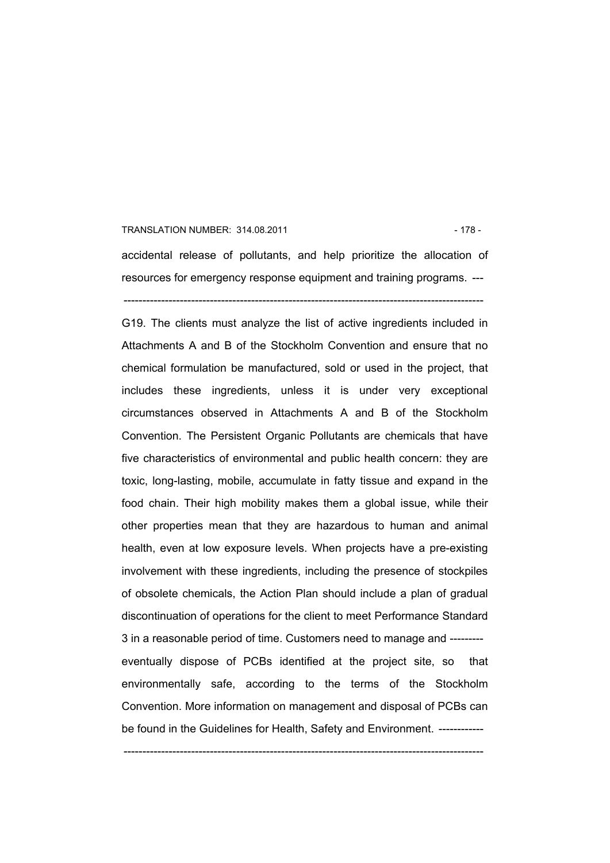#### TRANSLATION NUMBER: 314.08.2011 128 - 178 - 178 - 178 - 178 - 178 - 179 - 179 - 179 - 179 - 179 - 179 - 179 - 179 - 179 - 179 - 179 - 179 - 179 - 179 - 179 - 179 - 179 - 179 - 179 - 179 - 179 - 179 - 179 - 179 - 179 - 179

accidental release of pollutants, and help prioritize the allocation of resources for emergency response equipment and training programs. --- ------------------------------------------------------------------------------------------------

G19. The clients must analyze the list of active ingredients included in Attachments A and B of the Stockholm Convention and ensure that no chemical formulation be manufactured, sold or used in the project, that includes these ingredients, unless it is under very exceptional circumstances observed in Attachments A and B of the Stockholm Convention. The Persistent Organic Pollutants are chemicals that have five characteristics of environmental and public health concern: they are toxic, long-lasting, mobile, accumulate in fatty tissue and expand in the food chain. Their high mobility makes them a global issue, while their other properties mean that they are hazardous to human and animal health, even at low exposure levels. When projects have a pre-existing involvement with these ingredients, including the presence of stockpiles of obsolete chemicals, the Action Plan should include a plan of gradual discontinuation of operations for the client to meet Performance Standard 3 in a reasonable period of time. Customers need to manage and -------- eventually dispose of PCBs identified at the project site, so that environmentally safe, according to the terms of the Stockholm Convention. More information on management and disposal of PCBs can be found in the Guidelines for Health, Safety and Environment. ------------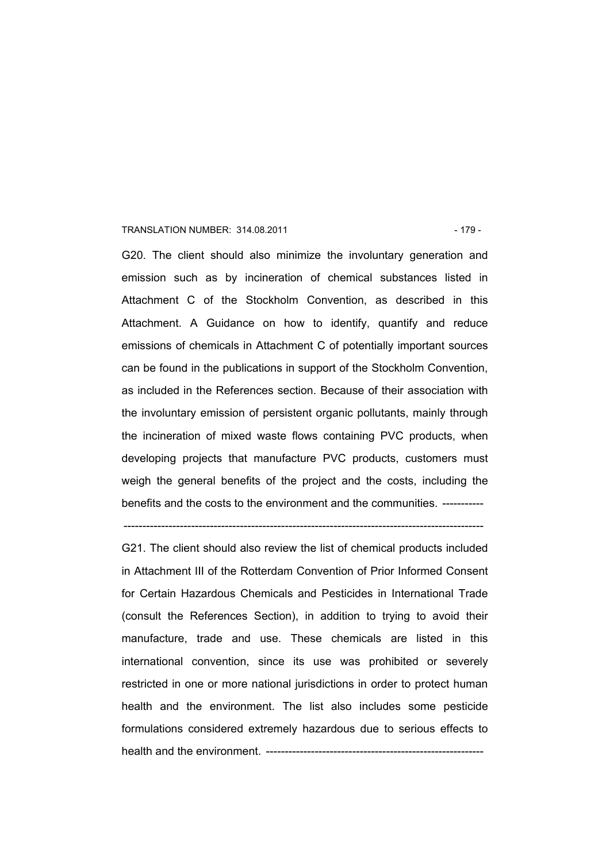#### TRANSLATION NUMBER: 314.08.2011 129 - 179 - 179 - 179 - 179 - 179 - 179 - 179 - 179 - 179 - 179 - 179 - 179 - 179 - 179 - 179 - 179 - 179 - 179 - 179 - 179 - 179 - 179 - 179 - 179 - 179 - 179 - 179 - 179 - 179 - 179 - 179

G20. The client should also minimize the involuntary generation and emission such as by incineration of chemical substances listed in Attachment C of the Stockholm Convention, as described in this Attachment. A Guidance on how to identify, quantify and reduce emissions of chemicals in Attachment C of potentially important sources can be found in the publications in support of the Stockholm Convention, as included in the References section. Because of their association with the involuntary emission of persistent organic pollutants, mainly through the incineration of mixed waste flows containing PVC products, when developing projects that manufacture PVC products, customers must weigh the general benefits of the project and the costs, including the benefits and the costs to the environment and the communities. -----------

------------------------------------------------------------------------------------------------

G21. The client should also review the list of chemical products included in Attachment III of the Rotterdam Convention of Prior Informed Consent for Certain Hazardous Chemicals and Pesticides in International Trade (consult the References Section), in addition to trying to avoid their manufacture, trade and use. These chemicals are listed in this international convention, since its use was prohibited or severely restricted in one or more national jurisdictions in order to protect human health and the environment. The list also includes some pesticide formulations considered extremely hazardous due to serious effects to health and the environment. ----------------------------------------------------------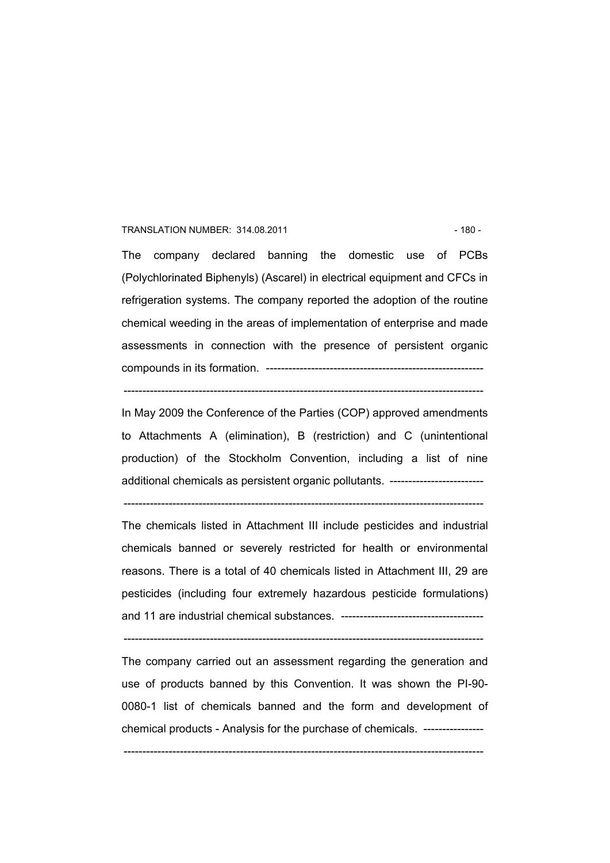#### TRANSLATION NUMBER: 314.08.2011 - 180 -

The company declared banning the domestic use of PCBs (Polychlorinated Biphenyls) (Ascarel) in electrical equipment and CFCs in refrigeration systems. The company reported the adoption of the routine chemical weeding in the areas of implementation of enterprise and made assessments in connection with the presence of persistent organic compounds in its formation. ----------------------------------------------------------

In May 2009 the Conference of the Parties (COP) approved amendments to Attachments A (elimination), B (restriction) and C (unintentional production) of the Stockholm Convention, including a list of nine additional chemicals as persistent organic pollutants. -------------------------

------------------------------------------------------------------------------------------------

------------------------------------------------------------------------------------------------

The chemicals listed in Attachment III include pesticides and industrial chemicals banned or severely restricted for health or environmental reasons. There is a total of 40 chemicals listed in Attachment III, 29 are pesticides (including four extremely hazardous pesticide formulations) and 11 are industrial chemical substances. --------------------------------------

------------------------------------------------------------------------------------------------

The company carried out an assessment regarding the generation and use of products banned by this Convention. It was shown the PI-90- 0080-1 list of chemicals banned and the form and development of chemical products - Analysis for the purchase of chemicals. ----------------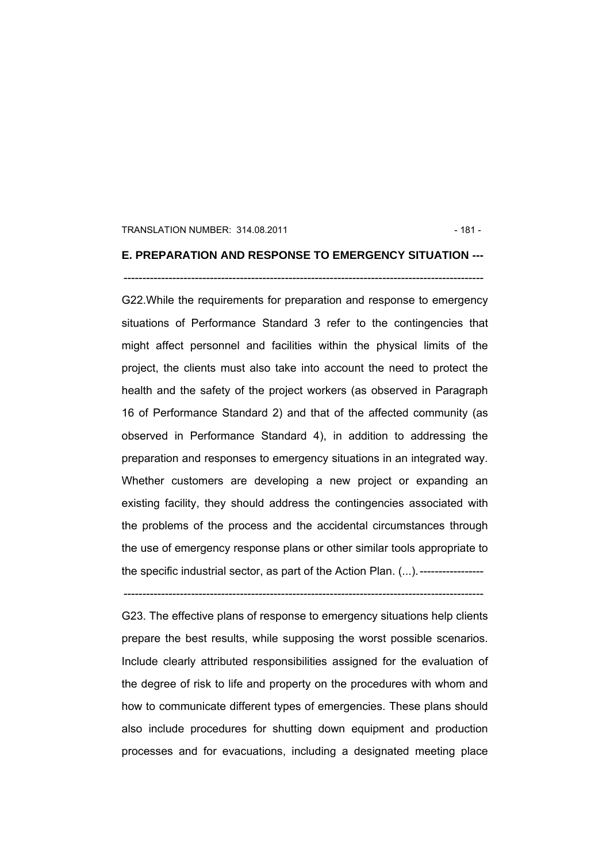#### TRANSLATION NUMBER: 314.08.2011 - 181 -

## **E. PREPARATION AND RESPONSE TO EMERGENCY SITUATION ---**

### ------------------------------------------------------------------------------------------------

G22.While the requirements for preparation and response to emergency situations of Performance Standard 3 refer to the contingencies that might affect personnel and facilities within the physical limits of the project, the clients must also take into account the need to protect the health and the safety of the project workers (as observed in Paragraph 16 of Performance Standard 2) and that of the affected community (as observed in Performance Standard 4), in addition to addressing the preparation and responses to emergency situations in an integrated way. Whether customers are developing a new project or expanding an existing facility, they should address the contingencies associated with the problems of the process and the accidental circumstances through the use of emergency response plans or other similar tools appropriate to the specific industrial sector, as part of the Action Plan. (...).-----------------

------------------------------------------------------------------------------------------------

G23. The effective plans of response to emergency situations help clients prepare the best results, while supposing the worst possible scenarios. Include clearly attributed responsibilities assigned for the evaluation of the degree of risk to life and property on the procedures with whom and how to communicate different types of emergencies. These plans should also include procedures for shutting down equipment and production processes and for evacuations, including a designated meeting place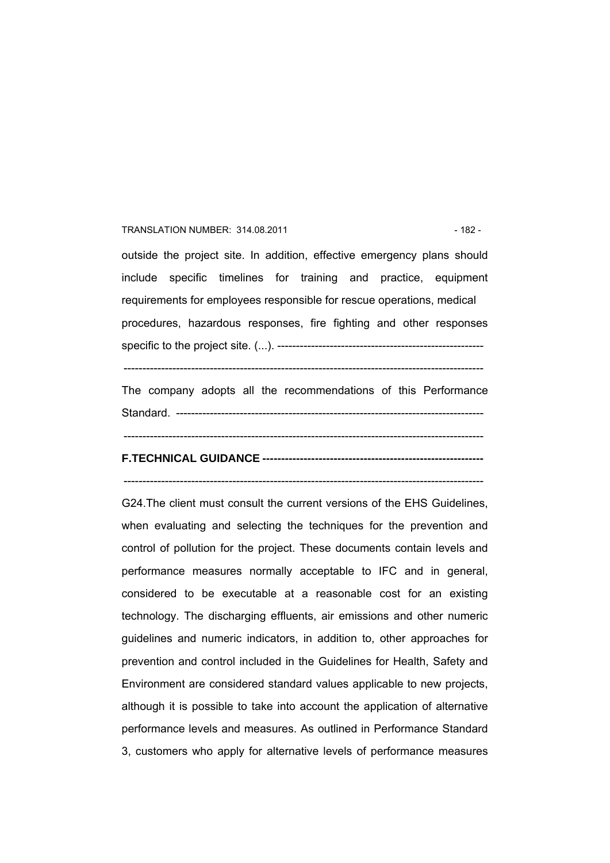#### TRANSLATION NUMBER: 314.08.2011 **189 120 120 120 120 120 120 132 - 182 - 182 - 182 - 182 - 182 - 182 - 182 - 182 - 182 - 182 - 182 - 182 - 182 - 182 - 182 - 182 - 182 - 182 - 182 - 182 - 182 - 182 - 182 - 182 - 182 - 182 -**

outside the project site. In addition, effective emergency plans should include specific timelines for training and practice, equipment requirements for employees responsible for rescue operations, medical procedures, hazardous responses, fire fighting and other responses specific to the project site. (...). -------------------------------------------------------

------------------------------------------------------------------------------------------------

The company adopts all the recommendations of this Performance Standard. ----------------------------------------------------------------------------------

------------------------------------------------------------------------------------------------

## **F.TECHNICAL GUIDANCE -----------------------------------------------------------**

------------------------------------------------------------------------------------------------

G24.The client must consult the current versions of the EHS Guidelines, when evaluating and selecting the techniques for the prevention and control of pollution for the project. These documents contain levels and performance measures normally acceptable to IFC and in general, considered to be executable at a reasonable cost for an existing technology. The discharging effluents, air emissions and other numeric guidelines and numeric indicators, in addition to, other approaches for prevention and control included in the Guidelines for Health, Safety and Environment are considered standard values applicable to new projects, although it is possible to take into account the application of alternative performance levels and measures. As outlined in Performance Standard 3, customers who apply for alternative levels of performance measures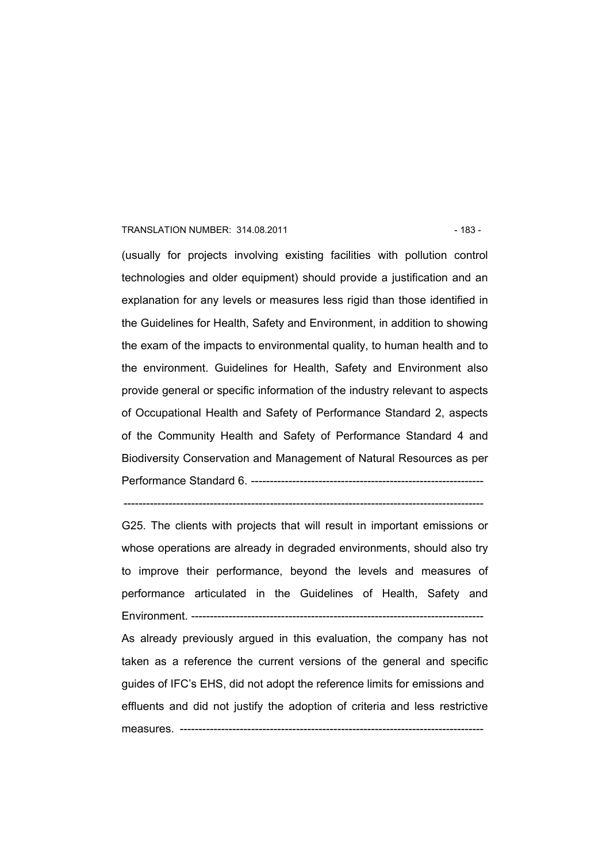#### TRANSLATION NUMBER: 314.08.2011 - 183 -

(usually for projects involving existing facilities with pollution control technologies and older equipment) should provide a justification and an explanation for any levels or measures less rigid than those identified in the Guidelines for Health, Safety and Environment, in addition to showing the exam of the impacts to environmental quality, to human health and to the environment. Guidelines for Health, Safety and Environment also provide general or specific information of the industry relevant to aspects of Occupational Health and Safety of Performance Standard 2, aspects of the Community Health and Safety of Performance Standard 4 and Biodiversity Conservation and Management of Natural Resources as per Performance Standard 6. --------------------------------------------------------------

 $-$ 

G25. The clients with projects that will result in important emissions or whose operations are already in degraded environments, should also try to improve their performance, beyond the levels and measures of performance articulated in the Guidelines of Health, Safety and Environment. -----------------

As already previously argued in this evaluation, the company has not taken as a reference the current versions of the general and specific guides of IFC's EHS, did not adopt the reference limits for emissions and effluents and did not justify the adoption of criteria and less restrictive measures. ---------------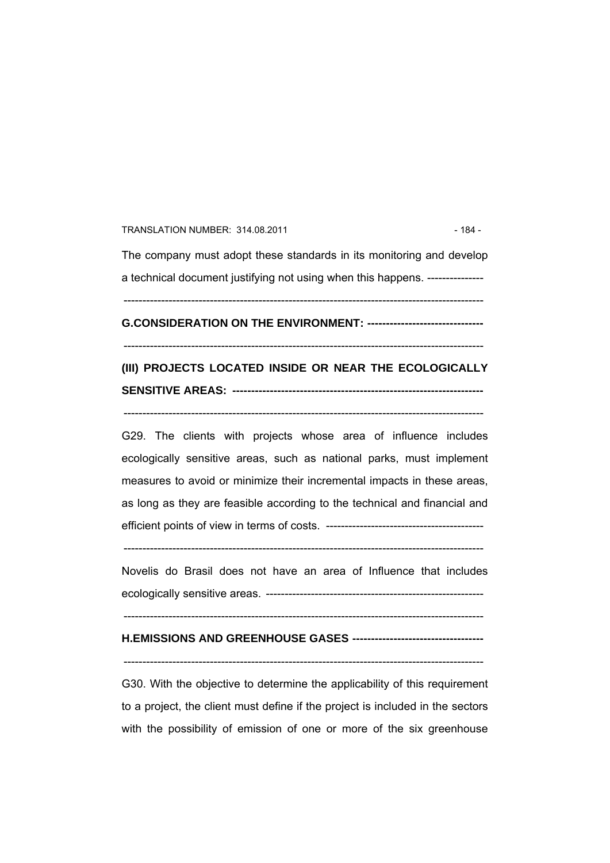TRANSLATION NUMBER: 314.08.2011 **184 - 184 - 184 - 184 - 184 - 184 - 184 - 184 - 184 - 184 - 184 - 184 - 184 - 184 - 185 - 186 - 186 - 187 - 187 - 187 - 187 - 187 - 187 - 187 - 187 - 187 - 187 - 187 - 187 - 187 - 187 - 187** 

The company must adopt these standards in its monitoring and develop a technical document justifying not using when this happens. ---------------

------------------------------------------------------------------------------------------------

**G.CONSIDERATION ON THE ENVIRONMENT: -------------------------------** 

------------------------------------------------------------------------------------------------

## **(III) PROJECTS LOCATED INSIDE OR NEAR THE ECOLOGICALLY SENSITIVE AREAS: -------------------------------------------------------------------**

------------------------------------------------------------------------------------------------

G29. The clients with projects whose area of influence includes ecologically sensitive areas, such as national parks, must implement measures to avoid or minimize their incremental impacts in these areas, as long as they are feasible according to the technical and financial and efficient points of view in terms of costs. ------------------------------------------

------------------------------------------------------------------------------------------------

Novelis do Brasil does not have an area of Influence that includes ecologically sensitive areas. ----------------------------------------------------------

------------------------------------------------------------------------------------------------

### **H.EMISSIONS AND GREENHOUSE GASES -----------------------------------**

------------------------------------------------------------------------------------------------

G30. With the objective to determine the applicability of this requirement to a project, the client must define if the project is included in the sectors with the possibility of emission of one or more of the six greenhouse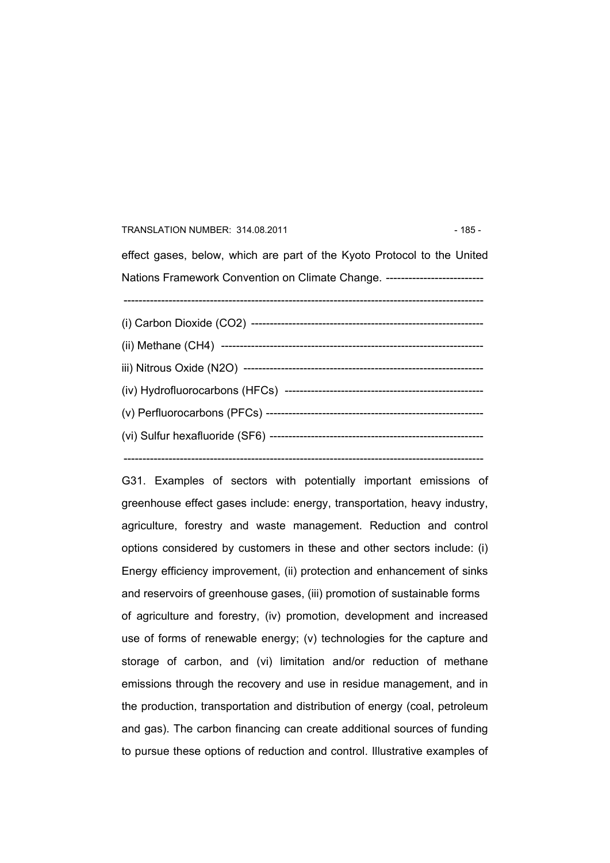#### TRANSLATION NUMBER: 314.08.2011 - 185 -

effect gases, below, which are part of the Kyoto Protocol to the United Nations Framework Convention on Climate Change. --------------------------------------------------------------------------------------------------------------------------- (i) Carbon Dioxide (CO2) -------------------------------------------------------------- (ii) Methane (CH4) --------------------------------------------------------------------- iii) Nitrous Oxide (N2O) ---------------------------------------------------------------- (iv) Hydrofluorocarbons (HFCs) ----------------------------------------------------- (v) Perfluorocarbons (PFCs) ---------------------------------------------------------- (vi) Sulfur hexafluoride (SF6) --------------------------------------------------------- ------------------------------------------------------------------------------------------------

G31. Examples of sectors with potentially important emissions of greenhouse effect gases include: energy, transportation, heavy industry, agriculture, forestry and waste management. Reduction and control options considered by customers in these and other sectors include: (i) Energy efficiency improvement, (ii) protection and enhancement of sinks and reservoirs of greenhouse gases, (iii) promotion of sustainable forms of agriculture and forestry, (iv) promotion, development and increased use of forms of renewable energy; (v) technologies for the capture and storage of carbon, and (vi) limitation and/or reduction of methane emissions through the recovery and use in residue management, and in the production, transportation and distribution of energy (coal, petroleum and gas). The carbon financing can create additional sources of funding to pursue these options of reduction and control. Illustrative examples of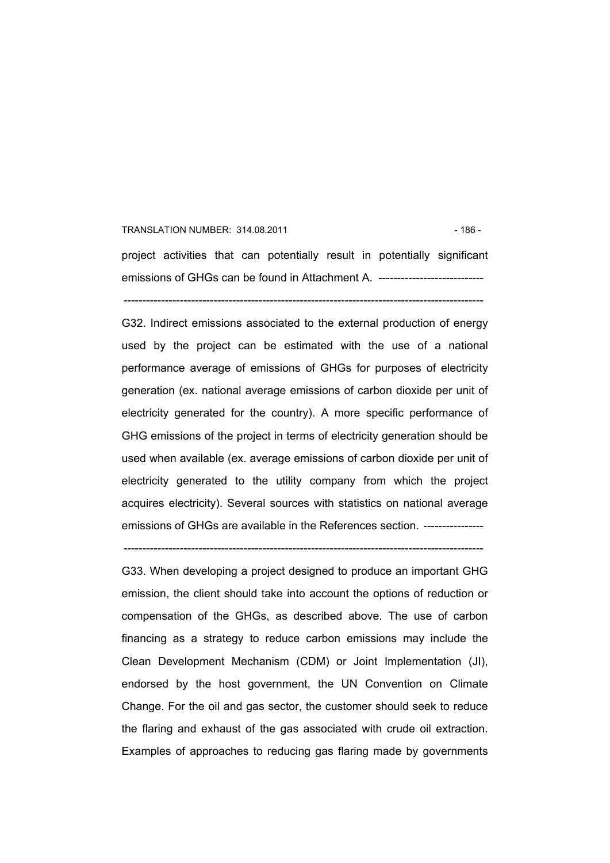#### TRANSLATION NUMBER: 314.08.2011 **186 - 186 - 186 - 186 - 186 - 186 - 186 - 186 - 186 - 186 - 186 - 187 - 187 - 187 - 187 - 187 - 187 - 187 - 187 - 187 - 187 - 187 - 187 - 187 - 187 - 187 - 187 - 187 - 187 - 187 - 187 - 187**

project activities that can potentially result in potentially significant emissions of GHGs can be found in Attachment A. ----------------------------

------------------------------------------------------------------------------------------------

G32. Indirect emissions associated to the external production of energy used by the project can be estimated with the use of a national performance average of emissions of GHGs for purposes of electricity generation (ex. national average emissions of carbon dioxide per unit of electricity generated for the country). A more specific performance of GHG emissions of the project in terms of electricity generation should be used when available (ex. average emissions of carbon dioxide per unit of electricity generated to the utility company from which the project acquires electricity). Several sources with statistics on national average emissions of GHGs are available in the References section. ----------------

------------------------------------------------------------------------------------------------

G33. When developing a project designed to produce an important GHG emission, the client should take into account the options of reduction or compensation of the GHGs, as described above. The use of carbon financing as a strategy to reduce carbon emissions may include the Clean Development Mechanism (CDM) or Joint Implementation (JI), endorsed by the host government, the UN Convention on Climate Change. For the oil and gas sector, the customer should seek to reduce the flaring and exhaust of the gas associated with crude oil extraction. Examples of approaches to reducing gas flaring made by governments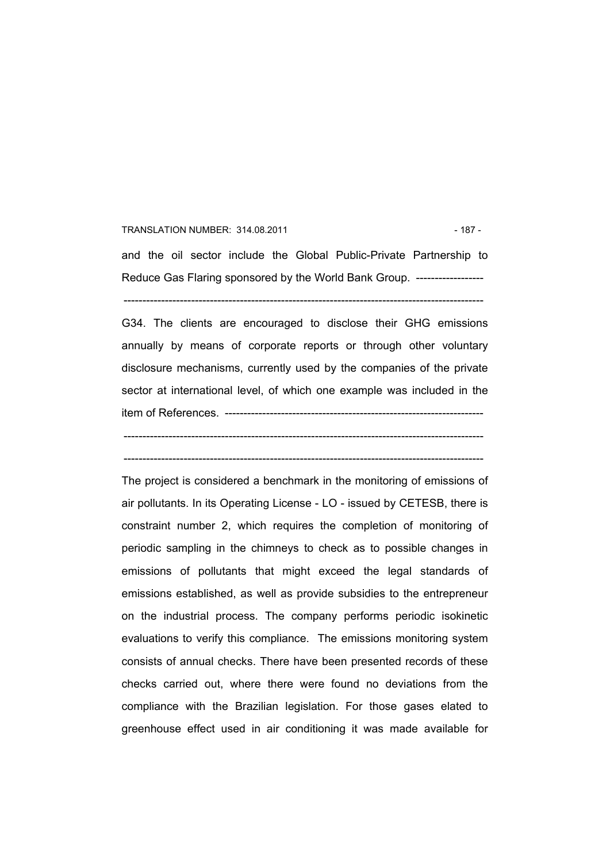#### TRANSLATION NUMBER: 314.08.2011 - 187 -

and the oil sector include the Global Public-Private Partnership to Reduce Gas Flaring sponsored by the World Bank Group. -------------------

------------------------------------------------------------------------------------------------

G34. The clients are encouraged to disclose their GHG emissions annually by means of corporate reports or through other voluntary disclosure mechanisms, currently used by the companies of the private sector at international level, of which one example was included in the item of References. ---------------------------------------------------------------------

------------------------------------------------------------------------------------------------

------------------------------------------------------------------------------------------------

The project is considered a benchmark in the monitoring of emissions of air pollutants. In its Operating License - LO - issued by CETESB, there is constraint number 2, which requires the completion of monitoring of periodic sampling in the chimneys to check as to possible changes in emissions of pollutants that might exceed the legal standards of emissions established, as well as provide subsidies to the entrepreneur on the industrial process. The company performs periodic isokinetic evaluations to verify this compliance. The emissions monitoring system consists of annual checks. There have been presented records of these checks carried out, where there were found no deviations from the compliance with the Brazilian legislation. For those gases elated to greenhouse effect used in air conditioning it was made available for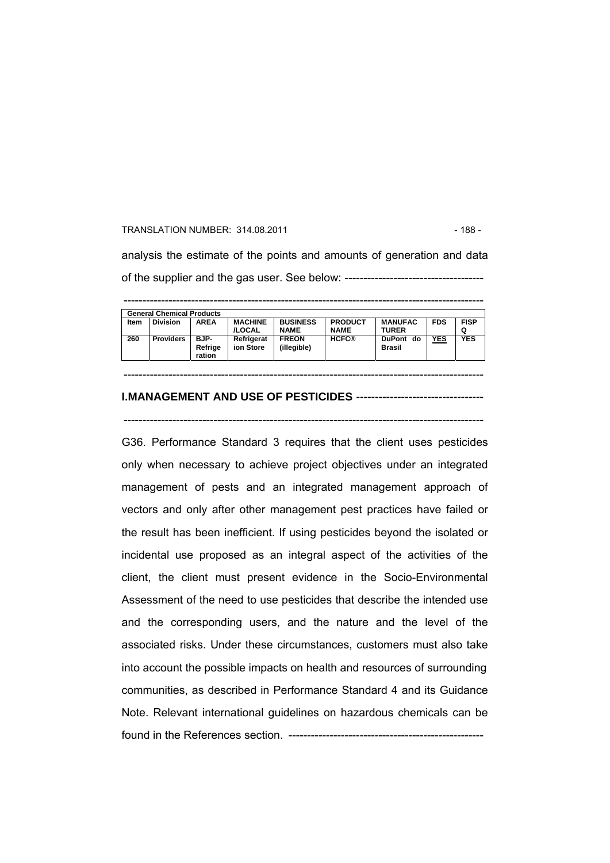#### TRANSLATION NUMBER: 314.08.2011 **188 - 188 - 188 - 188 - 188 - 188 - 188 - 188** -

analysis the estimate of the points and amounts of generation and data of the supplier and the gas user. See below: -------------------------------------

|      | <b>General Chemical Products</b> |                           |                          |                                |                               |                                |            |                  |
|------|----------------------------------|---------------------------|--------------------------|--------------------------------|-------------------------------|--------------------------------|------------|------------------|
| Item | <b>Division</b>                  | <b>AREA</b>               | <b>MACHINE</b><br>/LOCAL | <b>BUSINESS</b><br><b>NAME</b> | <b>PRODUCT</b><br><b>NAME</b> | <b>MANUFAC</b><br><b>TURER</b> | <b>FDS</b> | <b>FISP</b><br>Q |
| 260  | <b>Providers</b>                 | BJP-<br>Refrige<br>ration | Refrigerat<br>ion Store  | <b>FREON</b><br>(illegible)    | <b>HCFC®</b>                  | DuPont do<br><b>Brasil</b>     | <b>YES</b> | <b>YES</b>       |

#### **I.MANAGEMENT AND USE OF PESTICIDES ----------------------------------**

------------------------------------------------------------------------------------------------

------------------------------------------------------------------------------------------------

G36. Performance Standard 3 requires that the client uses pesticides only when necessary to achieve project objectives under an integrated management of pests and an integrated management approach of vectors and only after other management pest practices have failed or the result has been inefficient. If using pesticides beyond the isolated or incidental use proposed as an integral aspect of the activities of the client, the client must present evidence in the Socio-Environmental Assessment of the need to use pesticides that describe the intended use and the corresponding users, and the nature and the level of the associated risks. Under these circumstances, customers must also take into account the possible impacts on health and resources of surrounding communities, as described in Performance Standard 4 and its Guidance Note. Relevant international guidelines on hazardous chemicals can be found in the References section. ----------------------------------------------------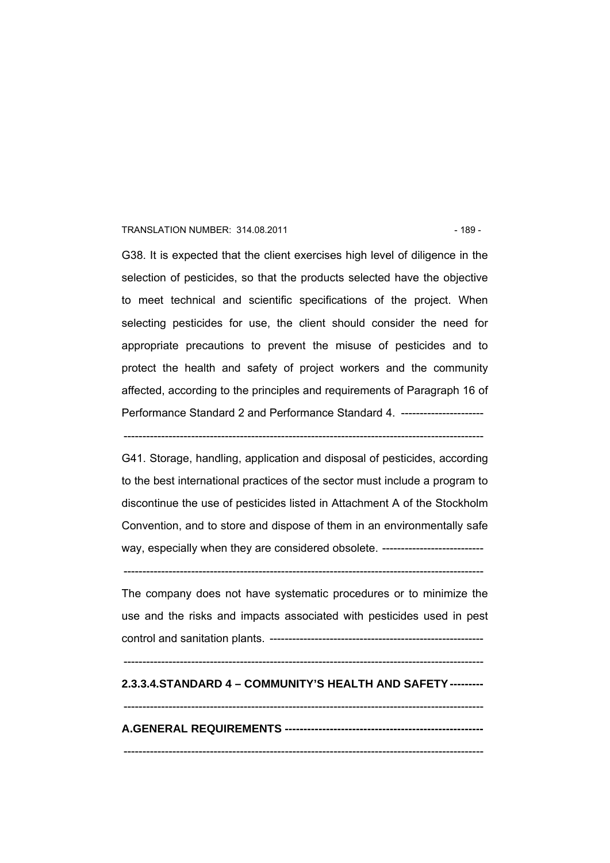#### TRANSLATION NUMBER: 314.08.2011 - 189 -

G38. It is expected that the client exercises high level of diligence in the selection of pesticides, so that the products selected have the objective to meet technical and scientific specifications of the project. When selecting pesticides for use, the client should consider the need for appropriate precautions to prevent the misuse of pesticides and to protect the health and safety of project workers and the community affected, according to the principles and requirements of Paragraph 16 of Performance Standard 2 and Performance Standard 4. -----------------------

------------------------------------------------------------------------------------------------

G41. Storage, handling, application and disposal of pesticides, according to the best international practices of the sector must include a program to discontinue the use of pesticides listed in Attachment A of the Stockholm Convention, and to store and dispose of them in an environmentally safe way, especially when they are considered obsolete. ----------------------------

------------------------------------------------------------------------------------------------

The company does not have systematic procedures or to minimize the use and the risks and impacts associated with pesticides used in pest control and sanitation plants. ---------------------------------------------------------

#### ------------------------------------------------------------------------------------------------

## **2.3.3.4.STANDARD 4 – COMMUNITY'S HEALTH AND SAFETY---------**

## ------------------------------------------------------------------------------------------------ **A.GENERAL REQUIREMENTS -----------------------------------------------------**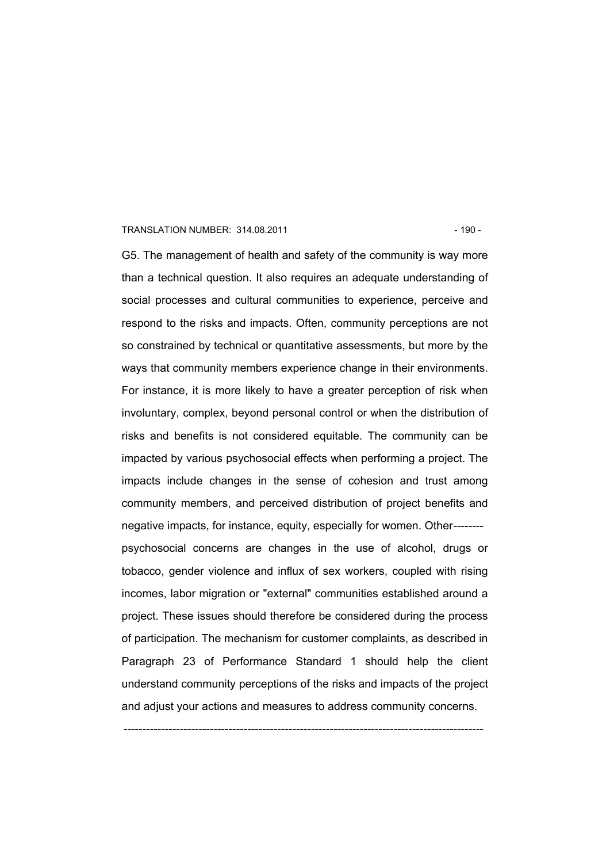#### TRANSLATION NUMBER: 314.08.2011 120 - 190 - 190 -

G5. The management of health and safety of the community is way more than a technical question. It also requires an adequate understanding of social processes and cultural communities to experience, perceive and respond to the risks and impacts. Often, community perceptions are not so constrained by technical or quantitative assessments, but more by the ways that community members experience change in their environments. For instance, it is more likely to have a greater perception of risk when involuntary, complex, beyond personal control or when the distribution of risks and benefits is not considered equitable. The community can be impacted by various psychosocial effects when performing a project. The impacts include changes in the sense of cohesion and trust among community members, and perceived distribution of project benefits and negative impacts, for instance, equity, especially for women. Other------- psychosocial concerns are changes in the use of alcohol, drugs or tobacco, gender violence and influx of sex workers, coupled with rising incomes, labor migration or "external" communities established around a project. These issues should therefore be considered during the process of participation. The mechanism for customer complaints, as described in Paragraph 23 of Performance Standard 1 should help the client understand community perceptions of the risks and impacts of the project and adjust your actions and measures to address community concerns.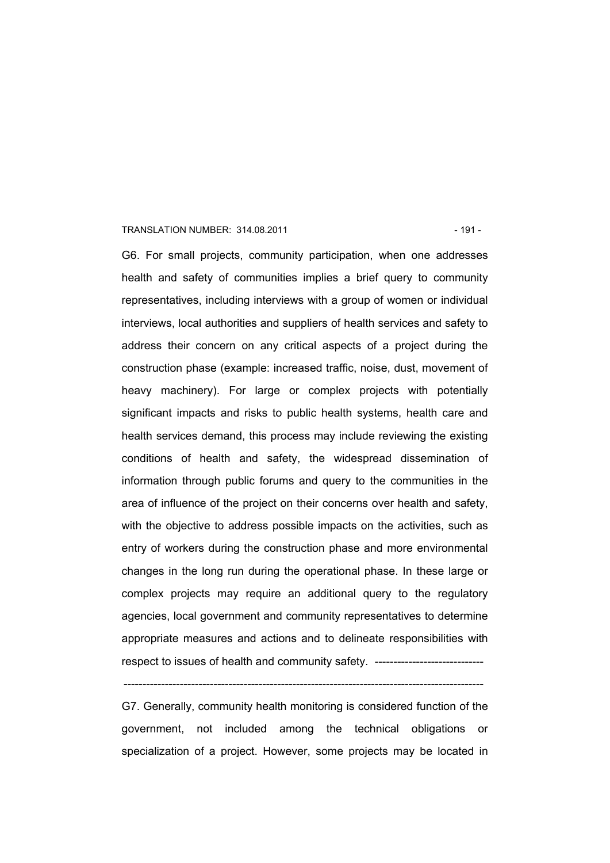#### TRANSLATION NUMBER: 314.08.2011 120 120 121 121 - 191 -

G6. For small projects, community participation, when one addresses health and safety of communities implies a brief query to community representatives, including interviews with a group of women or individual interviews, local authorities and suppliers of health services and safety to address their concern on any critical aspects of a project during the construction phase (example: increased traffic, noise, dust, movement of heavy machinery). For large or complex projects with potentially significant impacts and risks to public health systems, health care and health services demand, this process may include reviewing the existing conditions of health and safety, the widespread dissemination of information through public forums and query to the communities in the area of influence of the project on their concerns over health and safety, with the objective to address possible impacts on the activities, such as entry of workers during the construction phase and more environmental changes in the long run during the operational phase. In these large or complex projects may require an additional query to the regulatory agencies, local government and community representatives to determine appropriate measures and actions and to delineate responsibilities with respect to issues of health and community safety. ------------------------------

G7. Generally, community health monitoring is considered function of the government, not included among the technical obligations or specialization of a project. However, some projects may be located in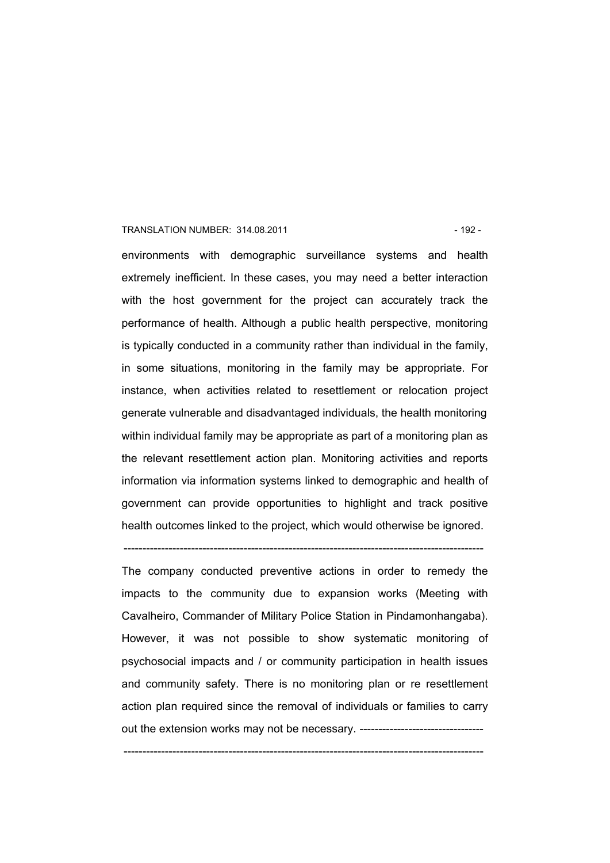#### TRANSLATION NUMBER: 314.08.2011 **192 - 192 - 192 - 192 - 192 - 192 - 192 - 192** -

environments with demographic surveillance systems and health extremely inefficient. In these cases, you may need a better interaction with the host government for the project can accurately track the performance of health. Although a public health perspective, monitoring is typically conducted in a community rather than individual in the family, in some situations, monitoring in the family may be appropriate. For instance, when activities related to resettlement or relocation project generate vulnerable and disadvantaged individuals, the health monitoring within individual family may be appropriate as part of a monitoring plan as the relevant resettlement action plan. Monitoring activities and reports information via information systems linked to demographic and health of government can provide opportunities to highlight and track positive health outcomes linked to the project, which would otherwise be ignored.

------------------------------------------------------------------------------------------------

The company conducted preventive actions in order to remedy the impacts to the community due to expansion works (Meeting with Cavalheiro, Commander of Military Police Station in Pindamonhangaba). However, it was not possible to show systematic monitoring of psychosocial impacts and / or community participation in health issues and community safety. There is no monitoring plan or re resettlement action plan required since the removal of individuals or families to carry out the extension works may not be necessary. ----------------------------------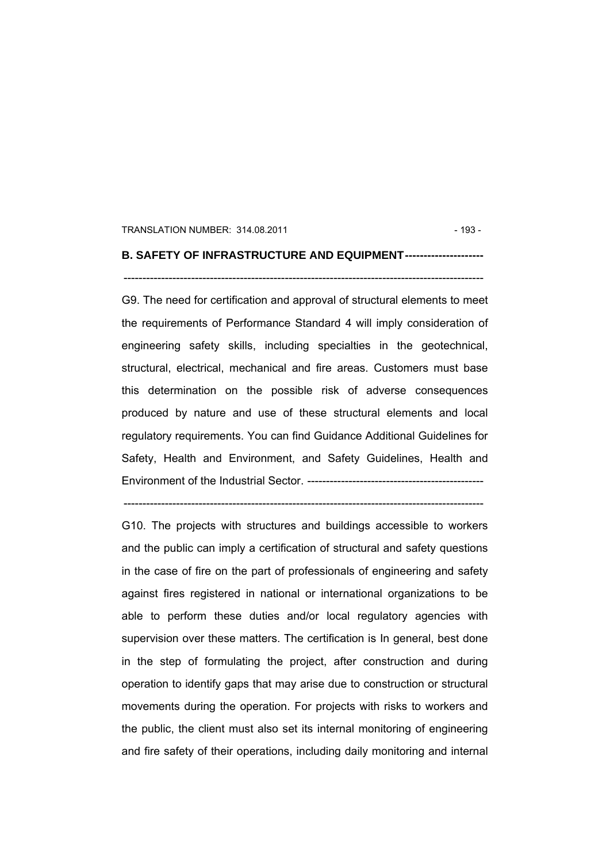#### TRANSLATION NUMBER: 314.08.2011 **193 - 193 - 193 - 193 - 193 - 193 - 193 - 193** -

### **B. SAFETY OF INFRASTRUCTURE AND EQUIPMENT---------------------**

------------------------------------------------------------------------------------------------

G9. The need for certification and approval of structural elements to meet the requirements of Performance Standard 4 will imply consideration of engineering safety skills, including specialties in the geotechnical, structural, electrical, mechanical and fire areas. Customers must base this determination on the possible risk of adverse consequences produced by nature and use of these structural elements and local regulatory requirements. You can find Guidance Additional Guidelines for Safety, Health and Environment, and Safety Guidelines, Health and Environment of the Industrial Sector. -----------------------------------------------

------------------------------------------------------------------------------------------------

G10. The projects with structures and buildings accessible to workers and the public can imply a certification of structural and safety questions in the case of fire on the part of professionals of engineering and safety against fires registered in national or international organizations to be able to perform these duties and/or local regulatory agencies with supervision over these matters. The certification is In general, best done in the step of formulating the project, after construction and during operation to identify gaps that may arise due to construction or structural movements during the operation. For projects with risks to workers and the public, the client must also set its internal monitoring of engineering and fire safety of their operations, including daily monitoring and internal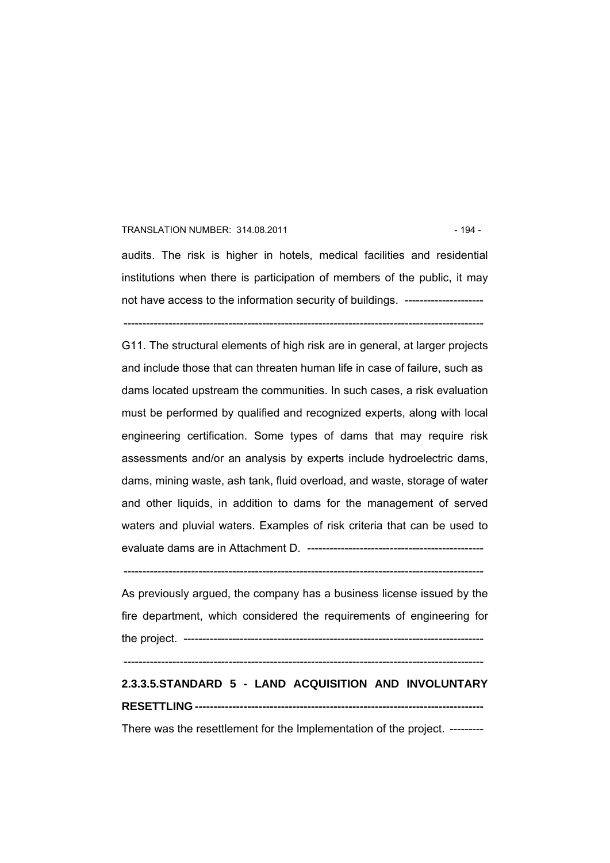#### TRANSLATION NUMBER: 314.08.2011 **194 - 194 - 194 - 194 - 194 - 194 - 194 - 194 - 194 - 194 - 194 - 19**

audits. The risk is higher in hotels, medical facilities and residential institutions when there is participation of members of the public, it may not have access to the information security of buildings. ----------------------

------------------------------------------------------------------------------------------------

G11. The structural elements of high risk are in general, at larger projects and include those that can threaten human life in case of failure, such as dams located upstream the communities. In such cases, a risk evaluation must be performed by qualified and recognized experts, along with local engineering certification. Some types of dams that may require risk assessments and/or an analysis by experts include hydroelectric dams, dams, mining waste, ash tank, fluid overload, and waste, storage of water and other liquids, in addition to dams for the management of served waters and pluvial waters. Examples of risk criteria that can be used to evaluate dams are in Attachment D. -----------------------------------------------

 $-$ 

As previously argued, the company has a business license issued by the fire department, which considered the requirements of engineering for the project. --------------------------------------------------------------------------------

 $-$ 

# **2.3.3.5.STANDARD 5 - LAND ACQUISITION AND INVOLUNTARY RESETTLING -----------------------------------------------------------------------------**

There was the resettlement for the Implementation of the project. ---------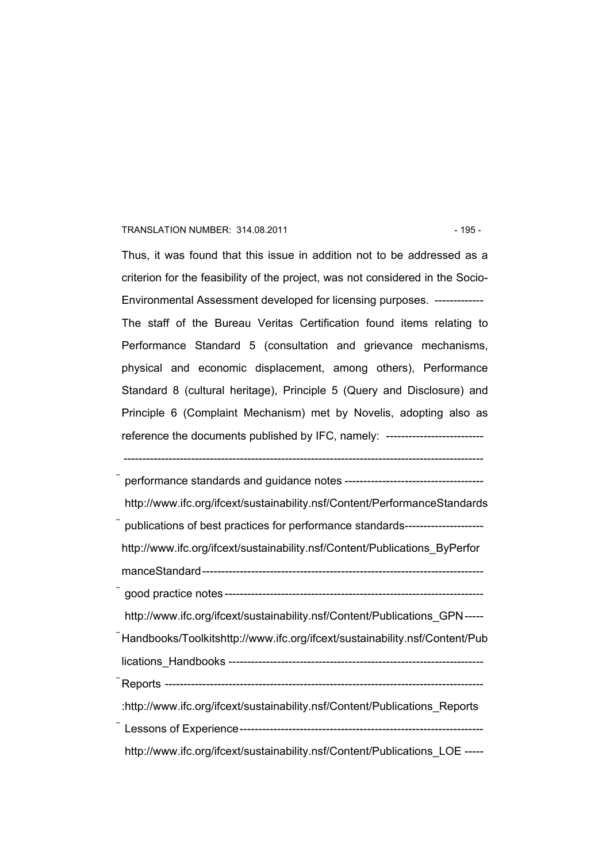#### TRANSLATION NUMBER: 314.08.2011 - 195 -

Thus, it was found that this issue in addition not to be addressed as a criterion for the feasibility of the project, was not considered in the Socio-Environmental Assessment developed for licensing purposes. ------------- The staff of the Bureau Veritas Certification found items relating to Performance Standard 5 (consultation and grievance mechanisms, physical and economic displacement, among others), Performance Standard 8 (cultural heritage), Principle 5 (Query and Disclosure) and Principle 6 (Complaint Mechanism) met by Novelis, adopting also as reference the documents published by IFC, namely: -----------------------------

| http://www.ifc.org/ifcext/sustainability.nsf/Content/PerformanceStandards       |
|---------------------------------------------------------------------------------|
| publications of best practices for performance standards----------------------- |
| http://www.ifc.org/ifcext/sustainability.nsf/Content/Publications ByPerfor      |
|                                                                                 |
|                                                                                 |
| http://www.ifc.org/ifcext/sustainability.nsf/Content/Publications GPN-----      |
| Handbooks/Toolkitshttp://www.ifc.org/ifcext/sustainability.nsf/Content/Pub      |
|                                                                                 |
|                                                                                 |
| :http://www.ifc.org/ifcext/sustainability.nsf/Content/Publications Reports      |
|                                                                                 |
| http://www.ifc.org/ifcext/sustainability.nsf/Content/Publications_LOE -----     |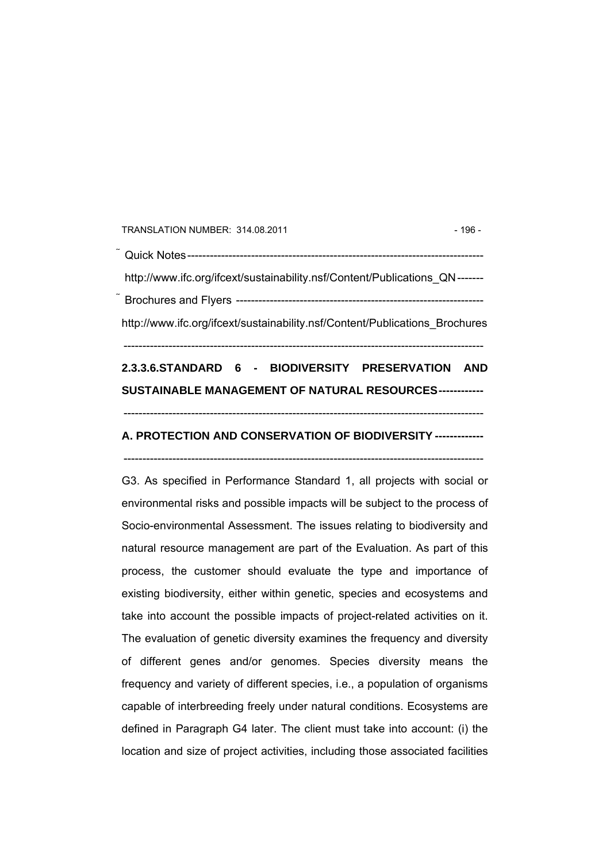TRANSLATION NUMBER: 314.08.2011 196 - 196 -

 Quick Notes------------------------------------------------------------------------------ http://www.ifc.org/ifcext/sustainability.nsf/Content/Publications\_QN------- Brochures and Flyers ----------------------------------------------------------------- http://www.ifc.org/ifcext/sustainability.nsf/Content/Publications\_Brochures

## **2.3.3.6.STANDARD 6 - BIODIVERSITY PRESERVATION AND SUSTAINABLE MANAGEMENT OF NATURAL RESOURCES------------**

------------------------------------------------------------------------------------------------

------------------------------------------------------------------------------------------------

## **A. PROTECTION AND CONSERVATION OF BIODIVERSITY -------------**

------------------------------------------------------------------------------------------------

G3. As specified in Performance Standard 1, all projects with social or environmental risks and possible impacts will be subject to the process of Socio-environmental Assessment. The issues relating to biodiversity and natural resource management are part of the Evaluation. As part of this process, the customer should evaluate the type and importance of existing biodiversity, either within genetic, species and ecosystems and take into account the possible impacts of project-related activities on it. The evaluation of genetic diversity examines the frequency and diversity of different genes and/or genomes. Species diversity means the frequency and variety of different species, i.e., a population of organisms capable of interbreeding freely under natural conditions. Ecosystems are defined in Paragraph G4 later. The client must take into account: (i) the location and size of project activities, including those associated facilities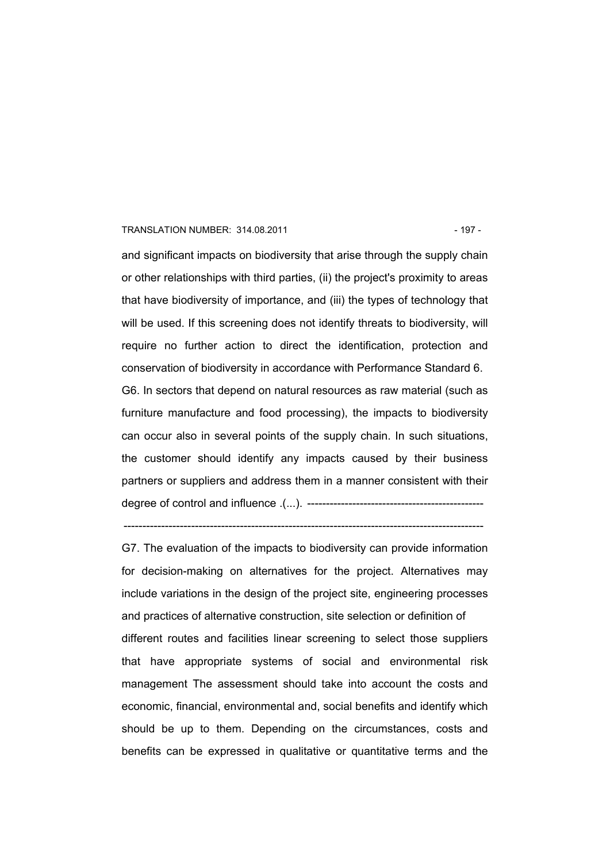#### TRANSLATION NUMBER: 314.08.2011 - 197 -

and significant impacts on biodiversity that arise through the supply chain or other relationships with third parties, (ii) the project's proximity to areas that have biodiversity of importance, and (iii) the types of technology that will be used. If this screening does not identify threats to biodiversity, will require no further action to direct the identification, protection and conservation of biodiversity in accordance with Performance Standard 6. G6. In sectors that depend on natural resources as raw material (such as furniture manufacture and food processing), the impacts to biodiversity can occur also in several points of the supply chain. In such situations, the customer should identify any impacts caused by their business partners or suppliers and address them in a manner consistent with their degree of control and influence .(...). -----------------------------------------------

------------------------------------------------------------------------------------------------

G7. The evaluation of the impacts to biodiversity can provide information for decision-making on alternatives for the project. Alternatives may include variations in the design of the project site, engineering processes and practices of alternative construction, site selection or definition of different routes and facilities linear screening to select those suppliers that have appropriate systems of social and environmental risk management The assessment should take into account the costs and economic, financial, environmental and, social benefits and identify which should be up to them. Depending on the circumstances, costs and benefits can be expressed in qualitative or quantitative terms and the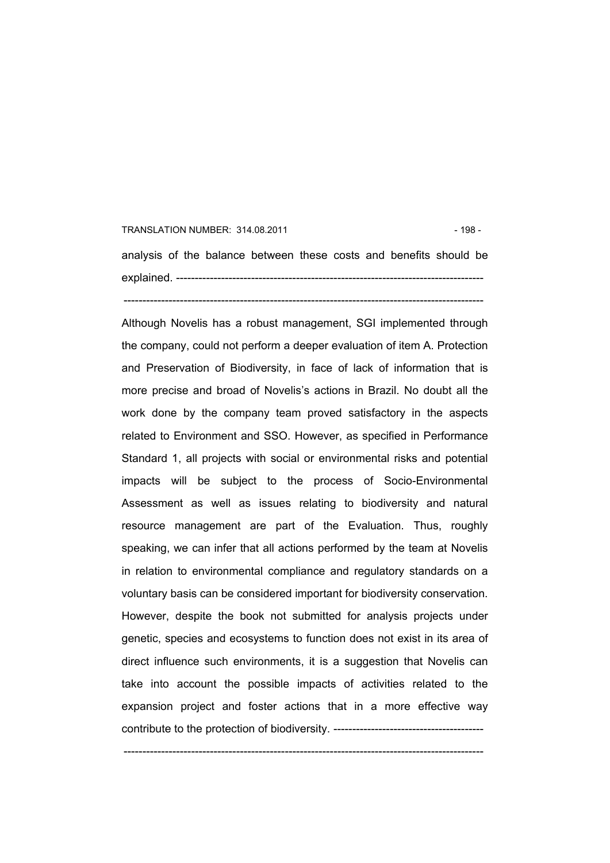## TRANSLATION NUMBER: 314.08.2011 **198 - 198 - 198 - 198 - 198 - 198 - 198 - 198** analysis of the balance between these costs and benefits should be explained. ---------------------------------------------------------------------------------- ------------------------------------------------------------------------------------------------

Although Novelis has a robust management, SGI implemented through the company, could not perform a deeper evaluation of item A. Protection and Preservation of Biodiversity, in face of lack of information that is more precise and broad of Novelis's actions in Brazil. No doubt all the work done by the company team proved satisfactory in the aspects related to Environment and SSO. However, as specified in Performance Standard 1, all projects with social or environmental risks and potential impacts will be subject to the process of Socio-Environmental Assessment as well as issues relating to biodiversity and natural resource management are part of the Evaluation. Thus, roughly speaking, we can infer that all actions performed by the team at Novelis in relation to environmental compliance and regulatory standards on a voluntary basis can be considered important for biodiversity conservation. However, despite the book not submitted for analysis projects under genetic, species and ecosystems to function does not exist in its area of direct influence such environments, it is a suggestion that Novelis can take into account the possible impacts of activities related to the expansion project and foster actions that in a more effective way contribute to the protection of biodiversity. ----------------------------------------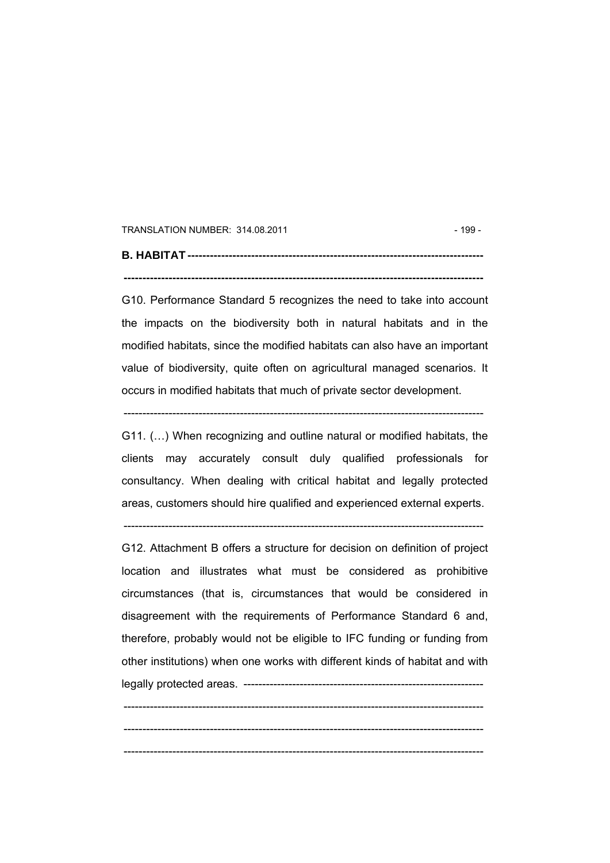TRANSLATION NUMBER: 314.08.2011 - 199 -

**B. HABITAT ------------------------------------------------------------------------------- ------------------------------------------------------------------------------------------------** 

G10. Performance Standard 5 recognizes the need to take into account the impacts on the biodiversity both in natural habitats and in the modified habitats, since the modified habitats can also have an important value of biodiversity, quite often on agricultural managed scenarios. It occurs in modified habitats that much of private sector development.

G11. (…) When recognizing and outline natural or modified habitats, the clients may accurately consult duly qualified professionals for consultancy. When dealing with critical habitat and legally protected areas, customers should hire qualified and experienced external experts.

------------------------------------------------------------------------------------------------

 $-$ 

G12. Attachment B offers a structure for decision on definition of project location and illustrates what must be considered as prohibitive circumstances (that is, circumstances that would be considered in disagreement with the requirements of Performance Standard 6 and, therefore, probably would not be eligible to IFC funding or funding from other institutions) when one works with different kinds of habitat and with legally protected areas. ----------------------------------------------------------------

------------------------------------------------------------------------------------------------ ------------------------------------------------------------------------------------------------ ------------------------------------------------------------------------------------------------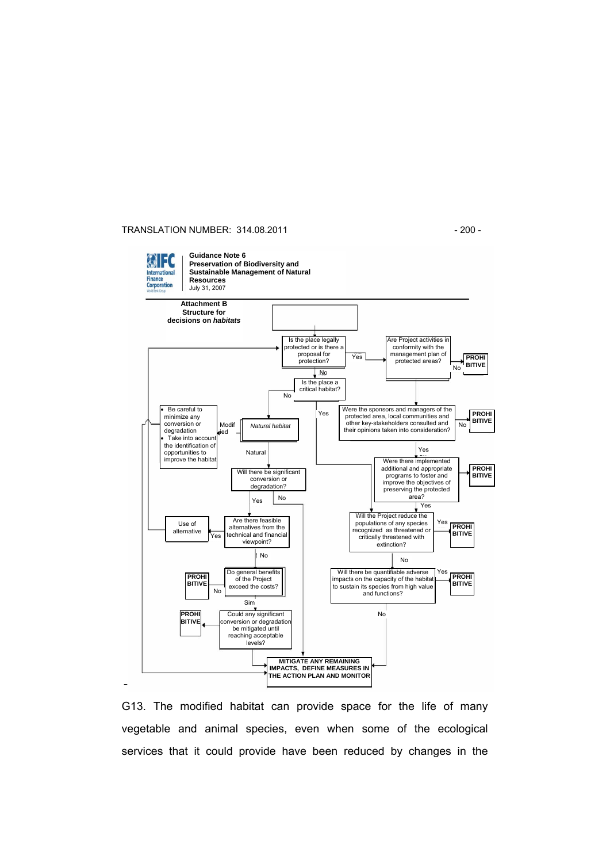#### TRANSLATION NUMBER: 314.08.2011 - 200 -



G13. The modified habitat can provide space for the life of many vegetable and animal species, even when some of the ecological services that it could provide have been reduced by changes in the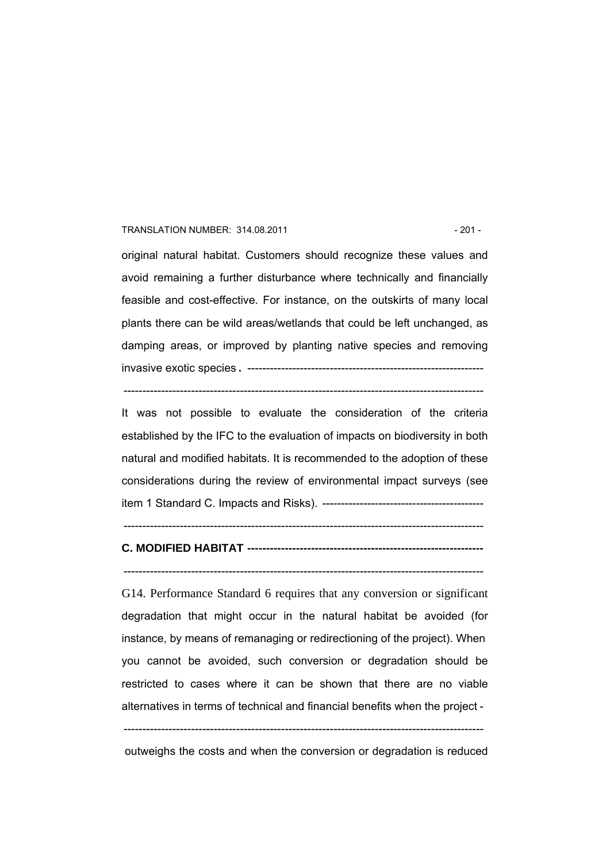#### TRANSLATION NUMBER: 314.08.2011 - 201 - 201 -

original natural habitat. Customers should recognize these values and avoid remaining a further disturbance where technically and financially feasible and cost-effective. For instance, on the outskirts of many local plants there can be wild areas/wetlands that could be left unchanged, as damping areas, or improved by planting native species and removing invasive exotic species. ---------------------------------------------------------------

------------------------------------------------------------------------------------------------

It was not possible to evaluate the consideration of the criteria established by the IFC to the evaluation of impacts on biodiversity in both natural and modified habitats. It is recommended to the adoption of these considerations during the review of environmental impact surveys (see item 1 Standard C. Impacts and Risks). -------------------------------------------

## **C. MODIFIED HABITAT ---------------------------------------------------------------**

 $-$ 

#### $-$

G14. Performance Standard 6 requires that any conversion or significant degradation that might occur in the natural habitat be avoided (for instance, by means of remanaging or redirectioning of the project). When you cannot be avoided, such conversion or degradation should be restricted to cases where it can be shown that there are no viable alternatives in terms of technical and financial benefits when the project -

------------------------------------------------------------------------------------------------

outweighs the costs and when the conversion or degradation is reduced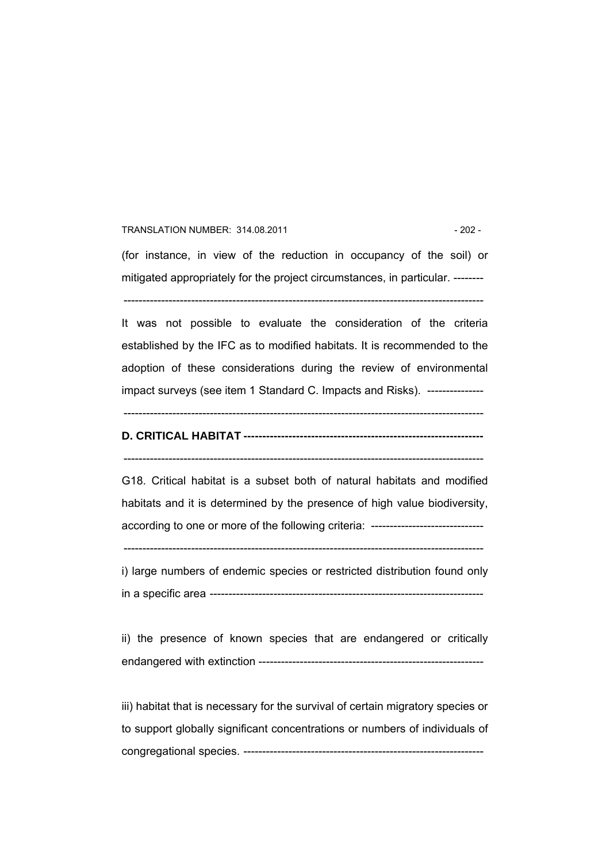#### TRANSLATION NUMBER: 314.08.2011 - 202 -

(for instance, in view of the reduction in occupancy of the soil) or mitigated appropriately for the project circumstances, in particular. --------

------------------------------------------------------------------------------------------------

It was not possible to evaluate the consideration of the criteria established by the IFC as to modified habitats. It is recommended to the adoption of these considerations during the review of environmental impact surveys (see item 1 Standard C. Impacts and Risks). ----------------

------------------------------------------------------------------------------------------------

## **D. CRITICAL HABITAT ----------------------------------------------------------------**

------------------------------------------------------------------------------------------------

G18. Critical habitat is a subset both of natural habitats and modified habitats and it is determined by the presence of high value biodiversity, according to one or more of the following criteria: -----------------------------------

------------------------------------------------------------------------------------------------

i) large numbers of endemic species or restricted distribution found only in a specific area -------------------------------------------------------------------------

ii) the presence of known species that are endangered or critically endangered with extinction ------------------------------------------------------------

iii) habitat that is necessary for the survival of certain migratory species or to support globally significant concentrations or numbers of individuals of congregational species. ----------------------------------------------------------------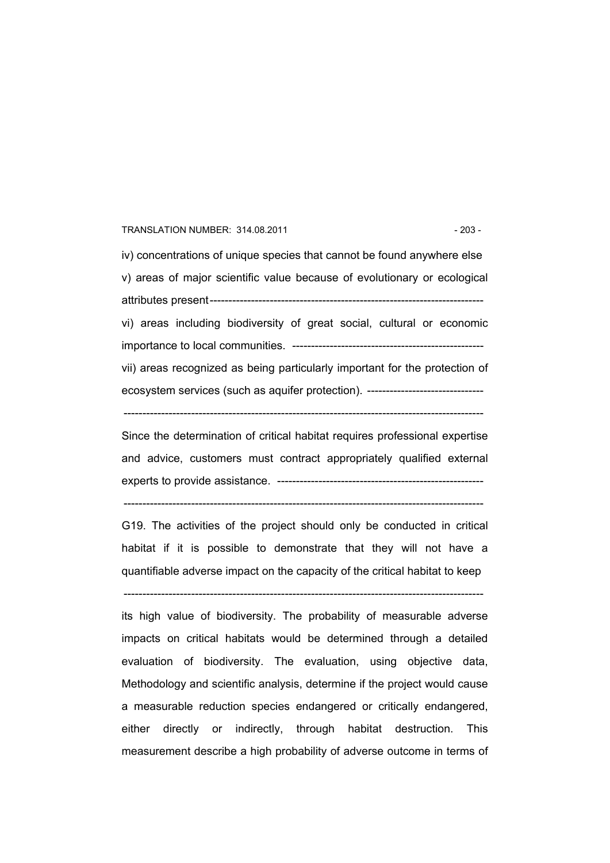#### TRANSLATION NUMBER: 314.08.2011 **1203 - 203 - 203 - 203 - 203 - 203 - 203 - 203 - 203 - 203 - 203 - 203 - 203 - 203 - 203 - 203 - 203 - 203 - 203 - 203 - 203 - 203 - 203 - 203 - 203 - 203 - 203 - 203 - 203 - 203 - 203 - 20**

iv) concentrations of unique species that cannot be found anywhere else v) areas of major scientific value because of evolutionary or ecological attributes present------------------------------------------------------------------------ vi) areas including biodiversity of great social, cultural or economic importance to local communities. -------------------------------------------------- vii) areas recognized as being particularly important for the protection of ecosystem services (such as aquifer protection). -------------------------------

------------------------------------------------------------------------------------------------

Since the determination of critical habitat requires professional expertise and advice, customers must contract appropriately qualified external experts to provide assistance. -------------------------------------------------------

------------------------------------------------------------------------------------------------

G19. The activities of the project should only be conducted in critical habitat if it is possible to demonstrate that they will not have a quantifiable adverse impact on the capacity of the critical habitat to keep

------------------------------------------------------------------------------------------------

its high value of biodiversity. The probability of measurable adverse impacts on critical habitats would be determined through a detailed evaluation of biodiversity. The evaluation, using objective data, Methodology and scientific analysis, determine if the project would cause a measurable reduction species endangered or critically endangered, either directly or indirectly, through habitat destruction. This measurement describe a high probability of adverse outcome in terms of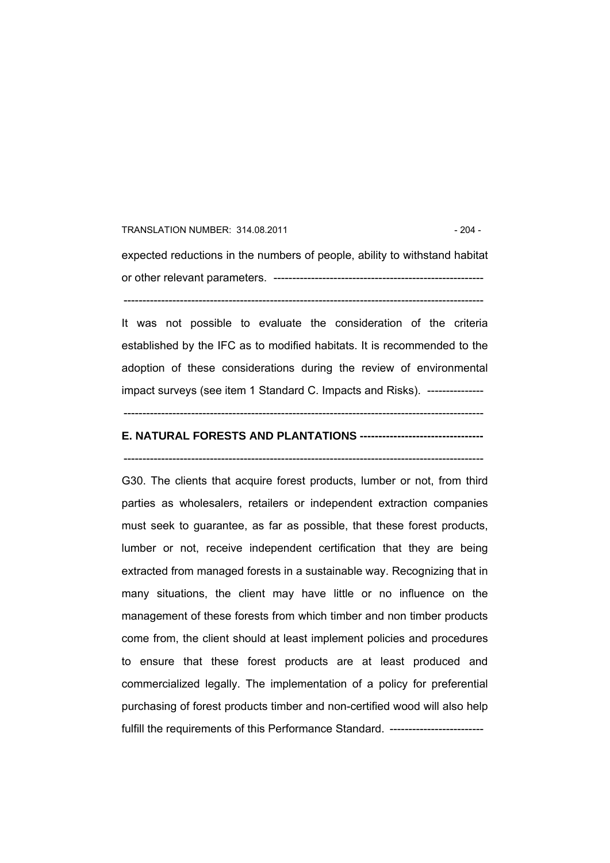## TRANSLATION NUMBER: 314.08.2011 **12001 - 204 - 204 - 204 - 204 - 204 - 204 - 204 - 204 - 204 - 204 - 204 - 204 - 204 - 204 - 204 - 204 - 204 - 204 - 204 - 204 - 204 - 205 - 205 - 205 - 205 - 205 - 205 - 205 - 205 - 205 - 2** expected reductions in the numbers of people, ability to withstand habitat or other relevant parameters. -------------------------------------------------------- ------------------------------------------------------------------------------------------------

It was not possible to evaluate the consideration of the criteria established by the IFC as to modified habitats. It is recommended to the adoption of these considerations during the review of environmental impact surveys (see item 1 Standard C. Impacts and Risks). ---------------

------------------------------------------------------------------------------------------------

## **E. NATURAL FORESTS AND PLANTATIONS ---------------------------------**

------------------------------------------------------------------------------------------------

G30. The clients that acquire forest products, lumber or not, from third parties as wholesalers, retailers or independent extraction companies must seek to guarantee, as far as possible, that these forest products, lumber or not, receive independent certification that they are being extracted from managed forests in a sustainable way. Recognizing that in many situations, the client may have little or no influence on the management of these forests from which timber and non timber products come from, the client should at least implement policies and procedures to ensure that these forest products are at least produced and commercialized legally. The implementation of a policy for preferential purchasing of forest products timber and non-certified wood will also help fulfill the requirements of this Performance Standard. ------------------------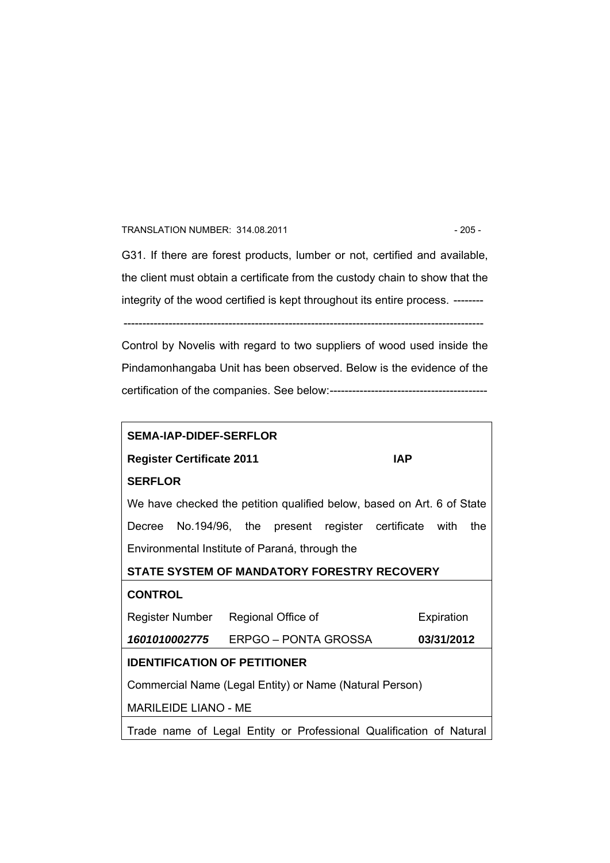#### TRANSLATION NUMBER: 314.08.2011 - 205 -

G31. If there are forest products, lumber or not, certified and available, the client must obtain a certificate from the custody chain to show that the integrity of the wood certified is kept throughout its entire process. --------

------------------------------------------------------------------------------------------------

Control by Novelis with regard to two suppliers of wood used inside the Pindamonhangaba Unit has been observed. Below is the evidence of the certification of the companies. See below:------------------------------------------

| <b>SEMA-IAP-DIDEF-SERFLOR</b>                                          |            |  |  |  |  |  |
|------------------------------------------------------------------------|------------|--|--|--|--|--|
| <b>IAP</b><br><b>Register Certificate 2011</b>                         |            |  |  |  |  |  |
| <b>SERFLOR</b>                                                         |            |  |  |  |  |  |
| We have checked the petition qualified below, based on Art. 6 of State |            |  |  |  |  |  |
| Decree No.194/96, the present register certificate with                | the        |  |  |  |  |  |
| Environmental Institute of Paraná, through the                         |            |  |  |  |  |  |
| STATE SYSTEM OF MANDATORY FORESTRY RECOVERY                            |            |  |  |  |  |  |
| <b>CONTROL</b>                                                         |            |  |  |  |  |  |
| Register Number Regional Office of<br>Expiration                       |            |  |  |  |  |  |
| 1601010002775 ERPGO – PONTA GROSSA                                     | 03/31/2012 |  |  |  |  |  |
| <b>IDENTIFICATION OF PETITIONER</b>                                    |            |  |  |  |  |  |
| Commercial Name (Legal Entity) or Name (Natural Person)                |            |  |  |  |  |  |
| <b>MARILEIDE LIANO - ME</b>                                            |            |  |  |  |  |  |
| Trade name of Legal Entity or Professional Qualification of Natural    |            |  |  |  |  |  |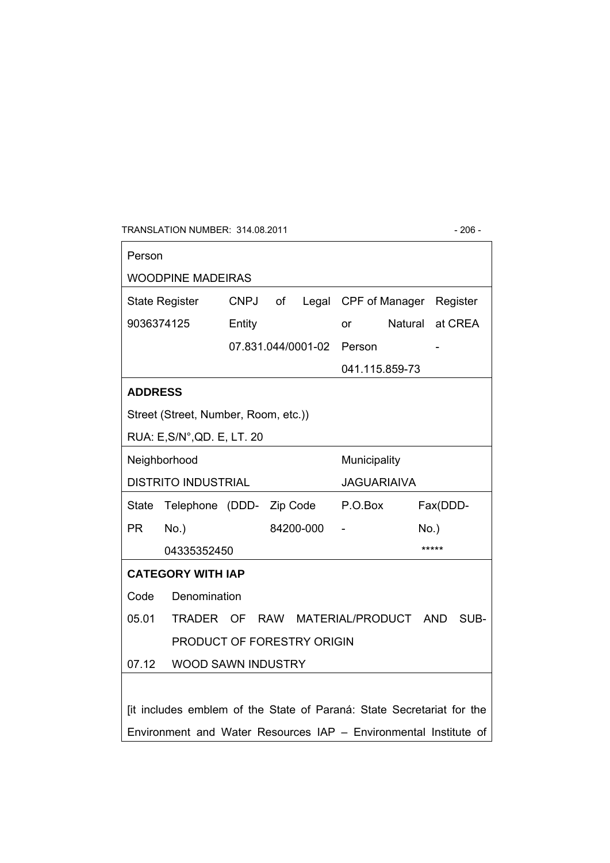TRANSLATION NUMBER: 314.08.2011 - 206 -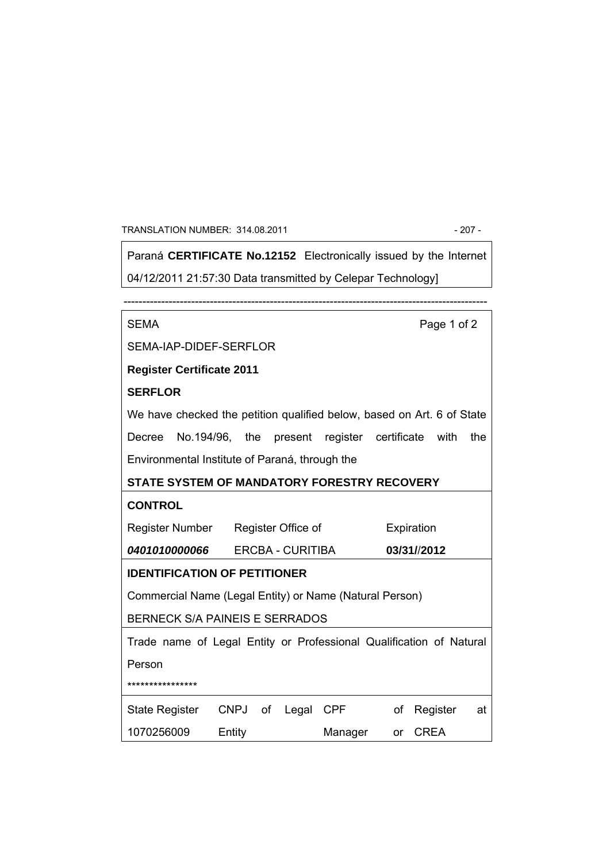#### TRANSLATION NUMBER: 314.08.2011 - 207 -

Paraná **CERTIFICATE No.12152** Electronically issued by the Internet 04/12/2011 21:57:30 Data transmitted by Celepar Technology]

------------------------------------------------------------------------------------------------- SEMA Page 1 of 2 SEMA-IAP-DIDEF-SERFLOR **Register Certificate 2011 SERFLOR**  We have checked the petition qualified below, based on Art. 6 of State Decree No.194/96, the present register certificate with the Environmental Institute of Paraná, through the **STATE SYSTEM OF MANDATORY FORESTRY RECOVERY CONTROL**  Register Number *0401010000066*  Register Office of ERCBA - CURITIBA Expiration **03/31/**/**2012 IDENTIFICATION OF PETITIONER**  Commercial Name (Legal Entity) or Name (Natural Person) BERNECK S/A PAINEIS E SERRADOS Trade name of Legal Entity or Professional Qualification of Natural Person \*\*\*\*\*\*\*\*\*\*\*\*\*\*\*\* State Register 1070256009 CNPJ of Entity Legal CPF Manager of Register at or CREA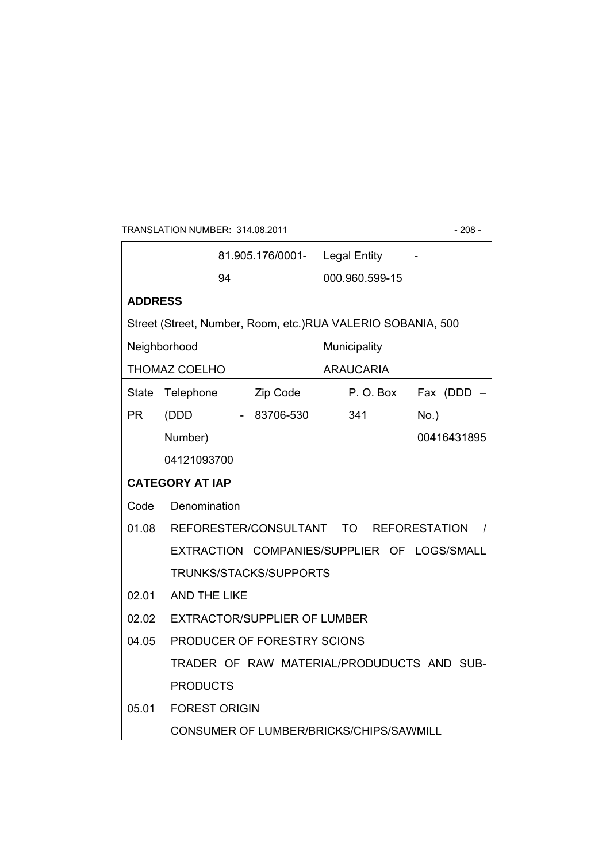## TRANSLATION NUMBER: 314.08.2011 - 208 -

┑

|                |                                                             | 81.905.176/0001- |              |                  |  | <b>Legal Entity</b>                                         |          |             |
|----------------|-------------------------------------------------------------|------------------|--------------|------------------|--|-------------------------------------------------------------|----------|-------------|
|                |                                                             | 94               |              |                  |  | 000.960.599-15                                              |          |             |
| <b>ADDRESS</b> |                                                             |                  |              |                  |  |                                                             |          |             |
|                |                                                             |                  |              |                  |  | Street (Street, Number, Room, etc.)RUA VALERIO SOBANIA, 500 |          |             |
| Neighborhood   |                                                             |                  | Municipality |                  |  |                                                             |          |             |
| THOMAZ COELHO  |                                                             |                  |              | <b>ARAUCARIA</b> |  |                                                             |          |             |
| <b>State</b>   | Telephone                                                   |                  | Zip Code     |                  |  | P.O.Box                                                     |          | Fax (DDD    |
| <b>PR</b>      | (DDD                                                        |                  |              | - 83706-530      |  | 341                                                         | $No.$ )  |             |
|                | Number)                                                     |                  |              |                  |  |                                                             |          | 00416431895 |
|                | 04121093700                                                 |                  |              |                  |  |                                                             |          |             |
|                | <b>CATEGORY AT IAP</b>                                      |                  |              |                  |  |                                                             |          |             |
| Code           | Denomination                                                |                  |              |                  |  |                                                             |          |             |
|                | 01.08 REFORESTER/CONSULTANT<br>TO T<br><b>REFORESTATION</b> |                  |              |                  |  |                                                             | $\prime$ |             |
|                | EXTRACTION COMPANIES/SUPPLIER OF LOGS/SMALL                 |                  |              |                  |  |                                                             |          |             |
|                | TRUNKS/STACKS/SUPPORTS                                      |                  |              |                  |  |                                                             |          |             |
| 02.01          | AND THE LIKE                                                |                  |              |                  |  |                                                             |          |             |
| 02.02          | <b>EXTRACTOR/SUPPLIER OF LUMBER</b>                         |                  |              |                  |  |                                                             |          |             |
| 04.05          | PRODUCER OF FORESTRY SCIONS                                 |                  |              |                  |  |                                                             |          |             |
|                |                                                             |                  |              |                  |  | TRADER OF RAW MATERIAL/PRODUDUCTS AND SUB-                  |          |             |
|                | <b>PRODUCTS</b>                                             |                  |              |                  |  |                                                             |          |             |
| 05.01          | <b>FOREST ORIGIN</b>                                        |                  |              |                  |  |                                                             |          |             |
|                | CONSUMER OF LUMBER/BRICKS/CHIPS/SAWMILL                     |                  |              |                  |  |                                                             |          |             |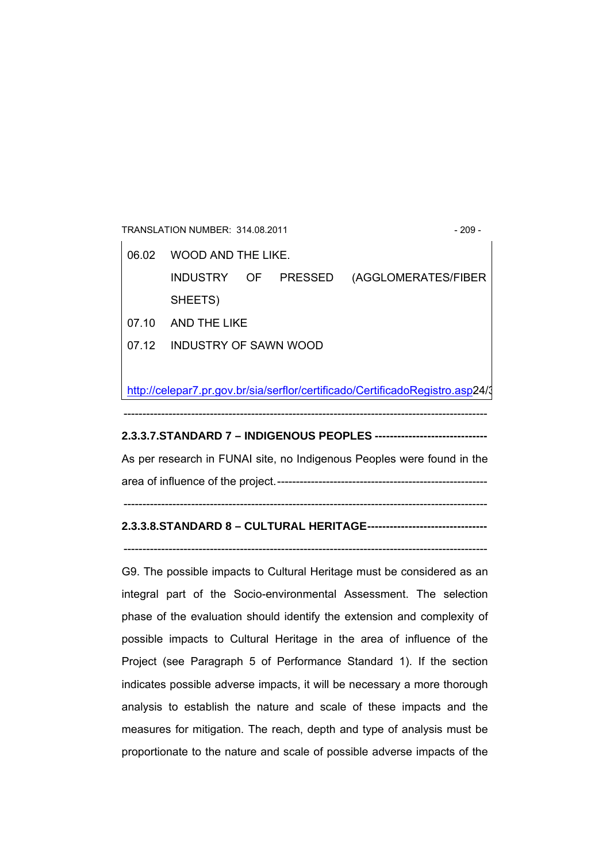TRANSLATION NUMBER: 314.08.2011 - 209 -06.02 WOOD AND THE LIKE. INDUSTRY OF PRESSED (AGGLOMERATES/FIBER SHEETS) 07.10 AND THE LIKE 07.12 INDUSTRY OF SAWN WOOD http://celepar7.pr.gov.br/sia/serflor/certificado/CertificadoRegistro.asp24/3 -------------------------------------------------------------------------------------------------

### **2.3.3.7.STANDARD 7 – INDIGENOUS PEOPLES ------------------------------**

As per research in FUNAI site, no Indigenous Peoples were found in the area of influence of the project.--------------------------------------------------------

#### -------------------------------------------------------------------------------------------------

## **2.3.3.8.STANDARD 8 – CULTURAL HERITAGE--------------------------------**

-------------------------------------------------------------------------------------------------

G9. The possible impacts to Cultural Heritage must be considered as an integral part of the Socio-environmental Assessment. The selection phase of the evaluation should identify the extension and complexity of possible impacts to Cultural Heritage in the area of influence of the Project (see Paragraph 5 of Performance Standard 1). If the section indicates possible adverse impacts, it will be necessary a more thorough analysis to establish the nature and scale of these impacts and the measures for mitigation. The reach, depth and type of analysis must be proportionate to the nature and scale of possible adverse impacts of the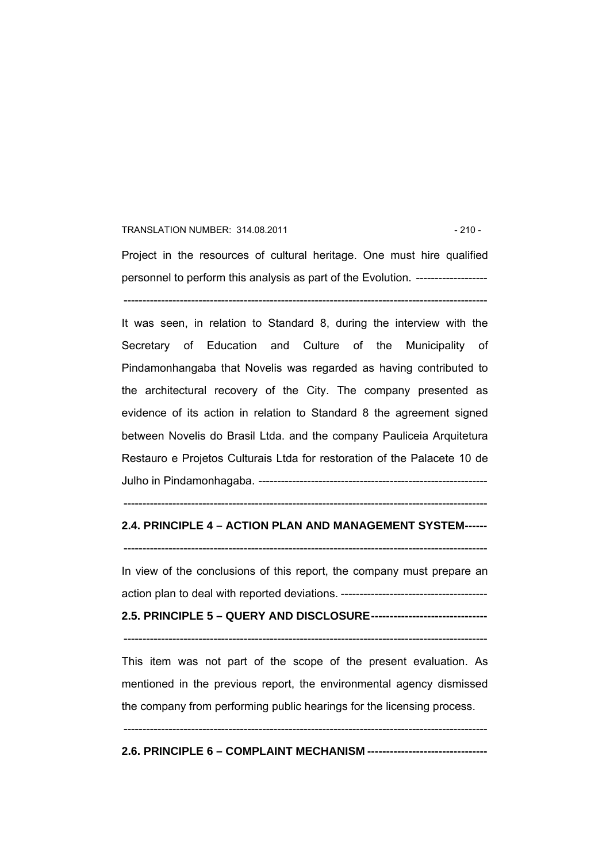#### TRANSLATION NUMBER: 314.08.2011 - 210 - 210 -

Project in the resources of cultural heritage. One must hire qualified personnel to perform this analysis as part of the Evolution. -------------------

-------------------------------------------------------------------------------------------------

It was seen, in relation to Standard 8, during the interview with the Secretary of Education and Culture of the Municipality of Pindamonhangaba that Novelis was regarded as having contributed to the architectural recovery of the City. The company presented as evidence of its action in relation to Standard 8 the agreement signed between Novelis do Brasil Ltda. and the company Pauliceia Arquitetura Restauro e Projetos Culturais Ltda for restoration of the Palacete 10 de Julho in Pindamonhagaba. -------------------------------------------------------------

### -------------------------------------------------------------------------------------------------

## **2.4. PRINCIPLE 4 – ACTION PLAN AND MANAGEMENT SYSTEM------**

-------------------------------------------------------------------------------------------------

In view of the conclusions of this report, the company must prepare an action plan to deal with reported deviations. ---------------------------------------

## **2.5. PRINCIPLE 5 – QUERY AND DISCLOSURE-------------------------------**

-------------------------------------------------------------------------------------------------

This item was not part of the scope of the present evaluation. As mentioned in the previous report, the environmental agency dismissed the company from performing public hearings for the licensing process.

-------------------------------------------------------------------------------------------------

#### **2.6. PRINCIPLE 6 – COMPLAINT MECHANISM --------------------------------**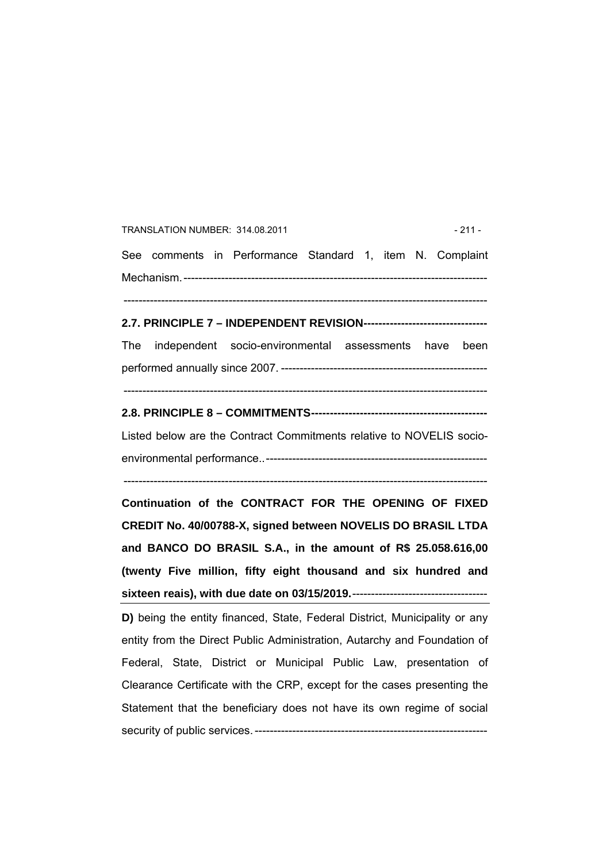TRANSLATION NUMBER: 314.08.2011 - 211 - See comments in Performance Standard 1, item N. Complaint Mechanism.--------------------------------------------------------------------------------- ------------------------------------------------------------------------------------------------- **2.7. PRINCIPLE 7 – INDEPENDENT REVISION---------------------------------**  The independent socio-environmental assessments have been performed annually since 2007. ------------------------------------------------------- ------------------------------------------------------------------------------------------------- **2.8. PRINCIPLE 8 – COMMITMENTS-----------------------------------------------**  Listed below are the Contract Commitments relative to NOVELIS socioenvironmental performance..----------------------------------------------------------- ------------------------------------------------------------------------------------------------- **Continuation of the CONTRACT FOR THE OPENING OF FIXED CREDIT No. 40/00788-X, signed between NOVELIS DO BRASIL LTDA and BANCO DO BRASIL S.A., in the amount of R\$ 25.058.616,00 (twenty Five million, fifty eight thousand and six hundred and sixteen reais), with due date on 03/15/2019.**------------------------------------ **D)** being the entity financed, State, Federal District, Municipality or any entity from the Direct Public Administration, Autarchy and Foundation of Federal, State, District or Municipal Public Law, presentation of Clearance Certificate with the CRP, except for the cases presenting the Statement that the beneficiary does not have its own regime of social security of public services. --------------------------------------------------------------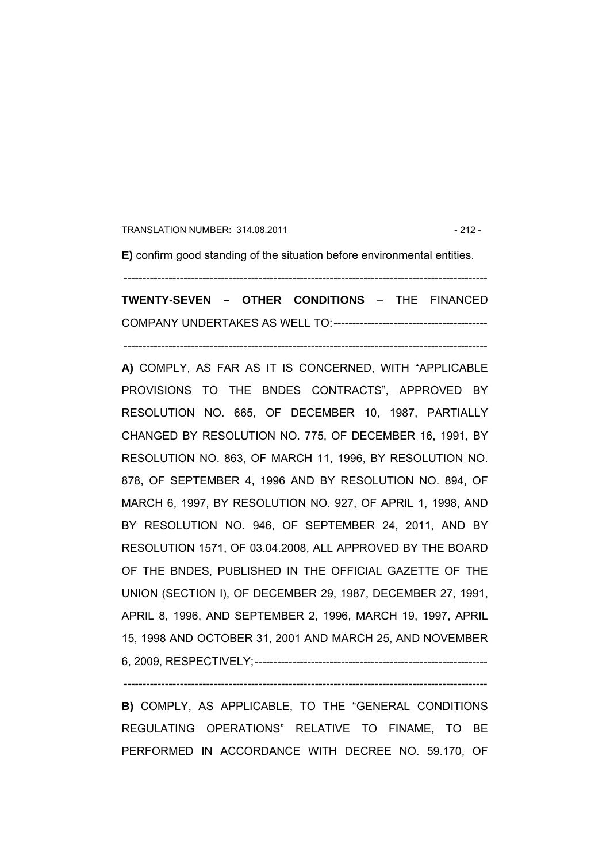TRANSLATION NUMBER: 314.08.2011 - 212 -

**E)** confirm good standing of the situation before environmental entities.

**TWENTY-SEVEN – OTHER CONDITIONS** – THE FINANCED COMPANY UNDERTAKES AS WELL TO:-----------------------------------------

-------------------------------------------------------------------------------------------------

-------------------------------------------------------------------------------------------------

**A)** COMPLY, AS FAR AS IT IS CONCERNED, WITH "APPLICABLE PROVISIONS TO THE BNDES CONTRACTS", APPROVED BY RESOLUTION NO. 665, OF DECEMBER 10, 1987, PARTIALLY CHANGED BY RESOLUTION NO. 775, OF DECEMBER 16, 1991, BY RESOLUTION NO. 863, OF MARCH 11, 1996, BY RESOLUTION NO. 878, OF SEPTEMBER 4, 1996 AND BY RESOLUTION NO. 894, OF MARCH 6, 1997, BY RESOLUTION NO. 927, OF APRIL 1, 1998, AND BY RESOLUTION NO. 946, OF SEPTEMBER 24, 2011, AND BY RESOLUTION 1571, OF 03.04.2008, ALL APPROVED BY THE BOARD OF THE BNDES, PUBLISHED IN THE OFFICIAL GAZETTE OF THE UNION (SECTION I), OF DECEMBER 29, 1987, DECEMBER 27, 1991, APRIL 8, 1996, AND SEPTEMBER 2, 1996, MARCH 19, 1997, APRIL 15, 1998 AND OCTOBER 31, 2001 AND MARCH 25, AND NOVEMBER 6, 2009, RESPECTIVELY;--------------------------------------------------------------

**B)** COMPLY, AS APPLICABLE, TO THE "GENERAL CONDITIONS REGULATING OPERATIONS" RELATIVE TO FINAME, TO BE PERFORMED IN ACCORDANCE WITH DECREE NO. 59.170, OF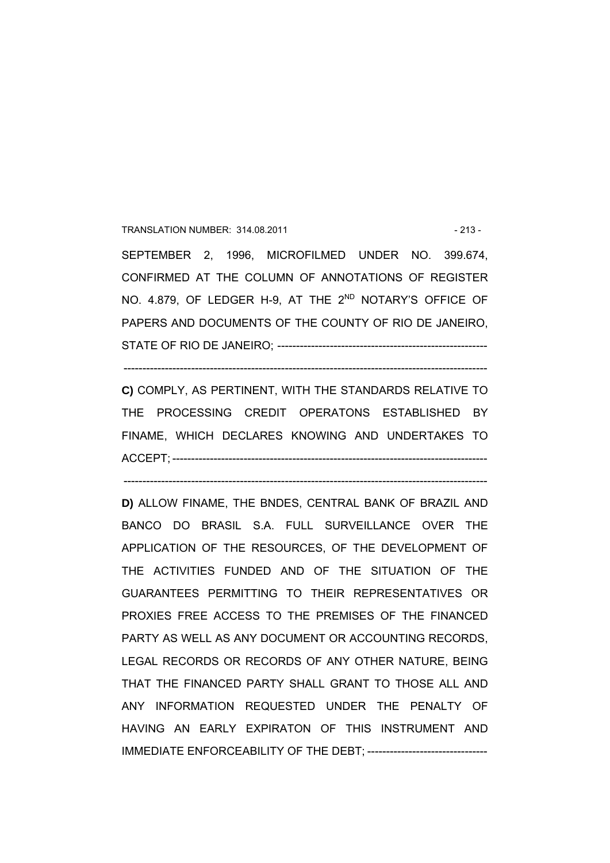### TRANSLATION NUMBER: 314.08.2011 - 213 -

SEPTEMBER 2, 1996, MICROFILMED UNDER NO. 399.674, CONFIRMED AT THE COLUMN OF ANNOTATIONS OF REGISTER NO. 4.879, OF LEDGER H-9, AT THE 2<sup>ND</sup> NOTARY'S OFFICE OF PAPERS AND DOCUMENTS OF THE COUNTY OF RIO DE JANEIRO, STATE OF RIO DE JANEIRO; --------------------------------------------------------

**C)** COMPLY, AS PERTINENT, WITH THE STANDARDS RELATIVE TO THE PROCESSING CREDIT OPERATONS ESTABLISHED BY FINAME, WHICH DECLARES KNOWING AND UNDERTAKES TO ACCEPT; ------------------------------------------------------------------------------------

-------------------------------------------------------------------------------------------------

-------------------------------------------------------------------------------------------------

**D)** ALLOW FINAME, THE BNDES, CENTRAL BANK OF BRAZIL AND BANCO DO BRASIL S.A. FULL SURVEILLANCE OVER THE APPLICATION OF THE RESOURCES, OF THE DEVELOPMENT OF THE ACTIVITIES FUNDED AND OF THE SITUATION OF THE GUARANTEES PERMITTING TO THEIR REPRESENTATIVES OR PROXIES FREE ACCESS TO THE PREMISES OF THE FINANCED PARTY AS WELL AS ANY DOCUMENT OR ACCOUNTING RECORDS, LEGAL RECORDS OR RECORDS OF ANY OTHER NATURE, BEING THAT THE FINANCED PARTY SHALL GRANT TO THOSE ALL AND ANY INFORMATION REQUESTED UNDER THE PENALTY OF HAVING AN EARLY EXPIRATON OF THIS INSTRUMENT AND IMMEDIATE ENFORCEABILITY OF THE DEBT; --------------------------------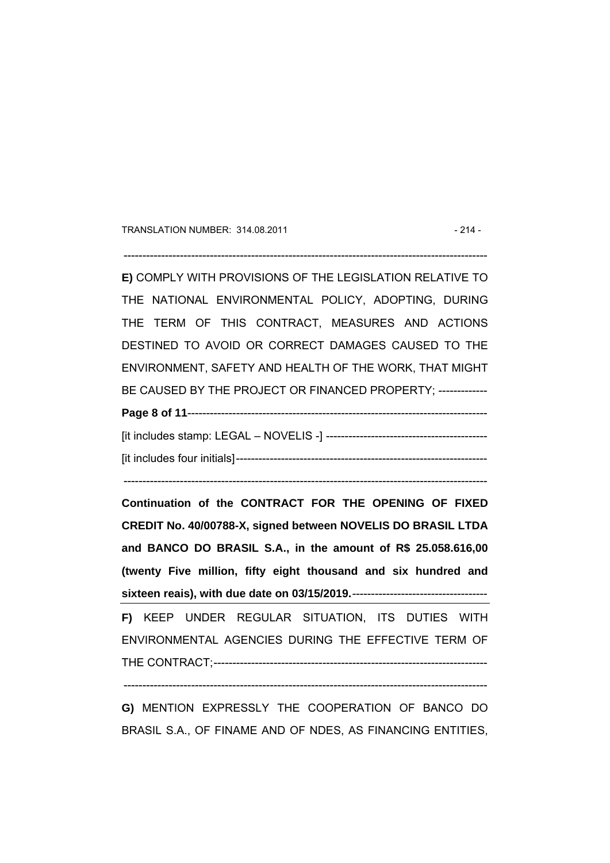TRANSLATION NUMBER: 314.08.2011 - 214 -

 $-$ 

**E)** COMPLY WITH PROVISIONS OF THE LEGISLATION RELATIVE TO THE NATIONAL ENVIRONMENTAL POLICY, ADOPTING, DURING THE TERM OF THIS CONTRACT, MEASURES AND ACTIONS DESTINED TO AVOID OR CORRECT DAMAGES CAUSED TO THE ENVIRONMENT, SAFETY AND HEALTH OF THE WORK, THAT MIGHT BE CAUSED BY THE PROJECT OR FINANCED PROPERTY: -------------**Page 8 of 11**--------------------------------------------------------------------------------

[it includes stamp: LEGAL – NOVELIS -] ------------------------------------------- [it includes four initials]-------------------------------------------------------------------

-------------------------------------------------------------------------------------------------

**Continuation of the CONTRACT FOR THE OPENING OF FIXED CREDIT No. 40/00788-X, signed between NOVELIS DO BRASIL LTDA and BANCO DO BRASIL S.A., in the amount of R\$ 25.058.616,00 (twenty Five million, fifty eight thousand and six hundred and sixteen reais), with due date on 03/15/2019.**------------------------------------

**F)** KEEP UNDER REGULAR SITUATION, ITS DUTIES WITH ENVIRONMENTAL AGENCIES DURING THE EFFECTIVE TERM OF THE CONTRACT;-------------------------------------------------------------------------

-------------------------------------------------------------------------------------------------

**G)** MENTION EXPRESSLY THE COOPERATION OF BANCO DO BRASIL S.A., OF FINAME AND OF NDES, AS FINANCING ENTITIES,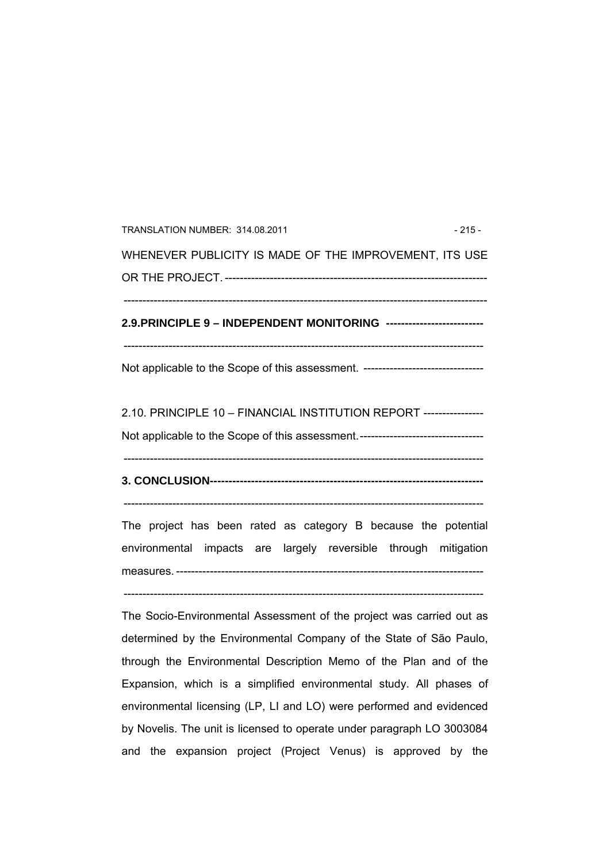| TRANSLATION NUMBER: 314.08.2011                                                  | $-215-$ |  |  |  |  |
|----------------------------------------------------------------------------------|---------|--|--|--|--|
| WHENEVER PUBLICITY IS MADE OF THE IMPROVEMENT, ITS USE                           |         |  |  |  |  |
|                                                                                  |         |  |  |  |  |
| 2.9. PRINCIPLE 9 - INDEPENDENT MONITORING --------------------------             |         |  |  |  |  |
| Not applicable to the Scope of this assessment. -------------------------------- |         |  |  |  |  |
| 2.10. PRINCIPLE 10 - FINANCIAL INSTITUTION REPORT ----------------               |         |  |  |  |  |
| Not applicable to the Scope of this assessment.--------------------------------- |         |  |  |  |  |
|                                                                                  |         |  |  |  |  |
| The project has been rated as category B because the potential                   |         |  |  |  |  |
| environmental impacts are largely reversible through mitigation                  |         |  |  |  |  |
|                                                                                  |         |  |  |  |  |
| The Socio-Environmental Assessment of the project was carried out as             |         |  |  |  |  |
| determined by the Environmental Company of the State of São Paulo,               |         |  |  |  |  |

determined by the Environmental Company of the State of São Paulo, through the Environmental Description Memo of the Plan and of the Expansion, which is a simplified environmental study. All phases of environmental licensing (LP, LI and LO) were performed and evidenced by Novelis. The unit is licensed to operate under paragraph LO 3003084 and the expansion project (Project Venus) is approved by the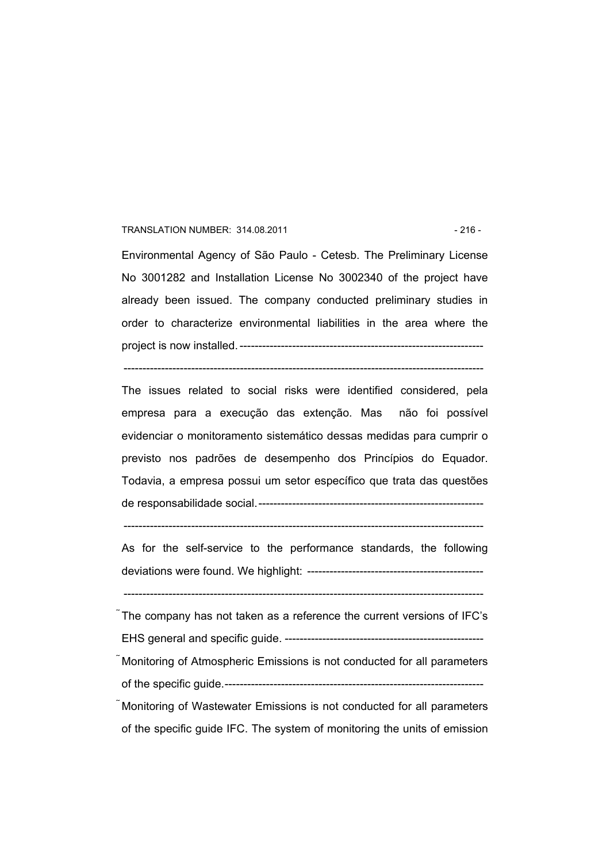#### TRANSLATION NUMBER: 314.08.2011 - 216 - 216 -

Environmental Agency of São Paulo - Cetesb. The Preliminary License No 3001282 and Installation License No 3002340 of the project have already been issued. The company conducted preliminary studies in order to characterize environmental liabilities in the area where the project is now installed. -----------------------------------------------------------------

------------------------------------------------------------------------------------------------

The issues related to social risks were identified considered, pela empresa para a execução das extenção. Mas não foi possível evidenciar o monitoramento sistemático dessas medidas para cumprir o previsto nos padrões de desempenho dos Princípios do Equador. Todavia, a empresa possui um setor específico que trata das questões de responsabilidade social.------------------------------------------------------------

------------------------------------------------------------------------------------------------

As for the self-service to the performance standards, the following deviations were found. We highlight: -----------------------------------------------

------------------------------------------------------------------------------------------------

The company has not taken as a reference the current versions of IFC's EHS general and specific guide. ----------------------------------------------------- Monitoring of Atmospheric Emissions is not conducted for all parameters of the specific guide.--------------------------------------------------------------------- Monitoring of Wastewater Emissions is not conducted for all parameters

of the specific guide IFC. The system of monitoring the units of emission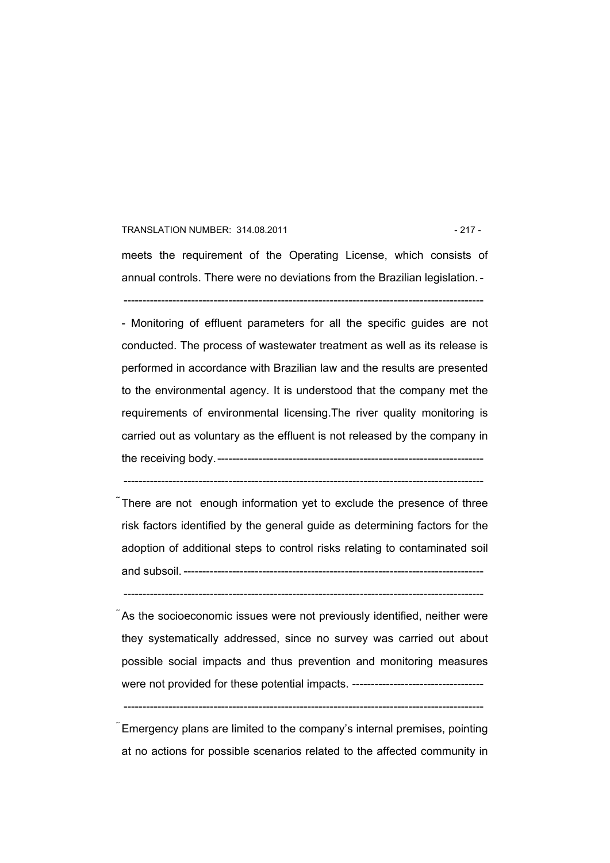## TRANSLATION NUMBER: 314.08.2011 - 217 - 217 -

meets the requirement of the Operating License, which consists of annual controls. There were no deviations from the Brazilian legislation. -

------------------------------------------------------------------------------------------------

- Monitoring of effluent parameters for all the specific guides are not conducted. The process of wastewater treatment as well as its release is performed in accordance with Brazilian law and the results are presented to the environmental agency. It is understood that the company met the requirements of environmental licensing.The river quality monitoring is carried out as voluntary as the effluent is not released by the company in the receiving body.-----------------------------------------------------------------------

There are not enough information yet to exclude the presence of three risk factors identified by the general guide as determining factors for the adoption of additional steps to control risks relating to contaminated soil and subsoil. --------------------------------------------------------------------------------

 $-$ 

------------------------------------------------------------------------------------------------

As the socioeconomic issues were not previously identified, neither were they systematically addressed, since no survey was carried out about possible social impacts and thus prevention and monitoring measures were not provided for these potential impacts. -----------------------------------

------------------------------------------------------------------------------------------------

Emergency plans are limited to the company's internal premises, pointing at no actions for possible scenarios related to the affected community in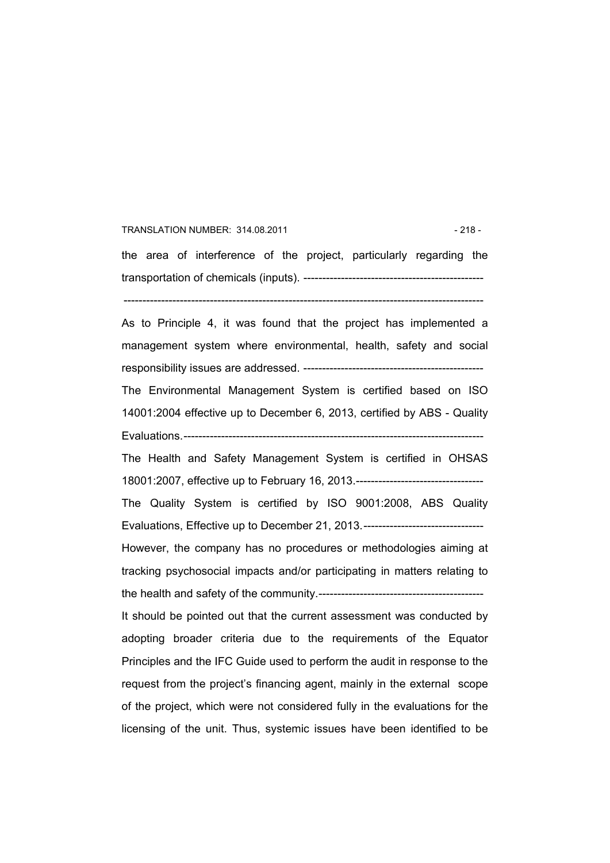## TRANSLATION NUMBER: 314.08.2011 - 218 - 218 -

the area of interference of the project, particularly regarding the transportation of chemicals (inputs). ------------------------------------------------

------------------------------------------------------------------------------------------------

As to Principle 4, it was found that the project has implemented a management system where environmental, health, safety and social responsibility issues are addressed. ------------------------------------------------

The Environmental Management System is certified based on ISO 14001:2004 effective up to December 6, 2013, certified by ABS - Quality Evaluations.--------------------------------------------------------------------------------

The Health and Safety Management System is certified in OHSAS 18001:2007, effective up to February 16, 2013.---------------------------------- The Quality System is certified by ISO 9001:2008, ABS Quality Evaluations, Effective up to December 21, 2013.---------------------------------However, the company has no procedures or methodologies aiming at tracking psychosocial impacts and/or participating in matters relating to the health and safety of the community.--------------------------------------------

It should be pointed out that the current assessment was conducted by adopting broader criteria due to the requirements of the Equator Principles and the IFC Guide used to perform the audit in response to the request from the project's financing agent, mainly in the external scope of the project, which were not considered fully in the evaluations for the licensing of the unit. Thus, systemic issues have been identified to be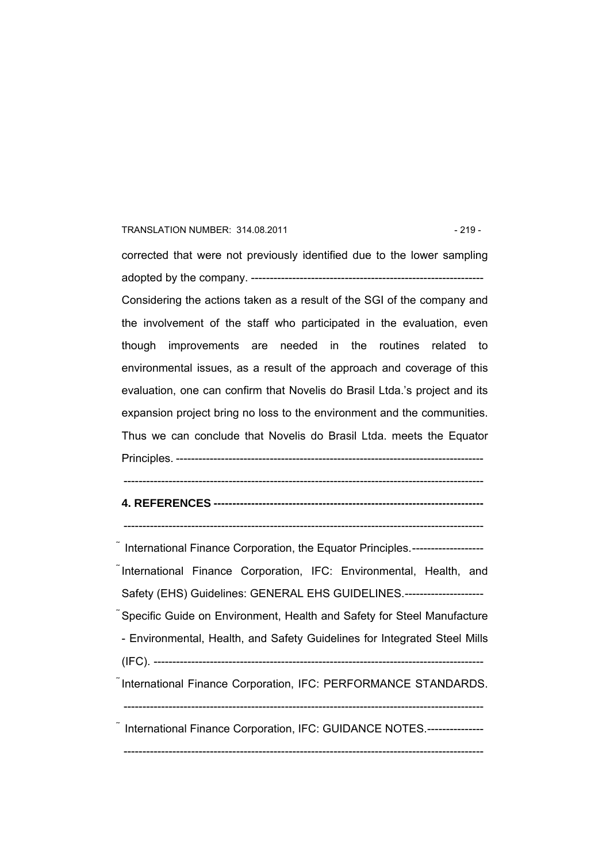## TRANSLATION NUMBER: 314.08.2011 - 219 -

corrected that were not previously identified due to the lower sampling adopted by the company. -------------------------------------------------------------- Considering the actions taken as a result of the SGI of the company and the involvement of the staff who participated in the evaluation, even though improvements are needed in the routines related to environmental issues, as a result of the approach and coverage of this evaluation, one can confirm that Novelis do Brasil Ltda.'s project and its expansion project bring no loss to the environment and the communities. Thus we can conclude that Novelis do Brasil Ltda. meets the Equator Principles. ---------------------------------------------------------------------------------- ------------------------------------------------------------------------------------------------

## **4. REFERENCES ------------------------------------------------------------------------**

------------------------------------------------------------------------------------------------

 International Finance Corporation, the Equator Principles.------------------- International Finance Corporation, IFC: Environmental, Health, and Safety (EHS) Guidelines: GENERAL EHS GUIDELINES.--------------------- Specific Guide on Environment, Health and Safety for Steel Manufacture - Environmental, Health, and Safety Guidelines for Integrated Steel Mills (IFC). ---------------------------------------------------------------------------------------- International Finance Corporation, IFC: PERFORMANCE STANDARDS. ------------------------------------------------------------------------------------------------ International Finance Corporation, IFC: GUIDANCE NOTES.---------------

------------------------------------------------------------------------------------------------